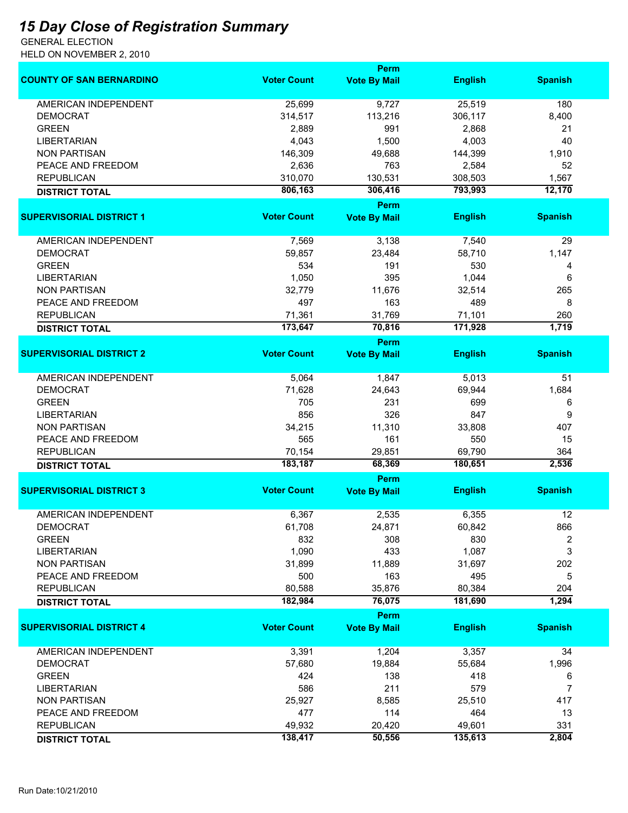## *15 Day Close of Registration Summary*

GENERAL ELECTION HELD ON NOVEMBER 2, 2010

|                                 |                    | <b>Perm</b>         |                |                |
|---------------------------------|--------------------|---------------------|----------------|----------------|
| <b>COUNTY OF SAN BERNARDINO</b> | <b>Voter Count</b> | <b>Vote By Mail</b> | <b>English</b> | <b>Spanish</b> |
| <b>AMERICAN INDEPENDENT</b>     | 25,699             | 9,727               | 25,519         | 180            |
| <b>DEMOCRAT</b>                 | 314,517            | 113,216             | 306,117        | 8,400          |
| <b>GREEN</b>                    | 2,889              | 991                 | 2,868          | 21             |
| <b>LIBERTARIAN</b>              | 4,043              | 1,500               | 4,003          | 40             |
| <b>NON PARTISAN</b>             | 146,309            | 49,688              | 144,399        | 1,910          |
|                                 |                    |                     |                |                |
| PEACE AND FREEDOM               | 2,636              | 763                 | 2,584          | 52             |
| <b>REPUBLICAN</b>               | 310,070            | 130,531             | 308,503        | 1,567          |
| <b>DISTRICT TOTAL</b>           | 806,163            | 306,416<br>Perm     | 793,993        | 12,170         |
| <b>SUPERVISORIAL DISTRICT 1</b> | <b>Voter Count</b> | <b>Vote By Mail</b> | <b>English</b> | <b>Spanish</b> |
| AMERICAN INDEPENDENT            | 7,569              | 3,138               | 7,540          | 29             |
| <b>DEMOCRAT</b>                 | 59,857             | 23,484              | 58,710         | 1,147          |
| <b>GREEN</b>                    | 534                | 191                 | 530            | 4              |
| <b>LIBERTARIAN</b>              | 1,050              | 395                 | 1,044          | 6              |
| <b>NON PARTISAN</b>             | 32,779             | 11,676              | 32,514         | 265            |
| PEACE AND FREEDOM               | 497                | 163                 | 489            | 8              |
| <b>REPUBLICAN</b>               | 71,361             | 31,769              | 71,101         | 260            |
| <b>DISTRICT TOTAL</b>           | 173,647            | 70,816              | 171,928        | 1,719          |
|                                 |                    | <b>Perm</b>         |                |                |
| <b>SUPERVISORIAL DISTRICT 2</b> | <b>Voter Count</b> | <b>Vote By Mail</b> | <b>English</b> | <b>Spanish</b> |
| <b>AMERICAN INDEPENDENT</b>     | 5,064              | 1,847               | 5,013          | 51             |
| <b>DEMOCRAT</b>                 | 71,628             | 24,643              | 69,944         | 1,684          |
| <b>GREEN</b>                    | 705                | 231                 | 699            | 6              |
| <b>LIBERTARIAN</b>              | 856                | 326                 | 847            | 9              |
| <b>NON PARTISAN</b>             | 34,215             | 11,310              | 33,808         | 407            |
| PEACE AND FREEDOM               | 565                | 161                 | 550            | 15             |
| <b>REPUBLICAN</b>               | 70,154             | 29,851              | 69,790         | 364            |
| <b>DISTRICT TOTAL</b>           | 183,187            | 68,369              | 180,651        | 2,536          |
|                                 |                    | <b>Perm</b>         |                |                |
| <b>SUPERVISORIAL DISTRICT 3</b> | <b>Voter Count</b> | <b>Vote By Mail</b> | <b>English</b> | <b>Spanish</b> |
| AMERICAN INDEPENDENT            | 6,367              | 2,535               | 6,355          | 12             |
| <b>DEMOCRAT</b>                 | 61,708             | 24,871              | 60,842         | 866            |
| <b>GREEN</b>                    | 832                | 308                 | 830            | 2              |
| <b>LIBERTARIAN</b>              | 1,090              | 433                 | 1,087          | 3              |
| <b>NON PARTISAN</b>             | 31,899             | 11,889              | 31,697         | 202            |
| PEACE AND FREEDOM               | 500                | 163                 | 495            | 5              |
| <b>REPUBLICAN</b>               | 80,588             | 35,876              | 80,384         | 204            |
| <b>DISTRICT TOTAL</b>           | 182,984            | 76,075              | 181,690        | 1,294          |
|                                 |                    | Perm                |                |                |
| <b>SUPERVISORIAL DISTRICT 4</b> | <b>Voter Count</b> | <b>Vote By Mail</b> | <b>English</b> | <b>Spanish</b> |
| AMERICAN INDEPENDENT            | 3,391              | 1,204               | 3,357          | 34             |
| <b>DEMOCRAT</b>                 | 57,680             | 19,884              | 55,684         | 1,996          |
| <b>GREEN</b>                    | 424                | 138                 | 418            | 6              |
| <b>LIBERTARIAN</b>              | 586                | 211                 | 579            | 7              |
| <b>NON PARTISAN</b>             | 25,927             | 8,585               | 25,510         | 417            |
| PEACE AND FREEDOM               | 477                | 114                 | 464            | 13             |
| <b>REPUBLICAN</b>               | 49,932             | 20,420              | 49,601         | 331            |
| <b>DISTRICT TOTAL</b>           | 138,417            | 50,556              | 135,613        | 2,804          |
|                                 |                    |                     |                |                |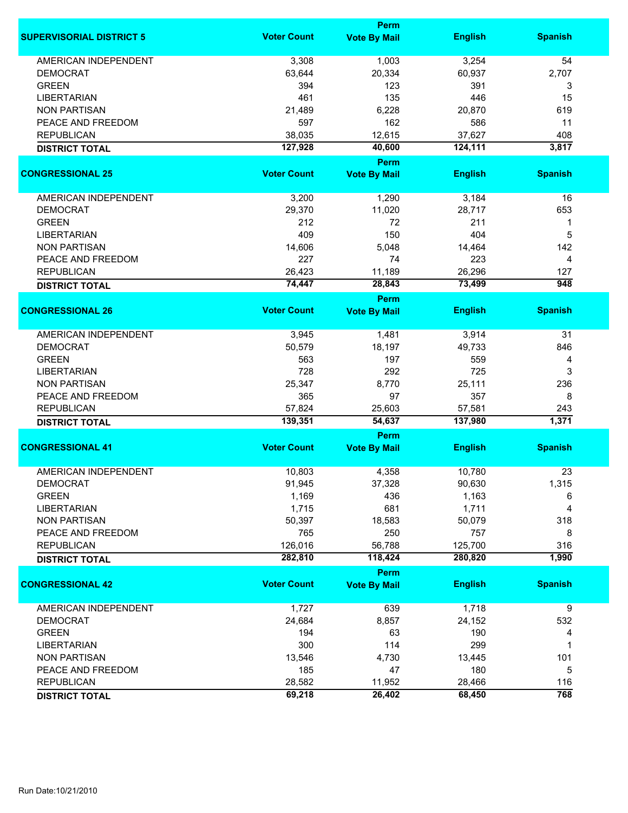|                                 |                    | <b>Perm</b>                        |                   |                |
|---------------------------------|--------------------|------------------------------------|-------------------|----------------|
| <b>SUPERVISORIAL DISTRICT 5</b> | <b>Voter Count</b> | <b>Vote By Mail</b>                | <b>English</b>    | <b>Spanish</b> |
| <b>AMERICAN INDEPENDENT</b>     | 3,308              | 1,003                              | 3,254             | 54             |
| <b>DEMOCRAT</b>                 | 63,644             | 20,334                             | 60,937            | 2,707          |
| <b>GREEN</b>                    | 394                | 123                                | 391               | 3              |
| <b>LIBERTARIAN</b>              | 461                | 135                                | 446               | 15             |
| <b>NON PARTISAN</b>             |                    |                                    |                   | 619            |
|                                 | 21,489             | 6,228                              | 20,870            |                |
| PEACE AND FREEDOM               | 597                | 162                                | 586               | 11             |
| <b>REPUBLICAN</b>               | 38,035             | 12,615                             | 37,627            | 408            |
| <b>DISTRICT TOTAL</b>           | 127,928            | 40,600                             | 124,111           | 3,817          |
| <b>CONGRESSIONAL 25</b>         | <b>Voter Count</b> | <b>Perm</b>                        | <b>English</b>    |                |
|                                 |                    | <b>Vote By Mail</b>                |                   | <b>Spanish</b> |
| AMERICAN INDEPENDENT            | 3,200              | 1,290                              | 3,184             | 16             |
| <b>DEMOCRAT</b>                 | 29,370             | 11,020                             | 28,717            | 653            |
| <b>GREEN</b>                    | 212                | 72                                 | 211               | 1              |
| <b>LIBERTARIAN</b>              | 409                | 150                                | 404               | 5              |
|                                 |                    |                                    |                   | 142            |
| <b>NON PARTISAN</b>             | 14,606             | 5,048                              | 14,464            |                |
| PEACE AND FREEDOM               | 227                | 74                                 | 223               | $\overline{4}$ |
| <b>REPUBLICAN</b>               | 26,423             | 11,189                             | 26,296            | 127            |
| <b>DISTRICT TOTAL</b>           | 74,447             | 28,843                             | 73,499            | 948            |
| <b>CONGRESSIONAL 26</b>         | <b>Voter Count</b> | <b>Perm</b><br><b>Vote By Mail</b> | <b>English</b>    | <b>Spanish</b> |
|                                 |                    |                                    |                   |                |
| <b>AMERICAN INDEPENDENT</b>     | 3,945              | 1,481                              | 3,914             | 31             |
| <b>DEMOCRAT</b>                 | 50,579             | 18,197                             | 49,733            | 846            |
| <b>GREEN</b>                    | 563                | 197                                | 559               | 4              |
| <b>LIBERTARIAN</b>              | 728                | 292                                | 725               | 3              |
| <b>NON PARTISAN</b>             | 25,347             | 8,770                              | 25,111            | 236            |
| PEACE AND FREEDOM               | 365                | 97                                 | 357               | 8              |
|                                 |                    |                                    |                   |                |
| <b>REPUBLICAN</b>               | 57,824<br>139,351  | 25,603<br>54,637                   | 57,581<br>137,980 | 243<br>1,371   |
| <b>DISTRICT TOTAL</b>           |                    | <b>Perm</b>                        |                   |                |
| <b>CONGRESSIONAL 41</b>         | <b>Voter Count</b> | <b>Vote By Mail</b>                | <b>English</b>    | <b>Spanish</b> |
|                                 |                    |                                    |                   |                |
| <b>AMERICAN INDEPENDENT</b>     | 10,803             | 4,358                              | 10,780            | 23             |
| <b>DEMOCRAT</b>                 | 91,945             | 37,328                             | 90,630            | 1,315          |
| <b>GREEN</b>                    | 1,169              | 436                                | 1,163             | 6              |
| <b>LIBERTARIAN</b>              | 1,715              | 681                                | 1,711             | $\overline{4}$ |
| <b>NON PARTISAN</b>             | 50,397             | 18,583                             | 50,079            | 318            |
| PEACE AND FREEDOM               | 765                | 250                                | 757               | 8              |
| <b>REPUBLICAN</b>               | 126,016            | 56,788                             | 125,700           | 316            |
| <b>DISTRICT TOTAL</b>           | 282,810            | 118,424                            | 280,820           | 1,990          |
|                                 |                    | Perm                               |                   |                |
| <b>CONGRESSIONAL 42</b>         | <b>Voter Count</b> | <b>Vote By Mail</b>                | <b>English</b>    | <b>Spanish</b> |
| <b>AMERICAN INDEPENDENT</b>     | 1,727              | 639                                | 1,718             | 9              |
| <b>DEMOCRAT</b>                 | 24,684             | 8,857                              | 24,152            | 532            |
| <b>GREEN</b>                    | 194                | 63                                 | 190               | 4              |
| <b>LIBERTARIAN</b>              | 300                | 114                                | 299               | 1              |
| <b>NON PARTISAN</b>             | 13,546             | 4,730                              | 13,445            | 101            |
| PEACE AND FREEDOM               | 185                | 47                                 | 180               | 5              |
| <b>REPUBLICAN</b>               | 28,582             | 11,952                             | 28,466            | 116            |
|                                 | 69,218             | 26,402                             | 68,450            | 768            |
| <b>DISTRICT TOTAL</b>           |                    |                                    |                   |                |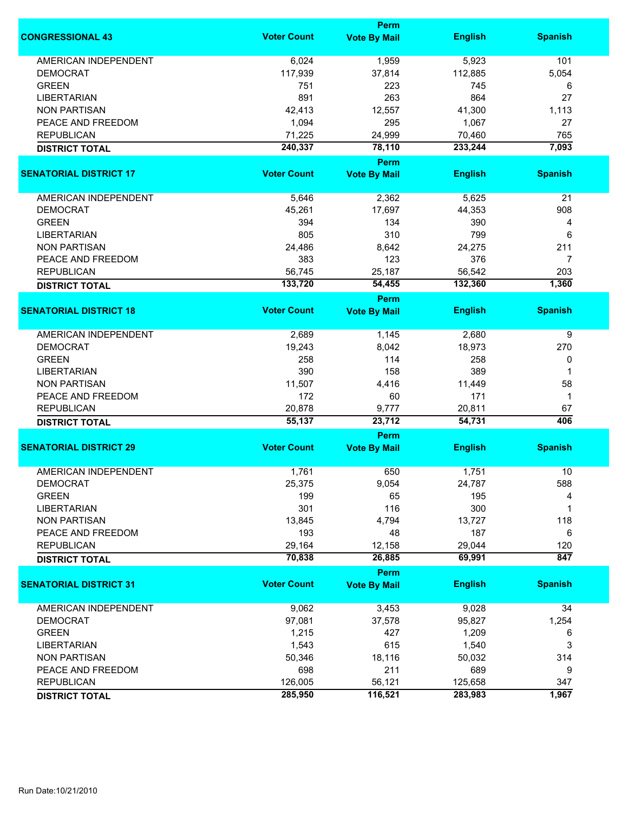|                               |                    | <b>Perm</b>           |                |                |
|-------------------------------|--------------------|-----------------------|----------------|----------------|
| <b>CONGRESSIONAL 43</b>       | <b>Voter Count</b> | <b>Vote By Mail</b>   | <b>English</b> | <b>Spanish</b> |
| <b>AMERICAN INDEPENDENT</b>   | 6,024              | 1,959                 | 5,923          | 101            |
| <b>DEMOCRAT</b>               | 117,939            | 37,814                | 112,885        | 5,054          |
| <b>GREEN</b>                  | 751                | 223                   | 745            | 6              |
| <b>LIBERTARIAN</b>            | 891                | 263                   | 864            | 27             |
| <b>NON PARTISAN</b>           | 42,413             | 12,557                | 41,300         | 1,113          |
| PEACE AND FREEDOM             | 1,094              | 295                   | 1,067          | 27             |
|                               |                    |                       |                |                |
| <b>REPUBLICAN</b>             | 71,225             | 24,999                | 70,460         | 765            |
| <b>DISTRICT TOTAL</b>         | 240,337            | 78,110<br><b>Perm</b> | 233,244        | 7,093          |
| <b>SENATORIAL DISTRICT 17</b> | <b>Voter Count</b> | <b>Vote By Mail</b>   | <b>English</b> | <b>Spanish</b> |
| AMERICAN INDEPENDENT          | 5,646              | 2,362                 | 5,625          | 21             |
|                               |                    |                       |                |                |
| <b>DEMOCRAT</b>               | 45,261             | 17,697                | 44,353         | 908            |
| <b>GREEN</b>                  | 394                | 134                   | 390            | 4              |
| <b>LIBERTARIAN</b>            | 805                | 310                   | 799            | 6              |
| <b>NON PARTISAN</b>           | 24,486             | 8,642                 | 24,275         | 211            |
| PEACE AND FREEDOM             | 383                | 123                   | 376            | $\overline{7}$ |
| <b>REPUBLICAN</b>             | 56,745             | 25,187                | 56,542         | 203            |
| <b>DISTRICT TOTAL</b>         | 133,720            | 54,455                | 132,360        | 1,360          |
|                               |                    | <b>Perm</b>           |                |                |
| <b>SENATORIAL DISTRICT 18</b> | <b>Voter Count</b> | <b>Vote By Mail</b>   | <b>English</b> | <b>Spanish</b> |
| <b>AMERICAN INDEPENDENT</b>   | 2,689              | 1,145                 | 2,680          | 9              |
| <b>DEMOCRAT</b>               | 19,243             | 8,042                 | 18,973         | 270            |
| <b>GREEN</b>                  | 258                | 114                   | 258            | 0              |
| <b>LIBERTARIAN</b>            | 390                | 158                   | 389            | 1              |
| <b>NON PARTISAN</b>           | 11,507             | 4,416                 | 11,449         | 58             |
| PEACE AND FREEDOM             | 172                | 60                    | 171            | $\mathbf 1$    |
| <b>REPUBLICAN</b>             | 20,878             | 9,777                 | 20,811         | 67             |
| <b>DISTRICT TOTAL</b>         | 55,137             | 23,712                | 54,731         | 406            |
|                               |                    | Perm                  |                |                |
| <b>SENATORIAL DISTRICT 29</b> | <b>Voter Count</b> | <b>Vote By Mail</b>   | <b>English</b> | <b>Spanish</b> |
| AMERICAN INDEPENDENT          | 1,761              | 650                   | 1,751          | 10             |
| DEMOCRAT                      | 25,375             | 9,054                 | 24,787         | 588            |
| <b>GREEN</b>                  | 199                | 65                    | 195            | 4              |
| <b>LIBERTARIAN</b>            | 301                | 116                   | 300            | 1              |
| <b>NON PARTISAN</b>           | 13,845             | 4,794                 | 13,727         | 118            |
| PEACE AND FREEDOM             | 193                | 48                    | 187            | 6              |
| <b>REPUBLICAN</b>             | 29,164             | 12,158                | 29,044         | 120            |
| <b>DISTRICT TOTAL</b>         | 70,838             | 26,885                | 69,991         | 847            |
|                               |                    | Perm                  |                |                |
| <b>SENATORIAL DISTRICT 31</b> | <b>Voter Count</b> | <b>Vote By Mail</b>   | <b>English</b> | <b>Spanish</b> |
| <b>AMERICAN INDEPENDENT</b>   | 9,062              | 3,453                 | 9,028          | 34             |
| <b>DEMOCRAT</b>               | 97,081             | 37,578                | 95,827         | 1,254          |
| <b>GREEN</b>                  | 1,215              | 427                   | 1,209          | 6              |
| <b>LIBERTARIAN</b>            | 1,543              | 615                   | 1,540          | 3              |
| <b>NON PARTISAN</b>           | 50,346             | 18,116                | 50,032         | 314            |
| PEACE AND FREEDOM             | 698                | 211                   | 689            | 9              |
| <b>REPUBLICAN</b>             | 126,005            | 56,121                | 125,658        | 347            |
|                               |                    |                       |                | 1,967          |
| <b>DISTRICT TOTAL</b>         | 285,950            | 116,521               | 283,983        |                |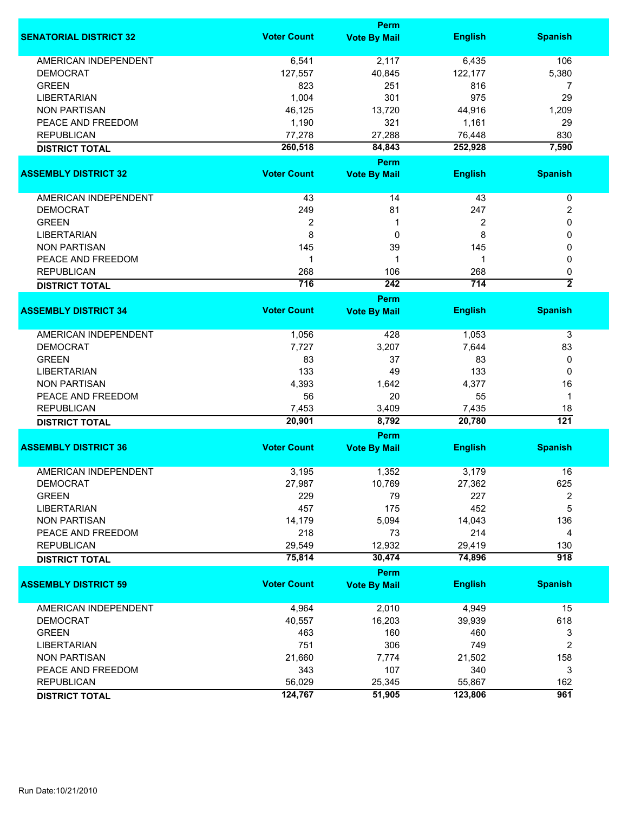|                               |                    | <b>Perm</b>         |                   |                     |
|-------------------------------|--------------------|---------------------|-------------------|---------------------|
| <b>SENATORIAL DISTRICT 32</b> | <b>Voter Count</b> | <b>Vote By Mail</b> | <b>English</b>    | <b>Spanish</b>      |
| <b>AMERICAN INDEPENDENT</b>   | 6,541              | 2,117               | 6,435             | 106                 |
| <b>DEMOCRAT</b>               | 127,557            | 40,845              | 122,177           | 5,380               |
| <b>GREEN</b>                  | 823                | 251                 | 816               | 7                   |
| <b>LIBERTARIAN</b>            | 1,004              | 301                 | 975               | 29                  |
| <b>NON PARTISAN</b>           | 46,125             | 13,720              | 44,916            | 1,209               |
| PEACE AND FREEDOM             | 1,190              | 321                 | 1,161             | 29                  |
| <b>REPUBLICAN</b>             |                    |                     |                   | 830                 |
|                               | 77,278<br>260,518  | 27,288<br>84,843    | 76,448<br>252,928 | 7,590               |
| <b>DISTRICT TOTAL</b>         |                    | <b>Perm</b>         |                   |                     |
| <b>ASSEMBLY DISTRICT 32</b>   | <b>Voter Count</b> | <b>Vote By Mail</b> | <b>English</b>    | <b>Spanish</b>      |
| AMERICAN INDEPENDENT          | 43                 | 14                  | 43                | $\pmb{0}$           |
| <b>DEMOCRAT</b>               | 249                | 81                  | 247               | 2                   |
| <b>GREEN</b>                  | $\boldsymbol{2}$   | 1                   | 2                 | 0                   |
| <b>LIBERTARIAN</b>            | 8                  | 0                   | 8                 | 0                   |
| <b>NON PARTISAN</b>           | 145                | 39                  | 145               | 0                   |
|                               | 1                  | 1                   | 1                 |                     |
| PEACE AND FREEDOM             |                    |                     |                   | 0                   |
| <b>REPUBLICAN</b>             | 268<br>716         | 106<br>242          | 268<br>714        | 0<br>$\overline{2}$ |
| <b>DISTRICT TOTAL</b>         |                    | <b>Perm</b>         |                   |                     |
| <b>ASSEMBLY DISTRICT 34</b>   | <b>Voter Count</b> | <b>Vote By Mail</b> | <b>English</b>    | <b>Spanish</b>      |
| <b>AMERICAN INDEPENDENT</b>   | 1,056              | 428                 | 1,053             | 3                   |
| <b>DEMOCRAT</b>               | 7,727              | 3,207               | 7,644             | 83                  |
| <b>GREEN</b>                  | 83                 | 37                  | 83                | 0                   |
| <b>LIBERTARIAN</b>            | 133                | 49                  | 133               | 0                   |
| <b>NON PARTISAN</b>           | 4,393              | 1,642               | 4,377             | 16                  |
| PEACE AND FREEDOM             | 56                 | 20                  | 55                | 1                   |
| <b>REPUBLICAN</b>             | 7,453              | 3,409               | 7,435             | 18                  |
| <b>DISTRICT TOTAL</b>         | 20,901             | 8,792               | 20,780            | 121                 |
|                               |                    | Perm                |                   |                     |
| <b>ASSEMBLY DISTRICT 36</b>   | <b>Voter Count</b> | <b>Vote By Mail</b> | <b>English</b>    | <b>Spanish</b>      |
| <b>AMERICAN INDEPENDENT</b>   | 3,195              | 1,352               | 3,179             | 16                  |
| <b>DEMOCRAT</b>               | 27,987             | 10,769              | 27,362            | 625                 |
| <b>GREEN</b>                  | 229                | 79                  | 227               | 2                   |
| <b>LIBERTARIAN</b>            | 457                | 175                 | 452               | 5                   |
| <b>NON PARTISAN</b>           | 14,179             | 5,094               | 14,043            | 136                 |
| PEACE AND FREEDOM             | 218                | 73                  | 214               | 4                   |
| <b>REPUBLICAN</b>             | 29,549             | 12,932              | 29,419            | 130                 |
| <b>DISTRICT TOTAL</b>         | 75,814             | 30,474              | 74,896            | $\overline{918}$    |
|                               |                    | Perm                |                   |                     |
| <b>ASSEMBLY DISTRICT 59</b>   | <b>Voter Count</b> | <b>Vote By Mail</b> | <b>English</b>    | <b>Spanish</b>      |
| <b>AMERICAN INDEPENDENT</b>   | 4,964              | 2,010               | 4,949             | 15                  |
| <b>DEMOCRAT</b>               | 40,557             | 16,203              | 39,939            | 618                 |
| <b>GREEN</b>                  | 463                | 160                 | 460               | 3                   |
| <b>LIBERTARIAN</b>            | 751                | 306                 | 749               | 2                   |
| <b>NON PARTISAN</b>           | 21,660             | 7,774               | 21,502            | 158                 |
| PEACE AND FREEDOM             | 343                | 107                 | 340               | 3                   |
| <b>REPUBLICAN</b>             | 56,029             | 25,345              | 55,867            | 162                 |
| <b>DISTRICT TOTAL</b>         | 124,767            | 51,905              | 123,806           | $\overline{961}$    |
|                               |                    |                     |                   |                     |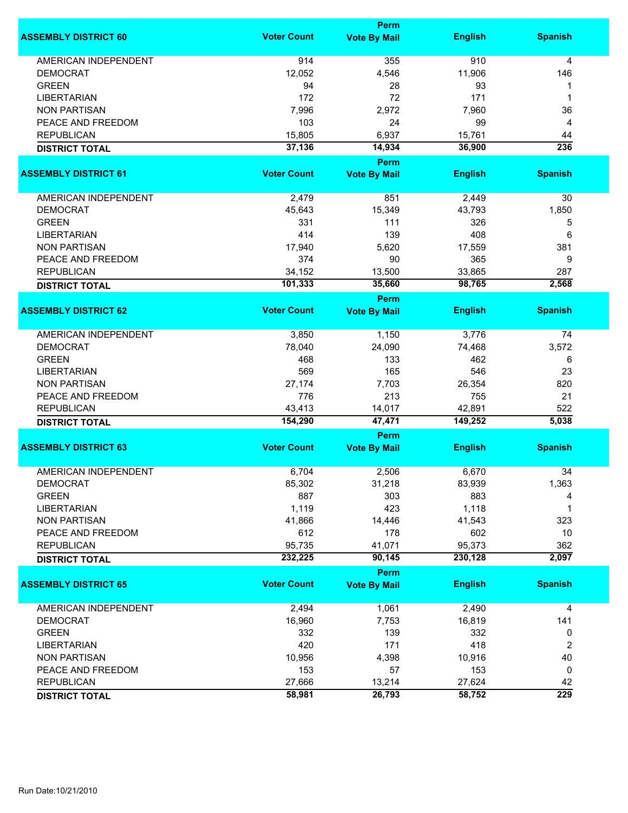|                             |                    | Perm                               |                   |                  |
|-----------------------------|--------------------|------------------------------------|-------------------|------------------|
| <b>ASSEMBLY DISTRICT 60</b> | <b>Voter Count</b> | <b>Vote By Mail</b>                | <b>English</b>    | <b>Spanish</b>   |
| <b>AMERICAN INDEPENDENT</b> | 914                | 355                                | 910               | 4                |
| <b>DEMOCRAT</b>             | 12,052             | 4,546                              | 11,906            | 146              |
| <b>GREEN</b>                | 94                 | 28                                 | 93                | 1                |
| <b>LIBERTARIAN</b>          | 172                | 72                                 | 171               | 1                |
| <b>NON PARTISAN</b>         | 7,996              | 2,972                              | 7,960             | 36               |
| PEACE AND FREEDOM           | 103                | 24                                 | 99                |                  |
|                             |                    |                                    |                   | 4                |
| <b>REPUBLICAN</b>           | 15,805<br>37,136   | 6,937                              | 15,761            | 44<br>236        |
| <b>DISTRICT TOTAL</b>       |                    | 14,934<br>Perm                     | 36,900            |                  |
| <b>ASSEMBLY DISTRICT 61</b> | <b>Voter Count</b> | <b>Vote By Mail</b>                | <b>English</b>    | <b>Spanish</b>   |
| AMERICAN INDEPENDENT        | 2,479              | 851                                | 2,449             | 30               |
| <b>DEMOCRAT</b>             | 45,643             | 15,349                             | 43,793            | 1,850            |
| <b>GREEN</b>                | 331                | 111                                | 326               |                  |
|                             |                    |                                    |                   | 5                |
| <b>LIBERTARIAN</b>          | 414                | 139                                | 408               | 6                |
| <b>NON PARTISAN</b>         | 17,940             | 5,620                              | 17,559            | 381              |
| PEACE AND FREEDOM           | 374                | 90                                 | 365               | 9                |
| <b>REPUBLICAN</b>           | 34,152             | 13,500                             | 33,865            | 287              |
| <b>DISTRICT TOTAL</b>       | 101,333            | 35,660                             | 98,765            | 2,568            |
| <b>ASSEMBLY DISTRICT 62</b> | <b>Voter Count</b> | <b>Perm</b><br><b>Vote By Mail</b> | <b>English</b>    | <b>Spanish</b>   |
|                             |                    |                                    |                   |                  |
| <b>AMERICAN INDEPENDENT</b> | 3,850              | 1,150                              | 3,776             | 74               |
| <b>DEMOCRAT</b>             | 78,040             | 24,090                             | 74,468            | 3,572            |
| <b>GREEN</b>                | 468                | 133                                | 462               | 6                |
| <b>LIBERTARIAN</b>          | 569                | 165                                | 546               | 23               |
| <b>NON PARTISAN</b>         | 27,174             | 7,703                              | 26,354            | 820              |
| PEACE AND FREEDOM           | 776                | 213                                | 755               | 21               |
| <b>REPUBLICAN</b>           | 43,413             | 14,017                             | 42,891            | 522              |
| <b>DISTRICT TOTAL</b>       | 154,290            | 47,471                             | 149,252           | 5,038            |
|                             |                    | Perm                               |                   |                  |
| <b>ASSEMBLY DISTRICT 63</b> | <b>Voter Count</b> | <b>Vote By Mail</b>                | <b>English</b>    | <b>Spanish</b>   |
| <b>AMERICAN INDEPENDENT</b> | 6,704              | 2,506                              | 6,670             | 34               |
| <b>DEMOCRAT</b>             | 85,302             | 31,218                             | 83,939            | 1,363            |
| <b>GREEN</b>                | 887                | 303                                | 883               | 4                |
| <b>LIBERTARIAN</b>          | 1,119              | 423                                | 1,118             | 1                |
| <b>NON PARTISAN</b>         | 41,866             | 14,446                             | 41,543            | 323              |
| PEACE AND FREEDOM           | 612                | 178                                | 602               | 10               |
|                             |                    |                                    |                   |                  |
| <b>REPUBLICAN</b>           | 95,735<br>232,225  | 41,071<br>90,145                   | 95,373<br>230,128 | 362<br>2,097     |
| <b>DISTRICT TOTAL</b>       |                    | Perm                               |                   |                  |
| <b>ASSEMBLY DISTRICT 65</b> | <b>Voter Count</b> | <b>Vote By Mail</b>                | <b>English</b>    | <b>Spanish</b>   |
| <b>AMERICAN INDEPENDENT</b> | 2,494              | 1,061                              | 2,490             | 4                |
| <b>DEMOCRAT</b>             | 16,960             | 7,753                              | 16,819            | 141              |
|                             |                    |                                    |                   |                  |
| <b>GREEN</b>                | 332                | 139                                | 332               | 0                |
| <b>LIBERTARIAN</b>          | 420                | 171                                | 418               | 2                |
| <b>NON PARTISAN</b>         | 10,956             | 4,398                              | 10,916            | 40               |
| PEACE AND FREEDOM           | 153                | 57                                 | 153               | 0                |
| <b>REPUBLICAN</b>           | 27,666             | 13,214                             | 27,624            | 42               |
| <b>DISTRICT TOTAL</b>       | 58,981             | 26,793                             | 58,752            | $\overline{229}$ |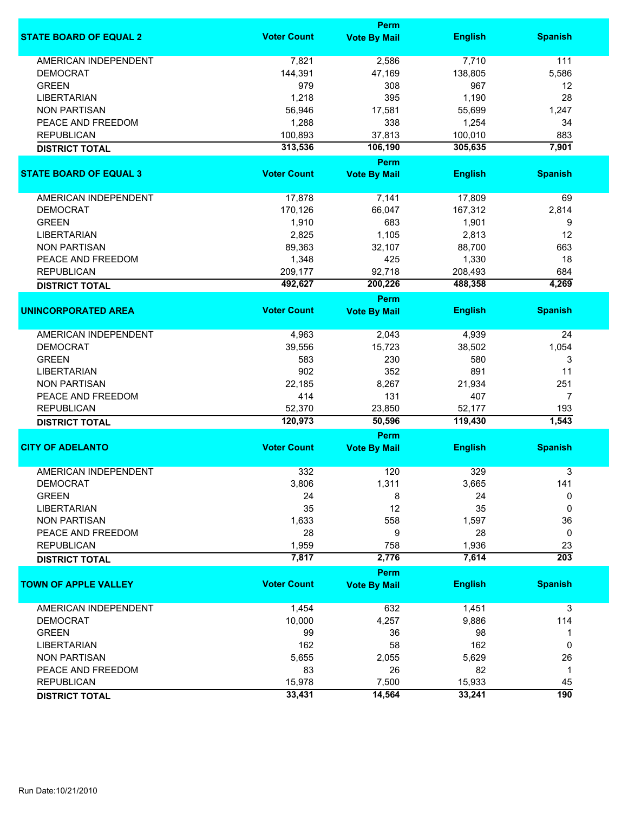|                               |                    | Perm                        |                |                  |
|-------------------------------|--------------------|-----------------------------|----------------|------------------|
| <b>STATE BOARD OF EQUAL 2</b> | <b>Voter Count</b> | <b>Vote By Mail</b>         | <b>English</b> | <b>Spanish</b>   |
| <b>AMERICAN INDEPENDENT</b>   | 7,821              | 2,586                       | 7,710          | 111              |
| <b>DEMOCRAT</b>               | 144,391            | 47,169                      | 138,805        | 5,586            |
| <b>GREEN</b>                  | 979                | 308                         | 967            | 12               |
| <b>LIBERTARIAN</b>            | 1,218              | 395                         | 1,190          | 28               |
| <b>NON PARTISAN</b>           | 56,946             | 17,581                      | 55,699         | 1,247            |
|                               |                    |                             |                |                  |
| PEACE AND FREEDOM             | 1,288              | 338                         | 1,254          | 34               |
| <b>REPUBLICAN</b>             | 100,893            | 37,813                      | 100,010        | 883              |
| <b>DISTRICT TOTAL</b>         | 313,536            | 106,190                     | 305,635        | 7,901            |
| <b>STATE BOARD OF EQUAL 3</b> | <b>Voter Count</b> | Perm<br><b>Vote By Mail</b> | <b>English</b> | <b>Spanish</b>   |
|                               |                    |                             |                |                  |
| <b>AMERICAN INDEPENDENT</b>   | 17,878             | 7,141                       | 17,809         | 69               |
| <b>DEMOCRAT</b>               | 170,126            | 66,047                      | 167,312        | 2,814            |
| <b>GREEN</b>                  | 1,910              | 683                         | 1,901          | 9                |
| <b>LIBERTARIAN</b>            | 2,825              | 1,105                       | 2,813          | 12               |
| <b>NON PARTISAN</b>           | 89,363             | 32,107                      | 88,700         | 663              |
| PEACE AND FREEDOM             | 1,348              | 425                         | 1,330          | 18               |
| <b>REPUBLICAN</b>             |                    | 92,718                      |                | 684              |
|                               | 209,177            |                             | 208,493        |                  |
| <b>DISTRICT TOTAL</b>         | 492,627            | 200,226                     | 488,358        | 4,269            |
| <b>UNINCORPORATED AREA</b>    | <b>Voter Count</b> | Perm<br><b>Vote By Mail</b> | <b>English</b> | <b>Spanish</b>   |
|                               |                    |                             |                |                  |
| <b>AMERICAN INDEPENDENT</b>   | 4,963              | 2,043                       | 4,939          | 24               |
| <b>DEMOCRAT</b>               | 39,556             | 15,723                      | 38,502         | 1,054            |
| <b>GREEN</b>                  | 583                | 230                         | 580            | 3                |
| <b>LIBERTARIAN</b>            | 902                | 352                         | 891            | 11               |
| <b>NON PARTISAN</b>           | 22,185             | 8,267                       | 21,934         | 251              |
| PEACE AND FREEDOM             | 414                | 131                         | 407            | 7                |
| <b>REPUBLICAN</b>             | 52,370             | 23,850                      | 52,177         | 193              |
| <b>DISTRICT TOTAL</b>         | 120,973            | 50,596                      | 119,430        | 1,543            |
|                               |                    | Perm                        |                |                  |
| <b>CITY OF ADELANTO</b>       | <b>Voter Count</b> | <b>Vote By Mail</b>         | <b>English</b> | <b>Spanish</b>   |
| <b>AMERICAN INDEPENDENT</b>   | 332                |                             |                |                  |
|                               |                    | 120                         | 329            | 3                |
| <b>DEMOCRAT</b>               | 3,806              | 1,311                       | 3,665          | 141              |
| <b>GREEN</b>                  | 24                 | 8                           | 24             | 0                |
| <b>LIBERTARIAN</b>            | 35                 | 12                          | 35             | 0                |
| <b>NON PARTISAN</b>           | 1,633              | 558                         | 1,597          | 36               |
| PEACE AND FREEDOM             | 28                 | 9                           | 28             | 0                |
| <b>REPUBLICAN</b>             | 1,959              | 758                         | 1,936          | 23               |
| <b>DISTRICT TOTAL</b>         | 7,817              | 2,776                       | 7,614          | $\overline{203}$ |
|                               |                    | Perm                        |                |                  |
| <b>TOWN OF APPLE VALLEY</b>   | <b>Voter Count</b> | <b>Vote By Mail</b>         | <b>English</b> | <b>Spanish</b>   |
| AMERICAN INDEPENDENT          | 1,454              | 632                         | 1,451          | 3                |
| <b>DEMOCRAT</b>               | 10,000             | 4,257                       | 9,886          | 114              |
| <b>GREEN</b>                  | 99                 | 36                          | 98             | 1                |
| <b>LIBERTARIAN</b>            | 162                | 58                          | 162            | 0                |
| <b>NON PARTISAN</b>           | 5,655              | 2,055                       | 5,629          | 26               |
|                               |                    |                             |                |                  |
| PEACE AND FREEDOM             | 83                 | 26                          | 82             | $\mathbf{1}$     |
| <b>REPUBLICAN</b>             | 15,978             | 7,500                       | 15,933         | 45               |
| <b>DISTRICT TOTAL</b>         | 33,431             | 14,564                      | 33,241         | 190              |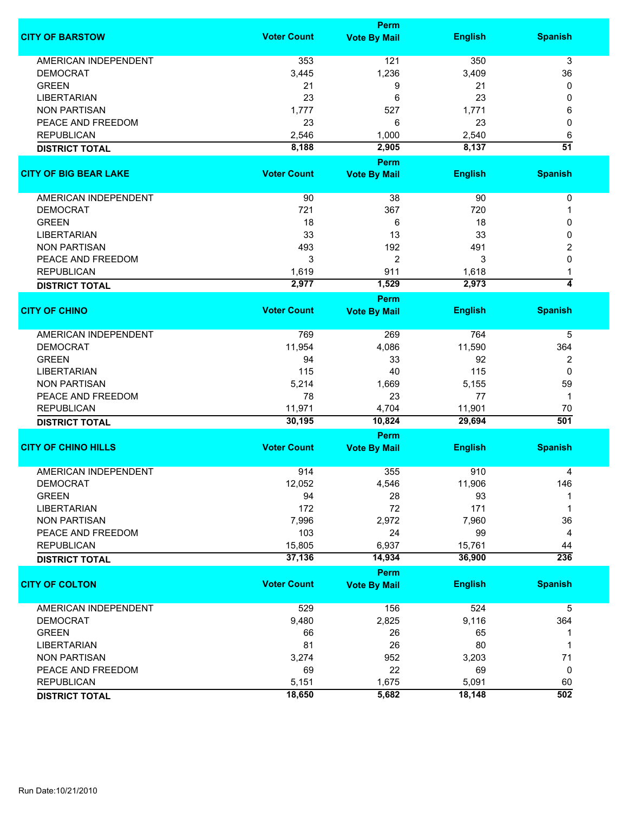|                              |                    | <b>Perm</b>         |                  |                     |
|------------------------------|--------------------|---------------------|------------------|---------------------|
| <b>CITY OF BARSTOW</b>       | <b>Voter Count</b> | <b>Vote By Mail</b> | <b>English</b>   | <b>Spanish</b>      |
| <b>AMERICAN INDEPENDENT</b>  | 353                | 121                 | 350              | 3                   |
| <b>DEMOCRAT</b>              | 3,445              | 1,236               | 3,409            | 36                  |
| <b>GREEN</b>                 | 21                 | 9                   | 21               | 0                   |
| <b>LIBERTARIAN</b>           | 23                 | 6                   | 23               | 0                   |
| <b>NON PARTISAN</b>          | 1,777              | 527                 | 1,771            | 6                   |
| PEACE AND FREEDOM            | 23                 | 6                   | 23               | 0                   |
|                              |                    |                     |                  |                     |
| <b>REPUBLICAN</b>            | 2,546              | 1,000               | 2,540            | 6                   |
| <b>DISTRICT TOTAL</b>        | 8,188              | 2,905               | 8,137            | $\overline{51}$     |
| <b>CITY OF BIG BEAR LAKE</b> | <b>Voter Count</b> | <b>Perm</b>         |                  | <b>Spanish</b>      |
|                              |                    | <b>Vote By Mail</b> | <b>English</b>   |                     |
| AMERICAN INDEPENDENT         | 90                 | 38                  | 90               | $\pmb{0}$           |
| <b>DEMOCRAT</b>              | 721                | 367                 | 720              | 1                   |
| <b>GREEN</b>                 | 18                 | 6                   | 18               | 0                   |
| <b>LIBERTARIAN</b>           | 33                 | 13                  | 33               | 0                   |
| <b>NON PARTISAN</b>          | 493                | 192                 | 491              | 2                   |
| PEACE AND FREEDOM            |                    |                     |                  |                     |
|                              | 3                  | $\overline{2}$      | 3                | 0                   |
| <b>REPUBLICAN</b>            | 1,619              | 911                 | 1,618            | 1                   |
| <b>DISTRICT TOTAL</b>        | 2,977              | 1,529               | 2,973            | $\overline{\bf{4}}$ |
|                              |                    | Perm                |                  |                     |
| <b>CITY OF CHINO</b>         | <b>Voter Count</b> | <b>Vote By Mail</b> | <b>English</b>   | <b>Spanish</b>      |
| <b>AMERICAN INDEPENDENT</b>  | 769                | 269                 | 764              | 5                   |
| <b>DEMOCRAT</b>              | 11,954             | 4,086               | 11,590           | 364                 |
| <b>GREEN</b>                 | 94                 | 33                  | 92               | $\overline{2}$      |
| <b>LIBERTARIAN</b>           | 115                | 40                  | 115              | $\Omega$            |
| <b>NON PARTISAN</b>          | 5,214              | 1,669               | 5,155            | 59                  |
|                              |                    |                     |                  |                     |
| PEACE AND FREEDOM            | 78                 | 23                  | 77               | 1                   |
| <b>REPUBLICAN</b>            | 11,971<br>30,195   | 4,704<br>10,824     | 11,901<br>29,694 | 70<br>501           |
| <b>DISTRICT TOTAL</b>        |                    | <b>Perm</b>         |                  |                     |
| <b>CITY OF CHINO HILLS</b>   | <b>Voter Count</b> | <b>Vote By Mail</b> | <b>English</b>   | <b>Spanish</b>      |
|                              |                    |                     |                  |                     |
| <b>AMERICAN INDEPENDENT</b>  | 914                | 355                 | 910              | 4                   |
| <b>DEMOCRAT</b>              | 12,052             | 4,546               | 11,906           | 146                 |
| <b>GREEN</b>                 | 94                 | 28                  | 93               |                     |
| <b>LIBERTARIAN</b>           | 172                | 72                  | 171              | 1                   |
| <b>NON PARTISAN</b>          | 7,996              | 2,972               | 7,960            | 36                  |
| PEACE AND FREEDOM            | 103                | 24                  | 99               | 4                   |
| <b>REPUBLICAN</b>            | 15,805             | 6,937               | 15,761           | 44                  |
| <b>DISTRICT TOTAL</b>        | 37,136             | 14,934              | 36,900           | 236                 |
|                              |                    | <b>Perm</b>         |                  |                     |
| <b>CITY OF COLTON</b>        | <b>Voter Count</b> | <b>Vote By Mail</b> | <b>English</b>   | <b>Spanish</b>      |
| <b>AMERICAN INDEPENDENT</b>  | 529                | 156                 | 524              | 5                   |
| <b>DEMOCRAT</b>              | 9,480              | 2,825               | 9,116            | 364                 |
| <b>GREEN</b>                 | 66                 | 26                  | 65               | 1                   |
| <b>LIBERTARIAN</b>           | 81                 | 26                  | 80               | 1                   |
| <b>NON PARTISAN</b>          | 3,274              | 952                 | 3,203            | 71                  |
| PEACE AND FREEDOM            | 69                 | 22                  | 69               | 0                   |
|                              |                    |                     |                  |                     |
| <b>REPUBLICAN</b>            | 5,151              | 1,675               | 5,091            | 60                  |
| <b>DISTRICT TOTAL</b>        | 18,650             | 5,682               | 18,148           | $\overline{502}$    |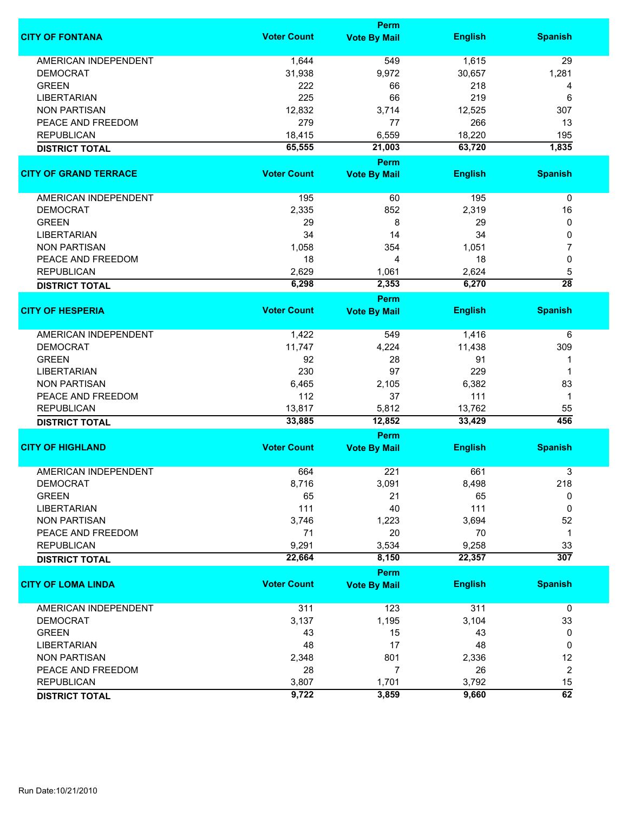|                              |                    | <b>Perm</b>           |                |                  |
|------------------------------|--------------------|-----------------------|----------------|------------------|
| <b>CITY OF FONTANA</b>       | <b>Voter Count</b> | <b>Vote By Mail</b>   | <b>English</b> | <b>Spanish</b>   |
| <b>AMERICAN INDEPENDENT</b>  | 1,644              | 549                   | 1,615          | 29               |
| <b>DEMOCRAT</b>              | 31,938             | 9,972                 | 30,657         | 1,281            |
| <b>GREEN</b>                 | 222                | 66                    | 218            | 4                |
| <b>LIBERTARIAN</b>           | 225                | 66                    | 219            | 6                |
| <b>NON PARTISAN</b>          | 12,832             | 3,714                 | 12,525         | 307              |
| PEACE AND FREEDOM            | 279                | 77                    | 266            | 13               |
|                              |                    |                       |                |                  |
| <b>REPUBLICAN</b>            | 18,415             | 6,559                 | 18,220         | 195              |
| <b>DISTRICT TOTAL</b>        | 65,555             | 21,003<br><b>Perm</b> | 63,720         | 1,835            |
| <b>CITY OF GRAND TERRACE</b> | <b>Voter Count</b> | <b>Vote By Mail</b>   | <b>English</b> | <b>Spanish</b>   |
|                              |                    |                       |                |                  |
| AMERICAN INDEPENDENT         | 195                | 60                    | 195            | 0                |
| <b>DEMOCRAT</b>              | 2,335              | 852                   | 2,319          | 16               |
| <b>GREEN</b>                 | 29                 | 8                     | 29             | 0                |
| <b>LIBERTARIAN</b>           | 34                 | 14                    | 34             | 0                |
| <b>NON PARTISAN</b>          | 1,058              | 354                   | 1,051          | 7                |
| PEACE AND FREEDOM            | 18                 | 4                     | 18             | 0                |
| <b>REPUBLICAN</b>            | 2,629              | 1,061                 | 2,624          | 5                |
| <b>DISTRICT TOTAL</b>        | 6,298              | 2,353                 | 6,270          | $\overline{28}$  |
|                              |                    | <b>Perm</b>           |                |                  |
| <b>CITY OF HESPERIA</b>      | <b>Voter Count</b> | <b>Vote By Mail</b>   | <b>English</b> | <b>Spanish</b>   |
| <b>AMERICAN INDEPENDENT</b>  | 1,422              | 549                   | 1,416          | 6                |
| <b>DEMOCRAT</b>              | 11,747             | 4,224                 | 11,438         | 309              |
| <b>GREEN</b>                 | 92                 | 28                    | 91             | 1                |
| <b>LIBERTARIAN</b>           | 230                | 97                    | 229            | 1                |
| <b>NON PARTISAN</b>          | 6,465              | 2,105                 | 6,382          | 83               |
| PEACE AND FREEDOM            | 112                | 37                    | 111            | 1                |
| <b>REPUBLICAN</b>            | 13,817             | 5,812                 | 13,762         | 55               |
| <b>DISTRICT TOTAL</b>        | 33,885             | 12,852                | 33,429         | 456              |
|                              |                    | Perm                  |                |                  |
| <b>CITY OF HIGHLAND</b>      | <b>Voter Count</b> | <b>Vote By Mail</b>   | <b>English</b> | <b>Spanish</b>   |
| <b>AMERICAN INDEPENDENT</b>  | 664                | 221                   | 661            | 3                |
| DEMOCRAT                     | 8,716              | 3,091                 | 8,498          | 218              |
| <b>GREEN</b>                 | 65                 | 21                    | 65             | 0                |
| <b>LIBERTARIAN</b>           | 111                | 40                    | 111            | 0                |
| <b>NON PARTISAN</b>          | 3,746              | 1,223                 | 3,694          | 52               |
| PEACE AND FREEDOM            | 71                 | 20                    | 70             | $\mathbf{1}$     |
| <b>REPUBLICAN</b>            | 9,291              | 3,534                 | 9,258          | 33               |
| <b>DISTRICT TOTAL</b>        | 22,664             | 8,150                 | 22,357         | $\overline{307}$ |
|                              |                    | Perm                  |                |                  |
| <b>CITY OF LOMA LINDA</b>    | <b>Voter Count</b> | <b>Vote By Mail</b>   | <b>English</b> | <b>Spanish</b>   |
| <b>AMERICAN INDEPENDENT</b>  | 311                | 123                   | 311            | 0                |
| <b>DEMOCRAT</b>              | 3,137              | 1,195                 | 3,104          | 33               |
| <b>GREEN</b>                 | 43                 | 15                    | 43             | 0                |
| <b>LIBERTARIAN</b>           | 48                 | 17                    | 48             | 0                |
| <b>NON PARTISAN</b>          | 2,348              | 801                   | 2,336          | 12               |
| PEACE AND FREEDOM            | 28                 | 7                     | 26             | $\overline{c}$   |
| <b>REPUBLICAN</b>            | 3,807              | 1,701                 | 3,792          | 15               |
| <b>DISTRICT TOTAL</b>        | 9,722              | 3,859                 | 9,660          | $\overline{62}$  |
|                              |                    |                       |                |                  |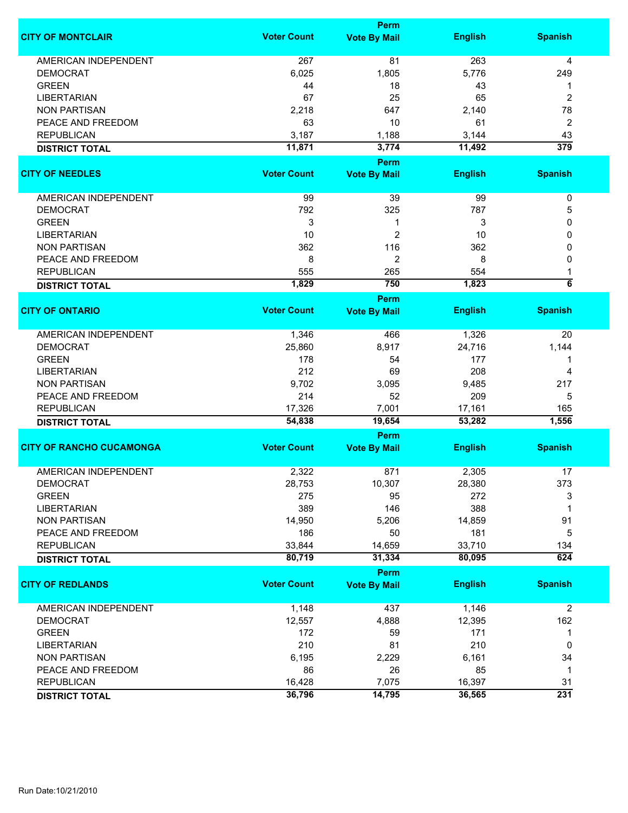|                                 |                    | <b>Perm</b>                        |                  |                    |
|---------------------------------|--------------------|------------------------------------|------------------|--------------------|
| <b>CITY OF MONTCLAIR</b>        | <b>Voter Count</b> | <b>Vote By Mail</b>                | <b>English</b>   | <b>Spanish</b>     |
| <b>AMERICAN INDEPENDENT</b>     | 267                | 81                                 | 263              | 4                  |
| <b>DEMOCRAT</b>                 | 6,025              | 1,805                              | 5,776            | 249                |
| <b>GREEN</b>                    | 44                 | 18                                 | 43               | 1                  |
| <b>LIBERTARIAN</b>              | 67                 | 25                                 | 65               | 2                  |
| <b>NON PARTISAN</b>             | 2,218              | 647                                | 2,140            | 78                 |
|                                 |                    |                                    |                  |                    |
| PEACE AND FREEDOM               | 63                 | 10                                 | 61               | $\overline{2}$     |
| <b>REPUBLICAN</b>               | 3,187              | 1,188                              | 3,144            | 43                 |
| <b>DISTRICT TOTAL</b>           | 11,871             | 3,774                              | 11,492           | 379                |
| <b>CITY OF NEEDLES</b>          | <b>Voter Count</b> | <b>Perm</b><br><b>Vote By Mail</b> | <b>English</b>   | <b>Spanish</b>     |
|                                 |                    |                                    |                  |                    |
| AMERICAN INDEPENDENT            | 99                 | 39                                 | 99               | 0                  |
| <b>DEMOCRAT</b>                 | 792                | 325                                | 787              | 5                  |
| <b>GREEN</b>                    | 3                  | 1                                  | 3                | 0                  |
| <b>LIBERTARIAN</b>              | 10                 | 2                                  | 10               | 0                  |
| <b>NON PARTISAN</b>             | 362                | 116                                | 362              | 0                  |
| PEACE AND FREEDOM               | 8                  | 2                                  | 8                | 0                  |
| <b>REPUBLICAN</b>               | 555                | 265                                | 554              |                    |
|                                 | 1,829              | 750                                | 1,823            | $\overline{\bf 6}$ |
| <b>DISTRICT TOTAL</b>           |                    | <b>Perm</b>                        |                  |                    |
| <b>CITY OF ONTARIO</b>          | <b>Voter Count</b> | <b>Vote By Mail</b>                | <b>English</b>   | <b>Spanish</b>     |
| <b>AMERICAN INDEPENDENT</b>     | 1,346              | 466                                | 1,326            | 20                 |
| <b>DEMOCRAT</b>                 | 25,860             | 8,917                              | 24,716           | 1,144              |
| <b>GREEN</b>                    | 178                | 54                                 | 177              | 1                  |
| <b>LIBERTARIAN</b>              | 212                | 69                                 | 208              | 4                  |
| <b>NON PARTISAN</b>             | 9,702              | 3,095                              | 9,485            | 217                |
| PEACE AND FREEDOM               | 214                | 52                                 | 209              | 5                  |
| <b>REPUBLICAN</b>               | 17,326             | 7,001                              | 17,161           | 165                |
| <b>DISTRICT TOTAL</b>           | 54,838             | 19,654                             | 53,282           | 1,556              |
|                                 |                    | Perm                               |                  |                    |
| <b>CITY OF RANCHO CUCAMONGA</b> | <b>Voter Count</b> | <b>Vote By Mail</b>                | <b>English</b>   | <b>Spanish</b>     |
| <b>AMERICAN INDEPENDENT</b>     | 2,322              | 871                                | 2,305            | 17                 |
| <b>DEMOCRAT</b>                 | 28,753             | 10,307                             | 28,380           | 373                |
| <b>GREEN</b>                    | 275                | 95                                 | 272              | 3                  |
| <b>LIBERTARIAN</b>              | 389                | 146                                | 388              | 1                  |
| <b>NON PARTISAN</b>             | 14,950             | 5,206                              | 14,859           | 91                 |
| PEACE AND FREEDOM               | 186                | 50                                 | 181              | 5                  |
|                                 |                    |                                    |                  |                    |
| <b>REPUBLICAN</b>               | 33,844<br>80,719   | 14,659<br>31,334                   | 33,710<br>80,095 | 134<br>624         |
| <b>DISTRICT TOTAL</b>           |                    | Perm                               |                  |                    |
| <b>CITY OF REDLANDS</b>         | <b>Voter Count</b> | <b>Vote By Mail</b>                | <b>English</b>   | <b>Spanish</b>     |
| <b>AMERICAN INDEPENDENT</b>     | 1,148              | 437                                | 1,146            | $\overline{2}$     |
| <b>DEMOCRAT</b>                 | 12,557             | 4,888                              | 12,395           | 162                |
| <b>GREEN</b>                    | 172                | 59                                 | 171              | 1                  |
| <b>LIBERTARIAN</b>              | 210                | 81                                 | 210              | 0                  |
| <b>NON PARTISAN</b>             | 6,195              | 2,229                              | 6,161            | 34                 |
|                                 |                    |                                    |                  |                    |
| PEACE AND FREEDOM               | 86                 | 26                                 | 85               | $\mathbf 1$        |
| <b>REPUBLICAN</b>               | 16,428             | 7,075                              | 16,397           | 31                 |
| <b>DISTRICT TOTAL</b>           | 36,796             | 14,795                             | 36,565           | 231                |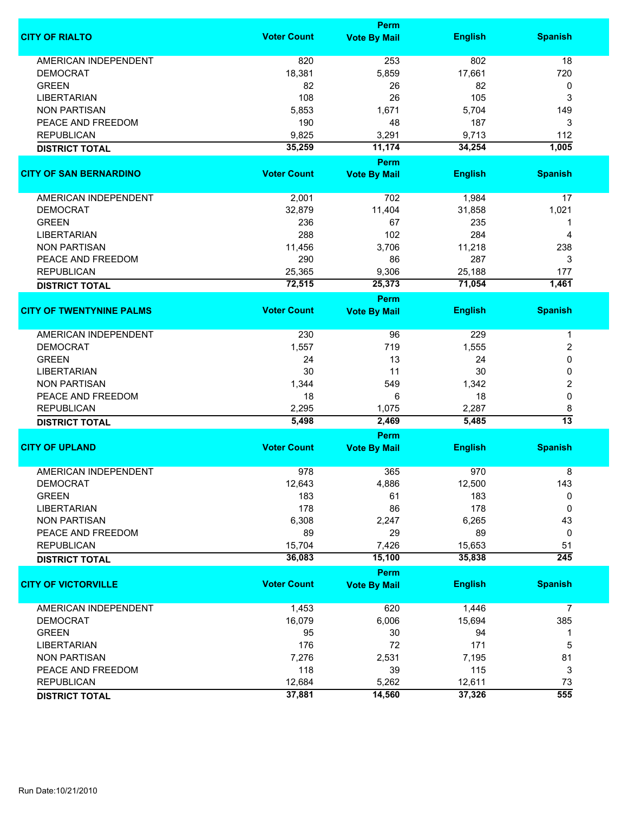|                                 |                    | <b>Perm</b>         |                |                  |
|---------------------------------|--------------------|---------------------|----------------|------------------|
| <b>CITY OF RIALTO</b>           | <b>Voter Count</b> | <b>Vote By Mail</b> | <b>English</b> | <b>Spanish</b>   |
| <b>AMERICAN INDEPENDENT</b>     | 820                | 253                 | 802            | 18               |
| <b>DEMOCRAT</b>                 | 18,381             | 5,859               | 17,661         | 720              |
| <b>GREEN</b>                    | 82                 | 26                  | 82             | 0                |
| <b>LIBERTARIAN</b>              | 108                | 26                  | 105            |                  |
|                                 |                    |                     |                | 3                |
| <b>NON PARTISAN</b>             | 5,853              | 1,671               | 5,704          | 149              |
| PEACE AND FREEDOM               | 190                | 48                  | 187            | 3                |
| <b>REPUBLICAN</b>               | 9,825              | 3,291               | 9,713          | 112              |
| <b>DISTRICT TOTAL</b>           | 35,259             | 11,174              | 34,254         | 1,005            |
| <b>CITY OF SAN BERNARDINO</b>   | <b>Voter Count</b> | <b>Perm</b>         | <b>English</b> |                  |
|                                 |                    | <b>Vote By Mail</b> |                | <b>Spanish</b>   |
| AMERICAN INDEPENDENT            | 2,001              | 702                 | 1,984          | 17               |
| <b>DEMOCRAT</b>                 | 32,879             | 11,404              | 31,858         | 1,021            |
| <b>GREEN</b>                    | 236                | 67                  | 235            |                  |
| <b>LIBERTARIAN</b>              | 288                | 102                 | 284            | 4                |
| <b>NON PARTISAN</b>             | 11,456             | 3,706               | 11,218         | 238              |
| PEACE AND FREEDOM               | 290                | 86                  | 287            | 3                |
| <b>REPUBLICAN</b>               | 25,365             | 9,306               | 25,188         | 177              |
|                                 | 72,515             | 25,373              | 71,054         | 1,461            |
| <b>DISTRICT TOTAL</b>           |                    | <b>Perm</b>         |                |                  |
| <b>CITY OF TWENTYNINE PALMS</b> | <b>Voter Count</b> | <b>Vote By Mail</b> | <b>English</b> | <b>Spanish</b>   |
|                                 |                    |                     |                |                  |
| <b>AMERICAN INDEPENDENT</b>     | 230                | 96                  | 229            | 1                |
| <b>DEMOCRAT</b>                 | 1,557              | 719                 | 1,555          | 2                |
| <b>GREEN</b>                    | 24                 | 13                  | 24             | 0                |
| <b>LIBERTARIAN</b>              | 30                 | 11                  | 30             | 0                |
| <b>NON PARTISAN</b>             | 1,344              | 549                 | 1,342          | 2                |
| PEACE AND FREEDOM               | 18                 | 6                   | 18             | $\mathbf 0$      |
| <b>REPUBLICAN</b>               | 2,295              | 1,075               | 2,287          | 8                |
| <b>DISTRICT TOTAL</b>           | 5,498              | 2,469               | 5,485          | $\overline{13}$  |
|                                 |                    | Perm                |                |                  |
| <b>CITY OF UPLAND</b>           | <b>Voter Count</b> | <b>Vote By Mail</b> | <b>English</b> | <b>Spanish</b>   |
| <b>AMERICAN INDEPENDENT</b>     | 978                | 365                 | 970            | 8                |
| <b>DEMOCRAT</b>                 | 12,643             | 4,886               | 12,500         | 143              |
| <b>GREEN</b>                    | 183                | 61                  | 183            | 0                |
| <b>LIBERTARIAN</b>              | 178                | 86                  | 178            | 0                |
| <b>NON PARTISAN</b>             |                    |                     |                |                  |
|                                 | 6,308              | 2,247               | 6,265          | 43               |
| PEACE AND FREEDOM               | 89                 | 29                  | 89             | 0                |
| <b>REPUBLICAN</b>               | 15,704             | 7,426               | 15,653         | 51               |
| <b>DISTRICT TOTAL</b>           | 36,083             | 15,100              | 35,838         | $\overline{245}$ |
|                                 |                    | Perm                |                |                  |
| <b>CITY OF VICTORVILLE</b>      | <b>Voter Count</b> | <b>Vote By Mail</b> | <b>English</b> | <b>Spanish</b>   |
| <b>AMERICAN INDEPENDENT</b>     | 1,453              | 620                 | 1,446          | 7                |
| <b>DEMOCRAT</b>                 | 16,079             | 6,006               | 15,694         | 385              |
| <b>GREEN</b>                    | 95                 | 30                  | 94             | 1                |
| <b>LIBERTARIAN</b>              | 176                | 72                  | 171            | 5                |
| <b>NON PARTISAN</b>             | 7,276              | 2,531               | 7,195          | 81               |
| PEACE AND FREEDOM               | 118                | 39                  | 115            | 3                |
| <b>REPUBLICAN</b>               | 12,684             | 5,262               | 12,611         | 73               |
|                                 | 37,881             | 14,560              | 37,326         | 555              |
| <b>DISTRICT TOTAL</b>           |                    |                     |                |                  |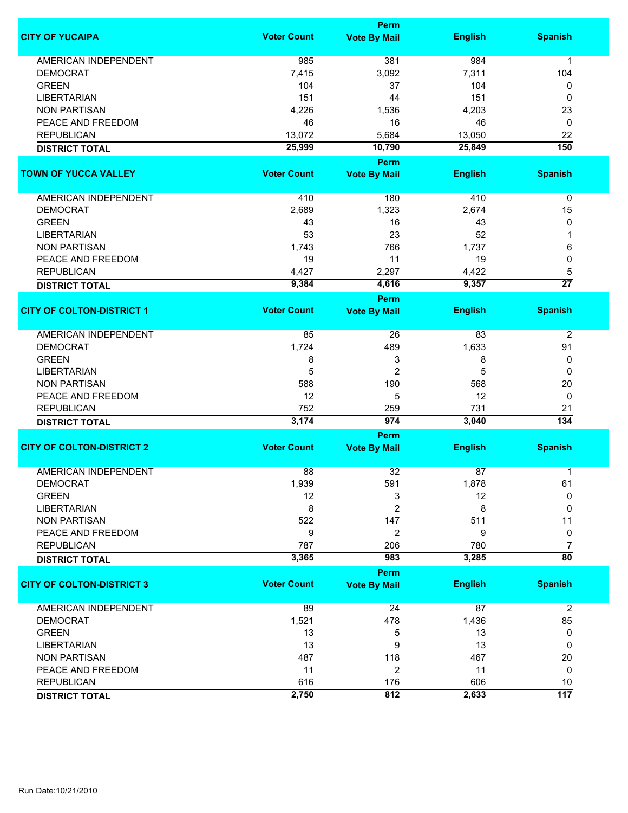|                                  |                    | Perm                               |                |                  |
|----------------------------------|--------------------|------------------------------------|----------------|------------------|
| <b>CITY OF YUCAIPA</b>           | <b>Voter Count</b> | <b>Vote By Mail</b>                | <b>English</b> | <b>Spanish</b>   |
| <b>AMERICAN INDEPENDENT</b>      | 985                | 381                                | 984            | 1                |
| <b>DEMOCRAT</b>                  | 7,415              | 3,092                              | 7,311          | 104              |
| <b>GREEN</b>                     | 104                | 37                                 | 104            | 0                |
| <b>LIBERTARIAN</b>               | 151                | 44                                 | 151            | 0                |
| <b>NON PARTISAN</b>              | 4,226              | 1,536                              | 4,203          | 23               |
|                                  |                    |                                    |                |                  |
| PEACE AND FREEDOM                | 46                 | 16                                 | 46             | 0                |
| <b>REPUBLICAN</b>                | 13,072             | 5,684                              | 13,050         | 22               |
| <b>DISTRICT TOTAL</b>            | 25,999             | 10,790                             | 25,849         | 150              |
| <b>TOWN OF YUCCA VALLEY</b>      | <b>Voter Count</b> | Perm                               | <b>English</b> | <b>Spanish</b>   |
|                                  |                    | <b>Vote By Mail</b>                |                |                  |
| AMERICAN INDEPENDENT             | 410                | 180                                | 410            | $\pmb{0}$        |
| <b>DEMOCRAT</b>                  | 2,689              | 1,323                              | 2,674          | 15               |
| <b>GREEN</b>                     | 43                 | 16                                 | 43             | 0                |
| <b>LIBERTARIAN</b>               | 53                 | 23                                 | 52             |                  |
| <b>NON PARTISAN</b>              | 1,743              | 766                                | 1,737          | 6                |
| PEACE AND FREEDOM                | 19                 | 11                                 | 19             | 0                |
| <b>REPUBLICAN</b>                | 4,427              | 2,297                              | 4,422          | 5                |
|                                  |                    |                                    |                | $\overline{27}$  |
| <b>DISTRICT TOTAL</b>            | 9,384              | 4,616                              | 9,357          |                  |
| <b>CITY OF COLTON-DISTRICT 1</b> | <b>Voter Count</b> | <b>Perm</b><br><b>Vote By Mail</b> | <b>English</b> | <b>Spanish</b>   |
|                                  |                    |                                    |                |                  |
| <b>AMERICAN INDEPENDENT</b>      | 85                 | 26                                 | 83             | $\overline{2}$   |
| <b>DEMOCRAT</b>                  | 1,724              | 489                                | 1,633          | 91               |
| <b>GREEN</b>                     | 8                  | 3                                  | 8              | 0                |
| <b>LIBERTARIAN</b>               | 5                  | $\overline{c}$                     | 5              | 0                |
| <b>NON PARTISAN</b>              | 588                | 190                                | 568            | 20               |
| PEACE AND FREEDOM                | 12                 | 5                                  | 12             | 0                |
| <b>REPUBLICAN</b>                | 752                | 259                                | 731            | 21               |
| <b>DISTRICT TOTAL</b>            | 3,174              | 974                                | 3,040          | 134              |
|                                  |                    | <b>Perm</b>                        |                |                  |
| <b>CITY OF COLTON-DISTRICT 2</b> | <b>Voter Count</b> | <b>Vote By Mail</b>                | <b>English</b> | <b>Spanish</b>   |
|                                  |                    |                                    |                |                  |
| <b>AMERICAN INDEPENDENT</b>      | 88                 | 32                                 | 87             | 1                |
| <b>DEMOCRAT</b>                  | 1,939              | 591                                | 1,878          | 61               |
| <b>GREEN</b>                     | 12                 | 3                                  | 12             | 0                |
| <b>LIBERTARIAN</b>               | 8                  | $\overline{c}$                     | 8              | $\Omega$         |
| <b>NON PARTISAN</b>              | 522                | 147                                | 511            | 11               |
| PEACE AND FREEDOM                | 9                  | 2                                  | 9              | 0                |
| <b>REPUBLICAN</b>                | 787                | 206                                | 780            | 7                |
| <b>DISTRICT TOTAL</b>            | 3,365              | 983                                | 3,285          | $\overline{80}$  |
|                                  |                    | <b>Perm</b>                        |                |                  |
| <b>CITY OF COLTON-DISTRICT 3</b> | <b>Voter Count</b> | <b>Vote By Mail</b>                | <b>English</b> | <b>Spanish</b>   |
| <b>AMERICAN INDEPENDENT</b>      | 89                 | 24                                 | 87             | $\overline{2}$   |
| <b>DEMOCRAT</b>                  | 1,521              | 478                                | 1,436          | 85               |
| <b>GREEN</b>                     | 13                 | 5                                  | 13             | 0                |
| <b>LIBERTARIAN</b>               | 13                 | 9                                  | 13             | 0                |
| <b>NON PARTISAN</b>              | 487                | 118                                | 467            | 20               |
| PEACE AND FREEDOM                | 11                 | 2                                  | 11             | 0                |
|                                  |                    |                                    |                |                  |
| <b>REPUBLICAN</b>                | 616                | 176                                | 606            | 10               |
| <b>DISTRICT TOTAL</b>            | 2,750              | 812                                | 2,633          | $\overline{117}$ |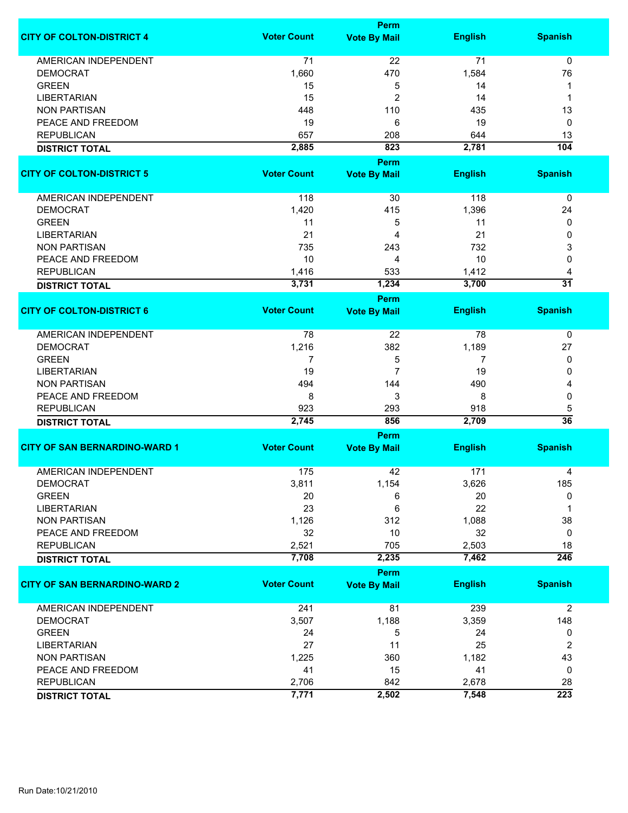|                                      |                    | <b>Perm</b>         |                |                      |
|--------------------------------------|--------------------|---------------------|----------------|----------------------|
| <b>CITY OF COLTON-DISTRICT 4</b>     | <b>Voter Count</b> | <b>Vote By Mail</b> | <b>English</b> | <b>Spanish</b>       |
| <b>AMERICAN INDEPENDENT</b>          | 71                 | 22                  | 71             | $\mathbf 0$          |
| <b>DEMOCRAT</b>                      | 1,660              | 470                 | 1,584          | 76                   |
| <b>GREEN</b>                         |                    |                     |                |                      |
|                                      | 15                 | 5                   | 14             | 1                    |
| <b>LIBERTARIAN</b>                   | 15                 | 2                   | 14             | 1                    |
| <b>NON PARTISAN</b>                  | 448                | 110                 | 435            | 13                   |
| PEACE AND FREEDOM                    | 19                 | 6                   | 19             | 0                    |
| <b>REPUBLICAN</b>                    | 657                | 208                 | 644            | 13                   |
| <b>DISTRICT TOTAL</b>                | 2,885              | 823                 | 2,781          | 104                  |
|                                      |                    | <b>Perm</b>         |                |                      |
| <b>CITY OF COLTON-DISTRICT 5</b>     | <b>Voter Count</b> | <b>Vote By Mail</b> | <b>English</b> | <b>Spanish</b>       |
| AMERICAN INDEPENDENT                 | 118                | 30                  | 118            | $\pmb{0}$            |
| <b>DEMOCRAT</b>                      | 1,420              | 415                 | 1,396          | 24                   |
| <b>GREEN</b>                         | 11                 | 5                   | 11             | 0                    |
| <b>LIBERTARIAN</b>                   | 21                 | 4                   | 21             | 0                    |
| <b>NON PARTISAN</b>                  | 735                | 243                 | 732            | 3                    |
| PEACE AND FREEDOM                    | 10                 | 4                   | 10             | 0                    |
|                                      |                    |                     |                |                      |
| <b>REPUBLICAN</b>                    | 1,416<br>3,731     | 533<br>1,234        | 1,412          | 4<br>$\overline{31}$ |
| <b>DISTRICT TOTAL</b>                |                    | Perm                | 3,700          |                      |
| <b>CITY OF COLTON-DISTRICT 6</b>     | <b>Voter Count</b> |                     |                | <b>Spanish</b>       |
|                                      |                    | <b>Vote By Mail</b> | <b>English</b> |                      |
| AMERICAN INDEPENDENT                 | 78                 | 22                  | 78             | 0                    |
| <b>DEMOCRAT</b>                      | 1,216              | 382                 | 1,189          | 27                   |
| <b>GREEN</b>                         | 7                  | 5                   | 7              | 0                    |
| <b>LIBERTARIAN</b>                   | 19                 | $\overline{7}$      | 19             | 0                    |
| <b>NON PARTISAN</b>                  | 494                | 144                 | 490            | 4                    |
| PEACE AND FREEDOM                    | 8                  | 3                   | 8              | 0                    |
|                                      |                    |                     |                |                      |
| <b>REPUBLICAN</b>                    | 923                | 293                 | 918            | 5                    |
| <b>DISTRICT TOTAL</b>                | 2,745              | 856                 | 2,709          | $\overline{36}$      |
|                                      |                    | Perm                |                |                      |
| <b>CITY OF SAN BERNARDINO-WARD 1</b> | <b>Voter Count</b> | <b>Vote By Mail</b> | <b>English</b> | <b>Spanish</b>       |
| <b>AMERICAN INDEPENDENT</b>          | 175                | 42                  | 171            | 4                    |
| DEMOCRAT                             | 3,811              | 1,154               | 3,626          | 185                  |
| <b>GREEN</b>                         | 20                 | 6                   | 20             | 0                    |
| <b>LIBERTARIAN</b>                   | 23                 | 6                   | 22             | 1                    |
| <b>NON PARTISAN</b>                  | 1,126              | 312                 | 1,088          | 38                   |
| PEACE AND FREEDOM                    | 32                 | 10                  | 32             | 0                    |
| <b>REPUBLICAN</b>                    | 2,521              | 705                 | 2,503          | 18                   |
|                                      | 7,708              | 2,235               | 7,462          | $\overline{246}$     |
| <b>DISTRICT TOTAL</b>                |                    |                     |                |                      |
|                                      |                    | <b>Perm</b>         |                |                      |
| <b>CITY OF SAN BERNARDINO-WARD 2</b> | <b>Voter Count</b> | <b>Vote By Mail</b> | <b>English</b> | <b>Spanish</b>       |
| <b>AMERICAN INDEPENDENT</b>          | 241                | 81                  | 239            | $\overline{2}$       |
| <b>DEMOCRAT</b>                      | 3,507              | 1,188               | 3,359          | 148                  |
| <b>GREEN</b>                         | 24                 | 5                   | 24             | 0                    |
| <b>LIBERTARIAN</b>                   | 27                 | 11                  | 25             | 2                    |
| <b>NON PARTISAN</b>                  | 1,225              | 360                 | 1,182          | 43                   |
| PEACE AND FREEDOM                    | 41                 | 15                  | 41             | 0                    |
|                                      |                    |                     |                |                      |
| <b>REPUBLICAN</b>                    | 2,706              | 842                 | 2,678          | 28                   |
| <b>DISTRICT TOTAL</b>                | 7,771              | 2,502               | 7,548          | 223                  |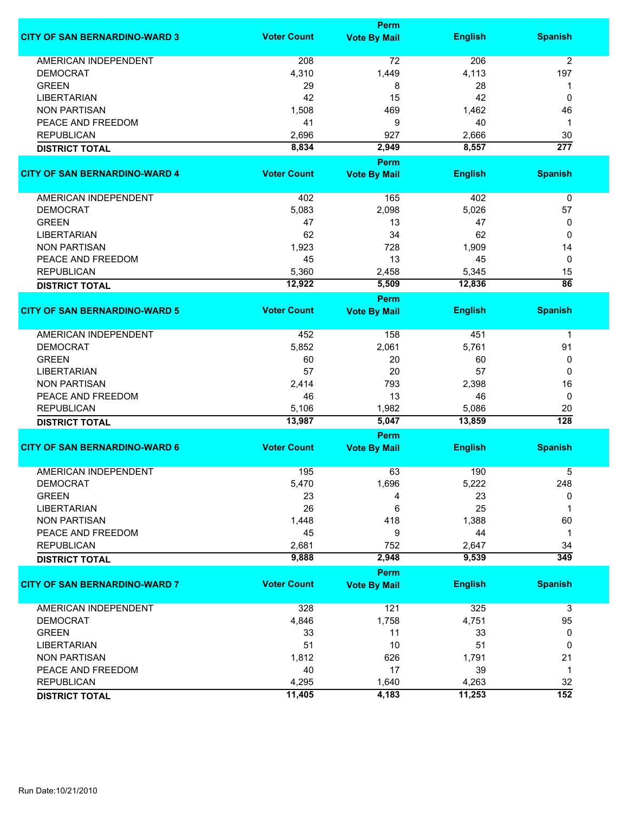|                                      |                    | <b>Perm</b>                        |                |                  |
|--------------------------------------|--------------------|------------------------------------|----------------|------------------|
| <b>CITY OF SAN BERNARDINO-WARD 3</b> | <b>Voter Count</b> | <b>Vote By Mail</b>                | <b>English</b> | <b>Spanish</b>   |
| <b>AMERICAN INDEPENDENT</b>          | 208                | 72                                 | 206            | $\overline{2}$   |
| <b>DEMOCRAT</b>                      | 4,310              | 1,449                              | 4,113          | 197              |
| <b>GREEN</b>                         | 29                 | 8                                  | 28             | 1                |
| <b>LIBERTARIAN</b>                   | 42                 | 15                                 | 42             | 0                |
| <b>NON PARTISAN</b>                  | 1,508              | 469                                | 1,462          | 46               |
| PEACE AND FREEDOM                    | 41                 | 9                                  | 40             | 1                |
| <b>REPUBLICAN</b>                    | 2,696              | 927                                | 2,666          | 30               |
| <b>DISTRICT TOTAL</b>                | 8,834              | 2,949                              | 8,557          | $\overline{277}$ |
|                                      |                    | <b>Perm</b>                        |                |                  |
| <b>CITY OF SAN BERNARDINO-WARD 4</b> | <b>Voter Count</b> | <b>Vote By Mail</b>                | <b>English</b> | <b>Spanish</b>   |
|                                      |                    |                                    |                |                  |
| AMERICAN INDEPENDENT                 | 402                | 165                                | 402            | 0                |
| <b>DEMOCRAT</b>                      | 5,083              | 2,098                              | 5,026          | 57               |
| <b>GREEN</b>                         | 47                 | 13                                 | 47             | 0                |
| <b>LIBERTARIAN</b>                   | 62                 | 34                                 | 62             | 0                |
| <b>NON PARTISAN</b>                  | 1,923              | 728                                | 1,909          | 14               |
| PEACE AND FREEDOM                    | 45                 | 13                                 | 45             | 0                |
| <b>REPUBLICAN</b>                    | 5,360              | 2,458                              | 5,345          | 15               |
| <b>DISTRICT TOTAL</b>                | 12,922             | 5,509                              | 12,836         | $\overline{86}$  |
|                                      |                    |                                    |                |                  |
| <b>CITY OF SAN BERNARDINO-WARD 5</b> | <b>Voter Count</b> | <b>Perm</b><br><b>Vote By Mail</b> | <b>English</b> | <b>Spanish</b>   |
|                                      |                    |                                    |                |                  |
| <b>AMERICAN INDEPENDENT</b>          | 452                | 158                                | 451            | 1                |
| <b>DEMOCRAT</b>                      | 5,852              | 2,061                              | 5,761          | 91               |
| <b>GREEN</b>                         | 60                 | 20                                 | 60             | 0                |
| <b>LIBERTARIAN</b>                   | 57                 | 20                                 | 57             | 0                |
| <b>NON PARTISAN</b>                  | 2,414              | 793                                | 2,398          | 16               |
| PEACE AND FREEDOM                    | 46                 | 13                                 | 46             | 0                |
| <b>REPUBLICAN</b>                    | 5,106              | 1,982                              | 5,086          | 20               |
| <b>DISTRICT TOTAL</b>                | 13,987             | 5,047                              | 13,859         | $\overline{128}$ |
|                                      |                    | Perm                               |                |                  |
| <b>CITY OF SAN BERNARDINO-WARD 6</b> | <b>Voter Count</b> | <b>Vote By Mail</b>                | <b>English</b> | <b>Spanish</b>   |
|                                      |                    |                                    |                |                  |
| <b>AMERICAN INDEPENDENT</b>          | 195                | 63                                 | 190            | 5                |
| <b>DEMOCRAT</b>                      | 5,470              | 1,696                              | 5,222          | 248              |
| <b>GREEN</b>                         | 23                 | 4                                  | 23             | 0                |
| <b>LIBERTARIAN</b>                   | 26                 | 6                                  | 25             | 1                |
| <b>NON PARTISAN</b>                  | 1,448              | 418                                | 1,388          | 60               |
| PEACE AND FREEDOM                    | 45                 | 9                                  | 44             | 1                |
| <b>REPUBLICAN</b>                    | 2,681              | 752                                | 2,647          | 34               |
| <b>DISTRICT TOTAL</b>                | 9,888              | 2,948                              | 9,539          | 349              |
|                                      |                    | Perm                               |                |                  |
| <b>CITY OF SAN BERNARDINO-WARD 7</b> | <b>Voter Count</b> | <b>Vote By Mail</b>                | <b>English</b> | <b>Spanish</b>   |
| <b>AMERICAN INDEPENDENT</b>          | 328                | 121                                | 325            | 3                |
| <b>DEMOCRAT</b>                      | 4,846              | 1,758                              | 4,751          | 95               |
| <b>GREEN</b>                         | 33                 | 11                                 | 33             | 0                |
| <b>LIBERTARIAN</b>                   | 51                 | 10                                 | 51             | 0                |
| <b>NON PARTISAN</b>                  | 1,812              | 626                                | 1,791          | 21               |
| PEACE AND FREEDOM                    | 40                 | 17                                 | 39             | 1                |
| <b>REPUBLICAN</b>                    | 4,295              | 1,640                              | 4,263          | 32               |
|                                      | 11,405             | 4,183                              | 11,253         | $\overline{152}$ |
| <b>DISTRICT TOTAL</b>                |                    |                                    |                |                  |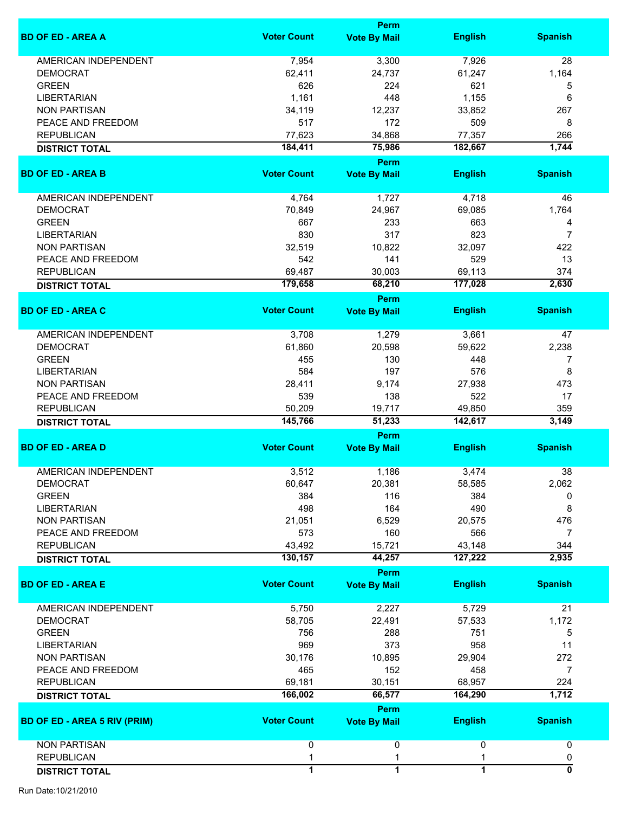|                                     |                    | <b>Perm</b>                        |                   |                           |
|-------------------------------------|--------------------|------------------------------------|-------------------|---------------------------|
| <b>BD OF ED - AREA A</b>            | <b>Voter Count</b> | <b>Vote By Mail</b>                | <b>English</b>    | <b>Spanish</b>            |
| <b>AMERICAN INDEPENDENT</b>         | 7,954              | 3,300                              | 7,926             | 28                        |
| <b>DEMOCRAT</b>                     | 62,411             | 24,737                             | 61,247            | 1,164                     |
| <b>GREEN</b>                        | 626                | 224                                | 621               | 5                         |
|                                     |                    |                                    |                   |                           |
| <b>LIBERTARIAN</b>                  | 1,161              | 448                                | 1,155             | 6                         |
| <b>NON PARTISAN</b>                 | 34,119             | 12,237                             | 33,852            | 267                       |
| PEACE AND FREEDOM                   | 517                | 172                                | 509               | 8                         |
| <b>REPUBLICAN</b>                   | 77,623             | 34,868                             | 77,357            | 266                       |
| <b>DISTRICT TOTAL</b>               | 184,411            | 75,986                             | 182,667           | 1,744                     |
| <b>BD OF ED - AREA B</b>            | <b>Voter Count</b> | <b>Perm</b><br><b>Vote By Mail</b> | <b>English</b>    | <b>Spanish</b>            |
|                                     |                    |                                    |                   |                           |
| AMERICAN INDEPENDENT                | 4,764              | 1,727                              | 4,718             | 46                        |
| <b>DEMOCRAT</b>                     | 70,849             | 24,967                             | 69,085            | 1,764                     |
| <b>GREEN</b>                        | 667                | 233                                | 663               | 4                         |
| <b>LIBERTARIAN</b>                  | 830                | 317                                | 823               | 7                         |
| <b>NON PARTISAN</b>                 | 32,519             | 10,822                             | 32,097            | 422                       |
| PEACE AND FREEDOM                   | 542                | 141                                | 529               | 13                        |
| <b>REPUBLICAN</b>                   | 69,487             | 30,003                             | 69,113            | 374                       |
|                                     | 179,658            | 68,210                             | 177,028           | 2,630                     |
| <b>DISTRICT TOTAL</b>               |                    | <b>Perm</b>                        |                   |                           |
| <b>BD OF ED - AREA C</b>            | <b>Voter Count</b> | <b>Vote By Mail</b>                | <b>English</b>    | <b>Spanish</b>            |
|                                     |                    |                                    |                   |                           |
| AMERICAN INDEPENDENT                | 3,708              | 1,279                              | 3,661             | 47                        |
| <b>DEMOCRAT</b>                     | 61,860             | 20,598                             | 59,622            | 2,238                     |
| <b>GREEN</b>                        | 455                | 130                                | 448               | 7                         |
| <b>LIBERTARIAN</b>                  | 584                | 197                                | 576               | 8                         |
| <b>NON PARTISAN</b>                 | 28,411             | 9,174                              | 27,938            | 473                       |
| PEACE AND FREEDOM                   | 539                | 138                                | 522               | 17                        |
| <b>REPUBLICAN</b>                   | 50,209             | 19,717                             | 49,850            | 359                       |
|                                     | 145,766            | 51,233                             | 142,617           | 3,149                     |
| <b>DISTRICT TOTAL</b>               |                    |                                    |                   |                           |
| <b>BD OF ED - AREA D</b>            | <b>Voter Count</b> | <b>Perm</b><br><b>Vote By Mail</b> | <b>English</b>    | <b>Spanish</b>            |
|                                     |                    |                                    |                   |                           |
| AMERICAN INDEPENDENT                | 3,512              | 1,186                              | 3,474             | 38                        |
| <b>DEMOCRAT</b>                     | 60,647             | 20,381                             | 58,585            | 2,062                     |
| <b>GREEN</b>                        | 384                | 116                                | 384               | 0                         |
| <b>LIBERTARIAN</b>                  | 498                | 164                                | 490               | 8                         |
| <b>NON PARTISAN</b>                 | 21,051             | 6,529                              | 20,575            | 476                       |
| PEACE AND FREEDOM                   | 573                | 160                                | 566               | 7                         |
|                                     |                    |                                    |                   |                           |
| <b>REPUBLICAN</b>                   | 43,492<br>130,157  | 15,721<br>44,257                   | 43,148<br>127,222 | 344<br>2,935              |
| <b>DISTRICT TOTAL</b>               |                    | Perm                               |                   |                           |
| <b>BD OF ED - AREA E</b>            | <b>Voter Count</b> | <b>Vote By Mail</b>                | <b>English</b>    | <b>Spanish</b>            |
|                                     |                    |                                    |                   |                           |
| <b>AMERICAN INDEPENDENT</b>         | 5,750              | 2,227                              | 5,729             | 21                        |
| <b>DEMOCRAT</b>                     | 58,705             | 22,491                             | 57,533            | 1,172                     |
| <b>GREEN</b>                        | 756                | 288                                | 751               | 5                         |
| <b>LIBERTARIAN</b>                  | 969                | 373                                | 958               | 11                        |
| <b>NON PARTISAN</b>                 | 30,176             | 10,895                             | 29,904            | 272                       |
| PEACE AND FREEDOM                   | 465                | 152                                | 458               | 7                         |
|                                     |                    |                                    |                   |                           |
| <b>REPUBLICAN</b>                   | 69,181             | 30,151                             | 68,957            | 224<br>1,712              |
| <b>DISTRICT TOTAL</b>               | 166,002            | 66,577                             | 164,290           |                           |
| <b>BD OF ED - AREA 5 RIV (PRIM)</b> | <b>Voter Count</b> | Perm<br><b>Vote By Mail</b>        | <b>English</b>    | <b>Spanish</b>            |
|                                     |                    |                                    |                   |                           |
| <b>NON PARTISAN</b>                 | 0                  | 0                                  | 0                 | 0                         |
| <b>REPUBLICAN</b>                   | 1                  | 1                                  | 1                 | 0                         |
| <b>DISTRICT TOTAL</b>               | $\overline{1}$     | $\overline{1}$                     | $\overline{1}$    | $\overline{\mathfrak{o}}$ |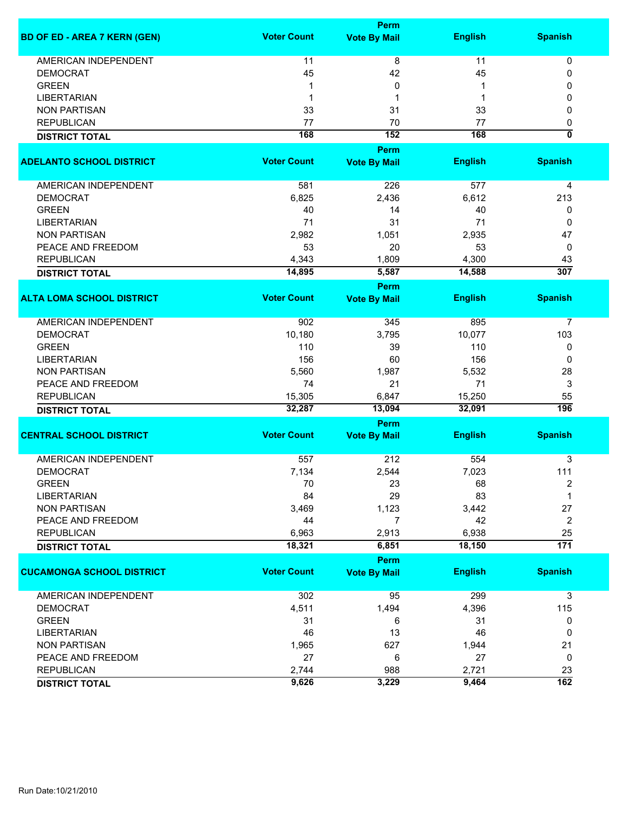|                                     |                    | Perm                |                |                           |
|-------------------------------------|--------------------|---------------------|----------------|---------------------------|
| <b>BD OF ED - AREA 7 KERN (GEN)</b> | <b>Voter Count</b> | <b>Vote By Mail</b> | <b>English</b> | <b>Spanish</b>            |
| <b>AMERICAN INDEPENDENT</b>         | 11                 | 8                   | 11             | 0                         |
| <b>DEMOCRAT</b>                     | 45                 | 42                  | 45             | 0                         |
| <b>GREEN</b>                        | 1                  | 0                   | 1              | 0                         |
| <b>LIBERTARIAN</b>                  | 1                  | 1                   | 1              | 0                         |
| <b>NON PARTISAN</b>                 | 33                 | 31                  | 33             | 0                         |
| <b>REPUBLICAN</b>                   | 77                 | 70                  | 77             | 0                         |
|                                     | 168                | 152                 | 168            | $\overline{\mathfrak{o}}$ |
| <b>DISTRICT TOTAL</b>               |                    | Perm                |                |                           |
| <b>ADELANTO SCHOOL DISTRICT</b>     | <b>Voter Count</b> | <b>Vote By Mail</b> | <b>English</b> | <b>Spanish</b>            |
|                                     |                    |                     |                |                           |
| AMERICAN INDEPENDENT                | 581                | 226                 | 577            | 4                         |
| <b>DEMOCRAT</b>                     | 6,825              | 2,436               | 6,612          | 213                       |
| <b>GREEN</b>                        | 40                 | 14                  | 40             | 0                         |
| <b>LIBERTARIAN</b>                  | 71                 | 31                  | 71             | 0                         |
| <b>NON PARTISAN</b>                 | 2,982              | 1,051               | 2,935          | 47                        |
| PEACE AND FREEDOM                   | 53                 | 20                  | 53             | 0                         |
| <b>REPUBLICAN</b>                   | 4,343              | 1,809               | 4,300          | 43                        |
| <b>DISTRICT TOTAL</b>               | 14,895             | 5,587               | 14,588         | 307                       |
|                                     |                    | Perm                |                |                           |
| <b>ALTA LOMA SCHOOL DISTRICT</b>    | <b>Voter Count</b> | <b>Vote By Mail</b> | <b>English</b> | <b>Spanish</b>            |
| <b>AMERICAN INDEPENDENT</b>         | 902                | 345                 | 895            | $\overline{7}$            |
| <b>DEMOCRAT</b>                     | 10,180             | 3,795               | 10,077         | 103                       |
| <b>GREEN</b>                        | 110                | 39                  | 110            | 0                         |
| <b>LIBERTARIAN</b>                  | 156                | 60                  | 156            | 0                         |
| <b>NON PARTISAN</b>                 | 5,560              | 1,987               | 5,532          | 28                        |
| PEACE AND FREEDOM                   | 74                 | 21                  | 71             | 3                         |
| <b>REPUBLICAN</b>                   | 15,305             | 6,847               | 15,250         | 55                        |
| <b>DISTRICT TOTAL</b>               | 32,287             | 13,094              | 32,091         | 196                       |
|                                     |                    | Perm                |                |                           |
| <b>CENTRAL SCHOOL DISTRICT</b>      | <b>Voter Count</b> | <b>Vote By Mail</b> | <b>English</b> | <b>Spanish</b>            |
| <b>AMERICAN INDEPENDENT</b>         | 557                | 212                 | 554            | 3                         |
| <b>DEMOCRAT</b>                     | 7,134              | 2,544               | 7,023          | 111                       |
| <b>GREEN</b>                        | 70                 | 23                  | 68             | 2                         |
| <b>LIBERTARIAN</b>                  | 84                 | 29                  | 83             | 1                         |
| <b>NON PARTISAN</b>                 | 3,469              | 1,123               | 3,442          | 27                        |
| PEACE AND FREEDOM                   | 44                 | $\overline{7}$      | 42             | $\overline{c}$            |
| <b>REPUBLICAN</b>                   | 6,963              | 2,913               | 6,938          | 25                        |
| <b>DISTRICT TOTAL</b>               | 18,321             | 6,851               | 18,150         | $\overline{171}$          |
|                                     |                    | Perm                |                |                           |
| <b>CUCAMONGA SCHOOL DISTRICT</b>    | <b>Voter Count</b> | <b>Vote By Mail</b> | <b>English</b> | <b>Spanish</b>            |
|                                     |                    |                     |                |                           |
| AMERICAN INDEPENDENT                | 302                | 95                  | 299            | 3                         |
| <b>DEMOCRAT</b>                     | 4,511              | 1,494               | 4,396          | 115                       |
| <b>GREEN</b>                        | 31                 | 6                   | 31             | 0                         |
| <b>LIBERTARIAN</b>                  | 46                 | 13                  | 46             | 0                         |
| <b>NON PARTISAN</b>                 | 1,965              | 627                 | 1,944          | 21                        |
| PEACE AND FREEDOM                   | 27                 | 6                   | 27             | 0                         |
| <b>REPUBLICAN</b>                   | 2,744              | 988                 | 2,721          | 23                        |
| <b>DISTRICT TOTAL</b>               | 9,626              | 3,229               | 9,464          | $\overline{162}$          |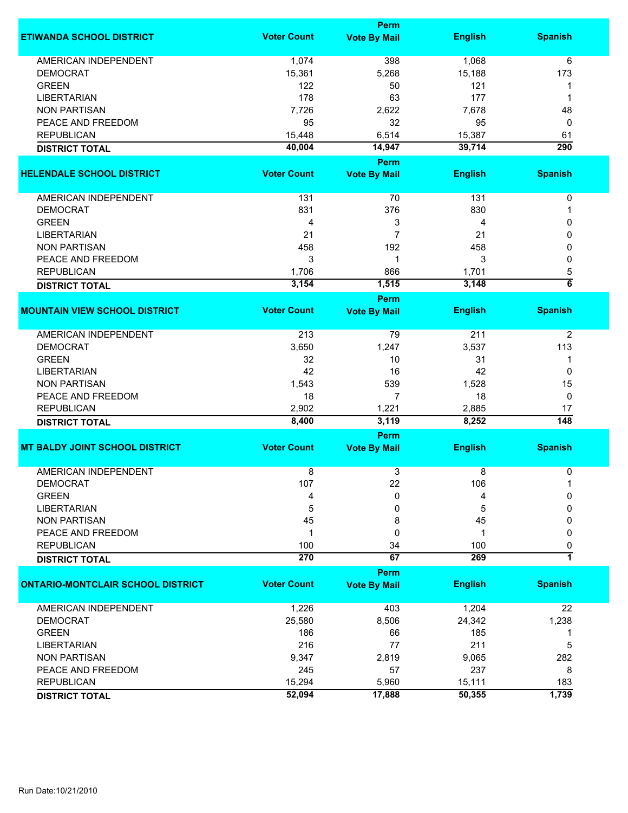|                                                |                    | <b>Perm</b>                 |                |                  |
|------------------------------------------------|--------------------|-----------------------------|----------------|------------------|
| <b>ETIWANDA SCHOOL DISTRICT</b>                | <b>Voter Count</b> | <b>Vote By Mail</b>         | <b>English</b> | <b>Spanish</b>   |
| AMERICAN INDEPENDENT                           | 1,074              | 398                         | 1,068          | 6                |
| <b>DEMOCRAT</b>                                | 15,361             | 5,268                       | 15,188         | 173              |
| <b>GREEN</b>                                   | 122                | 50                          | 121            | 1                |
| <b>LIBERTARIAN</b>                             | 178                | 63                          | 177            | 1                |
| <b>NON PARTISAN</b>                            | 7,726              | 2,622                       | 7,678          | 48               |
| PEACE AND FREEDOM                              | 95                 |                             |                |                  |
|                                                |                    | 32                          | 95             | 0                |
| <b>REPUBLICAN</b>                              | 15,448             | 6,514                       | 15,387         | 61               |
| <b>DISTRICT TOTAL</b>                          | 40,004             | 14,947                      | 39,714         | $\overline{290}$ |
|                                                |                    | Perm                        |                |                  |
| <b>HELENDALE SCHOOL DISTRICT</b>               | <b>Voter Count</b> | <b>Vote By Mail</b>         | <b>English</b> | <b>Spanish</b>   |
| AMERICAN INDEPENDENT                           | 131                | 70                          | 131            | $\pmb{0}$        |
| <b>DEMOCRAT</b>                                | 831                | 376                         | 830            | 1                |
| <b>GREEN</b>                                   | 4                  | 3                           | 4              | 0                |
| <b>LIBERTARIAN</b>                             | 21                 | $\overline{7}$              | 21             | 0                |
| <b>NON PARTISAN</b>                            | 458                | 192                         | 458            | 0                |
| PEACE AND FREEDOM                              | 3                  | $\mathbf 1$                 | 3              | 0                |
| <b>REPUBLICAN</b>                              | 1,706              | 866                         | 1,701          | 5                |
|                                                | 3,154              | 1,515                       | 3,148          | $\overline{6}$   |
| <b>DISTRICT TOTAL</b>                          |                    |                             |                |                  |
| <b>MOUNTAIN VIEW SCHOOL DISTRICT</b>           | <b>Voter Count</b> | Perm<br><b>Vote By Mail</b> | <b>English</b> | <b>Spanish</b>   |
|                                                |                    |                             |                |                  |
| <b>AMERICAN INDEPENDENT</b>                    | 213                | 79                          | 211            | $\overline{2}$   |
| <b>DEMOCRAT</b>                                | 3,650              | 1,247                       | 3,537          | 113              |
| <b>GREEN</b>                                   | 32                 | 10                          | 31             | 1                |
| <b>LIBERTARIAN</b>                             | 42                 | 16                          | 42             | 0                |
| <b>NON PARTISAN</b>                            | 1,543              | 539                         | 1,528          | 15               |
| PEACE AND FREEDOM                              | 18                 | 7                           | 18             | 0                |
| <b>REPUBLICAN</b>                              | 2,902              | 1,221                       | 2,885          | 17               |
| <b>DISTRICT TOTAL</b>                          | 8,400              | 3,119                       | 8,252          | $\overline{148}$ |
|                                                |                    | Perm                        |                |                  |
| <b>MT BALDY JOINT SCHOOL DISTRICT</b>          | <b>Voter Count</b> | <b>Vote By Mail</b>         | <b>English</b> | <b>Spanish</b>   |
|                                                |                    |                             |                |                  |
| <b>AMERICAN INDEPENDENT</b><br><b>DEMOCRAT</b> | 8<br>107           | 3<br>22                     | 8<br>106       | 0                |
| <b>GREEN</b>                                   |                    | 0                           | 4              | 0                |
|                                                | 4                  |                             |                |                  |
| <b>LIBERTARIAN</b>                             | 5                  | 0                           | 5              | 0                |
| <b>NON PARTISAN</b>                            | 45                 | 8                           | 45             | 0                |
| PEACE AND FREEDOM                              | $\mathbf 1$        | 0                           | 1              | 0                |
| <b>REPUBLICAN</b>                              | 100                | 34                          | 100            | 0                |
| <b>DISTRICT TOTAL</b>                          | 270                | 67                          | 269            | 7                |
|                                                |                    | Perm                        |                |                  |
| <b>ONTARIO-MONTCLAIR SCHOOL DISTRICT</b>       | <b>Voter Count</b> | <b>Vote By Mail</b>         | <b>English</b> | <b>Spanish</b>   |
| <b>AMERICAN INDEPENDENT</b>                    | 1,226              | 403                         | 1,204          | 22               |
| <b>DEMOCRAT</b>                                | 25,580             | 8,506                       | 24,342         | 1,238            |
| <b>GREEN</b>                                   | 186                | 66                          | 185            | 1                |
| <b>LIBERTARIAN</b>                             | 216                | 77                          | 211            | 5                |
| <b>NON PARTISAN</b>                            | 9,347              | 2,819                       | 9,065          | 282              |
| PEACE AND FREEDOM                              | 245                | 57                          | 237            | 8                |
| <b>REPUBLICAN</b>                              | 15,294             | 5,960                       | 15,111         | 183              |
|                                                | 52,094             | 17,888                      | 50,355         | 1,739            |
| <b>DISTRICT TOTAL</b>                          |                    |                             |                |                  |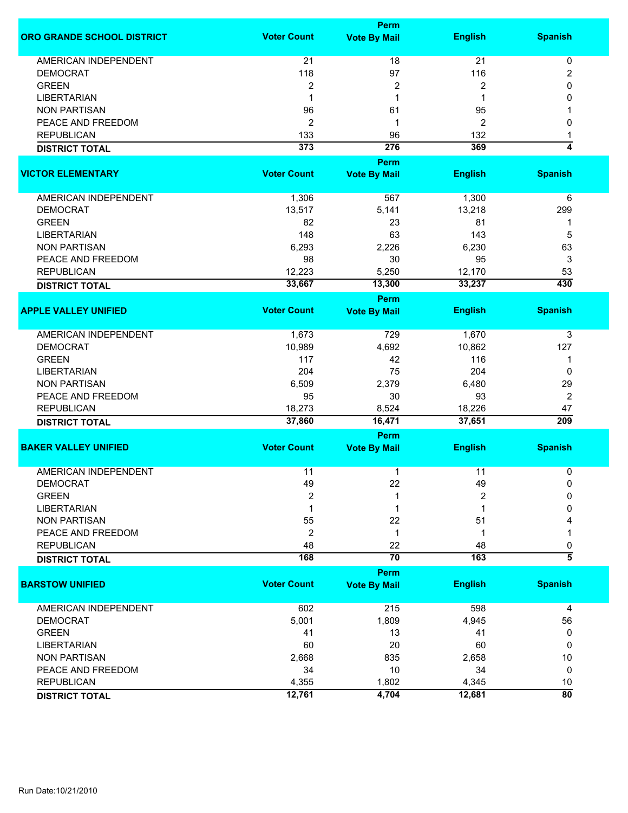|                                   |                    | Perm                    |                  |                        |
|-----------------------------------|--------------------|-------------------------|------------------|------------------------|
| <b>ORO GRANDE SCHOOL DISTRICT</b> | <b>Voter Count</b> | <b>Vote By Mail</b>     | <b>English</b>   | <b>Spanish</b>         |
| AMERICAN INDEPENDENT              | 21                 | 18                      | 21               | $\pmb{0}$              |
| <b>DEMOCRAT</b>                   | 118                | 97                      | 116              | 2                      |
| <b>GREEN</b>                      | 2                  | $\overline{\mathbf{c}}$ | 2                | 0                      |
| <b>LIBERTARIAN</b>                | 1                  | 1                       |                  | 0                      |
|                                   |                    |                         |                  |                        |
| <b>NON PARTISAN</b>               | 96                 | 61                      | 95               |                        |
| PEACE AND FREEDOM                 | 2                  | 1                       | 2                | 0                      |
| <b>REPUBLICAN</b>                 | 133                | 96                      | 132              | 1                      |
| <b>DISTRICT TOTAL</b>             | 373                | 276                     | 369              | 4                      |
|                                   |                    | Perm                    |                  |                        |
| <b>VICTOR ELEMENTARY</b>          | <b>Voter Count</b> | <b>Vote By Mail</b>     | <b>English</b>   | <b>Spanish</b>         |
| AMERICAN INDEPENDENT              | 1,306              | 567                     | 1,300            | 6                      |
| <b>DEMOCRAT</b>                   | 13,517             | 5,141                   | 13,218           | 299                    |
| <b>GREEN</b>                      | 82                 | 23                      | 81               | -1                     |
| <b>LIBERTARIAN</b>                | 148                | 63                      | 143              | 5                      |
| <b>NON PARTISAN</b>               | 6,293              | 2,226                   | 6,230            | 63                     |
|                                   |                    |                         |                  |                        |
| PEACE AND FREEDOM                 | 98                 | 30                      | 95               | 3                      |
| <b>REPUBLICAN</b>                 | 12,223             | 5,250                   | 12,170           | 53                     |
| <b>DISTRICT TOTAL</b>             | 33,667             | 13,300                  | 33,237           | 430                    |
|                                   |                    | Perm                    |                  |                        |
| <b>APPLE VALLEY UNIFIED</b>       | <b>Voter Count</b> | <b>Vote By Mail</b>     | <b>English</b>   | <b>Spanish</b>         |
| <b>AMERICAN INDEPENDENT</b>       | 1,673              | 729                     | 1,670            | 3                      |
| <b>DEMOCRAT</b>                   | 10,989             | 4,692                   | 10,862           | 127                    |
| <b>GREEN</b>                      | 117                | 42                      | 116              | 1                      |
| <b>LIBERTARIAN</b>                | 204                | 75                      | 204              | 0                      |
| <b>NON PARTISAN</b>               | 6,509              | 2,379                   | 6,480            | 29                     |
| PEACE AND FREEDOM                 | 95                 | 30                      | 93               | 2                      |
|                                   |                    |                         |                  |                        |
| <b>REPUBLICAN</b>                 | 18,273<br>37,860   | 8,524<br>16,471         | 18,226<br>37,651 | 47<br>$\overline{209}$ |
| <b>DISTRICT TOTAL</b>             |                    |                         |                  |                        |
|                                   |                    | <b>Perm</b>             |                  |                        |
| <b>BAKER VALLEY UNIFIED</b>       | <b>Voter Count</b> | <b>Vote By Mail</b>     | <b>English</b>   | <b>Spanish</b>         |
| <b>AMERICAN INDEPENDENT</b>       | 11                 | 1                       | 11               | 0                      |
| <b>DEMOCRAT</b>                   | 49                 | 22                      | 49               | 0                      |
| <b>GREEN</b>                      | $\overline{2}$     | 1                       | $\overline{c}$   | $\Omega$               |
| <b>LIBERTARIAN</b>                | 1                  | 1                       | 1                | 0                      |
| <b>NON PARTISAN</b>               | 55                 | 22                      | 51               |                        |
| PEACE AND FREEDOM                 | $\overline{2}$     | 1                       | 1                | 1                      |
| <b>REPUBLICAN</b>                 | 48                 | 22                      | 48               | 0                      |
|                                   | 168                | $\overline{70}$         | 163              | $\overline{\bf{5}}$    |
| <b>DISTRICT TOTAL</b>             |                    |                         |                  |                        |
| <b>BARSTOW UNIFIED</b>            | <b>Voter Count</b> | Perm                    | <b>English</b>   | <b>Spanish</b>         |
|                                   |                    | <b>Vote By Mail</b>     |                  |                        |
| <b>AMERICAN INDEPENDENT</b>       | 602                | 215                     | 598              | 4                      |
| <b>DEMOCRAT</b>                   | 5,001              | 1,809                   | 4,945            | 56                     |
| <b>GREEN</b>                      | 41                 | 13                      | 41               | 0                      |
| <b>LIBERTARIAN</b>                | 60                 | 20                      | 60               | 0                      |
| <b>NON PARTISAN</b>               | 2,668              | 835                     | 2,658            | $10$                   |
| PEACE AND FREEDOM                 | 34                 | 10                      | 34               | 0                      |
| <b>REPUBLICAN</b>                 | 4,355              | 1,802                   | 4,345            | 10                     |
| <b>DISTRICT TOTAL</b>             | 12,761             | 4,704                   | 12,681           | $\overline{80}$        |
|                                   |                    |                         |                  |                        |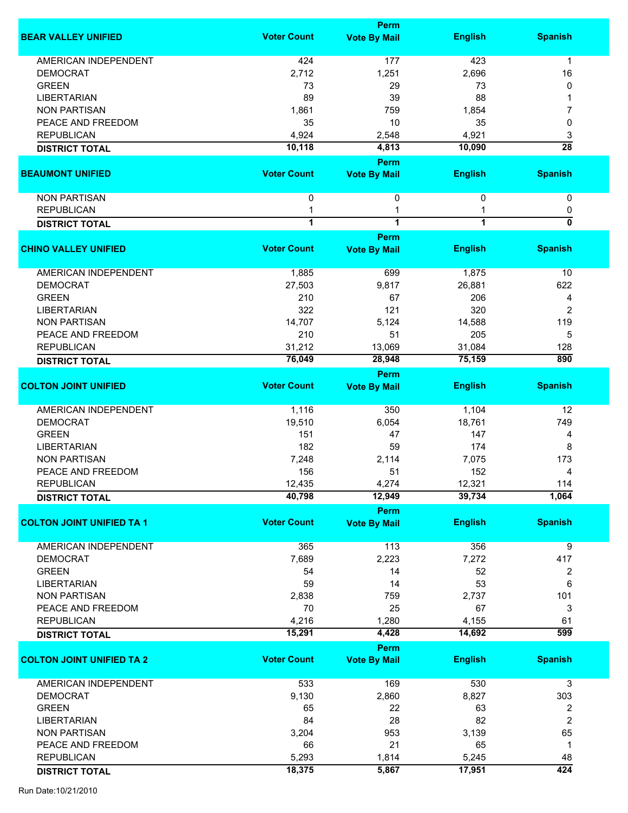|                                  |                         | <b>Perm</b>                 |                |                           |
|----------------------------------|-------------------------|-----------------------------|----------------|---------------------------|
| <b>BEAR VALLEY UNIFIED</b>       | <b>Voter Count</b>      | <b>Vote By Mail</b>         | <b>English</b> | <b>Spanish</b>            |
| <b>AMERICAN INDEPENDENT</b>      | 424                     | 177                         | 423            | 1                         |
| <b>DEMOCRAT</b>                  | 2,712                   | 1,251                       | 2,696          | 16                        |
| <b>GREEN</b>                     | 73                      | 29                          | 73             | 0                         |
| <b>LIBERTARIAN</b>               | 89                      | 39                          | 88             |                           |
|                                  |                         |                             |                |                           |
| <b>NON PARTISAN</b>              | 1,861                   | 759                         | 1,854          | 7                         |
| PEACE AND FREEDOM                | 35                      | 10                          | 35             | 0                         |
| <b>REPUBLICAN</b>                | 4,924                   | 2,548                       | 4,921          | 3                         |
| <b>DISTRICT TOTAL</b>            | 10,118                  | 4,813                       | 10,090         | $\overline{28}$           |
| <b>BEAUMONT UNIFIED</b>          | <b>Voter Count</b>      | Perm<br><b>Vote By Mail</b> | <b>English</b> | <b>Spanish</b>            |
| <b>NON PARTISAN</b>              | 0                       | 0                           | 0              | 0                         |
| <b>REPUBLICAN</b>                | 1                       | 1                           |                | 0                         |
| <b>DISTRICT TOTAL</b>            | $\overline{\mathbf{1}}$ | $\overline{1}$              | $\overline{1}$ | $\overline{\mathfrak{o}}$ |
|                                  |                         | Perm                        |                |                           |
| <b>CHINO VALLEY UNIFIED</b>      | <b>Voter Count</b>      | <b>Vote By Mail</b>         | <b>English</b> | <b>Spanish</b>            |
| <b>AMERICAN INDEPENDENT</b>      | 1,885                   | 699                         | 1,875          | 10                        |
| <b>DEMOCRAT</b>                  | 27,503                  | 9,817                       | 26,881         | 622                       |
| <b>GREEN</b>                     | 210                     | 67                          | 206            | 4                         |
| <b>LIBERTARIAN</b>               | 322                     | 121                         | 320            | 2                         |
| <b>NON PARTISAN</b>              | 14,707                  | 5,124                       | 14,588         | 119                       |
| PEACE AND FREEDOM                | 210                     | 51                          | 205            | 5                         |
| <b>REPUBLICAN</b>                | 31,212                  | 13,069                      | 31,084         | 128                       |
| <b>DISTRICT TOTAL</b>            | 76,049                  | 28,948                      | 75,159         | 890                       |
|                                  |                         | Perm                        |                |                           |
| <b>COLTON JOINT UNIFIED</b>      | <b>Voter Count</b>      | <b>Vote By Mail</b>         | <b>English</b> | <b>Spanish</b>            |
|                                  |                         |                             |                |                           |
| AMERICAN INDEPENDENT             | 1,116                   | 350                         | 1,104          | 12                        |
| <b>DEMOCRAT</b>                  | 19,510                  | 6,054                       | 18,761         | 749                       |
| <b>GREEN</b>                     | 151                     | 47                          | 147            | 4                         |
| <b>LIBERTARIAN</b>               | 182                     | 59                          | 174            | 8                         |
| <b>NON PARTISAN</b>              | 7,248                   | 2,114                       | 7,075          | 173                       |
| PEACE AND FREEDOM                | 156                     | 51                          | 152            | 4                         |
| <b>REPUBLICAN</b>                | 12,435                  | 4,274                       | 12,321         | 114                       |
| <b>DISTRICT TOTAL</b>            | 40,798                  | 12,949                      | 39,734         | 1,064                     |
|                                  |                         | Perm                        |                |                           |
| <b>COLTON JOINT UNIFIED TA 1</b> | <b>Voter Count</b>      | <b>Vote By Mail</b>         | <b>English</b> | <b>Spanish</b>            |
| <b>AMERICAN INDEPENDENT</b>      | 365                     | 113                         | 356            | 9                         |
| <b>DEMOCRAT</b>                  | 7,689                   | 2,223                       | 7,272          | 417                       |
| <b>GREEN</b>                     | 54                      | 14                          | 52             | 2                         |
| <b>LIBERTARIAN</b>               | 59                      | 14                          | 53             | 6                         |
| <b>NON PARTISAN</b>              | 2,838                   | 759                         | 2,737          | 101                       |
| PEACE AND FREEDOM                | 70                      | 25                          | 67             | 3                         |
| <b>REPUBLICAN</b>                | 4,216                   | 1,280                       | 4,155          | 61                        |
| <b>DISTRICT TOTAL</b>            | 15,291                  | 4,428                       | 14,692         | 599                       |
|                                  |                         | Perm                        |                |                           |
| <b>COLTON JOINT UNIFIED TA 2</b> | <b>Voter Count</b>      | <b>Vote By Mail</b>         | <b>English</b> | <b>Spanish</b>            |
| AMERICAN INDEPENDENT             | 533                     | 169                         | 530            | 3                         |
| <b>DEMOCRAT</b>                  | 9,130                   | 2,860                       | 8,827          | 303                       |
| <b>GREEN</b>                     | 65                      | 22                          | 63             | 2                         |
| <b>LIBERTARIAN</b>               | 84                      | 28                          | 82             | 2                         |
| <b>NON PARTISAN</b>              | 3,204                   | 953                         | 3,139          | 65                        |
| PEACE AND FREEDOM                | 66                      | 21                          | 65             | $\mathbf 1$               |
| <b>REPUBLICAN</b>                | 5,293                   | 1,814                       | 5,245          | 48                        |
| <b>DISTRICT TOTAL</b>            | 18,375                  | 5,867                       | 17,951         | 424                       |
|                                  |                         |                             |                |                           |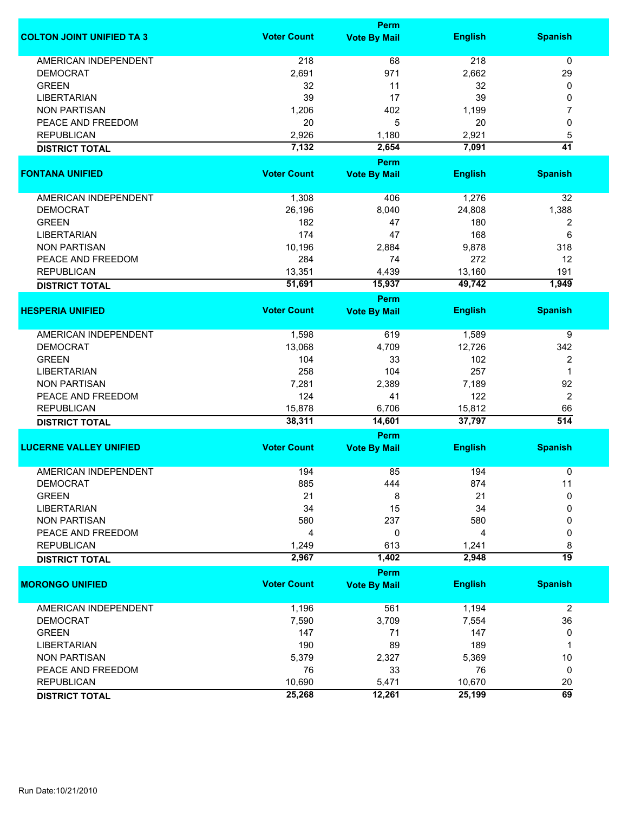|                                  |                    | <b>Perm</b>                        |                |                  |  |  |  |
|----------------------------------|--------------------|------------------------------------|----------------|------------------|--|--|--|
| <b>COLTON JOINT UNIFIED TA 3</b> | <b>Voter Count</b> | <b>Vote By Mail</b>                | <b>English</b> | <b>Spanish</b>   |  |  |  |
| <b>AMERICAN INDEPENDENT</b>      | 218                | 68                                 | 218            | 0                |  |  |  |
| <b>DEMOCRAT</b>                  | 2,691              | 971                                | 2,662          | 29               |  |  |  |
| <b>GREEN</b>                     | 32                 | 11                                 | 32             | 0                |  |  |  |
| <b>LIBERTARIAN</b>               | 39                 | 17                                 | 39             | 0                |  |  |  |
| <b>NON PARTISAN</b>              | 1,206              | 402                                | 1,199          | 7                |  |  |  |
|                                  |                    |                                    |                |                  |  |  |  |
| PEACE AND FREEDOM                | 20                 | 5                                  | 20             | 0                |  |  |  |
| <b>REPUBLICAN</b>                | 2,926              | 1,180                              | 2,921          | 5                |  |  |  |
| <b>DISTRICT TOTAL</b>            | 7,132              | 2,654                              | 7,091          | 41               |  |  |  |
| <b>FONTANA UNIFIED</b>           | <b>Voter Count</b> | <b>Perm</b><br><b>Vote By Mail</b> | <b>English</b> | <b>Spanish</b>   |  |  |  |
|                                  |                    |                                    |                |                  |  |  |  |
| AMERICAN INDEPENDENT             | 1,308              | 406                                | 1,276          | 32               |  |  |  |
| <b>DEMOCRAT</b>                  | 26,196             | 8,040                              | 24,808         | 1,388            |  |  |  |
| <b>GREEN</b>                     | 182                | 47                                 | 180            | 2                |  |  |  |
| <b>LIBERTARIAN</b>               | 174                | 47                                 | 168            | 6                |  |  |  |
| <b>NON PARTISAN</b>              | 10,196             | 2,884                              | 9,878          | 318              |  |  |  |
| PEACE AND FREEDOM                | 284                | 74                                 | 272            | 12               |  |  |  |
| <b>REPUBLICAN</b>                | 13,351             | 4,439                              | 13,160         | 191              |  |  |  |
|                                  | 51,691             | 15,937                             | 49,742         | 1,949            |  |  |  |
| <b>DISTRICT TOTAL</b>            |                    | <b>Perm</b>                        |                |                  |  |  |  |
| <b>HESPERIA UNIFIED</b>          | <b>Voter Count</b> | <b>Vote By Mail</b>                | <b>English</b> | <b>Spanish</b>   |  |  |  |
|                                  |                    |                                    |                |                  |  |  |  |
| <b>AMERICAN INDEPENDENT</b>      | 1,598              | 619                                | 1,589          | 9                |  |  |  |
| <b>DEMOCRAT</b>                  | 13,068             | 4,709                              | 12,726         | 342              |  |  |  |
| <b>GREEN</b>                     | 104                | 33                                 | 102            | $\overline{2}$   |  |  |  |
| <b>LIBERTARIAN</b>               | 258                | 104                                | 257            | 1                |  |  |  |
| <b>NON PARTISAN</b>              | 7,281              | 2,389                              | 7,189          | 92               |  |  |  |
| PEACE AND FREEDOM                | 124                | 41                                 | 122            | $\overline{2}$   |  |  |  |
| <b>REPUBLICAN</b>                | 15,878             | 6,706                              | 15,812         | 66               |  |  |  |
| <b>DISTRICT TOTAL</b>            | 38,311             | 14,601                             | 37,797         | $\overline{514}$ |  |  |  |
|                                  |                    | Perm                               |                |                  |  |  |  |
| <b>LUCERNE VALLEY UNIFIED</b>    | <b>Voter Count</b> | <b>Vote By Mail</b>                | <b>English</b> | <b>Spanish</b>   |  |  |  |
|                                  |                    |                                    |                |                  |  |  |  |
| <b>AMERICAN INDEPENDENT</b>      | 194                | 85                                 | 194            | 0                |  |  |  |
| <b>DEMOCRAT</b>                  | 885                | 444                                | 874            | 11               |  |  |  |
| <b>GREEN</b>                     | 21                 | 8                                  | 21             | 0                |  |  |  |
| <b>LIBERTARIAN</b>               | 34                 | 15                                 | 34             | 0                |  |  |  |
| <b>NON PARTISAN</b>              | 580                | 237                                | 580            | 0                |  |  |  |
| PEACE AND FREEDOM                | 4                  | 0                                  | 4              | 0                |  |  |  |
| <b>REPUBLICAN</b>                | 1,249              | 613                                | 1,241          | 8                |  |  |  |
| <b>DISTRICT TOTAL</b>            | 2,967              | 1,402                              | 2,948          | $\overline{19}$  |  |  |  |
|                                  |                    | Perm                               |                |                  |  |  |  |
| <b>MORONGO UNIFIED</b>           | <b>Voter Count</b> | <b>Vote By Mail</b>                | <b>English</b> | <b>Spanish</b>   |  |  |  |
| <b>AMERICAN INDEPENDENT</b>      | 1,196              | 561                                | 1,194          | $\overline{c}$   |  |  |  |
| <b>DEMOCRAT</b>                  | 7,590              | 3,709                              | 7,554          | 36               |  |  |  |
| <b>GREEN</b>                     | 147                | 71                                 | 147            | 0                |  |  |  |
| <b>LIBERTARIAN</b>               | 190                | 89                                 | 189            | 1                |  |  |  |
| <b>NON PARTISAN</b>              | 5,379              | 2,327                              | 5,369          | 10               |  |  |  |
| PEACE AND FREEDOM                | 76                 | 33                                 | 76             | 0                |  |  |  |
| <b>REPUBLICAN</b>                | 10,690             | 5,471                              | 10,670         | 20               |  |  |  |
|                                  | 25,268             | 12,261                             | 25,199         | $\overline{69}$  |  |  |  |
| <b>DISTRICT TOTAL</b>            |                    |                                    |                |                  |  |  |  |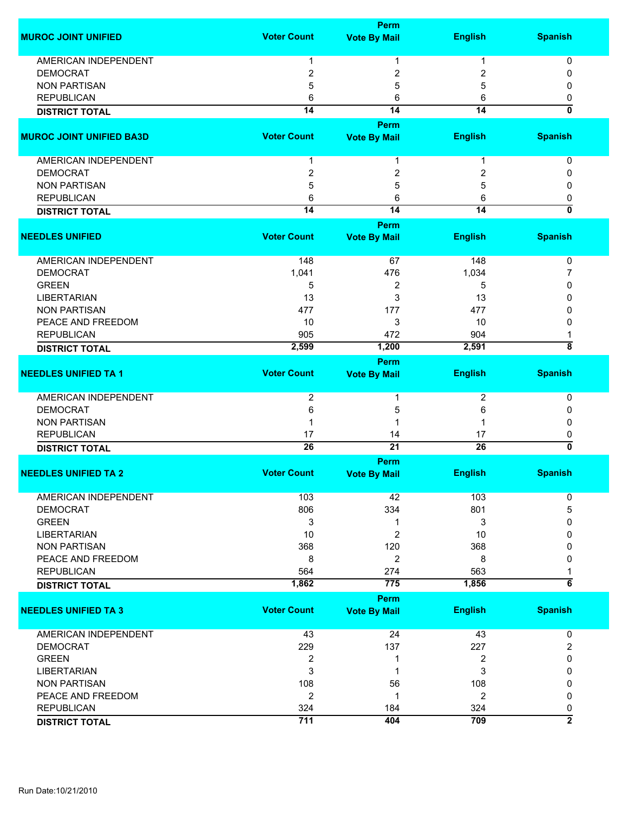|                                 |                    | <b>Perm</b>         |                 |                           |
|---------------------------------|--------------------|---------------------|-----------------|---------------------------|
| <b>MUROC JOINT UNIFIED</b>      | <b>Voter Count</b> | <b>Vote By Mail</b> | <b>English</b>  | <b>Spanish</b>            |
| AMERICAN INDEPENDENT            | 1                  | 1                   | 1               | 0                         |
| <b>DEMOCRAT</b>                 | $\overline{2}$     | 2                   | 2               | 0                         |
| <b>NON PARTISAN</b>             | 5                  | 5                   | 5               | 0                         |
| <b>REPUBLICAN</b>               | 6                  | 6                   | 6               |                           |
|                                 | $\overline{14}$    | $\overline{14}$     | $\overline{14}$ | 0<br>0                    |
| <b>DISTRICT TOTAL</b>           |                    |                     |                 |                           |
| <b>MUROC JOINT UNIFIED BA3D</b> | <b>Voter Count</b> | Perm                |                 | <b>Spanish</b>            |
|                                 |                    | <b>Vote By Mail</b> | <b>English</b>  |                           |
| AMERICAN INDEPENDENT            | 1                  | 1                   | 1               | 0                         |
| <b>DEMOCRAT</b>                 | $\overline{2}$     | 2                   | 2               | 0                         |
| <b>NON PARTISAN</b>             | 5                  | 5                   | 5               | 0                         |
| <b>REPUBLICAN</b>               | 6                  | 6                   | 6               | 0                         |
| <b>DISTRICT TOTAL</b>           | $\overline{14}$    | $\overline{14}$     | $\overline{14}$ | $\overline{\mathfrak{o}}$ |
|                                 |                    | <b>Perm</b>         |                 |                           |
| <b>NEEDLES UNIFIED</b>          | <b>Voter Count</b> | <b>Vote By Mail</b> | <b>English</b>  | <b>Spanish</b>            |
| <b>AMERICAN INDEPENDENT</b>     | 148                | 67                  | 148             | 0                         |
| <b>DEMOCRAT</b>                 | 1,041              | 476                 | 1,034           | 7                         |
| <b>GREEN</b>                    |                    |                     |                 |                           |
|                                 | 5                  | 2                   | 5               | 0                         |
| <b>LIBERTARIAN</b>              | 13                 | 3                   | 13              | 0                         |
| <b>NON PARTISAN</b>             | 477                | 177                 | 477             | 0                         |
| PEACE AND FREEDOM               | 10                 | 3                   | 10              | 0                         |
| <b>REPUBLICAN</b>               | 905                | 472                 | 904             |                           |
| <b>DISTRICT TOTAL</b>           | 2,599              | 1,200               | 2,591           | $\overline{\bf 8}$        |
|                                 |                    | <b>Perm</b>         |                 |                           |
| <b>NEEDLES UNIFIED TA 1</b>     | <b>Voter Count</b> | <b>Vote By Mail</b> | <b>English</b>  | <b>Spanish</b>            |
| <b>AMERICAN INDEPENDENT</b>     | $\overline{2}$     | 1                   | $\overline{2}$  | 0                         |
| <b>DEMOCRAT</b>                 | 6                  | 5                   | 6               | 0                         |
| <b>NON PARTISAN</b>             |                    | 1                   |                 | 0                         |
| <b>REPUBLICAN</b>               | 17                 | 14                  | 17              | 0                         |
| <b>DISTRICT TOTAL</b>           | $\overline{26}$    | $\overline{21}$     | $\overline{26}$ | $\overline{\mathfrak{o}}$ |
|                                 |                    | <b>Perm</b>         |                 |                           |
| <b>NEEDLES UNIFIED TA 2</b>     | <b>Voter Count</b> | <b>Vote By Mail</b> | <b>English</b>  | <b>Spanish</b>            |
| <b>AMERICAN INDEPENDENT</b>     | 103                | 42                  | 103             | 0                         |
| <b>DEMOCRAT</b>                 | 806                | 334                 | 801             | 5                         |
| <b>GREEN</b>                    | 3                  | 1                   | 3               | 0                         |
| <b>LIBERTARIAN</b>              | 10                 | $\overline{c}$      | 10              | 0                         |
| <b>NON PARTISAN</b>             | 368                | 120                 | 368             | 0                         |
| PEACE AND FREEDOM               | 8                  | $\overline{2}$      | 8               | 0                         |
| <b>REPUBLICAN</b>               | 564                | 274                 | 563             |                           |
| <b>DISTRICT TOTAL</b>           | 1,862              | 775                 | 1,856           | $\overline{\mathbf{6}}$   |
|                                 |                    |                     |                 |                           |
|                                 | <b>Voter Count</b> | <b>Perm</b>         |                 | <b>Spanish</b>            |
| <b>NEEDLES UNIFIED TA 3</b>     |                    | <b>Vote By Mail</b> | <b>English</b>  |                           |
| <b>AMERICAN INDEPENDENT</b>     | 43                 | 24                  | 43              | 0                         |
| <b>DEMOCRAT</b>                 | 229                | 137                 | 227             | 2                         |
| <b>GREEN</b>                    | $\overline{2}$     | 1                   | 2               | 0                         |
| <b>LIBERTARIAN</b>              | 3                  | 1                   | 3               | 0                         |
| <b>NON PARTISAN</b>             | 108                | 56                  | 108             | 0                         |
| PEACE AND FREEDOM               | $\overline{2}$     | 1                   | 2               | 0                         |
| <b>REPUBLICAN</b>               | 324                | 184                 | 324             | 0                         |
| <b>DISTRICT TOTAL</b>           | 711                | 404                 | 709             | $\overline{2}$            |
|                                 |                    |                     |                 |                           |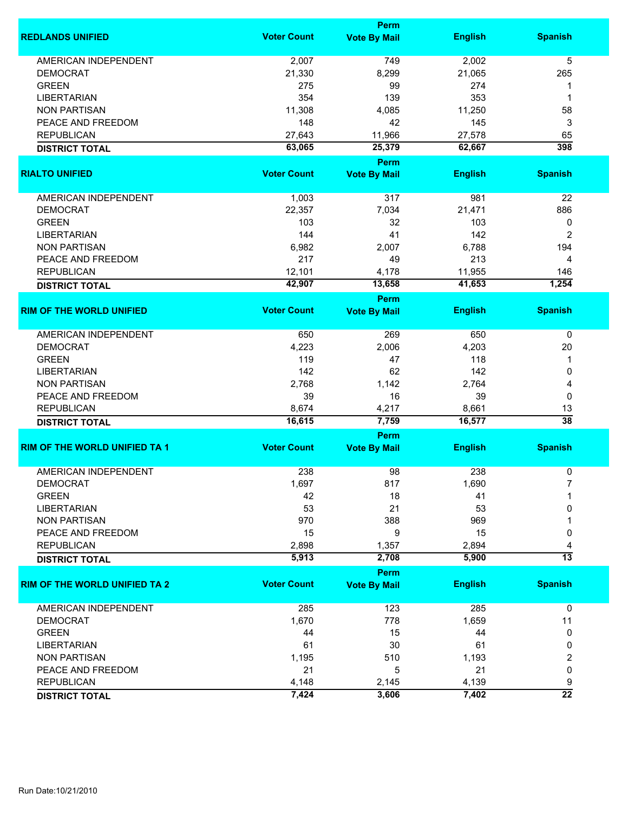|                                      |                    | <b>Perm</b>                        |                |                 |  |  |
|--------------------------------------|--------------------|------------------------------------|----------------|-----------------|--|--|
| <b>REDLANDS UNIFIED</b>              | <b>Voter Count</b> | <b>Vote By Mail</b>                | <b>English</b> | <b>Spanish</b>  |  |  |
| <b>AMERICAN INDEPENDENT</b>          | 2,007              | 749                                | 2,002          | 5               |  |  |
| <b>DEMOCRAT</b>                      | 21,330             | 8,299                              | 21,065         | 265             |  |  |
| <b>GREEN</b>                         | 275                | 99                                 | 274            | 1               |  |  |
| <b>LIBERTARIAN</b>                   | 354                | 139                                | 353            | 1               |  |  |
| <b>NON PARTISAN</b>                  | 11,308             | 4,085                              | 11,250         | 58              |  |  |
| PEACE AND FREEDOM                    | 148                | 42                                 | 145            | 3               |  |  |
|                                      |                    |                                    |                |                 |  |  |
| <b>REPUBLICAN</b>                    | 27,643             | 11,966                             | 27,578         | 65              |  |  |
| <b>DISTRICT TOTAL</b>                | 63,065             | 25,379<br>Perm                     | 62,667         | 398             |  |  |
| <b>RIALTO UNIFIED</b>                | <b>Voter Count</b> | <b>Vote By Mail</b>                | <b>English</b> | <b>Spanish</b>  |  |  |
| AMERICAN INDEPENDENT                 | 1,003              | 317                                | 981            | 22              |  |  |
| <b>DEMOCRAT</b>                      | 22,357             | 7,034                              | 21,471         | 886             |  |  |
| <b>GREEN</b>                         | 103                | 32                                 | 103            | 0               |  |  |
| <b>LIBERTARIAN</b>                   | 144                | 41                                 | 142            | 2               |  |  |
| <b>NON PARTISAN</b>                  | 6,982              | 2,007                              | 6,788          | 194             |  |  |
| PEACE AND FREEDOM                    | 217                |                                    |                |                 |  |  |
|                                      |                    | 49                                 | 213            | 4               |  |  |
| <b>REPUBLICAN</b>                    | 12,101             | 4,178                              | 11,955         | 146             |  |  |
| <b>DISTRICT TOTAL</b>                | 42,907             | 13,658                             | 41,653         | 1,254           |  |  |
| <b>RIM OF THE WORLD UNIFIED</b>      | <b>Voter Count</b> | Perm<br><b>Vote By Mail</b>        | <b>English</b> | <b>Spanish</b>  |  |  |
|                                      |                    |                                    |                |                 |  |  |
| <b>AMERICAN INDEPENDENT</b>          | 650                | 269                                | 650            | $\mathbf 0$     |  |  |
| <b>DEMOCRAT</b>                      | 4,223              | 2,006                              | 4,203          | 20              |  |  |
| <b>GREEN</b>                         | 119                | 47                                 | 118            | 1               |  |  |
| <b>LIBERTARIAN</b>                   | 142                | 62                                 | 142            | 0               |  |  |
| <b>NON PARTISAN</b>                  | 2,768              | 1,142                              | 2,764          | 4               |  |  |
| PEACE AND FREEDOM                    | 39                 | 16                                 | 39             | 0               |  |  |
| <b>REPUBLICAN</b>                    | 8,674              | 4,217                              | 8,661          | 13              |  |  |
| <b>DISTRICT TOTAL</b>                | 16,615             | 7,759                              | 16,577         | $\overline{38}$ |  |  |
|                                      |                    | <b>Perm</b>                        |                |                 |  |  |
| <b>RIM OF THE WORLD UNIFIED TA 1</b> | <b>Voter Count</b> | <b>Vote By Mail</b>                | <b>English</b> | <b>Spanish</b>  |  |  |
| <b>AMERICAN INDEPENDENT</b>          | 238                | 98                                 | 238            | 0               |  |  |
| DEMOCRAI                             | 1,697              | 817                                | 1,690          |                 |  |  |
| <b>GREEN</b>                         | 42                 | 18                                 | 41             |                 |  |  |
| <b>LIBERTARIAN</b>                   | 53                 | 21                                 | 53             | 0               |  |  |
| <b>NON PARTISAN</b>                  | 970                | 388                                | 969            |                 |  |  |
|                                      |                    |                                    |                |                 |  |  |
| PEACE AND FREEDOM                    | 15                 | 9                                  | 15             | 0               |  |  |
| <b>REPUBLICAN</b>                    | 2,898              | 1,357                              | 2,894          |                 |  |  |
| <b>DISTRICT TOTAL</b>                | 5,913              | 2,708                              | 5,900          | $\overline{13}$ |  |  |
| <b>RIM OF THE WORLD UNIFIED TA 2</b> | <b>Voter Count</b> | <b>Perm</b><br><b>Vote By Mail</b> | <b>English</b> | <b>Spanish</b>  |  |  |
|                                      |                    |                                    |                |                 |  |  |
| AMERICAN INDEPENDENT                 | 285                | 123                                | 285            | 0               |  |  |
| <b>DEMOCRAT</b>                      | 1,670              | 778                                | 1,659          | 11              |  |  |
| <b>GREEN</b>                         | 44                 | 15                                 | 44             | 0               |  |  |
| <b>LIBERTARIAN</b>                   | 61                 | 30                                 | 61             | 0               |  |  |
| <b>NON PARTISAN</b>                  | 1,195              | 510                                | 1,193          | 2               |  |  |
| PEACE AND FREEDOM                    | 21                 | 5                                  | 21             | 0               |  |  |
| <b>REPUBLICAN</b>                    | 4,148              | 2,145                              | 4,139          | 9               |  |  |
| <b>DISTRICT TOTAL</b>                | 7,424              | 3,606                              | 7,402          | $\overline{22}$ |  |  |
|                                      |                    |                                    |                |                 |  |  |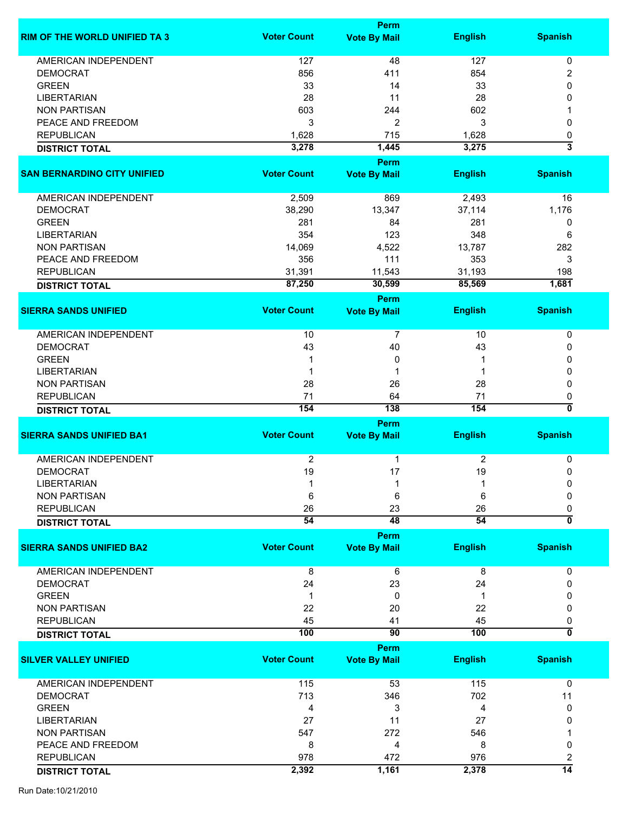|                                      | Perm                  |                     |                |                              |
|--------------------------------------|-----------------------|---------------------|----------------|------------------------------|
| <b>RIM OF THE WORLD UNIFIED TA 3</b> | <b>Voter Count</b>    | <b>Vote By Mail</b> | <b>English</b> | <b>Spanish</b>               |
|                                      |                       |                     |                |                              |
| <b>AMERICAN INDEPENDENT</b>          | 127                   | 48                  | 127            | 0                            |
| <b>DEMOCRAT</b>                      | 856                   | 411                 | 854            | 2                            |
| <b>GREEN</b>                         | 33                    | 14                  | 33             | 0                            |
| <b>LIBERTARIAN</b>                   | 28                    | 11                  | 28             | 0                            |
| <b>NON PARTISAN</b>                  | 603                   | 244                 | 602            |                              |
| PEACE AND FREEDOM                    | 3                     | $\overline{c}$      | 3              | 0                            |
| <b>REPUBLICAN</b>                    | 1,628                 | 715                 | 1,628          | 0                            |
| <b>DISTRICT TOTAL</b>                | 3,278                 | 1,445               | 3,275          | $\overline{\mathbf{3}}$      |
|                                      |                       | Perm                |                |                              |
| <b>SAN BERNARDINO CITY UNIFIED</b>   | <b>Voter Count</b>    | <b>Vote By Mail</b> | <b>English</b> | <b>Spanish</b>               |
| AMERICAN INDEPENDENT                 | 2,509                 | 869                 | 2,493          | 16                           |
| <b>DEMOCRAT</b>                      | 38,290                | 13,347              | 37,114         | 1,176                        |
| <b>GREEN</b>                         | 281                   | 84                  | 281            | 0                            |
|                                      | 354                   | 123                 | 348            | 6                            |
| <b>LIBERTARIAN</b>                   |                       |                     |                |                              |
| <b>NON PARTISAN</b>                  | 14,069                | 4,522               | 13,787         | 282                          |
| PEACE AND FREEDOM                    | 356                   | 111                 | 353            | 3                            |
| <b>REPUBLICAN</b>                    | 31,391                | 11,543              | 31,193         | 198                          |
| <b>DISTRICT TOTAL</b>                | 87,250                | 30,599              | 85,569         | 1,681                        |
|                                      |                       | Perm                |                |                              |
| <b>SIERRA SANDS UNIFIED</b>          | <b>Voter Count</b>    | <b>Vote By Mail</b> | <b>English</b> | <b>Spanish</b>               |
| AMERICAN INDEPENDENT                 | 10                    | $\overline{7}$      | 10             | 0                            |
| <b>DEMOCRAT</b>                      | 43                    | 40                  | 43             | 0                            |
| <b>GREEN</b>                         | 1                     | 0                   |                | 0                            |
|                                      |                       |                     |                |                              |
| <b>LIBERTARIAN</b>                   | 1                     | 1                   | 1              | 0                            |
| <b>NON PARTISAN</b>                  | 28                    | 26                  | 28             | 0                            |
| <b>REPUBLICAN</b>                    | 71                    | 64                  | 71             | 0                            |
| <b>DISTRICT TOTAL</b>                | 154                   | 138                 | 154            | $\overline{\mathfrak{o}}$    |
|                                      |                       | Perm                |                |                              |
| <b>SIERRA SANDS UNIFIED BA1</b>      | <b>Voter Count</b>    | <b>Vote By Mail</b> | <b>English</b> | <b>Spanish</b>               |
| <b>AMERICAN INDEPENDENT</b>          | $\overline{2}$        | 1                   | 2              | 0                            |
| <b>DEMOCRAT</b>                      | 19                    | 17                  | 19             | 0                            |
| LIBERTARIAN                          |                       |                     |                | 0                            |
| <b>NON PARTISAN</b>                  | 6                     | 6                   | 6              | 0                            |
|                                      |                       |                     |                |                              |
| <b>REPUBLICAN</b>                    | 26<br>$\overline{54}$ | 23<br>48            | 26<br>54       | 0<br>$\overline{\mathbf{0}}$ |
| <b>DISTRICT TOTAL</b>                |                       | Perm                |                |                              |
| <b>SIERRA SANDS UNIFIED BA2</b>      | <b>Voter Count</b>    | <b>Vote By Mail</b> | <b>English</b> | <b>Spanish</b>               |
| <b>AMERICAN INDEPENDENT</b>          | 8                     | 6                   | 8              | 0                            |
| <b>DEMOCRAT</b>                      | 24                    | 23                  | 24             | 0                            |
|                                      |                       |                     |                |                              |
| <b>GREEN</b>                         | 1                     | 0                   | 1              | O                            |
| <b>NON PARTISAN</b>                  | 22                    | 20                  | 22             | 0                            |
| <b>REPUBLICAN</b>                    | 45                    | 41                  | 45             | 0                            |
| <b>DISTRICT TOTAL</b>                | 100                   | $\overline{90}$     | 100            | ō                            |
|                                      |                       | Perm                |                |                              |
| <b>SILVER VALLEY UNIFIED</b>         | <b>Voter Count</b>    | <b>Vote By Mail</b> | <b>English</b> | <b>Spanish</b>               |
| <b>AMERICAN INDEPENDENT</b>          | 115                   | 53                  | 115            | 0                            |
| <b>DEMOCRAT</b>                      | 713                   | 346                 | 702            | 11                           |
| <b>GREEN</b>                         | 4                     | 3                   | 4              | 0                            |
|                                      |                       |                     |                |                              |
| <b>LIBERTARIAN</b>                   | 27                    | 11                  | 27             | 0                            |
| <b>NON PARTISAN</b>                  | 547                   | 272                 | 546            |                              |
| PEACE AND FREEDOM                    | 8                     | 4                   | 8              | 0                            |
| <b>REPUBLICAN</b>                    | 978                   | 472                 | 976            | 2                            |
| <b>DISTRICT TOTAL</b>                | 2,392                 | 1,161               | 2,378          | $\overline{14}$              |
|                                      |                       |                     |                |                              |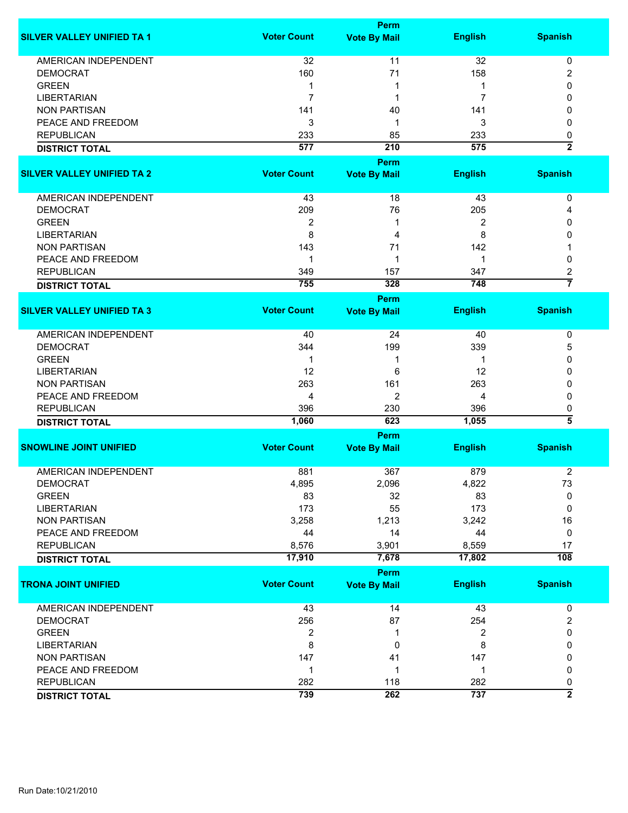|                                   |                    | Perm                |                |                         |
|-----------------------------------|--------------------|---------------------|----------------|-------------------------|
| <b>SILVER VALLEY UNIFIED TA 1</b> | <b>Voter Count</b> | <b>Vote By Mail</b> | <b>English</b> | <b>Spanish</b>          |
| <b>AMERICAN INDEPENDENT</b>       | 32                 | 11                  | 32             | 0                       |
| <b>DEMOCRAT</b>                   | 160                | 71                  | 158            | 2                       |
| <b>GREEN</b>                      | 1                  | 1                   | 1              | 0                       |
| <b>LIBERTARIAN</b>                | $\overline{7}$     | 1                   | 7              | 0                       |
|                                   |                    |                     | 141            | 0                       |
| <b>NON PARTISAN</b>               | 141                | 40                  |                |                         |
| PEACE AND FREEDOM                 | 3                  | 1                   | 3              | 0                       |
| <b>REPUBLICAN</b>                 | 233                | 85                  | 233            | 0                       |
| <b>DISTRICT TOTAL</b>             | 577                | 210                 | 575            | $\overline{\mathbf{2}}$ |
|                                   |                    | <b>Perm</b>         |                |                         |
| <b>SILVER VALLEY UNIFIED TA 2</b> | <b>Voter Count</b> | <b>Vote By Mail</b> | <b>English</b> | <b>Spanish</b>          |
| AMERICAN INDEPENDENT              | 43                 | 18                  | 43             | 0                       |
| <b>DEMOCRAT</b>                   | 209                | 76                  | 205            | 4                       |
| <b>GREEN</b>                      | $\overline{2}$     | 1                   | 2              | 0                       |
| <b>LIBERTARIAN</b>                | 8                  | 4                   | 8              | 0                       |
| <b>NON PARTISAN</b>               | 143                | 71                  | 142            |                         |
| PEACE AND FREEDOM                 |                    | 1                   | 1              |                         |
|                                   | 1                  |                     |                | 0                       |
| <b>REPUBLICAN</b>                 | 349                | 157                 | 347            | 2<br>$\overline{7}$     |
| <b>DISTRICT TOTAL</b>             | 755                | 328                 | 748            |                         |
|                                   |                    | <b>Perm</b>         |                |                         |
| <b>SILVER VALLEY UNIFIED TA 3</b> | <b>Voter Count</b> | <b>Vote By Mail</b> | <b>English</b> | <b>Spanish</b>          |
| <b>AMERICAN INDEPENDENT</b>       | 40                 | 24                  | 40             | 0                       |
| <b>DEMOCRAT</b>                   | 344                | 199                 | 339            | 5                       |
| <b>GREEN</b>                      | 1                  | 1                   | 1              | 0                       |
| <b>LIBERTARIAN</b>                | 12                 | 6                   | 12             | 0                       |
| <b>NON PARTISAN</b>               | 263                | 161                 | 263            | 0                       |
| PEACE AND FREEDOM                 | 4                  | 2                   | 4              | 0                       |
| <b>REPUBLICAN</b>                 | 396                | 230                 | 396            | 0                       |
| <b>DISTRICT TOTAL</b>             | 1,060              | 623                 | 1,055          | 3                       |
|                                   |                    | Perm                |                |                         |
| <b>SNOWLINE JOINT UNIFIED</b>     | <b>Voter Count</b> | <b>Vote By Mail</b> | <b>English</b> | <b>Spanish</b>          |
|                                   |                    |                     |                |                         |
| <b>AMERICAN INDEPENDENT</b>       | 881                | 367                 | 879            | $\overline{2}$          |
| <b>DEMOCRAT</b>                   | 4,895              | 2,096               | 4,822          | 73                      |
| <b>GREEN</b>                      | 83                 | 32                  | 83             | 0                       |
| <b>LIBERTARIAN</b>                | 173                | 55                  | 173            | 0                       |
| <b>NON PARTISAN</b>               | 3,258              | 1,213               | 3,242          | 16                      |
| PEACE AND FREEDOM                 | 44                 | 14                  | 44             | 0                       |
| <b>REPUBLICAN</b>                 | 8,576              | 3,901               | 8,559          | 17                      |
| <b>DISTRICT TOTAL</b>             | 17,910             | 7,678               | 17,802         | 108                     |
|                                   |                    | <b>Perm</b>         |                |                         |
| <b>TRONA JOINT UNIFIED</b>        | <b>Voter Count</b> | <b>Vote By Mail</b> | <b>English</b> | <b>Spanish</b>          |
| AMERICAN INDEPENDENT              | 43                 | 14                  | 43             | $\pmb{0}$               |
| <b>DEMOCRAT</b>                   | 256                | 87                  | 254            | $\overline{\mathbf{c}}$ |
| <b>GREEN</b>                      | 2                  | 1                   | 2              | 0                       |
| <b>LIBERTARIAN</b>                | 8                  | 0                   | 8              | 0                       |
|                                   |                    |                     |                |                         |
| <b>NON PARTISAN</b>               | 147                | 41                  | 147            | 0                       |
| PEACE AND FREEDOM                 | $\mathbf 1$        | 1                   | 1              | 0                       |
| <b>REPUBLICAN</b>                 | 282                | 118                 | 282            | 0                       |
| <b>DISTRICT TOTAL</b>             | 739                | 262                 | 737            | $\overline{2}$          |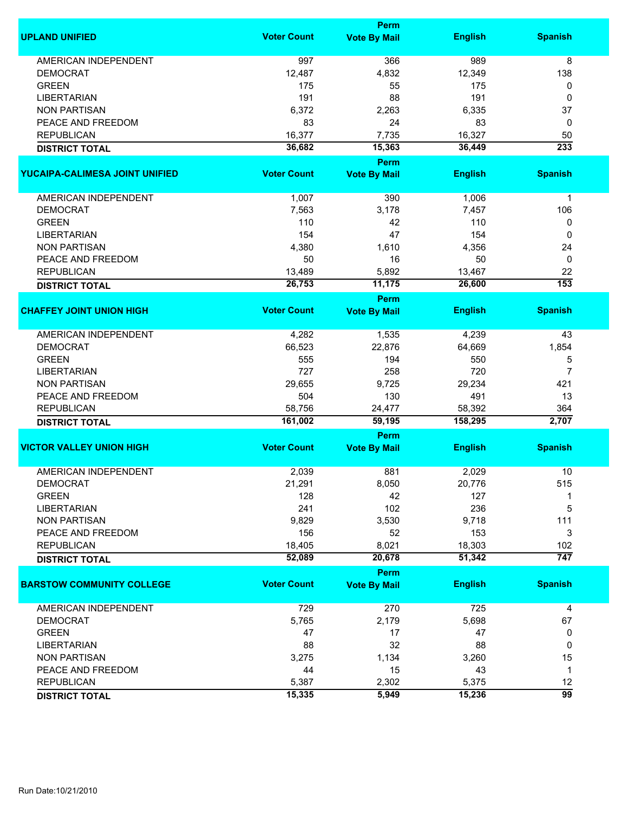|                                  |                    | <b>Perm</b>                 |                |                  |
|----------------------------------|--------------------|-----------------------------|----------------|------------------|
| <b>UPLAND UNIFIED</b>            | <b>Voter Count</b> | <b>Vote By Mail</b>         | <b>English</b> | <b>Spanish</b>   |
| <b>AMERICAN INDEPENDENT</b>      | 997                | 366                         | 989            | 8                |
| <b>DEMOCRAT</b>                  | 12,487             | 4,832                       | 12,349         | 138              |
| <b>GREEN</b>                     | 175                | 55                          | 175            | 0                |
| <b>LIBERTARIAN</b>               | 191                | 88                          | 191            | 0                |
| <b>NON PARTISAN</b>              | 6,372              | 2,263                       | 6,335          | 37               |
| PEACE AND FREEDOM                | 83                 | 24                          | 83             | 0                |
| <b>REPUBLICAN</b>                | 16,377             |                             |                |                  |
|                                  |                    | 7,735                       | 16,327         | 50               |
| <b>DISTRICT TOTAL</b>            | 36,682             | 15,363                      | 36,449         | 233              |
| YUCAIPA-CALIMESA JOINT UNIFIED   | <b>Voter Count</b> | Perm<br><b>Vote By Mail</b> | <b>English</b> | <b>Spanish</b>   |
|                                  |                    |                             |                |                  |
| AMERICAN INDEPENDENT             | 1,007              | 390                         | 1,006          | $\mathbf 1$      |
| <b>DEMOCRAT</b>                  | 7,563              | 3,178                       | 7,457          | 106              |
| <b>GREEN</b>                     | 110                | 42                          | 110            | 0                |
| <b>LIBERTARIAN</b>               | 154                | 47                          | 154            | 0                |
| <b>NON PARTISAN</b>              | 4,380              | 1,610                       | 4,356          | 24               |
| PEACE AND FREEDOM                | 50                 | 16                          | 50             | 0                |
| <b>REPUBLICAN</b>                | 13,489             | 5,892                       | 13,467         | 22               |
|                                  | 26,753             | 11,175                      | 26,600         | $\overline{153}$ |
| <b>DISTRICT TOTAL</b>            |                    | <b>Perm</b>                 |                |                  |
| <b>CHAFFEY JOINT UNION HIGH</b>  | <b>Voter Count</b> | <b>Vote By Mail</b>         | <b>English</b> | <b>Spanish</b>   |
|                                  |                    |                             |                |                  |
| <b>AMERICAN INDEPENDENT</b>      | 4,282              | 1,535                       | 4,239          | 43               |
| <b>DEMOCRAT</b>                  | 66,523             | 22,876                      | 64,669         | 1,854            |
| <b>GREEN</b>                     | 555                | 194                         | 550            | 5                |
| <b>LIBERTARIAN</b>               | 727                | 258                         | 720            | 7                |
| <b>NON PARTISAN</b>              | 29,655             | 9,725                       | 29,234         | 421              |
| PEACE AND FREEDOM                | 504                | 130                         | 491            | 13               |
| <b>REPUBLICAN</b>                | 58,756             | 24,477                      | 58,392         | 364              |
| <b>DISTRICT TOTAL</b>            | 161,002            | 59,195                      | 158,295        | 2,707            |
|                                  |                    | <b>Perm</b>                 |                |                  |
| <b>VICTOR VALLEY UNION HIGH</b>  | <b>Voter Count</b> | <b>Vote By Mail</b>         | <b>English</b> | <b>Spanish</b>   |
|                                  |                    |                             |                |                  |
| <b>AMERICAN INDEPENDENT</b>      | 2,039              | 881                         | 2,029          | 10               |
| <b>DEMOCRAT</b>                  | 21,291             | 8,050                       | 20,776         | 515              |
| <b>GREEN</b>                     | 128                | 42                          | 127            |                  |
| <b>LIBERTARIAN</b>               | 241                | 102                         | 236            | 5                |
| <b>NON PARTISAN</b>              | 9,829              | 3,530                       | 9,718          | 111              |
| PEACE AND FREEDOM                | 156                | 52                          | 153            | 3                |
| <b>REPUBLICAN</b>                | 18,405             | 8,021                       | 18,303         | 102              |
| <b>DISTRICT TOTAL</b>            | 52,089             | 20,678                      | 51,342         | $\overline{747}$ |
|                                  |                    | Perm                        |                |                  |
| <b>BARSTOW COMMUNITY COLLEGE</b> | <b>Voter Count</b> | <b>Vote By Mail</b>         | <b>English</b> | <b>Spanish</b>   |
| <b>AMERICAN INDEPENDENT</b>      | 729                | 270                         | 725            | 4                |
| <b>DEMOCRAT</b>                  | 5,765              | 2,179                       | 5,698          | 67               |
| <b>GREEN</b>                     | 47                 | 17                          | 47             | 0                |
| <b>LIBERTARIAN</b>               | 88                 | 32                          | 88             | 0                |
| <b>NON PARTISAN</b>              | 3,275              | 1,134                       | 3,260          | 15               |
| PEACE AND FREEDOM                | 44                 | 15                          | 43             | 1                |
| <b>REPUBLICAN</b>                | 5,387              | 2,302                       | 5,375          | 12               |
|                                  | 15,335             | 5,949                       | 15,236         | 99               |
| <b>DISTRICT TOTAL</b>            |                    |                             |                |                  |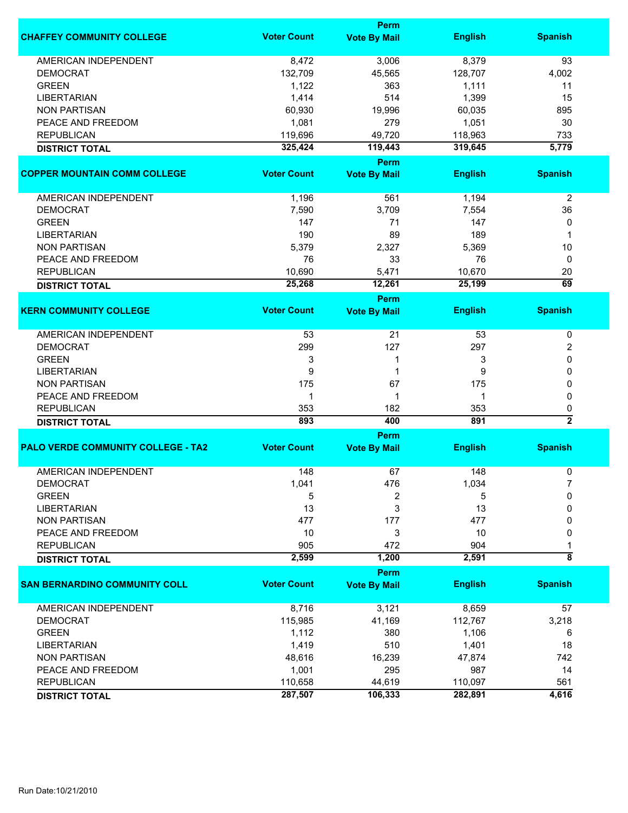|                                           |                    | Perm                |                |                 |
|-------------------------------------------|--------------------|---------------------|----------------|-----------------|
| <b>CHAFFEY COMMUNITY COLLEGE</b>          | <b>Voter Count</b> | <b>Vote By Mail</b> | <b>English</b> | <b>Spanish</b>  |
| <b>AMERICAN INDEPENDENT</b>               | 8,472              | 3,006               | 8,379          | 93              |
| <b>DEMOCRAT</b>                           | 132,709            | 45,565              | 128,707        | 4,002           |
| <b>GREEN</b>                              | 1,122              | 363                 | 1,111          | 11              |
| <b>LIBERTARIAN</b>                        | 1,414              | 514                 | 1,399          | 15              |
| <b>NON PARTISAN</b>                       | 60,930             | 19,996              | 60,035         | 895             |
| PEACE AND FREEDOM                         | 1,081              | 279                 | 1,051          | 30              |
| <b>REPUBLICAN</b>                         |                    |                     |                |                 |
|                                           | 119,696            | 49,720              | 118,963        | 733             |
| <b>DISTRICT TOTAL</b>                     | 325,424            | 119,443<br>Perm     | 319,645        | 5,779           |
| <b>COPPER MOUNTAIN COMM COLLEGE</b>       | <b>Voter Count</b> | <b>Vote By Mail</b> | <b>English</b> | <b>Spanish</b>  |
|                                           |                    |                     |                |                 |
| AMERICAN INDEPENDENT                      | 1,196              | 561                 | 1,194          | $\overline{2}$  |
| <b>DEMOCRAT</b>                           | 7,590              | 3,709               | 7,554          | 36              |
| <b>GREEN</b>                              | 147                | 71                  | 147            | 0               |
| <b>LIBERTARIAN</b>                        | 190                | 89                  | 189            | 1               |
| <b>NON PARTISAN</b>                       | 5,379              | 2,327               | 5,369          | 10              |
| PEACE AND FREEDOM                         | 76                 | 33                  | 76             | 0               |
| <b>REPUBLICAN</b>                         | 10,690             | 5,471               | 10,670         | 20              |
| <b>DISTRICT TOTAL</b>                     | 25,268             | 12,261              | 25,199         | $\overline{69}$ |
|                                           |                    | <b>Perm</b>         |                |                 |
| <b>KERN COMMUNITY COLLEGE</b>             | <b>Voter Count</b> | <b>Vote By Mail</b> | <b>English</b> | <b>Spanish</b>  |
| <b>AMERICAN INDEPENDENT</b>               | 53                 | 21                  | 53             | 0               |
| <b>DEMOCRAT</b>                           | 299                | 127                 | 297            | 2               |
| <b>GREEN</b>                              | 3                  | 1                   | 3              | 0               |
| <b>LIBERTARIAN</b>                        | 9                  | 1                   | 9              | 0               |
| <b>NON PARTISAN</b>                       | 175                | 67                  | 175            | 0               |
| PEACE AND FREEDOM                         | 1                  | 1                   | 1              | 0               |
| <b>REPUBLICAN</b>                         | 353                | 182                 | 353            | 0               |
| <b>DISTRICT TOTAL</b>                     | 893                | 400                 | 891            | $\overline{2}$  |
|                                           |                    | Perm                |                |                 |
| <b>PALO VERDE COMMUNITY COLLEGE - TA2</b> | <b>Voter Count</b> | <b>Vote By Mail</b> | <b>English</b> | <b>Spanish</b>  |
| <b>AMERICAN INDEPENDENT</b>               | 148                | 67                  | 148            | 0               |
| <b>DEMOCRAT</b>                           | 1,041              | 476                 | 1,034          |                 |
| <b>GREEN</b>                              | 5                  | 2                   | 5              | 0               |
| <b>LIBERTARIAN</b>                        | 13                 | 3                   | 13             | 0               |
| <b>NON PARTISAN</b>                       | 477                | 177                 | 477            | 0               |
| PEACE AND FREEDOM                         | 10                 | 3                   | 10             | 0               |
| <b>REPUBLICAN</b>                         | 905                | 472                 | 904            | 1               |
| <b>DISTRICT TOTAL</b>                     | 2,599              | 1,200               | 2,591          | ह               |
|                                           |                    | Perm                |                |                 |
| <b>SAN BERNARDINO COMMUNITY COLL</b>      | <b>Voter Count</b> | <b>Vote By Mail</b> | <b>English</b> | <b>Spanish</b>  |
| AMERICAN INDEPENDENT                      |                    |                     |                |                 |
|                                           | 8,716              | 3,121               | 8,659          | 57              |
| <b>DEMOCRAT</b>                           | 115,985            | 41,169              | 112,767        | 3,218           |
| <b>GREEN</b>                              | 1,112              | 380                 | 1,106          | 6               |
| <b>LIBERTARIAN</b>                        | 1,419              | 510                 | 1,401          | 18              |
| <b>NON PARTISAN</b>                       | 48,616             | 16,239              | 47,874         | 742             |
| PEACE AND FREEDOM                         | 1,001              | 295                 | 987            | 14              |
| <b>REPUBLICAN</b>                         | 110,658            | 44,619              | 110,097        | 561             |
| <b>DISTRICT TOTAL</b>                     | 287,507            | 106,333             | 282,891        | 4,616           |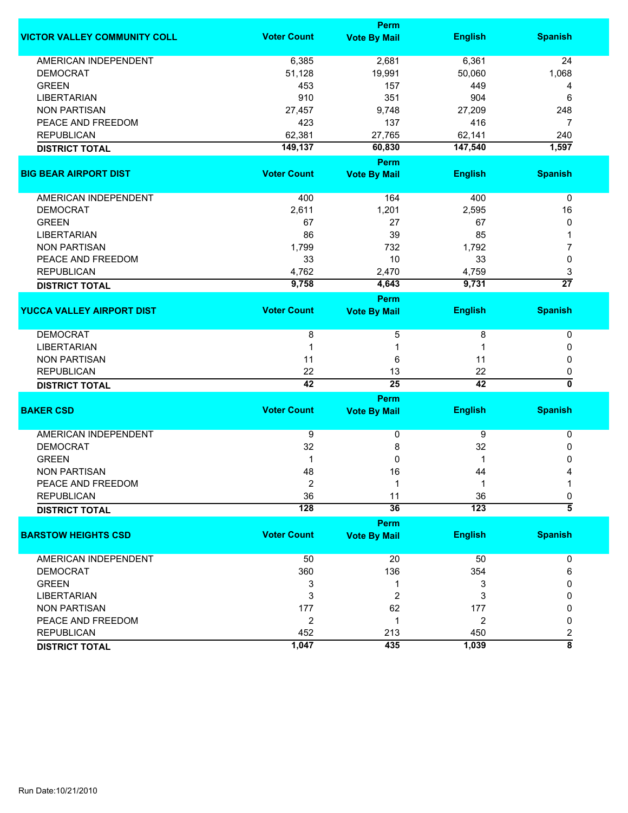|                                     | Perm                    |                         |                  |                         |  |
|-------------------------------------|-------------------------|-------------------------|------------------|-------------------------|--|
| <b>VICTOR VALLEY COMMUNITY COLL</b> | <b>Voter Count</b>      | <b>Vote By Mail</b>     | <b>English</b>   | <b>Spanish</b>          |  |
| <b>AMERICAN INDEPENDENT</b>         | 6,385                   | 2,681                   | 6,361            | 24                      |  |
| <b>DEMOCRAT</b>                     | 51,128                  | 19,991                  | 50,060           | 1,068                   |  |
| <b>GREEN</b>                        | 453                     | 157                     | 449              | 4                       |  |
| <b>LIBERTARIAN</b>                  | 910                     | 351                     | 904              | 6                       |  |
| <b>NON PARTISAN</b>                 | 27,457                  | 9,748                   | 27,209           | 248                     |  |
| PEACE AND FREEDOM                   | 423                     | 137                     | 416              | 7                       |  |
| <b>REPUBLICAN</b>                   | 62,381                  | 27,765                  | 62,141           | 240                     |  |
| <b>DISTRICT TOTAL</b>               | 149,137                 | 60,830                  | 147,540          | 1,597                   |  |
|                                     |                         | Perm                    |                  |                         |  |
| <b>BIG BEAR AIRPORT DIST</b>        | <b>Voter Count</b>      | <b>Vote By Mail</b>     | <b>English</b>   | <b>Spanish</b>          |  |
| AMERICAN INDEPENDENT                | 400                     | 164                     | 400              | 0                       |  |
| <b>DEMOCRAT</b>                     | 2,611                   | 1,201                   | 2,595            | 16                      |  |
| <b>GREEN</b>                        | 67                      | 27                      | 67               | 0                       |  |
| <b>LIBERTARIAN</b>                  | 86                      | 39                      | 85               |                         |  |
| <b>NON PARTISAN</b>                 | 1,799                   | 732                     | 1,792            | 7                       |  |
| PEACE AND FREEDOM                   | 33                      | 10                      | 33               | 0                       |  |
| <b>REPUBLICAN</b>                   | 4,762                   | 2,470                   | 4,759            | 3                       |  |
| <b>DISTRICT TOTAL</b>               | 9,758                   | 4,643                   | 9,731            | $\overline{27}$         |  |
|                                     |                         | Perm                    |                  |                         |  |
| <b>YUCCA VALLEY AIRPORT DIST</b>    | <b>Voter Count</b>      | <b>Vote By Mail</b>     | <b>English</b>   | <b>Spanish</b>          |  |
| <b>DEMOCRAT</b>                     | 8                       | 5                       | 8                | 0                       |  |
| <b>LIBERTARIAN</b>                  | 1                       | 1                       | 1                | 0                       |  |
| <b>NON PARTISAN</b>                 | 11                      | 6                       | 11               | 0                       |  |
| <b>REPUBLICAN</b>                   | 22                      | 13                      | 22               | 0                       |  |
| <b>DISTRICT TOTAL</b>               | 42                      | $\overline{25}$         | 42               | $\overline{\mathbf{0}}$ |  |
|                                     |                         | Perm                    |                  |                         |  |
| <b>BAKER CSD</b>                    | <b>Voter Count</b>      | <b>Vote By Mail</b>     | <b>English</b>   | <b>Spanish</b>          |  |
| <b>AMERICAN INDEPENDENT</b>         | 9                       | 0                       | 9                | 0                       |  |
| <b>DEMOCRAT</b>                     | 32                      | 8                       | 32               | 0                       |  |
| <b>GREEN</b>                        | 1                       | 0                       | 1                | 0                       |  |
| <b>NON PARTISAN</b>                 | 48                      | 16                      | 44               | 4                       |  |
| PEACE AND FREEDOM                   | 2                       | 1                       | 1                | 1                       |  |
| <b>REPUBLICAN</b>                   | 36                      | 11                      | 36               | 0                       |  |
| <b>DISTRICT TOTAL</b>               | $\overline{128}$        | $\overline{36}$         | $\overline{123}$ | $\overline{5}$          |  |
|                                     |                         | Perm                    |                  |                         |  |
| <b>BARSTOW HEIGHTS CSD</b>          | <b>Voter Count</b>      | <b>Vote By Mail</b>     | <b>English</b>   | <b>Spanish</b>          |  |
| AMERICAN INDEPENDENT                | 50                      | 20                      | 50               | 0                       |  |
| <b>DEMOCRAT</b>                     | 360                     | 136                     | 354              | 6                       |  |
| <b>GREEN</b>                        | 3                       | 1                       | 3                | 0                       |  |
| <b>LIBERTARIAN</b>                  | 3                       | $\overline{\mathbf{c}}$ | 3                | 0                       |  |
| <b>NON PARTISAN</b>                 | 177                     | 62                      | 177              | 0                       |  |
| PEACE AND FREEDOM                   | $\overline{\mathbf{c}}$ | 1                       | $\overline{2}$   | 0                       |  |
| <b>REPUBLICAN</b>                   | 452                     | 213                     | 450              | $\overline{\mathbf{c}}$ |  |
| <b>DISTRICT TOTAL</b>               | 1,047                   | 435                     | 1,039            | $\overline{\bf 8}$      |  |
|                                     |                         |                         |                  |                         |  |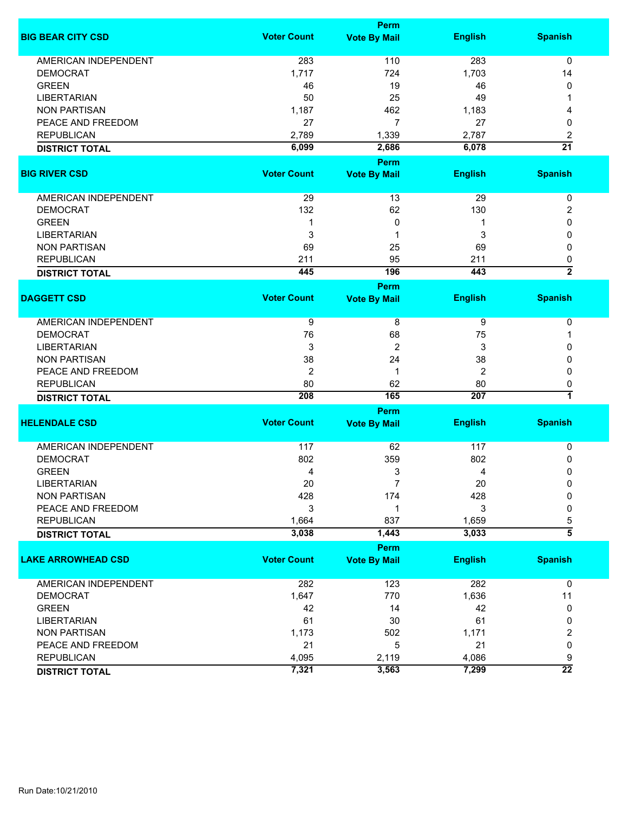|                             |                    | Perm                |                |                      |
|-----------------------------|--------------------|---------------------|----------------|----------------------|
| <b>BIG BEAR CITY CSD</b>    | <b>Voter Count</b> | <b>Vote By Mail</b> | <b>English</b> | <b>Spanish</b>       |
| <b>AMERICAN INDEPENDENT</b> | 283                | 110                 | 283            | 0                    |
| <b>DEMOCRAT</b>             | 1,717              | 724                 | 1,703          | 14                   |
| <b>GREEN</b>                | 46                 | 19                  | 46             | 0                    |
| <b>LIBERTARIAN</b>          | 50                 | 25                  | 49             |                      |
|                             |                    |                     |                |                      |
| <b>NON PARTISAN</b>         | 1,187              | 462                 | 1,183          | 4                    |
| PEACE AND FREEDOM           | 27                 | $\overline{7}$      | 27             | 0                    |
| <b>REPUBLICAN</b>           | 2,789              | 1,339               | 2,787          | 2                    |
| <b>DISTRICT TOTAL</b>       | 6,099              | 2,686               | 6,078          | $\overline{21}$      |
|                             |                    | Perm                |                |                      |
| <b>BIG RIVER CSD</b>        | <b>Voter Count</b> | <b>Vote By Mail</b> | <b>English</b> | <b>Spanish</b>       |
| AMERICAN INDEPENDENT        | 29                 | 13                  | 29             | $\pmb{0}$            |
| <b>DEMOCRAT</b>             | 132                | 62                  | 130            |                      |
|                             |                    |                     |                | 2                    |
| <b>GREEN</b>                | 1                  | 0                   | 1              | 0                    |
| <b>LIBERTARIAN</b>          | 3                  | 1                   | 3              | 0                    |
| <b>NON PARTISAN</b>         | 69                 | 25                  | 69             | 0                    |
| <b>REPUBLICAN</b>           | 211                | 95                  | 211            | 0                    |
| <b>DISTRICT TOTAL</b>       | 445                | 196                 | 443            | $\overline{2}$       |
|                             |                    | <b>Perm</b>         |                |                      |
| <b>DAGGETT CSD</b>          | <b>Voter Count</b> | <b>Vote By Mail</b> | <b>English</b> | <b>Spanish</b>       |
| AMERICAN INDEPENDENT        | 9                  | 8                   | 9              | 0                    |
| <b>DEMOCRAT</b>             | 76                 | 68                  | 75             | 1                    |
| <b>LIBERTARIAN</b>          | 3                  | 2                   | 3              | 0                    |
| <b>NON PARTISAN</b>         | 38                 | 24                  | 38             | 0                    |
| PEACE AND FREEDOM           | 2                  | 1                   | 2              | 0                    |
|                             | 80                 |                     |                |                      |
| <b>REPUBLICAN</b>           | 208                | 62<br>165           | 80<br>207      | 0<br>7               |
| <b>DISTRICT TOTAL</b>       |                    |                     |                |                      |
|                             |                    | Perm                |                |                      |
| <b>HELENDALE CSD</b>        | <b>Voter Count</b> | <b>Vote By Mail</b> | <b>English</b> | <b>Spanish</b>       |
| AMERICAN INDEPENDENT        | 117                | 62                  | 117            | 0                    |
| <b>DEMOCRAT</b>             | 802                | 359                 | 802            | 0                    |
| <b>GREEN</b>                | 4                  | 3                   | 4              | 0                    |
| LIBERTARIAN                 | 20                 |                     | 20             | 0                    |
| <b>NON PARTISAN</b>         | 428                | 174                 | 428            | 0                    |
| PEACE AND FREEDOM           | 3                  | 1                   | 3              | 0                    |
| <b>REPUBLICAN</b>           | 1,664              | 837                 | 1,659          | 5                    |
|                             | 3,038              | 1,443               | 3,033          | $\overline{\bf{5}}$  |
| <b>DISTRICT TOTAL</b>       |                    |                     |                |                      |
|                             |                    | <b>Perm</b>         |                |                      |
| <b>LAKE ARROWHEAD CSD</b>   | <b>Voter Count</b> | <b>Vote By Mail</b> | <b>English</b> | <b>Spanish</b>       |
| AMERICAN INDEPENDENT        | 282                | 123                 | 282            | $\mathbf 0$          |
| <b>DEMOCRAT</b>             | 1,647              | 770                 | 1,636          | 11                   |
| <b>GREEN</b>                | 42                 | 14                  | 42             | 0                    |
| <b>LIBERTARIAN</b>          | 61                 | 30                  | 61             | 0                    |
| <b>NON PARTISAN</b>         | 1,173              | 502                 | 1,171          | 2                    |
| PEACE AND FREEDOM           | 21                 | 5                   | 21             | 0                    |
| <b>REPUBLICAN</b>           | 4,095              |                     | 4,086          |                      |
|                             |                    | 2,119               |                | 9<br>$\overline{22}$ |
| <b>DISTRICT TOTAL</b>       | 7,321              | 3,563               | 7,299          |                      |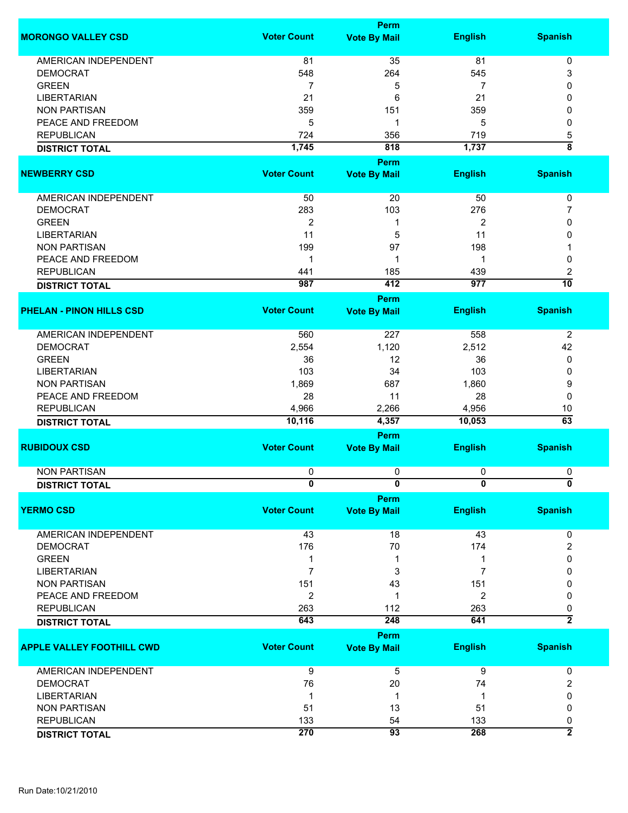|                                  |                    | <b>Perm</b>                        |                  |                    |
|----------------------------------|--------------------|------------------------------------|------------------|--------------------|
| <b>MORONGO VALLEY CSD</b>        | <b>Voter Count</b> | <b>Vote By Mail</b>                | <b>English</b>   | <b>Spanish</b>     |
| <b>AMERICAN INDEPENDENT</b>      | 81                 | 35                                 | 81               | 0                  |
| <b>DEMOCRAT</b>                  | 548                | 264                                | 545              | 3                  |
| <b>GREEN</b>                     |                    |                                    |                  | 0                  |
|                                  | 7                  | 5                                  | 7                |                    |
| <b>LIBERTARIAN</b>               | 21                 | 6                                  | 21               | 0                  |
| <b>NON PARTISAN</b>              | 359                | 151                                | 359              | 0                  |
| PEACE AND FREEDOM                | 5                  | 1                                  | 5                | 0                  |
| <b>REPUBLICAN</b>                | 724                | 356                                | 719              | 5                  |
| <b>DISTRICT TOTAL</b>            | 1,745              | 818                                | 1,737            | $\overline{\bf 8}$ |
| <b>NEWBERRY CSD</b>              | <b>Voter Count</b> | <b>Perm</b><br><b>Vote By Mail</b> | <b>English</b>   | <b>Spanish</b>     |
|                                  |                    |                                    |                  |                    |
| AMERICAN INDEPENDENT             | 50                 | 20                                 | 50               | 0                  |
| <b>DEMOCRAT</b>                  | 283                | 103                                | 276              | 7                  |
| <b>GREEN</b>                     | $\overline{2}$     | 1                                  | 2                | 0                  |
| <b>LIBERTARIAN</b>               | 11                 | 5                                  | 11               | 0                  |
| <b>NON PARTISAN</b>              | 199                | 97                                 | 198              |                    |
| PEACE AND FREEDOM                | 1                  | 1                                  | 1                | 0                  |
| <b>REPUBLICAN</b>                | 441                | 185                                | 439              | 2                  |
| <b>DISTRICT TOTAL</b>            | 987                | 412                                | $\overline{977}$ | $\overline{10}$    |
|                                  |                    | Perm                               |                  |                    |
| <b>PHELAN - PINON HILLS CSD</b>  | <b>Voter Count</b> | <b>Vote By Mail</b>                | <b>English</b>   | <b>Spanish</b>     |
|                                  |                    |                                    |                  |                    |
| AMERICAN INDEPENDENT             | 560                | 227                                | 558              | $\overline{c}$     |
| <b>DEMOCRAT</b>                  | 2,554              | 1,120                              | 2,512            | 42                 |
| <b>GREEN</b>                     | 36                 | 12                                 | 36               | 0                  |
| <b>LIBERTARIAN</b>               | 103                | 34                                 | 103              | 0                  |
| <b>NON PARTISAN</b>              | 1,869              | 687                                | 1,860            | 9                  |
| PEACE AND FREEDOM                | 28                 | 11                                 | 28               | 0                  |
| <b>REPUBLICAN</b>                | 4,966              | 2,266                              | 4,956            | 10                 |
| <b>DISTRICT TOTAL</b>            | 10,116             | 4,357                              | 10,053           | $\overline{63}$    |
|                                  |                    | <b>Perm</b>                        |                  |                    |
| <b>RUBIDOUX CSD</b>              | <b>Voter Count</b> | <b>Vote By Mail</b>                | <b>English</b>   | <b>Spanish</b>     |
|                                  |                    |                                    |                  |                    |
| <b>NON PARTISAN</b>              | 0                  | 0                                  | 0                | 0                  |
| <b>DISTRICT TOTAL</b>            | 0                  | 0                                  | 0                | 0                  |
| <b>YERMO CSD</b>                 | <b>Voter Count</b> | <b>Perm</b><br><b>Vote By Mail</b> | <b>English</b>   | <b>Spanish</b>     |
|                                  |                    |                                    |                  |                    |
| <b>AMERICAN INDEPENDENT</b>      | 43                 | 18                                 | 43               | 0                  |
| <b>DEMOCRAT</b>                  | 176                | 70                                 | 174              | 2                  |
| <b>GREEN</b>                     | 1                  | 1                                  | 1                | 0                  |
| <b>LIBERTARIAN</b>               | 7                  | 3                                  | 7                | 0                  |
| <b>NON PARTISAN</b>              | 151                | 43                                 | 151              | 0                  |
| PEACE AND FREEDOM                | $\overline{2}$     | 1                                  | $\overline{2}$   | 0                  |
| <b>REPUBLICAN</b>                | 263                | 112                                | 263              | 0                  |
| <b>DISTRICT TOTAL</b>            | 643                | 248                                | 641              | $\overline{2}$     |
|                                  |                    | <b>Perm</b>                        |                  |                    |
| <b>APPLE VALLEY FOOTHILL CWD</b> | <b>Voter Count</b> | <b>Vote By Mail</b>                | <b>English</b>   | <b>Spanish</b>     |
| <b>AMERICAN INDEPENDENT</b>      | 9                  | 5                                  | 9                | 0                  |
| <b>DEMOCRAT</b>                  | 76                 | 20                                 | 74               | 2                  |
| <b>LIBERTARIAN</b>               | $\mathbf 1$        | 1                                  | $\mathbf 1$      | 0                  |
| <b>NON PARTISAN</b>              | 51                 | 13                                 | 51               | 0                  |
| <b>REPUBLICAN</b>                | 133                | 54                                 | 133              | 0                  |
| <b>DISTRICT TOTAL</b>            | 270                | 93                                 | 268              | $\overline{2}$     |
|                                  |                    |                                    |                  |                    |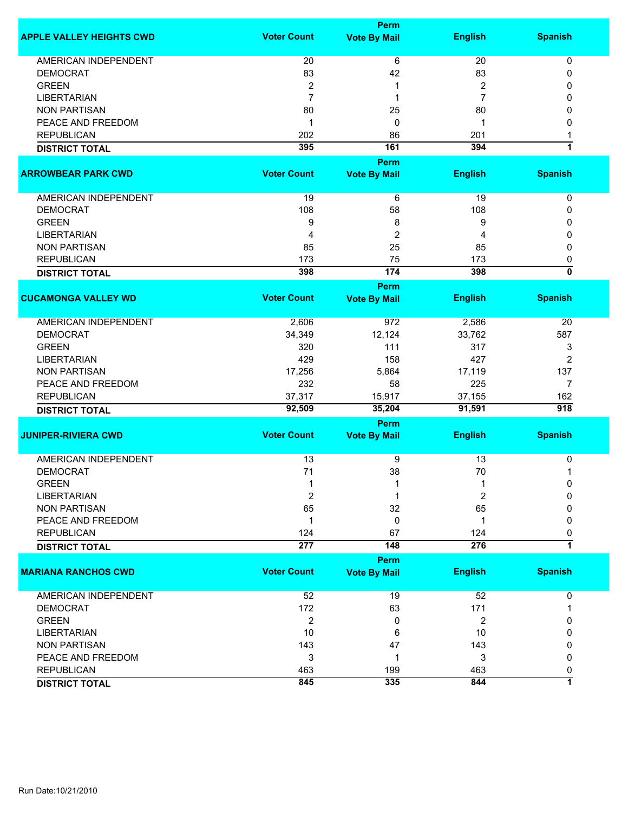|                                 |                    | <b>Perm</b>         |                         |                  |
|---------------------------------|--------------------|---------------------|-------------------------|------------------|
| <b>APPLE VALLEY HEIGHTS CWD</b> | <b>Voter Count</b> | <b>Vote By Mail</b> | <b>English</b>          | <b>Spanish</b>   |
| <b>AMERICAN INDEPENDENT</b>     | 20                 | 6                   | 20                      | $\pmb{0}$        |
| <b>DEMOCRAT</b>                 | 83                 | 42                  | 83                      | 0                |
| <b>GREEN</b>                    | $\boldsymbol{2}$   | 1                   | $\boldsymbol{2}$        | 0                |
| <b>LIBERTARIAN</b>              | $\overline{7}$     | 1                   | $\overline{7}$          | 0                |
| <b>NON PARTISAN</b>             | 80                 | 25                  | 80                      | 0                |
| PEACE AND FREEDOM               | $\mathbf 1$        | 0                   | 1                       | 0                |
| <b>REPUBLICAN</b>               | 202                | 86                  | 201                     |                  |
|                                 | 395                | 161                 | 394                     | 7                |
| <b>DISTRICT TOTAL</b>           |                    |                     |                         |                  |
|                                 |                    | Perm                |                         |                  |
| <b>ARROWBEAR PARK CWD</b>       | <b>Voter Count</b> | <b>Vote By Mail</b> | <b>English</b>          | <b>Spanish</b>   |
| AMERICAN INDEPENDENT            | 19                 | 6                   | 19                      | 0                |
| <b>DEMOCRAT</b>                 | 108                | 58                  | 108                     | 0                |
| <b>GREEN</b>                    | 9                  | 8                   | 9                       | 0                |
| <b>LIBERTARIAN</b>              | 4                  | $\overline{c}$      | 4                       | 0                |
| <b>NON PARTISAN</b>             | 85                 | 25                  | 85                      | 0                |
| <b>REPUBLICAN</b>               | 173                | 75                  | 173                     | 0                |
|                                 | 398                | $\overline{174}$    | 398                     | 0                |
| <b>DISTRICT TOTAL</b>           |                    |                     |                         |                  |
|                                 |                    | Perm                |                         |                  |
| <b>CUCAMONGA VALLEY WD</b>      | <b>Voter Count</b> | <b>Vote By Mail</b> | <b>English</b>          | <b>Spanish</b>   |
| AMERICAN INDEPENDENT            | 2,606              | 972                 | 2,586                   | 20               |
| <b>DEMOCRAT</b>                 | 34,349             | 12,124              | 33,762                  | 587              |
| <b>GREEN</b>                    | 320                | 111                 | 317                     | 3                |
| <b>LIBERTARIAN</b>              | 429                | 158                 | 427                     | 2                |
| <b>NON PARTISAN</b>             | 17,256             | 5,864               | 17,119                  | 137              |
| PEACE AND FREEDOM               | 232                | 58                  | 225                     | 7                |
| <b>REPUBLICAN</b>               | 37,317             | 15,917              | 37,155                  | 162              |
| <b>DISTRICT TOTAL</b>           | 92,509             | 35,204              | 91,591                  | $\overline{918}$ |
|                                 |                    | Perm                |                         |                  |
| <b>JUNIPER-RIVIERA CWD</b>      | <b>Voter Count</b> | <b>Vote By Mail</b> | <b>English</b>          | <b>Spanish</b>   |
|                                 |                    |                     |                         |                  |
| <b>AMERICAN INDEPENDENT</b>     | 13                 | 9                   | 13                      | 0                |
| <b>DEMOCRAT</b>                 | 71                 | 38                  | 70                      | 1                |
| <b>GREEN</b>                    | 1                  | 1                   | 1                       | 0                |
| <b>LIBERTARIAN</b>              | $\overline{2}$     | 1                   | 2                       | $\Omega$         |
| <b>NON PARTISAN</b>             | 65                 | 32                  | 65                      | 0                |
| PEACE AND FREEDOM               | -1                 | 0                   | 1                       | 0                |
| <b>REPUBLICAN</b>               | 124                | 67                  | 124                     | 0                |
| <b>DISTRICT TOTAL</b>           | 277                | 148                 | $\overline{276}$        | 1                |
|                                 |                    | Perm                |                         |                  |
| <b>MARIANA RANCHOS CWD</b>      | <b>Voter Count</b> | <b>Vote By Mail</b> | <b>English</b>          | <b>Spanish</b>   |
| <b>AMERICAN INDEPENDENT</b>     | 52                 | 19                  | 52                      | 0                |
| <b>DEMOCRAT</b>                 | 172                | 63                  | 171                     | 1                |
| <b>GREEN</b>                    |                    |                     |                         |                  |
|                                 | $\overline{2}$     | 0                   | $\overline{\mathbf{c}}$ | 0                |
| <b>LIBERTARIAN</b>              | 10                 | 6                   | 10                      | 0                |
| <b>NON PARTISAN</b>             | 143                | 47                  | 143                     | 0                |
| PEACE AND FREEDOM               | 3                  | 1                   | 3                       | 0                |
| <b>REPUBLICAN</b>               | 463                | 199                 | 463                     | 0                |
| <b>DISTRICT TOTAL</b>           | 845                | 335                 | 844                     | 1                |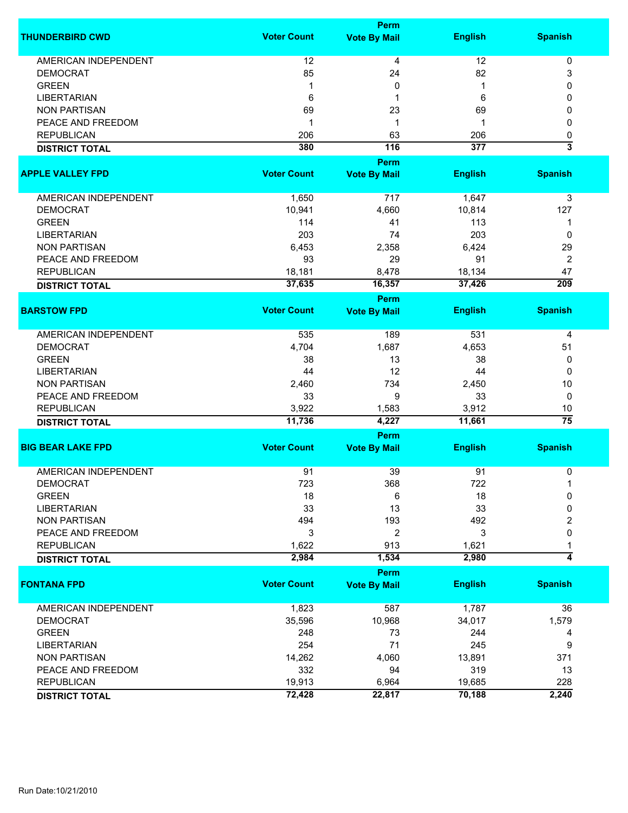|                             |                    | <b>Perm</b>         |                |                           |
|-----------------------------|--------------------|---------------------|----------------|---------------------------|
| <b>THUNDERBIRD CWD</b>      | <b>Voter Count</b> | <b>Vote By Mail</b> | <b>English</b> | <b>Spanish</b>            |
| <b>AMERICAN INDEPENDENT</b> | 12                 | 4                   | 12             | $\pmb{0}$                 |
| <b>DEMOCRAT</b>             | 85                 | 24                  | 82             | 3                         |
| <b>GREEN</b>                | 1                  | 0                   | 1              | 0                         |
| <b>LIBERTARIAN</b>          | 6                  | 1                   | 6              | 0                         |
|                             |                    |                     |                |                           |
| <b>NON PARTISAN</b>         | 69                 | 23                  | 69             | 0                         |
| PEACE AND FREEDOM           | 1                  | 1                   | 1              | 0                         |
| <b>REPUBLICAN</b>           | 206                | 63                  | 206            | 0                         |
| <b>DISTRICT TOTAL</b>       | 380                | 116                 | 377            | $\overline{\overline{3}}$ |
|                             |                    | Perm                |                |                           |
| <b>APPLE VALLEY FPD</b>     | <b>Voter Count</b> | <b>Vote By Mail</b> | <b>English</b> | <b>Spanish</b>            |
| AMERICAN INDEPENDENT        | 1,650              | 717                 | 1,647          | 3                         |
| <b>DEMOCRAT</b>             | 10,941             | 4,660               | 10,814         | 127                       |
| <b>GREEN</b>                | 114                | 41                  | 113            | 1                         |
| <b>LIBERTARIAN</b>          | 203                | 74                  | 203            | 0                         |
| <b>NON PARTISAN</b>         | 6,453              | 2,358               | 6,424          | 29                        |
| PEACE AND FREEDOM           | 93                 | 29                  | 91             | $\overline{2}$            |
|                             |                    |                     |                |                           |
| <b>REPUBLICAN</b>           | 18,181             | 8,478               | 18,134         | 47                        |
| <b>DISTRICT TOTAL</b>       | 37,635             | 16,357              | 37,426         | $\overline{209}$          |
|                             |                    | <b>Perm</b>         |                |                           |
| <b>BARSTOW FPD</b>          | <b>Voter Count</b> | <b>Vote By Mail</b> | <b>English</b> | <b>Spanish</b>            |
| <b>AMERICAN INDEPENDENT</b> | 535                | 189                 | 531            | 4                         |
| <b>DEMOCRAT</b>             | 4,704              | 1,687               | 4,653          | 51                        |
| <b>GREEN</b>                | 38                 | 13                  | 38             | 0                         |
| <b>LIBERTARIAN</b>          | 44                 | 12                  | 44             | $\Omega$                  |
| <b>NON PARTISAN</b>         | 2,460              | 734                 | 2,450          | 10                        |
| PEACE AND FREEDOM           | 33                 | 9                   |                | 0                         |
|                             |                    |                     | 33             |                           |
| <b>REPUBLICAN</b>           | 3,922              | 1,583<br>4,227      | 3,912          | 10<br>$\overline{75}$     |
| <b>DISTRICT TOTAL</b>       | 11,736             |                     | 11,661         |                           |
|                             |                    | Perm                |                |                           |
| <b>BIG BEAR LAKE FPD</b>    | <b>Voter Count</b> | <b>Vote By Mail</b> | <b>English</b> | <b>Spanish</b>            |
| <b>AMERICAN INDEPENDENT</b> | 91                 | 39                  | 91             | 0                         |
| <b>DEMOCRAT</b>             | 723                | 368                 | 722            | 1                         |
| <b>GREEN</b>                | 18                 | 6                   | 18             | 0                         |
| <b>LIBERTARIAN</b>          | 33                 | 13                  | 33             | 0                         |
| <b>NON PARTISAN</b>         | 494                | 193                 | 492            | 2                         |
| PEACE AND FREEDOM           | 3                  | 2                   | 3              | 0                         |
| <b>REPUBLICAN</b>           | 1,622              | 913                 | 1,621          |                           |
| <b>DISTRICT TOTAL</b>       | 2,984              | 1,534               | 2,980          | 4                         |
|                             |                    | <b>Perm</b>         |                |                           |
| <b>FONTANA FPD</b>          | <b>Voter Count</b> | <b>Vote By Mail</b> | <b>English</b> | <b>Spanish</b>            |
| <b>AMERICAN INDEPENDENT</b> | 1,823              | 587                 | 1,787          | 36                        |
| <b>DEMOCRAT</b>             | 35,596             | 10,968              | 34,017         | 1,579                     |
| <b>GREEN</b>                | 248                | 73                  | 244            | 4                         |
| <b>LIBERTARIAN</b>          | 254                | 71                  | 245            | 9                         |
| <b>NON PARTISAN</b>         | 14,262             | 4,060               | 13,891         | 371                       |
| PEACE AND FREEDOM           | 332                | 94                  | 319            | 13                        |
| <b>REPUBLICAN</b>           | 19,913             | 6,964               | 19,685         | 228                       |
|                             | 72,428             | 22,817              | 70,188         | 2,240                     |
| <b>DISTRICT TOTAL</b>       |                    |                     |                |                           |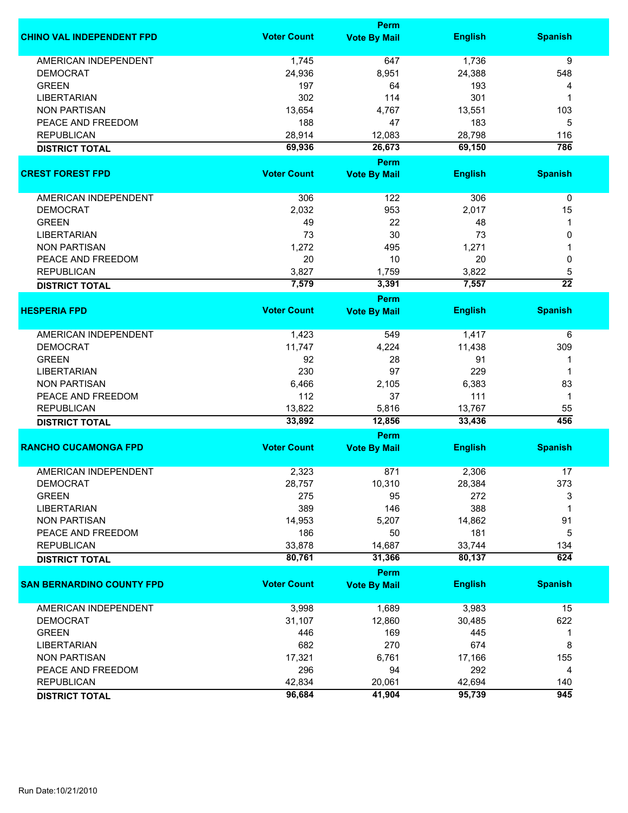|                                  |                    | Perm                        |                  |                 |
|----------------------------------|--------------------|-----------------------------|------------------|-----------------|
| <b>CHINO VAL INDEPENDENT FPD</b> | <b>Voter Count</b> | <b>Vote By Mail</b>         | <b>English</b>   | <b>Spanish</b>  |
| <b>AMERICAN INDEPENDENT</b>      | 1,745              | 647                         | 1,736            | 9               |
| <b>DEMOCRAT</b>                  | 24,936             | 8,951                       | 24,388           | 548             |
| <b>GREEN</b>                     | 197                | 64                          | 193              | 4               |
| <b>LIBERTARIAN</b>               | 302                | 114                         | 301              | 1               |
| <b>NON PARTISAN</b>              | 13,654             | 4,767                       | 13,551           | 103             |
|                                  |                    |                             |                  |                 |
| PEACE AND FREEDOM                | 188                | 47                          | 183              | 5               |
| <b>REPUBLICAN</b>                | 28,914             | 12,083                      | 28,798           | 116             |
| <b>DISTRICT TOTAL</b>            | 69,936             | 26,673                      | 69,150           | 786             |
| <b>CREST FOREST FPD</b>          | <b>Voter Count</b> | Perm<br><b>Vote By Mail</b> | <b>English</b>   | <b>Spanish</b>  |
|                                  |                    |                             |                  |                 |
| AMERICAN INDEPENDENT             | 306                | 122                         | 306              | $\pmb{0}$       |
| <b>DEMOCRAT</b>                  | 2,032              | 953                         | 2,017            | 15              |
| <b>GREEN</b>                     | 49                 | 22                          | 48               | 1               |
| <b>LIBERTARIAN</b>               | 73                 | 30                          | 73               | 0               |
| <b>NON PARTISAN</b>              | 1,272              | 495                         | 1,271            |                 |
| PEACE AND FREEDOM                | 20                 | 10                          | 20               | 0               |
| <b>REPUBLICAN</b>                | 3,827              | 1,759                       | 3,822            | 5               |
|                                  | 7,579              | 3,391                       | 7,557            | $\overline{22}$ |
| <b>DISTRICT TOTAL</b>            |                    | <b>Perm</b>                 |                  |                 |
| <b>HESPERIA FPD</b>              | <b>Voter Count</b> | <b>Vote By Mail</b>         | <b>English</b>   | <b>Spanish</b>  |
|                                  |                    |                             |                  |                 |
| <b>AMERICAN INDEPENDENT</b>      | 1,423              | 549                         | 1,417            | 6               |
| <b>DEMOCRAT</b>                  | 11,747             | 4,224                       | 11,438           | 309             |
| <b>GREEN</b>                     | 92                 | 28                          | 91               | 1               |
| <b>LIBERTARIAN</b>               | 230                | 97                          | 229              | 1               |
| <b>NON PARTISAN</b>              | 6,466              | 2,105                       | 6,383            | 83              |
| PEACE AND FREEDOM                | 112                | 37                          | 111              | $\mathbf{1}$    |
|                                  |                    |                             |                  | 55              |
| <b>REPUBLICAN</b>                | 13,822<br>33,892   | 5,816<br>12,856             | 13,767<br>33,436 | 456             |
| <b>DISTRICT TOTAL</b>            |                    | Perm                        |                  |                 |
| <b>RANCHO CUCAMONGA FPD</b>      | <b>Voter Count</b> | <b>Vote By Mail</b>         | <b>English</b>   | <b>Spanish</b>  |
|                                  |                    |                             |                  |                 |
| <b>AMERICAN INDEPENDENT</b>      | 2,323              | 871                         | 2,306            | 17              |
| <b>DEMOCRAT</b>                  | 28,757             | 10,310                      | 28,384           | 373             |
| <b>GREEN</b>                     | 275                | 95                          | 272              | 3               |
| <b>LIBERTARIAN</b>               | 389                | 146                         | 388              | 1               |
| <b>NON PARTISAN</b>              | 14,953             | 5,207                       | 14,862           | 91              |
| PEACE AND FREEDOM                | 186                | 50                          | 181              | 5               |
| <b>REPUBLICAN</b>                | 33,878             | 14,687                      | 33,744           | 134             |
| <b>DISTRICT TOTAL</b>            | 80,761             | 31,366                      | 80,137           | 624             |
|                                  |                    | Perm                        |                  |                 |
| <b>SAN BERNARDINO COUNTY FPD</b> | <b>Voter Count</b> | <b>Vote By Mail</b>         | <b>English</b>   | <b>Spanish</b>  |
| AMERICAN INDEPENDENT             | 3,998              | 1,689                       | 3,983            | 15              |
| <b>DEMOCRAT</b>                  | 31,107             | 12,860                      | 30,485           | 622             |
| <b>GREEN</b>                     | 446                | 169                         | 445              | 1               |
| <b>LIBERTARIAN</b>               | 682                | 270                         | 674              | 8               |
| <b>NON PARTISAN</b>              | 17,321             | 6,761                       | 17,166           | 155             |
|                                  |                    |                             | 292              |                 |
| PEACE AND FREEDOM                | 296                | 94                          |                  | 4               |
| <b>REPUBLICAN</b>                | 42,834             | 20,061                      | 42,694           | 140             |
| <b>DISTRICT TOTAL</b>            | 96,684             | 41,904                      | 95,739           | 945             |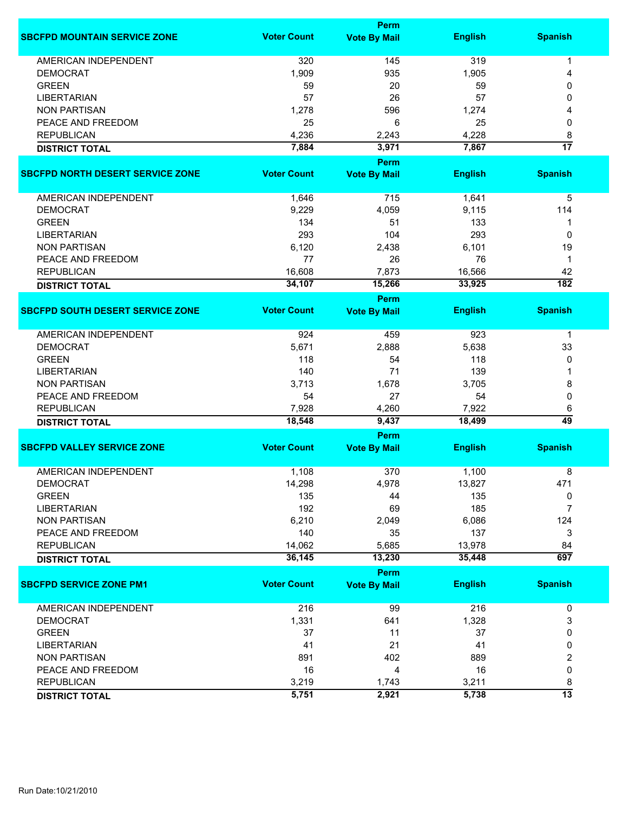|                                         | Perm               |                             |                |                  |  |
|-----------------------------------------|--------------------|-----------------------------|----------------|------------------|--|
| <b>SBCFPD MOUNTAIN SERVICE ZONE</b>     | <b>Voter Count</b> | <b>Vote By Mail</b>         | <b>English</b> | <b>Spanish</b>   |  |
| <b>AMERICAN INDEPENDENT</b>             | 320                | 145                         | 319            | 1                |  |
| <b>DEMOCRAT</b>                         | 1,909              | 935                         | 1,905          | 4                |  |
| <b>GREEN</b>                            | 59                 | 20                          | 59             | 0                |  |
| <b>LIBERTARIAN</b>                      | 57                 | 26                          | 57             | 0                |  |
| <b>NON PARTISAN</b>                     | 1,278              | 596                         | 1,274          | 4                |  |
| PEACE AND FREEDOM                       | 25                 | 6                           | 25             | 0                |  |
| <b>REPUBLICAN</b>                       | 4,236              |                             | 4,228          |                  |  |
|                                         |                    | 2,243                       |                | 8                |  |
| <b>DISTRICT TOTAL</b>                   | 7,884              | 3,971                       | 7,867          | $\overline{17}$  |  |
| <b>SBCFPD NORTH DESERT SERVICE ZONE</b> | <b>Voter Count</b> | Perm<br><b>Vote By Mail</b> | <b>English</b> | <b>Spanish</b>   |  |
|                                         |                    |                             |                |                  |  |
| AMERICAN INDEPENDENT                    | 1,646              | 715                         | 1,641          | 5                |  |
| <b>DEMOCRAT</b>                         | 9,229              | 4,059                       | 9,115          | 114              |  |
| <b>GREEN</b>                            | 134                | 51                          | 133            | 1                |  |
| <b>LIBERTARIAN</b>                      | 293                | 104                         | 293            | 0                |  |
| <b>NON PARTISAN</b>                     | 6,120              | 2,438                       | 6,101          | 19               |  |
| PEACE AND FREEDOM                       | 77                 | 26                          | 76             | $\mathbf 1$      |  |
| <b>REPUBLICAN</b>                       | 16,608             | 7,873                       | 16,566         | 42               |  |
|                                         | 34,107             | 15,266                      | 33,925         | $\overline{182}$ |  |
| <b>DISTRICT TOTAL</b>                   |                    | <b>Perm</b>                 |                |                  |  |
| <b>SBCFPD SOUTH DESERT SERVICE ZONE</b> | <b>Voter Count</b> | <b>Vote By Mail</b>         | <b>English</b> | <b>Spanish</b>   |  |
| <b>AMERICAN INDEPENDENT</b>             | 924                | 459                         | 923            | 1                |  |
| <b>DEMOCRAT</b>                         | 5,671              | 2,888                       | 5,638          | 33               |  |
| <b>GREEN</b>                            | 118                | 54                          | 118            | 0                |  |
| <b>LIBERTARIAN</b>                      | 140                | 71                          | 139            |                  |  |
| <b>NON PARTISAN</b>                     | 3,713              | 1,678                       | 3,705          | 8                |  |
| PEACE AND FREEDOM                       | 54                 | 27                          | 54             | 0                |  |
| <b>REPUBLICAN</b>                       | 7,928              | 4,260                       | 7,922          | 6                |  |
| <b>DISTRICT TOTAL</b>                   | 18,548             | 9,437                       | 18,499         | 49               |  |
|                                         |                    | Perm                        |                |                  |  |
| <b>SBCFPD VALLEY SERVICE ZONE</b>       | <b>Voter Count</b> | <b>Vote By Mail</b>         | <b>English</b> | <b>Spanish</b>   |  |
|                                         |                    |                             |                |                  |  |
| <b>AMERICAN INDEPENDENT</b>             | 1,108              | 370                         | 1,100          | 8                |  |
| <b>DEMOCRAT</b>                         | 14,298             | 4,978                       | 13,827         | 471              |  |
| <b>GREEN</b>                            | 135                | 44                          | 135            | 0                |  |
| <b>LIBERTARIAN</b>                      | 192                | 69                          | 185            | $\overline{7}$   |  |
| <b>NON PARTISAN</b>                     | 6,210              | 2,049                       | 6,086          | 124              |  |
| PEACE AND FREEDOM                       | 140                | 35                          | 137            | 3                |  |
| <b>REPUBLICAN</b>                       | 14,062             | 5,685                       | 13,978         | 84               |  |
| <b>DISTRICT TOTAL</b>                   | 36,145             | 13,230                      | 35,448         | 697              |  |
|                                         |                    | <b>Perm</b>                 |                |                  |  |
| <b>SBCFPD SERVICE ZONE PM1</b>          | <b>Voter Count</b> | <b>Vote By Mail</b>         | <b>English</b> | <b>Spanish</b>   |  |
| AMERICAN INDEPENDENT                    | 216                | 99                          | 216            | 0                |  |
| <b>DEMOCRAT</b>                         | 1,331              | 641                         | 1,328          | 3                |  |
| <b>GREEN</b>                            | 37                 | 11                          | 37             | 0                |  |
| <b>LIBERTARIAN</b>                      | 41                 | 21                          | 41             | 0                |  |
| <b>NON PARTISAN</b>                     | 891                | 402                         | 889            | 2                |  |
| PEACE AND FREEDOM                       | 16                 | 4                           | 16             | 0                |  |
| <b>REPUBLICAN</b>                       | 3,219              | 1,743                       | 3,211          | 8                |  |
| <b>DISTRICT TOTAL</b>                   | 5,751              | 2,921                       | 5,738          | $\overline{13}$  |  |
|                                         |                    |                             |                |                  |  |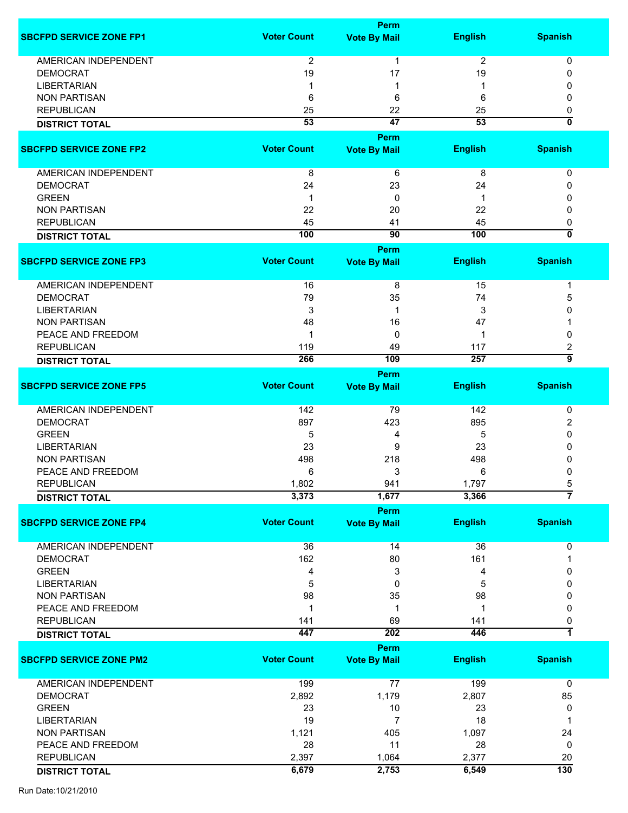|                                |                    | <b>Perm</b>         |                 |                         |
|--------------------------------|--------------------|---------------------|-----------------|-------------------------|
| <b>SBCFPD SERVICE ZONE FP1</b> | <b>Voter Count</b> | <b>Vote By Mail</b> | <b>English</b>  | <b>Spanish</b>          |
| <b>AMERICAN INDEPENDENT</b>    | $\overline{2}$     | 1                   | $\overline{c}$  | 0                       |
|                                |                    |                     |                 |                         |
| <b>DEMOCRAT</b>                | 19                 | 17                  | 19              | 0                       |
| <b>LIBERTARIAN</b>             |                    |                     |                 |                         |
| <b>NON PARTISAN</b>            | 6                  | 6                   | 6               | O                       |
| <b>REPUBLICAN</b>              | 25                 | 22                  | 25              | 0                       |
| <b>DISTRICT TOTAL</b>          | $\overline{53}$    | $\overline{47}$     | $\overline{53}$ | $\overline{\mathbf{0}}$ |
|                                |                    | Perm                |                 |                         |
| <b>SBCFPD SERVICE ZONE FP2</b> | <b>Voter Count</b> | <b>Vote By Mail</b> | <b>English</b>  | <b>Spanish</b>          |
| <b>AMERICAN INDEPENDENT</b>    | 8                  | 6                   | 8               | 0                       |
| <b>DEMOCRAT</b>                | 24                 | 23                  | 24              | 0                       |
| <b>GREEN</b>                   | 1                  | 0                   |                 | O                       |
| <b>NON PARTISAN</b>            | 22                 | 20                  | 22              | 0                       |
| <b>REPUBLICAN</b>              | 45                 |                     | 45              |                         |
|                                |                    | 41                  |                 | 0                       |
| <b>DISTRICT TOTAL</b>          | 100                | 90                  | 100             | $\overline{0}$          |
|                                |                    | Perm                |                 |                         |
| <b>SBCFPD SERVICE ZONE FP3</b> | <b>Voter Count</b> | <b>Vote By Mail</b> | <b>English</b>  | <b>Spanish</b>          |
| AMERICAN INDEPENDENT           | 16                 | 8                   | 15              | 1                       |
| <b>DEMOCRAT</b>                | 79                 | 35                  | 74              | 5                       |
| <b>LIBERTARIAN</b>             | 3                  | 1                   | 3               | 0                       |
| <b>NON PARTISAN</b>            |                    | 16                  | 47              |                         |
|                                | 48                 |                     |                 |                         |
| PEACE AND FREEDOM              | 1                  | 0                   |                 | 0                       |
| <b>REPUBLICAN</b>              | 119                | 49                  | 117             | 2                       |
| <b>DISTRICT TOTAL</b>          | 266                | 109                 | 257             | $\overline{9}$          |
|                                |                    | Perm                |                 |                         |
| <b>SBCFPD SERVICE ZONE FP5</b> | <b>Voter Count</b> | <b>Vote By Mail</b> | <b>English</b>  | <b>Spanish</b>          |
| <b>AMERICAN INDEPENDENT</b>    | 142                | 79                  | 142             | 0                       |
| <b>DEMOCRAT</b>                | 897                | 423                 | 895             | 2                       |
| <b>GREEN</b>                   | 5                  | 4                   | 5               | 0                       |
|                                |                    |                     |                 |                         |
| <b>LIBERTARIAN</b>             | 23                 | 9                   | 23              | 0                       |
| <b>NON PARTISAN</b>            | 498                | 218                 | 498             |                         |
| PEACE AND FREEDOM              | 6                  | 3                   | 6               | 0                       |
| <b>REPUBLICAN</b>              | 1,802              | 941                 | 1,797           | b                       |
| <b>DISTRICT TOTAL</b>          | 3,373              | 1,677               | 3,366           | $\overline{7}$          |
|                                |                    | <b>Perm</b>         |                 |                         |
| <b>SBCFPD SERVICE ZONE FP4</b> | <b>Voter Count</b> | <b>Vote By Mail</b> | <b>English</b>  | <b>Spanish</b>          |
| <b>AMERICAN INDEPENDENT</b>    | 36                 | 14                  | 36              | 0                       |
| <b>DEMOCRAT</b>                | 162                | 80                  | 161             | 1                       |
| <b>GREEN</b>                   | 4                  | 3                   | 4               | 0                       |
| <b>LIBERTARIAN</b>             | 5                  | 0                   | 5               | 0                       |
| <b>NON PARTISAN</b>            | 98                 | 35                  | 98              | 0                       |
| PEACE AND FREEDOM              | 1                  | 1                   | 1               | 0                       |
|                                |                    |                     |                 |                         |
| <b>REPUBLICAN</b>              | 141                | 69                  | 141             | 0                       |
| <b>DISTRICT TOTAL</b>          | 447                | 202                 | 446             | 1                       |
|                                |                    | <b>Perm</b>         |                 |                         |
| <b>SBCFPD SERVICE ZONE PM2</b> | <b>Voter Count</b> | <b>Vote By Mail</b> | <b>English</b>  | <b>Spanish</b>          |
| <b>AMERICAN INDEPENDENT</b>    | 199                | 77                  | 199             | $\mathbf 0$             |
| <b>DEMOCRAT</b>                | 2,892              | 1,179               | 2,807           | 85                      |
| <b>GREEN</b>                   | 23                 | 10                  | 23              | 0                       |
| <b>LIBERTARIAN</b>             | 19                 | 7                   | 18              | -1                      |
|                                |                    |                     |                 |                         |
| <b>NON PARTISAN</b>            | 1,121              | 405                 | 1,097           | 24                      |
| PEACE AND FREEDOM              | 28                 | 11                  | 28              | 0                       |
| <b>REPUBLICAN</b>              | 2,397              | 1,064               | 2,377           | 20                      |
| <b>DISTRICT TOTAL</b>          | 6,679              | 2,753               | 6,549           | $\overline{130}$        |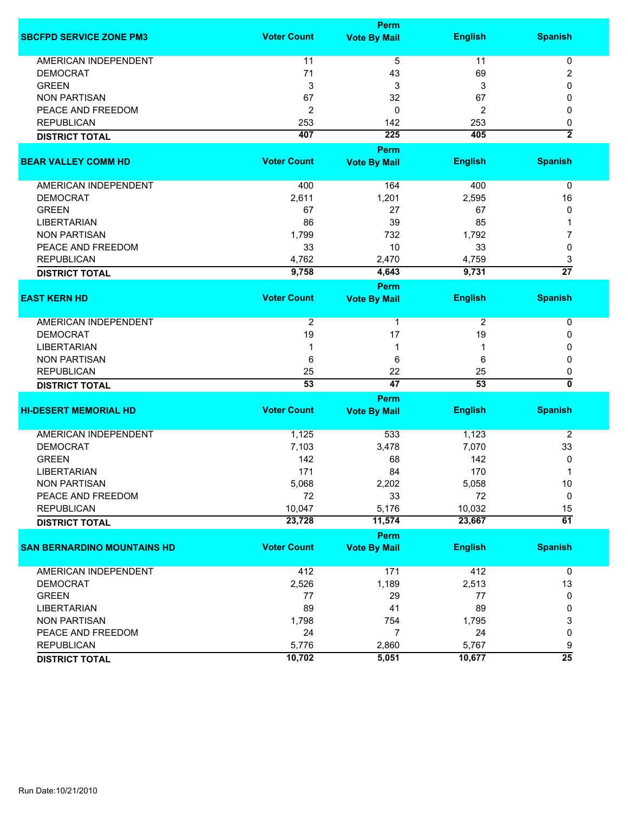|                                    |                    | Perm                        |                 |                         |
|------------------------------------|--------------------|-----------------------------|-----------------|-------------------------|
| <b>SBCFPD SERVICE ZONE PM3</b>     | <b>Voter Count</b> | <b>Vote By Mail</b>         | <b>English</b>  | <b>Spanish</b>          |
| AMERICAN INDEPENDENT               | 11                 | 5                           | 11              | 0                       |
| <b>DEMOCRAT</b>                    | 71                 | 43                          | 69              | $\overline{c}$          |
| <b>GREEN</b>                       | 3                  | 3                           | 3               | 0                       |
| <b>NON PARTISAN</b>                | 67                 | 32                          | 67              | 0                       |
| PEACE AND FREEDOM                  | 2                  | 0                           | $\overline{2}$  | 0                       |
| <b>REPUBLICAN</b>                  | 253                | 142                         | 253             | 0                       |
|                                    | 407                | 225                         | 405             | $\overline{2}$          |
| <b>DISTRICT TOTAL</b>              |                    |                             |                 |                         |
| <b>BEAR VALLEY COMM HD</b>         | <b>Voter Count</b> | Perm<br><b>Vote By Mail</b> | <b>English</b>  | <b>Spanish</b>          |
| AMERICAN INDEPENDENT               | 400                | 164                         | 400             | 0                       |
| <b>DEMOCRAT</b>                    | 2,611              | 1,201                       | 2,595           | 16                      |
| <b>GREEN</b>                       | 67                 | 27                          | 67              | 0                       |
| <b>LIBERTARIAN</b>                 | 86                 | 39                          | 85              | 1                       |
| <b>NON PARTISAN</b>                | 1,799              | 732                         | 1,792           | 7                       |
|                                    | 33                 | 10                          | 33              | 0                       |
| PEACE AND FREEDOM                  |                    |                             |                 |                         |
| <b>REPUBLICAN</b>                  | 4,762              | 2,470                       | 4,759           | 3                       |
| <b>DISTRICT TOTAL</b>              | 9,758              | 4,643                       | 9,731           | $\overline{27}$         |
|                                    |                    | Perm                        |                 |                         |
| <b>EAST KERN HD</b>                | <b>Voter Count</b> | <b>Vote By Mail</b>         | <b>English</b>  | <b>Spanish</b>          |
| <b>AMERICAN INDEPENDENT</b>        | 2                  | 1                           | $\overline{2}$  | 0                       |
| <b>DEMOCRAT</b>                    | 19                 | 17                          | 19              | 0                       |
| <b>LIBERTARIAN</b>                 | 1                  | 1                           | 1               | 0                       |
| <b>NON PARTISAN</b>                | 6                  | 6                           | 6               | 0                       |
| <b>REPUBLICAN</b>                  | 25                 | 22                          | 25              | 0                       |
| <b>DISTRICT TOTAL</b>              | $\overline{53}$    | 47                          | $\overline{53}$ | $\overline{\mathbf{0}}$ |
|                                    |                    | Perm                        |                 |                         |
| <b>HI-DESERT MEMORIAL HD</b>       | <b>Voter Count</b> | <b>Vote By Mail</b>         | <b>English</b>  | <b>Spanish</b>          |
|                                    |                    |                             |                 |                         |
| AMERICAN INDEPENDENT               | 1,125              | 533                         | 1,123           | $\overline{2}$          |
| <b>DEMOCRAT</b>                    | 7,103              | 3,478                       | 7,070           | 33                      |
| <b>GREEN</b>                       | 142                | 68                          | 142             | 0                       |
| <b>LIBERTARIAN</b>                 | 171                | 84                          | 170             | 1                       |
| <b>NON PARTISAN</b>                | 5,068              | 2,202                       | 5,058           | 10                      |
| PEACE AND FREEDOM                  | 72                 | 33                          | 72              | 0                       |
| <b>REPUBLICAN</b>                  | 10,047             | 5,176                       | 10,032          | 15                      |
| <b>DISTRICT TOTAL</b>              | 23,728             | 11,574                      | 23,667          | $\overline{61}$         |
|                                    |                    | Perm                        |                 |                         |
| <b>SAN BERNARDINO MOUNTAINS HD</b> | <b>Voter Count</b> | <b>Vote By Mail</b>         | <b>English</b>  | <b>Spanish</b>          |
|                                    |                    |                             |                 |                         |
| AMERICAN INDEPENDENT               | 412                | 171                         | 412             | $\overline{0}$          |
| <b>DEMOCRAT</b>                    | 2,526              | 1,189                       | 2,513           | 13                      |
| <b>GREEN</b>                       | 77                 | 29                          | 77              | 0                       |
| <b>LIBERTARIAN</b>                 | 89                 | 41                          | 89              | 0                       |
| <b>NON PARTISAN</b>                | 1,798              | 754                         | 1,795           | 3                       |
| PEACE AND FREEDOM                  | 24                 | $\overline{7}$              | 24              | 0                       |
| <b>REPUBLICAN</b>                  | 5,776              | 2,860                       | 5,767           | 9                       |
| <b>DISTRICT TOTAL</b>              | 10,702             | 5,051                       | 10,677          | $\overline{25}$         |
|                                    |                    |                             |                 |                         |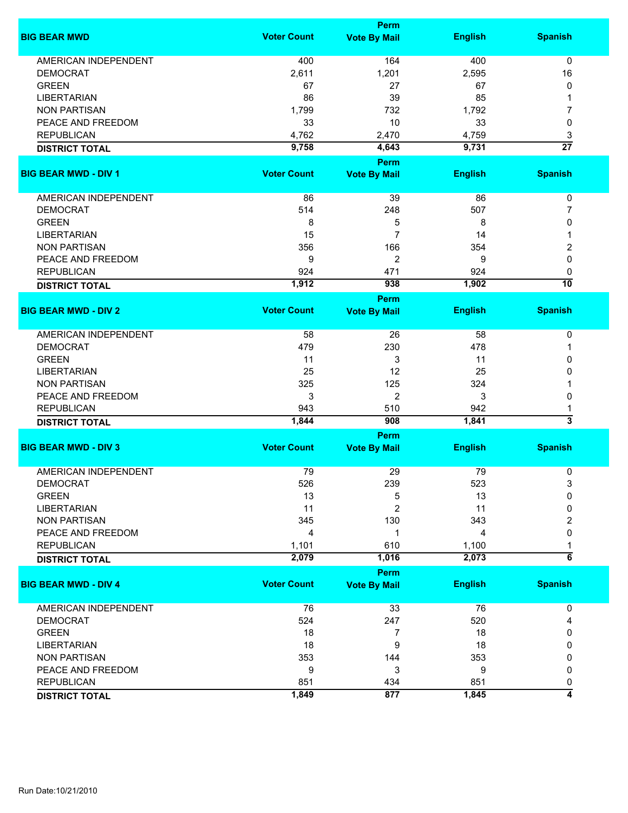|                             |                    | <b>Perm</b>         |                |                 |
|-----------------------------|--------------------|---------------------|----------------|-----------------|
| <b>BIG BEAR MWD</b>         | <b>Voter Count</b> | <b>Vote By Mail</b> | <b>English</b> | <b>Spanish</b>  |
| AMERICAN INDEPENDENT        | 400                | 164                 | 400            | $\mathbf 0$     |
| <b>DEMOCRAT</b>             | 2,611              | 1,201               | 2,595          | 16              |
| <b>GREEN</b>                | 67                 | 27                  | 67             | 0               |
| <b>LIBERTARIAN</b>          | 86                 | 39                  | 85             | 1               |
| <b>NON PARTISAN</b>         | 1,799              | 732                 | 1,792          | 7               |
|                             |                    |                     |                |                 |
| PEACE AND FREEDOM           | 33                 | 10                  | 33             | 0               |
| <b>REPUBLICAN</b>           | 4,762              | 2,470               | 4,759          | 3               |
| <b>DISTRICT TOTAL</b>       | 9,758              | 4,643               | 9,731          | $\overline{27}$ |
|                             |                    | Perm                |                |                 |
| <b>BIG BEAR MWD - DIV 1</b> | <b>Voter Count</b> | <b>Vote By Mail</b> | <b>English</b> | <b>Spanish</b>  |
| AMERICAN INDEPENDENT        | 86                 | 39                  | 86             | $\pmb{0}$       |
| <b>DEMOCRAT</b>             | 514                | 248                 | 507            | 7               |
| <b>GREEN</b>                | 8                  | 5                   | 8              | 0               |
| <b>LIBERTARIAN</b>          | 15                 | $\overline{7}$      | 14             | 1               |
| <b>NON PARTISAN</b>         | 356                | 166                 | 354            | 2               |
| PEACE AND FREEDOM           | 9                  | 2                   | 9              | 0               |
|                             |                    |                     |                |                 |
| <b>REPUBLICAN</b>           | 924                | 471                 | 924            | 0               |
| <b>DISTRICT TOTAL</b>       | 1,912              | 938                 | 1,902          | $\overline{10}$ |
|                             | <b>Voter Count</b> | Perm                |                | <b>Spanish</b>  |
| <b>BIG BEAR MWD - DIV 2</b> |                    | <b>Vote By Mail</b> | <b>English</b> |                 |
| <b>AMERICAN INDEPENDENT</b> | 58                 | 26                  | 58             | 0               |
| <b>DEMOCRAT</b>             | 479                | 230                 | 478            | 1               |
| <b>GREEN</b>                | 11                 | 3                   | 11             | 0               |
| <b>LIBERTARIAN</b>          | 25                 | 12                  | 25             | 0               |
| <b>NON PARTISAN</b>         | 325                | 125                 | 324            |                 |
| PEACE AND FREEDOM           | 3                  | $\overline{2}$      | 3              | 0               |
| <b>REPUBLICAN</b>           | 943                | 510                 | 942            |                 |
|                             | 1,844              | 908                 | 1,841          | 1<br>3          |
| <b>DISTRICT TOTAL</b>       |                    |                     |                |                 |
|                             | <b>Voter Count</b> | Perm                |                |                 |
| <b>BIG BEAR MWD - DIV 3</b> |                    | <b>Vote By Mail</b> | <b>English</b> | <b>Spanish</b>  |
| <b>AMERICAN INDEPENDENT</b> | 79                 | 29                  | 79             | 0               |
| <b>DEMOCRAT</b>             | 526                | 239                 | 523            | 3               |
| <b>GREEN</b>                | 13                 | 5                   | 13             | 0               |
| <b>LIBERTARIAN</b>          | 11                 | 2                   | 11             | 0               |
| <b>NON PARTISAN</b>         | 345                | 130                 | 343            | 2               |
| PEACE AND FREEDOM           | 4                  | 1                   | 4              | 0               |
| <b>REPUBLICAN</b>           | 1,101              | 610                 | 1,100          |                 |
| <b>DISTRICT TOTAL</b>       | 2,079              | 1,016               | 2,073          | $\overline{6}$  |
|                             |                    | Perm                |                |                 |
| <b>BIG BEAR MWD - DIV 4</b> | <b>Voter Count</b> | <b>Vote By Mail</b> | <b>English</b> | <b>Spanish</b>  |
| AMERICAN INDEPENDENT        | 76                 | 33                  | 76             | 0               |
| <b>DEMOCRAT</b>             | 524                | 247                 | 520            | 4               |
| <b>GREEN</b>                | 18                 | 7                   | 18             | 0               |
| <b>LIBERTARIAN</b>          | 18                 | 9                   | 18             | 0               |
| <b>NON PARTISAN</b>         | 353                | 144                 | 353            | 0               |
| PEACE AND FREEDOM           | 9                  | 3                   | 9              | 0               |
| <b>REPUBLICAN</b>           |                    |                     | 851            |                 |
|                             | 851                | 434                 |                | 0<br>4          |
| <b>DISTRICT TOTAL</b>       | 1,849              | 877                 | 1,845          |                 |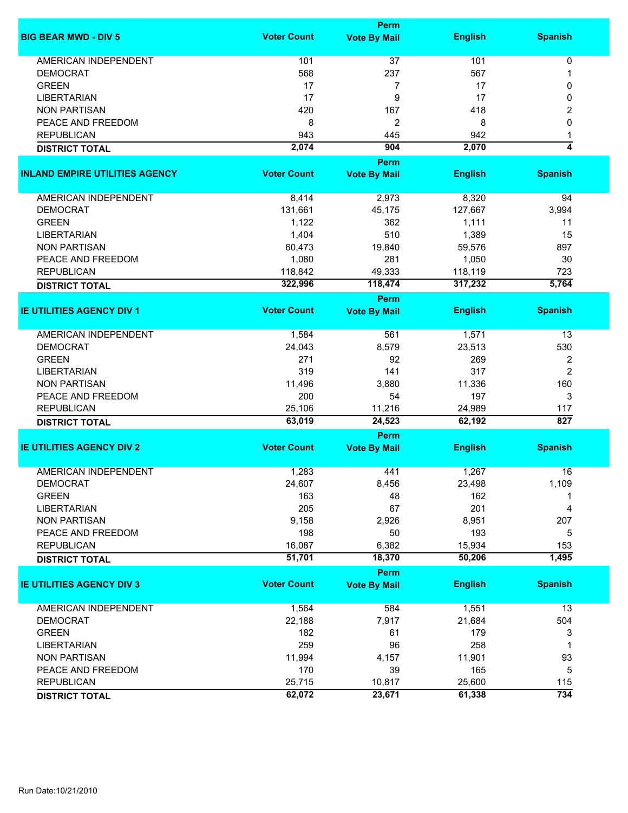|                                       | <b>Perm</b>        |                                    |                |                |  |
|---------------------------------------|--------------------|------------------------------------|----------------|----------------|--|
| <b>BIG BEAR MWD - DIV 5</b>           | <b>Voter Count</b> | <b>Vote By Mail</b>                | <b>English</b> | <b>Spanish</b> |  |
| <b>AMERICAN INDEPENDENT</b>           | 101                | 37                                 | 101            | 0              |  |
| <b>DEMOCRAT</b>                       | 568                | 237                                | 567            | 1              |  |
| <b>GREEN</b>                          | 17                 | 7                                  | 17             | 0              |  |
| <b>LIBERTARIAN</b>                    | 17                 | 9                                  | 17             | 0              |  |
| <b>NON PARTISAN</b>                   | 420                | 167                                | 418            |                |  |
|                                       |                    |                                    |                | 2              |  |
| PEACE AND FREEDOM                     | 8                  | 2                                  | 8              | 0              |  |
| <b>REPUBLICAN</b>                     | 943                | 445                                | 942            | 1              |  |
| <b>DISTRICT TOTAL</b>                 | 2,074              | 904                                | 2,070          | 4              |  |
| <b>INLAND EMPIRE UTILITIES AGENCY</b> | <b>Voter Count</b> | <b>Perm</b><br><b>Vote By Mail</b> | <b>English</b> | <b>Spanish</b> |  |
|                                       |                    |                                    |                |                |  |
| AMERICAN INDEPENDENT                  | 8,414              | 2,973                              | 8,320          | 94             |  |
| <b>DEMOCRAT</b>                       | 131,661            | 45,175                             | 127,667        | 3,994          |  |
| <b>GREEN</b>                          | 1,122              | 362                                | 1,111          | 11             |  |
| <b>LIBERTARIAN</b>                    | 1,404              | 510                                | 1,389          | 15             |  |
| <b>NON PARTISAN</b>                   | 60,473             | 19,840                             | 59,576         | 897            |  |
| PEACE AND FREEDOM                     | 1,080              | 281                                | 1,050          | 30             |  |
| <b>REPUBLICAN</b>                     | 118,842            | 49,333                             | 118,119        | 723            |  |
|                                       | 322,996            | 118,474                            | 317,232        | 5,764          |  |
| <b>DISTRICT TOTAL</b>                 |                    |                                    |                |                |  |
| <b>IE UTILITIES AGENCY DIV 1</b>      | <b>Voter Count</b> | <b>Perm</b><br><b>Vote By Mail</b> | <b>English</b> | <b>Spanish</b> |  |
|                                       |                    |                                    |                |                |  |
| <b>AMERICAN INDEPENDENT</b>           | 1,584              | 561                                | 1,571          | 13             |  |
| <b>DEMOCRAT</b>                       | 24,043             | 8,579                              | 23,513         | 530            |  |
| <b>GREEN</b>                          | 271                | 92                                 | 269            | 2              |  |
| <b>LIBERTARIAN</b>                    | 319                | 141                                | 317            | $\overline{c}$ |  |
| <b>NON PARTISAN</b>                   | 11,496             | 3,880                              | 11,336         | 160            |  |
| PEACE AND FREEDOM                     | 200                | 54                                 | 197            | 3              |  |
| <b>REPUBLICAN</b>                     | 25,106             | 11,216                             | 24,989         | 117            |  |
| <b>DISTRICT TOTAL</b>                 | 63,019             | 24,523                             | 62,192         | 827            |  |
|                                       |                    | Perm                               |                |                |  |
| <b>IE UTILITIES AGENCY DIV 2</b>      | <b>Voter Count</b> | <b>Vote By Mail</b>                | <b>English</b> | <b>Spanish</b> |  |
|                                       |                    |                                    |                |                |  |
| <b>AMERICAN INDEPENDENT</b>           | 1,283              | 441                                | 1,267          | 16             |  |
| <b>DEMOCRAT</b>                       | 24,607             | 8,456                              | 23,498         | 1,109          |  |
| <b>GREEN</b>                          | 163                | 48                                 | 162            |                |  |
| <b>LIBERTARIAN</b>                    | 205                | 67                                 | 201            | 4              |  |
| <b>NON PARTISAN</b>                   | 9,158              | 2,926                              | 8,951          | 207            |  |
| PEACE AND FREEDOM                     | 198                | 50                                 | 193            | 5              |  |
| <b>REPUBLICAN</b>                     | 16,087             | 6,382                              | 15,934         | 153            |  |
| <b>DISTRICT TOTAL</b>                 | 51,701             | 18,370                             | 50,206         | 1,495          |  |
|                                       |                    | Perm                               |                |                |  |
| <b>IE UTILITIES AGENCY DIV 3</b>      | <b>Voter Count</b> | <b>Vote By Mail</b>                | <b>English</b> | <b>Spanish</b> |  |
| <b>AMERICAN INDEPENDENT</b>           | 1,564              | 584                                | 1,551          | 13             |  |
| <b>DEMOCRAT</b>                       | 22,188             | 7,917                              | 21,684         | 504            |  |
| <b>GREEN</b>                          | 182                | 61                                 | 179            | 3              |  |
| <b>LIBERTARIAN</b>                    | 259                | 96                                 | 258            | 1              |  |
| <b>NON PARTISAN</b>                   | 11,994             | 4,157                              | 11,901         | 93             |  |
| PEACE AND FREEDOM                     | 170                | 39                                 | 165            | 5              |  |
| <b>REPUBLICAN</b>                     | 25,715             | 10,817                             | 25,600         | 115            |  |
|                                       | 62,072             | 23,671                             | 61,338         | 734            |  |
| <b>DISTRICT TOTAL</b>                 |                    |                                    |                |                |  |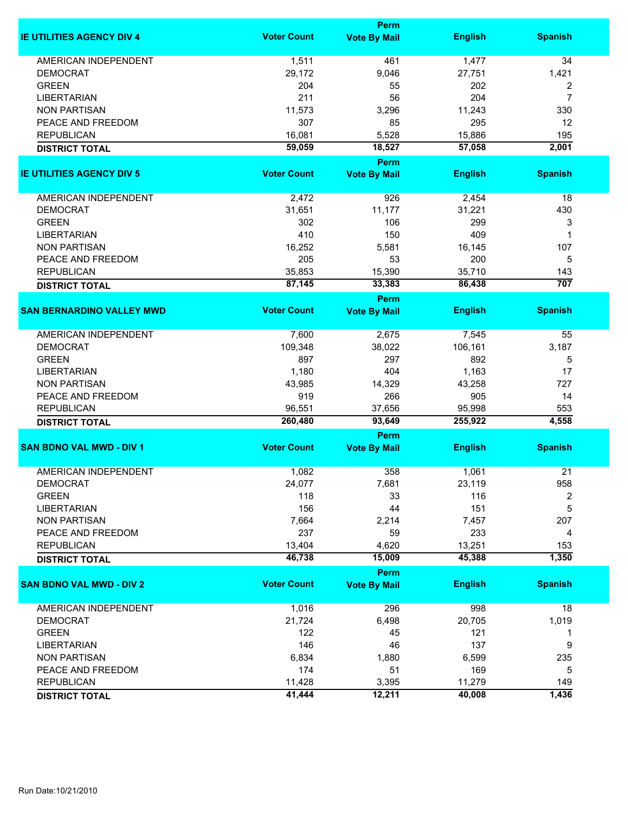|                                  |                    | <b>Perm</b>                        |                |                |
|----------------------------------|--------------------|------------------------------------|----------------|----------------|
| <b>IE UTILITIES AGENCY DIV 4</b> | <b>Voter Count</b> | <b>Vote By Mail</b>                | <b>English</b> | <b>Spanish</b> |
| <b>AMERICAN INDEPENDENT</b>      | 1,511              | 461                                | 1,477          | 34             |
| <b>DEMOCRAT</b>                  | 29,172             | 9,046                              | 27,751         | 1,421          |
| <b>GREEN</b>                     | 204                | 55                                 | 202            | 2              |
| <b>LIBERTARIAN</b>               | 211                | 56                                 | 204            | $\overline{7}$ |
| <b>NON PARTISAN</b>              | 11,573             | 3,296                              | 11,243         | 330            |
| PEACE AND FREEDOM                | 307                | 85                                 | 295            | 12             |
| <b>REPUBLICAN</b>                | 16,081             | 5,528                              | 15,886         | 195            |
| <b>DISTRICT TOTAL</b>            | 59,059             | 18,527                             | 57,058         | 2,001          |
|                                  |                    | Perm                               |                |                |
| <b>IE UTILITIES AGENCY DIV 5</b> | <b>Voter Count</b> | <b>Vote By Mail</b>                | <b>English</b> | <b>Spanish</b> |
| AMERICAN INDEPENDENT             | 2,472              | 926                                | 2,454          | 18             |
| <b>DEMOCRAT</b>                  | 31,651             | 11,177                             | 31,221         | 430            |
| <b>GREEN</b>                     | 302                | 106                                | 299            | 3              |
| <b>LIBERTARIAN</b>               | 410                | 150                                | 409            | 1              |
|                                  |                    |                                    |                |                |
| <b>NON PARTISAN</b>              | 16,252             | 5,581                              | 16,145         | 107            |
| PEACE AND FREEDOM                | 205                | 53                                 | 200            | 5              |
| <b>REPUBLICAN</b>                | 35,853             | 15,390                             | 35,710         | 143            |
| <b>DISTRICT TOTAL</b>            | 87,145             | 33,383                             | 86,438         | 707            |
| <b>SAN BERNARDINO VALLEY MWD</b> | <b>Voter Count</b> | <b>Perm</b><br><b>Vote By Mail</b> | <b>English</b> | <b>Spanish</b> |
|                                  |                    |                                    |                |                |
| <b>AMERICAN INDEPENDENT</b>      | 7,600              | 2,675                              | 7,545          | 55             |
| <b>DEMOCRAT</b>                  | 109,348            | 38,022                             | 106,161        | 3,187          |
| <b>GREEN</b>                     | 897                | 297                                | 892            | 5              |
| <b>LIBERTARIAN</b>               | 1,180              | 404                                | 1,163          | 17             |
| <b>NON PARTISAN</b>              | 43,985             | 14,329                             | 43,258         | 727            |
| PEACE AND FREEDOM                | 919                | 266                                | 905            | 14             |
| <b>REPUBLICAN</b>                | 96,551             | 37,656                             | 95,998         | 553            |
| <b>DISTRICT TOTAL</b>            | 260,480            | 93,649                             | 255,922        | 4,558          |
|                                  |                    | <b>Perm</b>                        |                |                |
| <b>SAN BDNO VAL MWD - DIV 1</b>  | <b>Voter Count</b> | <b>Vote By Mail</b>                | <b>English</b> | <b>Spanish</b> |
| <b>AMERICAN INDEPENDENT</b>      | 1,082              | 358                                | 1,061          | 21             |
| <b>DEMOCRAT</b>                  | 24,077             | 7,681                              | 23,119         | 958            |
| <b>GREEN</b>                     | 118                | 33                                 | 116            | 2              |
| <b>LIBERTARIAN</b>               | 156                | 44                                 | 151            | 5              |
| <b>NON PARTISAN</b>              | 7,664              | 2,214                              | 7,457          | 207            |
| PEACE AND FREEDOM                | 237                | 59                                 | 233            | 4              |
| <b>REPUBLICAN</b>                | 13,404             | 4,620                              | 13,251         | 153            |
| <b>DISTRICT TOTAL</b>            | 46,738             | 15,009                             | 45,388         | 1,350          |
|                                  |                    | Perm                               |                |                |
| <b>SAN BDNO VAL MWD - DIV 2</b>  | <b>Voter Count</b> | <b>Vote By Mail</b>                | <b>English</b> | <b>Spanish</b> |
| AMERICAN INDEPENDENT             | 1,016              | 296                                | 998            | 18             |
| <b>DEMOCRAT</b>                  | 21,724             | 6,498                              | 20,705         | 1,019          |
| <b>GREEN</b>                     | 122                | 45                                 | 121            | 1              |
|                                  |                    |                                    |                |                |
| <b>LIBERTARIAN</b>               | 146                | 46                                 | 137            | 9              |
| <b>NON PARTISAN</b>              | 6,834              | 1,880                              | 6,599          | 235            |
| PEACE AND FREEDOM                | 174                | 51                                 | 169            | 5              |
| <b>REPUBLICAN</b>                | 11,428             | 3,395                              | 11,279         | 149            |
| <b>DISTRICT TOTAL</b>            | 41,444             | 12,211                             | 40,008         | 1,436          |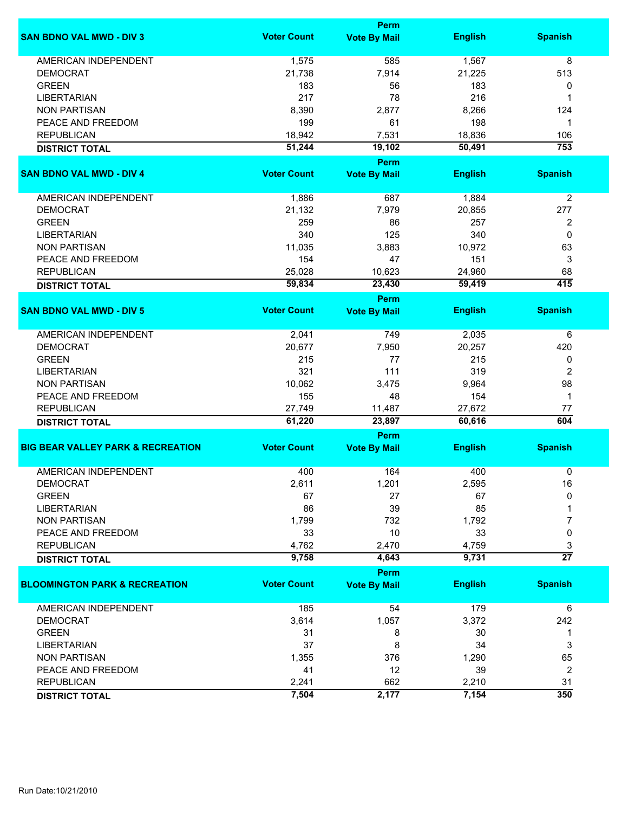|                                              |                    | Perm                        |                |                         |
|----------------------------------------------|--------------------|-----------------------------|----------------|-------------------------|
| <b>SAN BDNO VAL MWD - DIV 3</b>              | <b>Voter Count</b> | <b>Vote By Mail</b>         | <b>English</b> | <b>Spanish</b>          |
| <b>AMERICAN INDEPENDENT</b>                  | 1,575              | 585                         | 1,567          | 8                       |
| <b>DEMOCRAT</b>                              | 21,738             | 7,914                       | 21,225         | 513                     |
| <b>GREEN</b>                                 | 183                | 56                          | 183            | 0                       |
| <b>LIBERTARIAN</b>                           | 217                | 78                          | 216            | 1                       |
| <b>NON PARTISAN</b>                          | 8,390              | 2,877                       | 8,266          | 124                     |
| PEACE AND FREEDOM                            | 199                | 61                          | 198            | 1                       |
|                                              |                    |                             |                |                         |
| <b>REPUBLICAN</b>                            | 18,942             | 7,531                       | 18,836         | 106                     |
| <b>DISTRICT TOTAL</b>                        | 51,244             | 19,102                      | 50,491         | 753                     |
| <b>SAN BDNO VAL MWD - DIV 4</b>              | <b>Voter Count</b> | Perm<br><b>Vote By Mail</b> | <b>English</b> | <b>Spanish</b>          |
| AMERICAN INDEPENDENT                         | 1,886              | 687                         | 1,884          | $\overline{2}$          |
| <b>DEMOCRAT</b>                              | 21,132             | 7,979                       | 20,855         | 277                     |
| <b>GREEN</b>                                 |                    |                             |                |                         |
|                                              | 259                | 86                          | 257            | 2                       |
| <b>LIBERTARIAN</b>                           | 340                | 125                         | 340            | 0                       |
| <b>NON PARTISAN</b>                          | 11,035             | 3,883                       | 10,972         | 63                      |
| PEACE AND FREEDOM                            | 154                | 47                          | 151            | 3                       |
| <b>REPUBLICAN</b>                            | 25,028             | 10,623                      | 24,960         | 68                      |
| <b>DISTRICT TOTAL</b>                        | 59,834             | 23,430                      | 59,419         | $\overline{415}$        |
|                                              |                    | <b>Perm</b>                 |                |                         |
| <b>SAN BDNO VAL MWD - DIV 5</b>              | <b>Voter Count</b> | <b>Vote By Mail</b>         | <b>English</b> | <b>Spanish</b>          |
| <b>AMERICAN INDEPENDENT</b>                  | 2,041              | 749                         | 2,035          | 6                       |
| <b>DEMOCRAT</b>                              | 20,677             | 7,950                       | 20,257         | 420                     |
| <b>GREEN</b>                                 | 215                | 77                          | 215            | 0                       |
| <b>LIBERTARIAN</b>                           | 321                | 111                         | 319            | 2                       |
| <b>NON PARTISAN</b>                          | 10,062             | 3,475                       | 9,964          | 98                      |
|                                              |                    |                             | 154            | $\mathbf 1$             |
| PEACE AND FREEDOM                            | 155                | 48                          |                |                         |
| <b>REPUBLICAN</b>                            | 27,749             | 11,487                      | 27,672         | 77                      |
| <b>DISTRICT TOTAL</b>                        | 61,220             | 23,897                      | 60,616         | 604                     |
| <b>BIG BEAR VALLEY PARK &amp; RECREATION</b> | <b>Voter Count</b> | Perm<br><b>Vote By Mail</b> | <b>English</b> | <b>Spanish</b>          |
|                                              |                    |                             |                |                         |
| <b>AMERICAN INDEPENDENT</b>                  | 400                | 164                         | 400            | 0                       |
| DEMOCRAT                                     | 2,611              | 1,201                       | 2,595          | 16                      |
| <b>GREEN</b>                                 | 67                 | 27                          | 67             | 0                       |
| <b>LIBERTARIAN</b>                           | 86                 | 39                          | 85             |                         |
| <b>NON PARTISAN</b>                          | 1,799              | 732                         | 1,792          | 7                       |
| PEACE AND FREEDOM                            | 33                 | 10                          | 33             | 0                       |
| <b>REPUBLICAN</b>                            | 4,762              | 2,470                       | 4,759          | 3                       |
| <b>DISTRICT TOTAL</b>                        | 9,758              | 4,643                       | 9,731          | $\overline{27}$         |
|                                              |                    | Perm                        |                |                         |
| <b>BLOOMINGTON PARK &amp; RECREATION</b>     | <b>Voter Count</b> | <b>Vote By Mail</b>         | <b>English</b> | <b>Spanish</b>          |
| <b>AMERICAN INDEPENDENT</b>                  | 185                | 54                          | 179            | 6                       |
| <b>DEMOCRAT</b>                              | 3,614              | 1,057                       | 3,372          | 242                     |
| <b>GREEN</b>                                 | 31                 | 8                           | 30             | 1                       |
| <b>LIBERTARIAN</b>                           | 37                 | 8                           | 34             | 3                       |
|                                              |                    |                             |                |                         |
| <b>NON PARTISAN</b>                          | 1,355              | 376                         | 1,290          | 65                      |
| PEACE AND FREEDOM                            | 41                 | 12                          | 39             | $\overline{\mathbf{c}}$ |
| <b>REPUBLICAN</b>                            | 2,241              | 662                         | 2,210          | 31                      |
| <b>DISTRICT TOTAL</b>                        | 7,504              | 2,177                       | 7,154          | 350                     |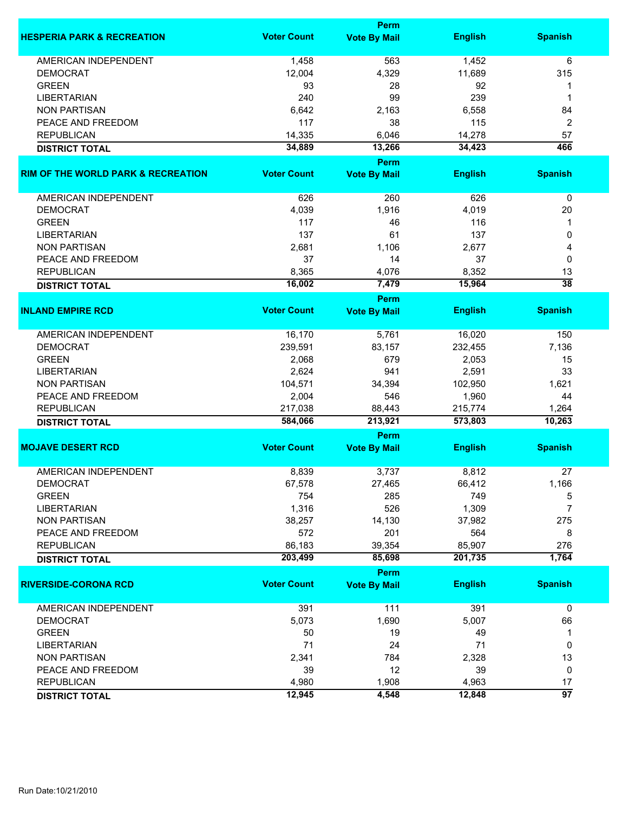|                                               | Perm               |                             |                |                       |
|-----------------------------------------------|--------------------|-----------------------------|----------------|-----------------------|
| <b>HESPERIA PARK &amp; RECREATION</b>         | <b>Voter Count</b> | <b>Vote By Mail</b>         | <b>English</b> | <b>Spanish</b>        |
| <b>AMERICAN INDEPENDENT</b>                   | 1,458              | 563                         | 1,452          | 6                     |
| <b>DEMOCRAT</b>                               | 12,004             | 4,329                       | 11,689         | 315                   |
| <b>GREEN</b>                                  | 93                 | 28                          | 92             | 1                     |
| <b>LIBERTARIAN</b>                            | 240                | 99                          | 239            | 1                     |
| <b>NON PARTISAN</b>                           | 6,642              | 2,163                       | 6,558          | 84                    |
|                                               |                    |                             | 115            |                       |
| PEACE AND FREEDOM                             | 117                | 38                          |                | $\boldsymbol{2}$      |
| <b>REPUBLICAN</b>                             | 14,335             | 6,046                       | 14,278         | 57                    |
| <b>DISTRICT TOTAL</b>                         | 34,889             | 13,266                      | 34,423         | 466                   |
|                                               |                    | <b>Perm</b>                 |                |                       |
| <b>RIM OF THE WORLD PARK &amp; RECREATION</b> | <b>Voter Count</b> | <b>Vote By Mail</b>         | <b>English</b> | <b>Spanish</b>        |
| AMERICAN INDEPENDENT                          | 626                | 260                         | 626            | 0                     |
| <b>DEMOCRAT</b>                               | 4,039              | 1,916                       | 4,019          | 20                    |
| <b>GREEN</b>                                  | 117                | 46                          | 116            | 1                     |
| <b>LIBERTARIAN</b>                            | 137                | 61                          | 137            | 0                     |
| <b>NON PARTISAN</b>                           | 2,681              | 1,106                       | 2,677          | 4                     |
| PEACE AND FREEDOM                             | 37                 | 14                          | 37             | 0                     |
|                                               |                    |                             |                |                       |
| <b>REPUBLICAN</b>                             | 8,365              | 4,076                       | 8,352          | 13<br>$\overline{38}$ |
| <b>DISTRICT TOTAL</b>                         | 16,002             | 7,479                       | 15,964         |                       |
|                                               |                    | Perm                        |                |                       |
| <b>INLAND EMPIRE RCD</b>                      | <b>Voter Count</b> | <b>Vote By Mail</b>         | <b>English</b> | <b>Spanish</b>        |
| <b>AMERICAN INDEPENDENT</b>                   | 16,170             | 5,761                       | 16,020         | 150                   |
| <b>DEMOCRAT</b>                               | 239,591            | 83,157                      | 232,455        | 7,136                 |
| <b>GREEN</b>                                  | 2,068              | 679                         | 2,053          | 15                    |
| <b>LIBERTARIAN</b>                            | 2,624              | 941                         | 2,591          | 33                    |
| <b>NON PARTISAN</b>                           | 104,571            | 34,394                      | 102,950        | 1,621                 |
| PEACE AND FREEDOM                             | 2,004              | 546                         | 1,960          | 44                    |
| <b>REPUBLICAN</b>                             | 217,038            | 88,443                      | 215,774        | 1,264                 |
|                                               | 584,066            | 213,921                     | 573,803        | 10,263                |
| <b>DISTRICT TOTAL</b>                         |                    |                             |                |                       |
|                                               | <b>Voter Count</b> | Perm                        |                | <b>Spanish</b>        |
| <b>MOJAVE DESERT RCD</b>                      |                    | <b>Vote By Mail</b>         | <b>English</b> |                       |
| <b>AMERICAN INDEPENDENT</b>                   | 8,839              | 3,737                       | 8,812          | 27                    |
| <b>DEMOCRAT</b>                               | 67,578             | 27,465                      | 66,412         | 1,166                 |
| <b>GREEN</b>                                  | 754                | 285                         | 749            | 5                     |
| <b>LIBERTARIAN</b>                            | 1,316              | 526                         | 1,309          | 7                     |
| <b>NON PARTISAN</b>                           | 38,257             | 14,130                      | 37,982         | 275                   |
| PEACE AND FREEDOM                             | 572                | 201                         | 564            | 8                     |
| <b>REPUBLICAN</b>                             | 86,183             | 39,354                      | 85,907         | 276                   |
|                                               |                    |                             |                | 1,764                 |
| <b>DISTRICT TOTAL</b>                         | 203,499            | 85,698                      | 201,735        |                       |
| <b>RIVERSIDE-CORONA RCD</b>                   | <b>Voter Count</b> | Perm<br><b>Vote By Mail</b> | <b>English</b> | <b>Spanish</b>        |
|                                               |                    |                             |                |                       |
| AMERICAN INDEPENDENT                          | 391                | 111                         | 391            | $\mathbf 0$           |
| <b>DEMOCRAT</b>                               | 5,073              | 1,690                       | 5,007          | 66                    |
| <b>GREEN</b>                                  | 50                 | 19                          | 49             | 1                     |
| <b>LIBERTARIAN</b>                            | 71                 | 24                          | 71             | 0                     |
| <b>NON PARTISAN</b>                           | 2,341              | 784                         | 2,328          | 13                    |
| PEACE AND FREEDOM                             | 39                 | 12                          | 39             | 0                     |
| <b>REPUBLICAN</b>                             | 4,980              | 1,908                       | 4,963          | 17                    |
| <b>DISTRICT TOTAL</b>                         | 12,945             | 4,548                       | 12,848         | 97                    |
|                                               |                    |                             |                |                       |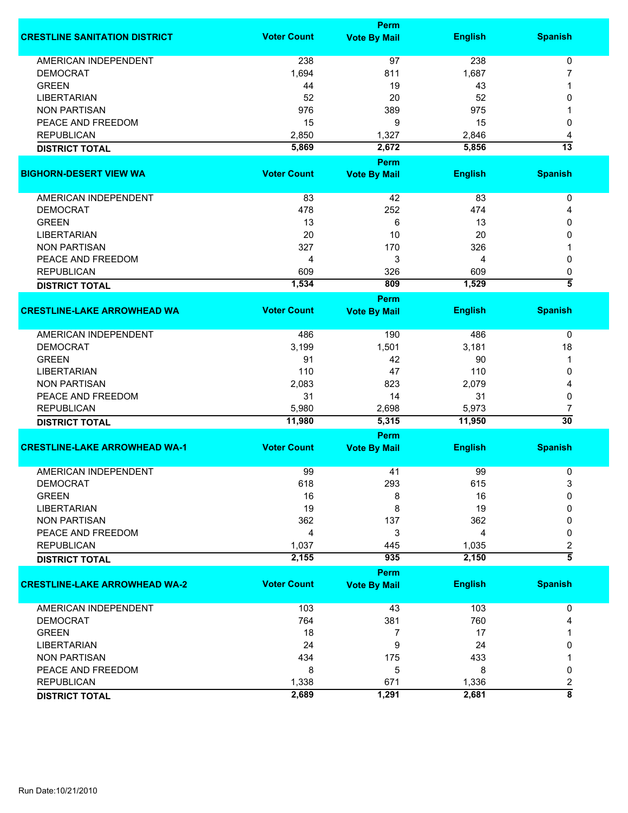|                                      | <b>Perm</b>        |                             |                |                          |  |
|--------------------------------------|--------------------|-----------------------------|----------------|--------------------------|--|
| <b>CRESTLINE SANITATION DISTRICT</b> | <b>Voter Count</b> | <b>Vote By Mail</b>         | <b>English</b> | <b>Spanish</b>           |  |
| <b>AMERICAN INDEPENDENT</b>          | 238                | 97                          | 238            | 0                        |  |
| <b>DEMOCRAT</b>                      | 1,694              | 811                         | 1,687          | 7                        |  |
| <b>GREEN</b>                         | 44                 | 19                          | 43             | 1                        |  |
| <b>LIBERTARIAN</b>                   | 52                 | 20                          | 52             | 0                        |  |
| <b>NON PARTISAN</b>                  | 976                | 389                         | 975            |                          |  |
|                                      |                    |                             |                |                          |  |
| PEACE AND FREEDOM                    | 15                 | 9                           | 15             | 0                        |  |
| <b>REPUBLICAN</b>                    | 2,850              | 1,327                       | 2,846          | 4                        |  |
| <b>DISTRICT TOTAL</b>                | 5,869              | 2,672                       | 5,856          | $\overline{13}$          |  |
|                                      |                    | Perm                        |                |                          |  |
| <b>BIGHORN-DESERT VIEW WA</b>        | <b>Voter Count</b> | <b>Vote By Mail</b>         | <b>English</b> | <b>Spanish</b>           |  |
| AMERICAN INDEPENDENT                 | 83                 | 42                          | 83             | 0                        |  |
| <b>DEMOCRAT</b>                      | 478                | 252                         | 474            | 4                        |  |
| <b>GREEN</b>                         | 13                 | 6                           | 13             | 0                        |  |
| <b>LIBERTARIAN</b>                   | 20                 | 10                          | 20             | 0                        |  |
| <b>NON PARTISAN</b>                  | 327                | 170                         | 326            |                          |  |
| PEACE AND FREEDOM                    | 4                  | 3                           | 4              | 0                        |  |
| <b>REPUBLICAN</b>                    | 609                | 326                         | 609            |                          |  |
|                                      | 1,534              | 809                         | 1,529          | 0<br>$\overline{\bf{5}}$ |  |
| <b>DISTRICT TOTAL</b>                |                    |                             |                |                          |  |
| <b>CRESTLINE-LAKE ARROWHEAD WA</b>   | <b>Voter Count</b> | Perm<br><b>Vote By Mail</b> | <b>English</b> | <b>Spanish</b>           |  |
|                                      |                    |                             |                |                          |  |
| <b>AMERICAN INDEPENDENT</b>          | 486                | 190                         | 486            | 0                        |  |
| <b>DEMOCRAT</b>                      | 3,199              | 1,501                       | 3,181          | 18                       |  |
| <b>GREEN</b>                         | 91                 | 42                          | 90             | 1                        |  |
| <b>LIBERTARIAN</b>                   | 110                | 47                          | 110            | 0                        |  |
| <b>NON PARTISAN</b>                  | 2,083              | 823                         | 2,079          | 4                        |  |
| PEACE AND FREEDOM                    | 31                 | 14                          | 31             | 0                        |  |
| <b>REPUBLICAN</b>                    | 5,980              | 2,698                       | 5,973          | 7                        |  |
| <b>DISTRICT TOTAL</b>                | 11,980             | 5,315                       | 11,950         | $\overline{30}$          |  |
|                                      |                    | Perm                        |                |                          |  |
| <b>CRESTLINE-LAKE ARROWHEAD WA-1</b> | <b>Voter Count</b> | <b>Vote By Mail</b>         | <b>English</b> | <b>Spanish</b>           |  |
|                                      |                    |                             |                |                          |  |
| <b>AMERICAN INDEPENDENT</b>          | 99                 | 41                          | 99             | 0                        |  |
| <b>DEMOCRAT</b>                      | 618                | 293                         | 615            | 3                        |  |
| <b>GREEN</b>                         | 16                 | 8                           | 16             | 0                        |  |
| <b>LIBERTARIAN</b>                   | 19                 | 8                           | 19             | 0                        |  |
| <b>NON PARTISAN</b>                  | 362                | 137                         | 362            | 0                        |  |
| PEACE AND FREEDOM                    | 4                  | 3                           | 4              | 0                        |  |
| <b>REPUBLICAN</b>                    | 1,037              | 445                         | 1,035          | 2                        |  |
| <b>DISTRICT TOTAL</b>                | 2,155              | 935                         | 2,150          | $\overline{\bf 5}$       |  |
|                                      |                    | Perm                        |                |                          |  |
| <b>CRESTLINE-LAKE ARROWHEAD WA-2</b> | <b>Voter Count</b> | <b>Vote By Mail</b>         | <b>English</b> | <b>Spanish</b>           |  |
| <b>AMERICAN INDEPENDENT</b>          | 103                | 43                          | 103            | 0                        |  |
| <b>DEMOCRAT</b>                      | 764                | 381                         | 760            | 4                        |  |
| <b>GREEN</b>                         | 18                 | $\overline{7}$              | 17             |                          |  |
| <b>LIBERTARIAN</b>                   | 24                 | 9                           | 24             | 0                        |  |
| <b>NON PARTISAN</b>                  | 434                | 175                         | 433            |                          |  |
| PEACE AND FREEDOM                    | 8                  | 5                           | 8              | 0                        |  |
| <b>REPUBLICAN</b>                    | 1,338              | 671                         | 1,336          | $\overline{\mathbf{c}}$  |  |
|                                      | 2,689              | 1,291                       | 2,681          | $\overline{\bf 8}$       |  |
| <b>DISTRICT TOTAL</b>                |                    |                             |                |                          |  |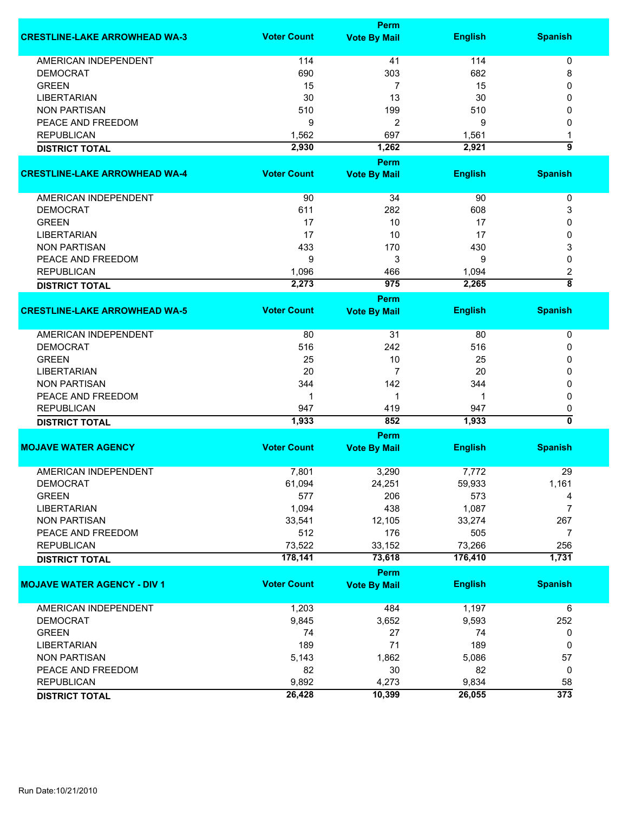|                                      | <b>Perm</b>        |                     |                |                           |  |
|--------------------------------------|--------------------|---------------------|----------------|---------------------------|--|
| <b>CRESTLINE-LAKE ARROWHEAD WA-3</b> | <b>Voter Count</b> | <b>Vote By Mail</b> | <b>English</b> | <b>Spanish</b>            |  |
| <b>AMERICAN INDEPENDENT</b>          | 114                | 41                  | 114            | 0                         |  |
| <b>DEMOCRAT</b>                      | 690                | 303                 | 682            | 8                         |  |
| <b>GREEN</b>                         | 15                 | 7                   | 15             | 0                         |  |
| <b>LIBERTARIAN</b>                   | 30                 | 13                  | 30             | 0                         |  |
| <b>NON PARTISAN</b>                  | 510                | 199                 | 510            | 0                         |  |
| PEACE AND FREEDOM                    | 9                  | 2                   | 9              | 0                         |  |
| <b>REPUBLICAN</b>                    | 1,562              | 697                 | 1,561          | 1                         |  |
|                                      | 2,930              | 1,262               | 2,921          | 5                         |  |
| <b>DISTRICT TOTAL</b>                |                    |                     |                |                           |  |
|                                      |                    | Perm                |                |                           |  |
| <b>CRESTLINE-LAKE ARROWHEAD WA-4</b> | <b>Voter Count</b> | <b>Vote By Mail</b> | <b>English</b> | <b>Spanish</b>            |  |
| AMERICAN INDEPENDENT                 | 90                 | 34                  | 90             | 0                         |  |
| <b>DEMOCRAT</b>                      | 611                | 282                 | 608            | 3                         |  |
| <b>GREEN</b>                         | 17                 | 10                  | 17             | 0                         |  |
| <b>LIBERTARIAN</b>                   | 17                 | 10                  | 17             | 0                         |  |
| <b>NON PARTISAN</b>                  | 433                | 170                 | 430            | 3                         |  |
| PEACE AND FREEDOM                    | 9                  | 3                   | 9              | 0                         |  |
| <b>REPUBLICAN</b>                    | 1,096              | 466                 | 1,094          | 2                         |  |
| <b>DISTRICT TOTAL</b>                | 2,273              | 975                 | 2,265          | $\overline{\bf 8}$        |  |
|                                      |                    | Perm                |                |                           |  |
| <b>CRESTLINE-LAKE ARROWHEAD WA-5</b> | <b>Voter Count</b> | <b>Vote By Mail</b> | <b>English</b> | <b>Spanish</b>            |  |
| <b>AMERICAN INDEPENDENT</b>          | 80                 | 31                  | 80             | 0                         |  |
| <b>DEMOCRAT</b>                      | 516                | 242                 | 516            | 0                         |  |
| <b>GREEN</b>                         | 25                 | 10                  | 25             | 0                         |  |
| <b>LIBERTARIAN</b>                   | 20                 | $\overline{7}$      | 20             | 0                         |  |
| <b>NON PARTISAN</b>                  | 344                | 142                 | 344            | 0                         |  |
| PEACE AND FREEDOM                    | 1                  | 1                   | 1              | 0                         |  |
| <b>REPUBLICAN</b>                    | 947                | 419                 | 947            | 0                         |  |
| <b>DISTRICT TOTAL</b>                | 1,933              | 852                 | 1,933          | $\overline{\mathfrak{o}}$ |  |
|                                      |                    | Perm                |                |                           |  |
| <b>MOJAVE WATER AGENCY</b>           | <b>Voter Count</b> | <b>Vote By Mail</b> | <b>English</b> | <b>Spanish</b>            |  |
|                                      |                    |                     |                |                           |  |
| <b>AMERICAN INDEPENDENT</b>          | 7,801              | 3,290               | 7,772          | 29                        |  |
| <b>DEMOCRAT</b>                      | 61,094             | 24,251              | 59,933         | 1,161                     |  |
| <b>GREEN</b>                         | 577                | 206                 | 573            | 4                         |  |
| <b>LIBERTARIAN</b>                   | 1,094              | 438                 | 1,087          | $\overline{7}$            |  |
| <b>NON PARTISAN</b>                  | 33,541             | 12,105              | 33,274         | 267                       |  |
| PEACE AND FREEDOM                    | 512                | 176                 | 505            | 7                         |  |
| <b>REPUBLICAN</b>                    | 73,522             | 33,152              | 73,266         | 256                       |  |
| <b>DISTRICT TOTAL</b>                | 178,141            | 73,618              | 176,410        | 1,731                     |  |
|                                      |                    | Perm                |                |                           |  |
| <b>MOJAVE WATER AGENCY - DIV 1</b>   | <b>Voter Count</b> | <b>Vote By Mail</b> | <b>English</b> | <b>Spanish</b>            |  |
| AMERICAN INDEPENDENT                 | 1,203              | 484                 | 1,197          | 6                         |  |
| <b>DEMOCRAT</b>                      | 9,845              | 3,652               | 9,593          | 252                       |  |
| <b>GREEN</b>                         | 74                 | 27                  | 74             | 0                         |  |
| <b>LIBERTARIAN</b>                   | 189                | 71                  | 189            | 0                         |  |
| <b>NON PARTISAN</b>                  | 5,143              | 1,862               | 5,086          | 57                        |  |
| PEACE AND FREEDOM                    | 82                 | 30                  | 82             | 0                         |  |
| <b>REPUBLICAN</b>                    | 9,892              | 4,273               | 9,834          | 58                        |  |
| <b>DISTRICT TOTAL</b>                | 26,428             | 10,399              | 26,055         | $\overline{373}$          |  |
|                                      |                    |                     |                |                           |  |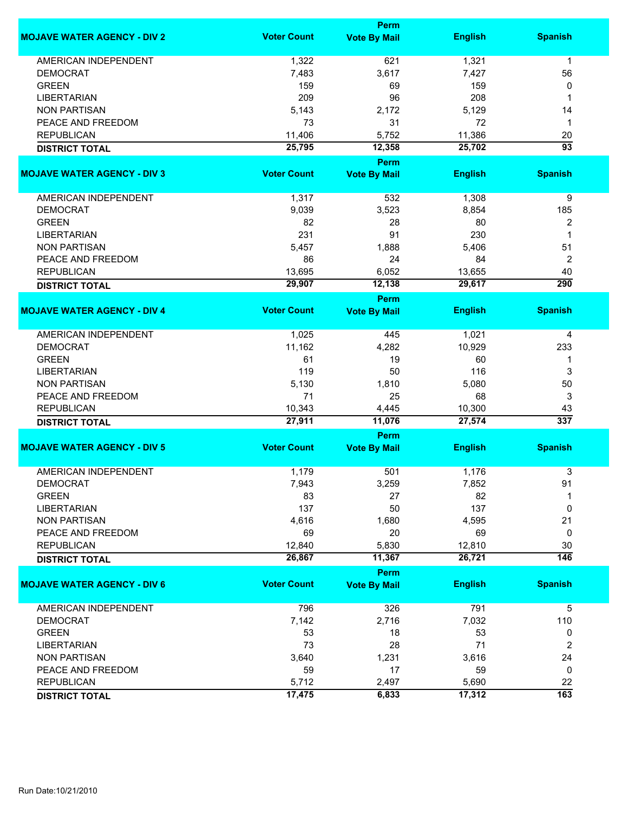|                                    | <b>Perm</b>        |                     |                |                  |  |
|------------------------------------|--------------------|---------------------|----------------|------------------|--|
| <b>MOJAVE WATER AGENCY - DIV 2</b> | <b>Voter Count</b> | <b>Vote By Mail</b> | <b>English</b> | <b>Spanish</b>   |  |
| AMERICAN INDEPENDENT               | 1,322              | 621                 | 1,321          | $\mathbf{1}$     |  |
| <b>DEMOCRAT</b>                    | 7,483              | 3,617               | 7,427          | 56               |  |
| <b>GREEN</b>                       | 159                | 69                  | 159            | 0                |  |
| <b>LIBERTARIAN</b>                 | 209                | 96                  | 208            | 1                |  |
| <b>NON PARTISAN</b>                | 5,143              | 2,172               | 5,129          | 14               |  |
| PEACE AND FREEDOM                  | 73                 | 31                  | 72             | $\mathbf 1$      |  |
|                                    |                    |                     |                |                  |  |
| <b>REPUBLICAN</b>                  | 11,406             | 5,752               | 11,386         | 20               |  |
| <b>DISTRICT TOTAL</b>              | 25,795             | 12,358              | 25,702         | $\overline{93}$  |  |
|                                    |                    | <b>Perm</b>         |                |                  |  |
| <b>MOJAVE WATER AGENCY - DIV 3</b> | <b>Voter Count</b> | <b>Vote By Mail</b> | <b>English</b> | <b>Spanish</b>   |  |
| AMERICAN INDEPENDENT               | 1,317              | 532                 | 1,308          | 9                |  |
| <b>DEMOCRAT</b>                    | 9,039              | 3,523               | 8,854          | 185              |  |
| <b>GREEN</b>                       | 82                 | 28                  | 80             | $\overline{2}$   |  |
| <b>LIBERTARIAN</b>                 | 231                | 91                  | 230            | 1                |  |
| <b>NON PARTISAN</b>                | 5,457              | 1,888               | 5,406          | 51               |  |
| PEACE AND FREEDOM                  | 86                 | 24                  | 84             | $\boldsymbol{2}$ |  |
| <b>REPUBLICAN</b>                  | 13,695             | 6,052               | 13,655         | 40               |  |
|                                    |                    |                     |                | 290              |  |
| <b>DISTRICT TOTAL</b>              | 29,907             | 12,138              | 29,617         |                  |  |
| <b>MOJAVE WATER AGENCY - DIV 4</b> | <b>Voter Count</b> | Perm                | <b>English</b> | <b>Spanish</b>   |  |
|                                    |                    | <b>Vote By Mail</b> |                |                  |  |
| <b>AMERICAN INDEPENDENT</b>        | 1,025              | 445                 | 1,021          | 4                |  |
| <b>DEMOCRAT</b>                    | 11,162             | 4,282               | 10,929         | 233              |  |
| <b>GREEN</b>                       | 61                 | 19                  | 60             | 1                |  |
| <b>LIBERTARIAN</b>                 | 119                | 50                  | 116            | 3                |  |
| <b>NON PARTISAN</b>                | 5,130              | 1,810               | 5,080          | 50               |  |
| PEACE AND FREEDOM                  | 71                 | 25                  | 68             | 3                |  |
| <b>REPUBLICAN</b>                  | 10,343             | 4,445               | 10,300         | 43               |  |
| <b>DISTRICT TOTAL</b>              | 27,911             | 11,076              | 27,574         | 337              |  |
|                                    |                    | Perm                |                |                  |  |
| <b>MOJAVE WATER AGENCY - DIV 5</b> | <b>Voter Count</b> | <b>Vote By Mail</b> | <b>English</b> | <b>Spanish</b>   |  |
|                                    |                    |                     |                |                  |  |
| <b>AMERICAN INDEPENDENT</b>        | 1,179              | 501                 | 1,176          | 3                |  |
| <b>DEMOCRAT</b>                    | 7,943              | 3,259               | 7,852          | 91               |  |
| <b>GREEN</b>                       | 83                 | 27                  | 82             |                  |  |
| <b>LIBERTARIAN</b>                 | 137                | 50                  | 137            | 0                |  |
| <b>NON PARTISAN</b>                | 4,616              | 1,680               | 4,595          | 21               |  |
| PEACE AND FREEDOM                  | 69                 | 20                  | 69             | 0                |  |
| <b>REPUBLICAN</b>                  | 12,840             | 5,830               | 12,810         | 30               |  |
| <b>DISTRICT TOTAL</b>              | 26,867             | 11,367              | 26,721         | $\overline{146}$ |  |
|                                    |                    | Perm                |                |                  |  |
| <b>MOJAVE WATER AGENCY - DIV 6</b> | <b>Voter Count</b> | <b>Vote By Mail</b> | <b>English</b> | <b>Spanish</b>   |  |
| AMERICAN INDEPENDENT               | 796                | 326                 | 791            | 5                |  |
| <b>DEMOCRAT</b>                    | 7,142              | 2,716               | 7,032          | 110              |  |
| <b>GREEN</b>                       | 53                 | 18                  | 53             | 0                |  |
| <b>LIBERTARIAN</b>                 | 73                 | 28                  | 71             | 2                |  |
| <b>NON PARTISAN</b>                | 3,640              | 1,231               | 3,616          | 24               |  |
| PEACE AND FREEDOM                  | 59                 | 17                  | 59             | 0                |  |
| <b>REPUBLICAN</b>                  | 5,712              | 2,497               | 5,690          | 22               |  |
|                                    |                    |                     |                | $\overline{163}$ |  |
| <b>DISTRICT TOTAL</b>              | 17,475             | 6,833               | 17,312         |                  |  |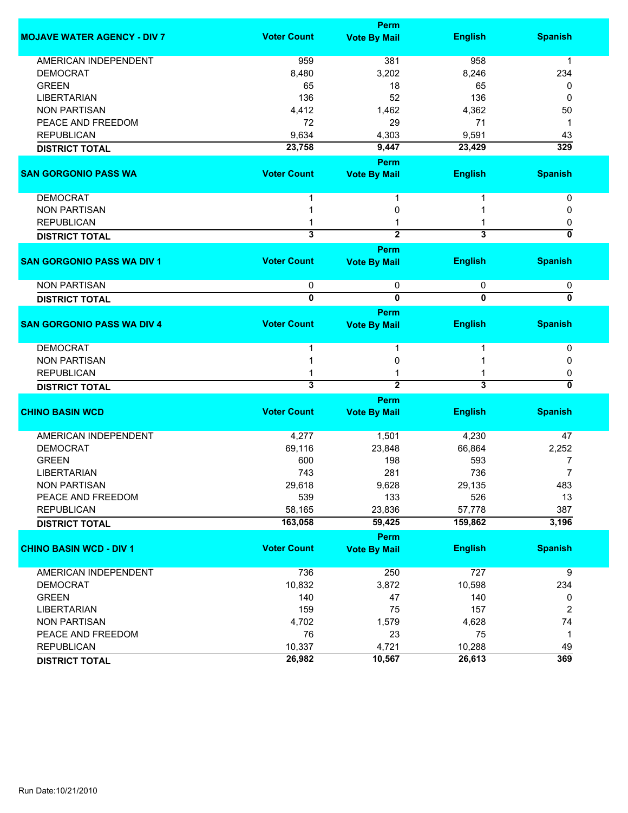| <b>Voter Count</b><br><b>English</b><br><b>MOJAVE WATER AGENCY - DIV 7</b><br><b>Vote By Mail</b>      | <b>Spanish</b> |
|--------------------------------------------------------------------------------------------------------|----------------|
|                                                                                                        |                |
| <b>AMERICAN INDEPENDENT</b><br>959<br>381<br>958                                                       | 1              |
| 3,202<br><b>DEMOCRAT</b><br>8,480<br>8,246                                                             | 234            |
| <b>GREEN</b><br>65<br>18<br>65                                                                         | 0              |
| <b>LIBERTARIAN</b><br>52<br>136<br>136                                                                 | 0              |
| <b>NON PARTISAN</b><br>4,412<br>1,462<br>4,362                                                         | 50             |
| PEACE AND FREEDOM<br>72<br>29<br>71                                                                    | 1              |
| <b>REPUBLICAN</b><br>9,634<br>4,303<br>9,591                                                           | 43             |
| 23,758<br>9,447<br>23,429<br><b>DISTRICT TOTAL</b>                                                     | 329            |
|                                                                                                        |                |
| <b>Perm</b><br><b>Voter Count</b>                                                                      |                |
| <b>SAN GORGONIO PASS WA</b><br><b>English</b><br><b>Vote By Mail</b>                                   | <b>Spanish</b> |
| <b>DEMOCRAT</b><br>1                                                                                   | 0              |
| <b>NON PARTISAN</b><br>0                                                                               | 0              |
| <b>REPUBLICAN</b>                                                                                      | 0              |
| 3<br>$\overline{2}$<br>$\overline{\mathbf{3}}$<br><b>DISTRICT TOTAL</b>                                | 0              |
| Perm                                                                                                   |                |
| <b>Voter Count</b><br><b>SAN GORGONIO PASS WA DIV 1</b><br><b>English</b><br><b>Vote By Mail</b>       | <b>Spanish</b> |
| <b>NON PARTISAN</b><br>0<br>0<br>0                                                                     | 0              |
| $\overline{\mathbf{0}}$<br>$\overline{\mathbf{0}}$<br>$\overline{\mathbf{0}}$<br><b>DISTRICT TOTAL</b> | 0              |
| Perm                                                                                                   |                |
| <b>Voter Count</b><br><b>SAN GORGONIO PASS WA DIV 4</b><br><b>English</b><br><b>Vote By Mail</b>       | <b>Spanish</b> |
| <b>DEMOCRAT</b><br>1                                                                                   | 0              |
| <b>NON PARTISAN</b><br>0                                                                               | 0              |
| <b>REPUBLICAN</b>                                                                                      | 0              |
| $\overline{2}$<br>$\overline{\mathbf{3}}$<br>$\overline{\mathbf{3}}$<br><b>DISTRICT TOTAL</b>          | 0              |
| Perm                                                                                                   |                |
| <b>Voter Count</b><br><b>CHINO BASIN WCD</b><br><b>English</b><br><b>Vote By Mail</b>                  | <b>Spanish</b> |
|                                                                                                        |                |
| <b>AMERICAN INDEPENDENT</b><br>4,277<br>1,501<br>4,230                                                 | 47             |
| <b>DEMOCRAT</b><br>69,116<br>23,848<br>66,864                                                          | 2,252          |
| <b>GREEN</b><br>600<br>198<br>593                                                                      | 7              |
| 736<br><b>LIBERTARIAN</b><br>743<br>281                                                                | 7              |
| <b>NON PARTISAN</b><br>29,618<br>29,135<br>9,628                                                       | 483            |
| PEACE AND FREEDOM<br>539<br>526<br>133                                                                 | 13             |
| <b>REPUBLICAN</b><br>57,778<br>58,165<br>23,836                                                        | 387            |
| 163,058<br>59,425<br>159,862<br><b>DISTRICT TOTAL</b>                                                  | 3,196          |
| Perm                                                                                                   |                |
| <b>Voter Count</b><br><b>CHINO BASIN WCD - DIV 1</b><br><b>English</b><br><b>Vote By Mail</b>          | <b>Spanish</b> |
|                                                                                                        |                |
| <b>AMERICAN INDEPENDENT</b><br>736<br>250<br>727                                                       | 9              |
| 10,832<br>3,872<br><b>DEMOCRAT</b><br>10,598                                                           | 234            |
| <b>GREEN</b><br>47<br>140<br>140                                                                       | 0              |
| 159<br>75<br>157<br><b>LIBERTARIAN</b>                                                                 | $\overline{c}$ |
| 4,702<br>1,579<br>4,628<br><b>NON PARTISAN</b>                                                         | 74             |
| 76<br>PEACE AND FREEDOM<br>23<br>75                                                                    | $\mathbf 1$    |
| <b>REPUBLICAN</b><br>10,337<br>4,721<br>10,288                                                         | 49             |
| 26,982<br>10,567<br>26,613<br><b>DISTRICT TOTAL</b>                                                    | 369            |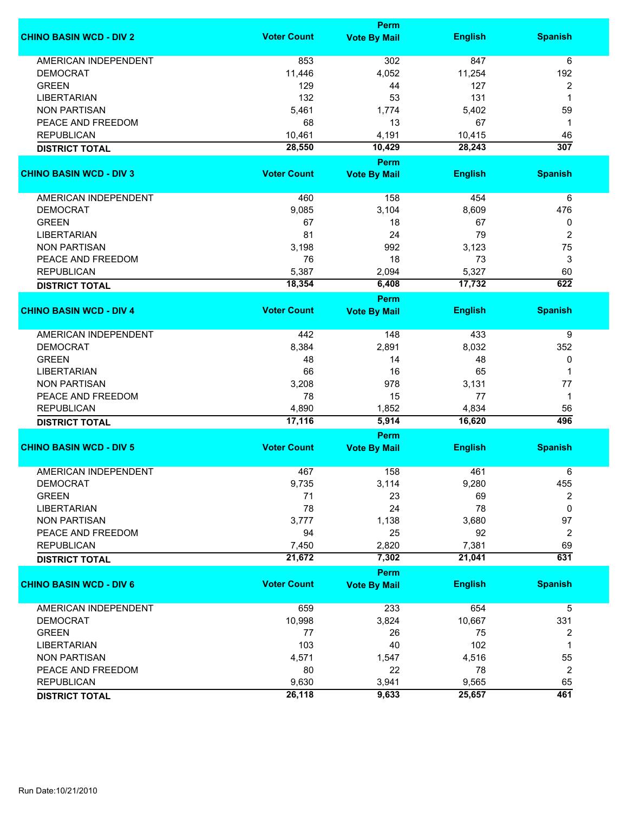|                                | <b>Perm</b>        |                       |                |                |  |  |
|--------------------------------|--------------------|-----------------------|----------------|----------------|--|--|
| <b>CHINO BASIN WCD - DIV 2</b> | <b>Voter Count</b> | <b>Vote By Mail</b>   | <b>English</b> | <b>Spanish</b> |  |  |
| <b>AMERICAN INDEPENDENT</b>    | 853                | 302                   | 847            | 6              |  |  |
| <b>DEMOCRAT</b>                | 11,446             | 4,052                 | 11,254         | 192            |  |  |
| <b>GREEN</b>                   | 129                | 44                    | 127            | 2              |  |  |
| <b>LIBERTARIAN</b>             | 132                | 53                    | 131            | 1              |  |  |
| <b>NON PARTISAN</b>            | 5,461              | 1,774                 | 5,402          | 59             |  |  |
| PEACE AND FREEDOM              | 68                 | 13                    | 67             | 1              |  |  |
| <b>REPUBLICAN</b>              |                    |                       |                |                |  |  |
|                                | 10,461             | 4,191                 | 10,415         | 46             |  |  |
| <b>DISTRICT TOTAL</b>          | 28,550             | 10,429<br><b>Perm</b> | 28,243         | 307            |  |  |
| <b>CHINO BASIN WCD - DIV 3</b> | <b>Voter Count</b> | <b>Vote By Mail</b>   | <b>English</b> | <b>Spanish</b> |  |  |
|                                |                    |                       |                |                |  |  |
| AMERICAN INDEPENDENT           | 460                | 158                   | 454            | 6              |  |  |
| <b>DEMOCRAT</b>                | 9,085              | 3,104                 | 8,609          | 476            |  |  |
| <b>GREEN</b>                   | 67                 | 18                    | 67             | 0              |  |  |
| <b>LIBERTARIAN</b>             | 81                 | 24                    | 79             | 2              |  |  |
| <b>NON PARTISAN</b>            | 3,198              | 992                   | 3,123          | 75             |  |  |
| PEACE AND FREEDOM              | 76                 | 18                    | 73             | 3              |  |  |
| <b>REPUBLICAN</b>              | 5,387              | 2,094                 | 5,327          | 60             |  |  |
|                                | 18,354             | 6,408                 | 17,732         | 622            |  |  |
| <b>DISTRICT TOTAL</b>          |                    | <b>Perm</b>           |                |                |  |  |
| <b>CHINO BASIN WCD - DIV 4</b> | <b>Voter Count</b> | <b>Vote By Mail</b>   | <b>English</b> | <b>Spanish</b> |  |  |
|                                |                    |                       |                |                |  |  |
| <b>AMERICAN INDEPENDENT</b>    | 442                | 148                   | 433            | 9              |  |  |
| <b>DEMOCRAT</b>                | 8,384              | 2,891                 | 8,032          | 352            |  |  |
| <b>GREEN</b>                   | 48                 | 14                    | 48             | 0              |  |  |
| <b>LIBERTARIAN</b>             | 66                 | 16                    | 65             | 1              |  |  |
| <b>NON PARTISAN</b>            | 3,208              | 978                   | 3,131          | 77             |  |  |
| PEACE AND FREEDOM              | 78                 | 15                    | 77             | $\mathbf 1$    |  |  |
| <b>REPUBLICAN</b>              | 4,890              | 1,852                 | 4,834          | 56             |  |  |
| <b>DISTRICT TOTAL</b>          | 17,116             | 5,914                 | 16,620         | 496            |  |  |
|                                |                    | Perm                  |                |                |  |  |
| <b>CHINO BASIN WCD - DIV 5</b> | <b>Voter Count</b> | <b>Vote By Mail</b>   | <b>English</b> | <b>Spanish</b> |  |  |
|                                |                    |                       |                |                |  |  |
| <b>AMERICAN INDEPENDENT</b>    | 467                | 158                   | 461            | 6              |  |  |
| <b>DEMOCRAT</b>                | 9,735              | 3,114                 | 9,280          | 455            |  |  |
| <b>GREEN</b>                   | 71                 | 23                    | 69             | 2              |  |  |
| <b>LIBERTARIAN</b>             | 78                 | 24                    | 78             | 0              |  |  |
| <b>NON PARTISAN</b>            | 3,777              | 1,138                 | 3,680          | 97             |  |  |
| PEACE AND FREEDOM              | 94                 | 25                    | 92             | 2              |  |  |
| <b>REPUBLICAN</b>              | 7,450              | 2,820                 | 7,381          | 69             |  |  |
| <b>DISTRICT TOTAL</b>          | 21,672             | 7,302                 | 21,041         | 631            |  |  |
|                                |                    | Perm                  |                |                |  |  |
| <b>CHINO BASIN WCD - DIV 6</b> | <b>Voter Count</b> | <b>Vote By Mail</b>   | <b>English</b> | <b>Spanish</b> |  |  |
| <b>AMERICAN INDEPENDENT</b>    | 659                | 233                   | 654            | 5              |  |  |
| <b>DEMOCRAT</b>                | 10,998             | 3,824                 | 10,667         | 331            |  |  |
| <b>GREEN</b>                   | 77                 | 26                    | 75             | 2              |  |  |
| <b>LIBERTARIAN</b>             | 103                | 40                    | 102            | 1              |  |  |
| <b>NON PARTISAN</b>            | 4,571              | 1,547                 | 4,516          | 55             |  |  |
| PEACE AND FREEDOM              | 80                 | 22                    | 78             |                |  |  |
|                                |                    |                       |                | 2              |  |  |
| <b>REPUBLICAN</b>              | 9,630              | 3,941                 | 9,565          | 65             |  |  |
| <b>DISTRICT TOTAL</b>          | 26,118             | 9,633                 | 25,657         | 461            |  |  |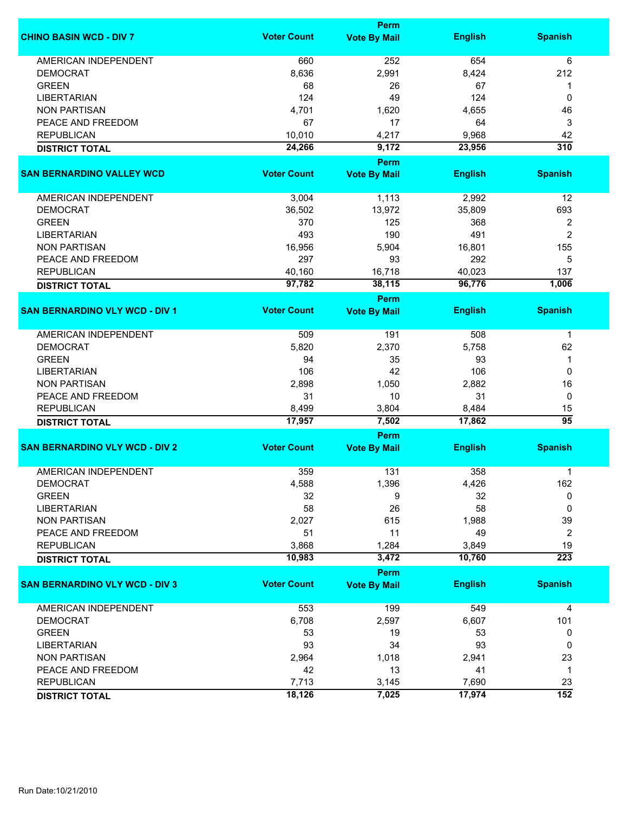|                                       | <b>Perm</b>        |                                    |                |                  |  |
|---------------------------------------|--------------------|------------------------------------|----------------|------------------|--|
| <b>CHINO BASIN WCD - DIV 7</b>        | <b>Voter Count</b> | <b>Vote By Mail</b>                | <b>English</b> | <b>Spanish</b>   |  |
| <b>AMERICAN INDEPENDENT</b>           | 660                | 252                                | 654            | 6                |  |
| <b>DEMOCRAT</b>                       | 8,636              | 2,991                              | 8,424          | 212              |  |
| <b>GREEN</b>                          | 68                 | 26                                 | 67             | 1                |  |
| <b>LIBERTARIAN</b>                    | 124                | 49                                 | 124            | 0                |  |
| <b>NON PARTISAN</b>                   | 4,701              | 1,620                              | 4,655          | 46               |  |
| PEACE AND FREEDOM                     | 67                 | 17                                 | 64             | 3                |  |
| <b>REPUBLICAN</b>                     | 10,010             | 4,217                              | 9,968          |                  |  |
|                                       |                    |                                    |                | 42               |  |
| <b>DISTRICT TOTAL</b>                 | 24,266             | 9,172                              | 23,956         | 310              |  |
| <b>SAN BERNARDINO VALLEY WCD</b>      | <b>Voter Count</b> | <b>Perm</b><br><b>Vote By Mail</b> | <b>English</b> | <b>Spanish</b>   |  |
|                                       |                    |                                    |                |                  |  |
| AMERICAN INDEPENDENT                  | 3,004              | 1,113                              | 2,992          | 12               |  |
| <b>DEMOCRAT</b>                       | 36,502             | 13,972                             | 35,809         | 693              |  |
| <b>GREEN</b>                          | 370                | 125                                | 368            | 2                |  |
| <b>LIBERTARIAN</b>                    | 493                | 190                                | 491            | $\overline{2}$   |  |
| <b>NON PARTISAN</b>                   | 16,956             | 5,904                              | 16,801         | 155              |  |
| PEACE AND FREEDOM                     | 297                | 93                                 | 292            | 5                |  |
| <b>REPUBLICAN</b>                     | 40,160             | 16,718                             | 40,023         | 137              |  |
| <b>DISTRICT TOTAL</b>                 | 97,782             | 38,115                             | 96,776         | 1,006            |  |
|                                       |                    | <b>Perm</b>                        |                |                  |  |
| <b>SAN BERNARDINO VLY WCD - DIV 1</b> | <b>Voter Count</b> | <b>Vote By Mail</b>                | <b>English</b> | <b>Spanish</b>   |  |
| <b>AMERICAN INDEPENDENT</b>           | 509                | 191                                | 508            | 1                |  |
| <b>DEMOCRAT</b>                       | 5,820              | 2,370                              | 5,758          | 62               |  |
| <b>GREEN</b>                          | 94                 | 35                                 | 93             | 1                |  |
| <b>LIBERTARIAN</b>                    | 106                | 42                                 | 106            | 0                |  |
| <b>NON PARTISAN</b>                   | 2,898              | 1,050                              | 2,882          | 16               |  |
| PEACE AND FREEDOM                     | 31                 | 10                                 | 31             | 0                |  |
|                                       | 8,499              |                                    | 8,484          |                  |  |
| <b>REPUBLICAN</b>                     | 17,957             | 3,804<br>7,502                     | 17,862         | 15<br>95         |  |
| <b>DISTRICT TOTAL</b>                 |                    | Perm                               |                |                  |  |
| <b>SAN BERNARDINO VLY WCD - DIV 2</b> | <b>Voter Count</b> | <b>Vote By Mail</b>                | <b>English</b> | <b>Spanish</b>   |  |
|                                       |                    |                                    |                |                  |  |
| <b>AMERICAN INDEPENDENT</b>           | 359                | 131                                | 358            | 1                |  |
| <b>DEMOCRAT</b>                       | 4,588              | 1,396                              | 4,426          | 162              |  |
| <b>GREEN</b>                          | 32                 | 9                                  | 32             | 0                |  |
| <b>LIBERTARIAN</b>                    | 58                 | 26                                 | 58             | 0                |  |
| <b>NON PARTISAN</b>                   | 2,027              | 615                                | 1,988          | 39               |  |
| PEACE AND FREEDOM                     | 51                 | 11                                 | 49             | 2                |  |
| <b>REPUBLICAN</b>                     | 3,868              | 1,284                              | 3,849          | 19               |  |
| <b>DISTRICT TOTAL</b>                 | 10,983             | 3,472                              | 10,760         | $\overline{223}$ |  |
|                                       |                    | <b>Perm</b>                        |                |                  |  |
| <b>SAN BERNARDINO VLY WCD - DIV 3</b> | <b>Voter Count</b> | <b>Vote By Mail</b>                | <b>English</b> | <b>Spanish</b>   |  |
| <b>AMERICAN INDEPENDENT</b>           | 553                | 199                                | 549            | 4                |  |
| <b>DEMOCRAT</b>                       | 6,708              | 2,597                              | 6,607          | 101              |  |
| <b>GREEN</b>                          | 53                 | 19                                 | 53             | 0                |  |
| <b>LIBERTARIAN</b>                    | 93                 | 34                                 | 93             | 0                |  |
| <b>NON PARTISAN</b>                   | 2,964              | 1,018                              | 2,941          | 23               |  |
| PEACE AND FREEDOM                     | 42                 | 13                                 | 41             | 1                |  |
| <b>REPUBLICAN</b>                     | 7,713              | 3,145                              | 7,690          | 23               |  |
| <b>DISTRICT TOTAL</b>                 | 18,126             | 7,025                              | 17,974         | $\overline{152}$ |  |
|                                       |                    |                                    |                |                  |  |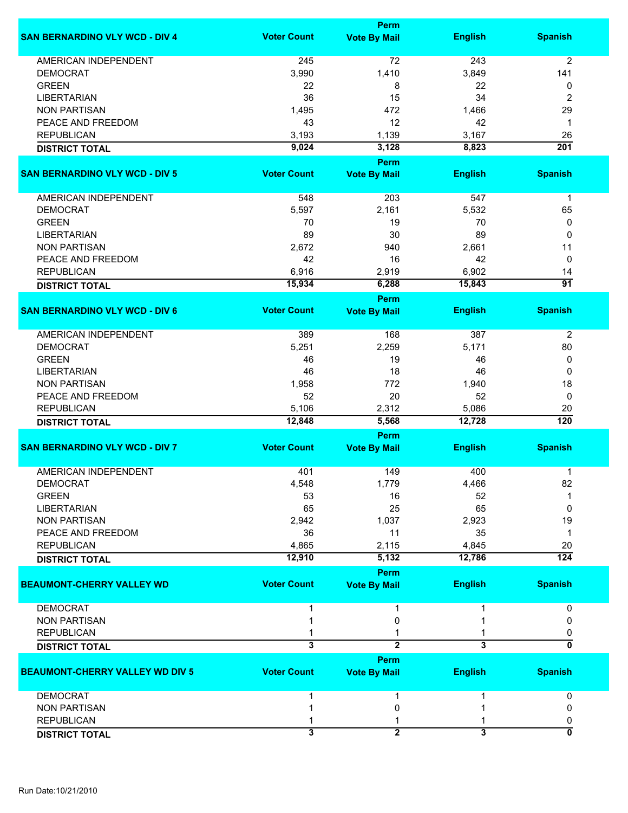|                                        |                    | <b>Perm</b>                 |                |                         |
|----------------------------------------|--------------------|-----------------------------|----------------|-------------------------|
| <b>SAN BERNARDINO VLY WCD - DIV 4</b>  | <b>Voter Count</b> | <b>Vote By Mail</b>         | <b>English</b> | <b>Spanish</b>          |
| <b>AMERICAN INDEPENDENT</b>            | 245                | 72                          | 243            | $\overline{2}$          |
| <b>DEMOCRAT</b>                        | 3,990              | 1,410                       | 3,849          | 141                     |
| <b>GREEN</b>                           | 22                 | 8                           | 22             | 0                       |
| <b>LIBERTARIAN</b>                     | 36                 | 15                          | 34             | $\overline{2}$          |
| <b>NON PARTISAN</b>                    | 1,495              | 472                         | 1,466          | 29                      |
|                                        |                    |                             |                |                         |
| PEACE AND FREEDOM                      | 43                 | 12                          | 42             | $\mathbf 1$             |
| <b>REPUBLICAN</b>                      | 3,193              | 1,139                       | 3,167          | 26                      |
| <b>DISTRICT TOTAL</b>                  | 9,024              | 3,128                       | 8,823          | $\overline{201}$        |
| <b>SAN BERNARDINO VLY WCD - DIV 5</b>  | <b>Voter Count</b> | Perm<br><b>Vote By Mail</b> | <b>English</b> | <b>Spanish</b>          |
|                                        |                    |                             |                |                         |
| AMERICAN INDEPENDENT                   | 548                | 203                         | 547            | $\mathbf 1$             |
| <b>DEMOCRAT</b>                        | 5,597              | 2,161                       | 5,532          | 65                      |
| <b>GREEN</b>                           | 70                 | 19                          | 70             | 0                       |
| <b>LIBERTARIAN</b>                     | 89                 | 30                          | 89             | 0                       |
| <b>NON PARTISAN</b>                    | 2,672              | 940                         | 2,661          | 11                      |
| PEACE AND FREEDOM                      | 42                 | 16                          | 42             | 0                       |
| <b>REPUBLICAN</b>                      | 6,916              | 2,919                       | 6,902          | 14                      |
| <b>DISTRICT TOTAL</b>                  | 15,934             | 6,288                       | 15,843         | $\overline{91}$         |
|                                        |                    | Perm                        |                |                         |
| <b>SAN BERNARDINO VLY WCD - DIV 6</b>  | <b>Voter Count</b> | <b>Vote By Mail</b>         | <b>English</b> | <b>Spanish</b>          |
|                                        |                    |                             |                |                         |
| AMERICAN INDEPENDENT                   | 389                | 168                         | 387            | $\overline{2}$          |
| <b>DEMOCRAT</b>                        | 5,251              | 2,259                       | 5,171          | 80                      |
| <b>GREEN</b>                           | 46                 | 19                          | 46             | 0                       |
| <b>LIBERTARIAN</b>                     | 46                 | 18                          | 46             | 0                       |
| <b>NON PARTISAN</b>                    | 1,958              | 772                         | 1,940          | 18                      |
| PEACE AND FREEDOM                      | 52                 | 20                          | 52             | 0                       |
| <b>REPUBLICAN</b>                      | 5,106              | 2,312                       | 5,086          | 20                      |
| <b>DISTRICT TOTAL</b>                  | 12,848             | 5,568                       | 12,728         | $\overline{120}$        |
|                                        |                    | Perm                        |                |                         |
| <b>SAN BERNARDINO VLY WCD - DIV 7</b>  | <b>Voter Count</b> | <b>Vote By Mail</b>         | <b>English</b> | <b>Spanish</b>          |
| <b>AMERICAN INDEPENDENT</b>            |                    |                             |                |                         |
|                                        | 401                | 149                         | 400            | 1                       |
| <b>DEMOCRAI</b>                        | 4,548              | 1,779                       | 4,466          | 82                      |
| <b>GREEN</b>                           | 53                 | 16                          | 52             |                         |
| <b>LIBERTARIAN</b>                     | 65                 | 25                          | 65             | 0                       |
| <b>NON PARTISAN</b>                    | 2,942              | 1,037                       | 2,923          | 19                      |
| PEACE AND FREEDOM                      | 36                 | 11                          | 35             | $\mathbf 1$             |
| <b>REPUBLICAN</b>                      | 4,865              | 2,115                       | 4,845          | 20                      |
| <b>DISTRICT TOTAL</b>                  | 12,910             | 5,132                       | 12,786         | $\overline{124}$        |
|                                        |                    | Perm                        |                |                         |
| <b>BEAUMONT-CHERRY VALLEY WD</b>       | <b>Voter Count</b> | <b>Vote By Mail</b>         | <b>English</b> | <b>Spanish</b>          |
| <b>DEMOCRAT</b>                        |                    |                             |                | 0                       |
| <b>NON PARTISAN</b>                    |                    | 0                           |                | 0                       |
| <b>REPUBLICAN</b>                      |                    |                             |                | 0                       |
| <b>DISTRICT TOTAL</b>                  | 3                  | $\overline{2}$              | 3              | 0                       |
|                                        |                    | Perm                        |                |                         |
| <b>BEAUMONT-CHERRY VALLEY WD DIV 5</b> | <b>Voter Count</b> | <b>Vote By Mail</b>         | <b>English</b> | <b>Spanish</b>          |
| <b>DEMOCRAT</b>                        |                    |                             |                | 0                       |
| <b>NON PARTISAN</b>                    |                    | 0                           |                | 0                       |
| <b>REPUBLICAN</b>                      |                    |                             |                | 0                       |
|                                        | 3                  | $\overline{2}$              | 3              | $\overline{\mathbf{0}}$ |
| <b>DISTRICT TOTAL</b>                  |                    |                             |                |                         |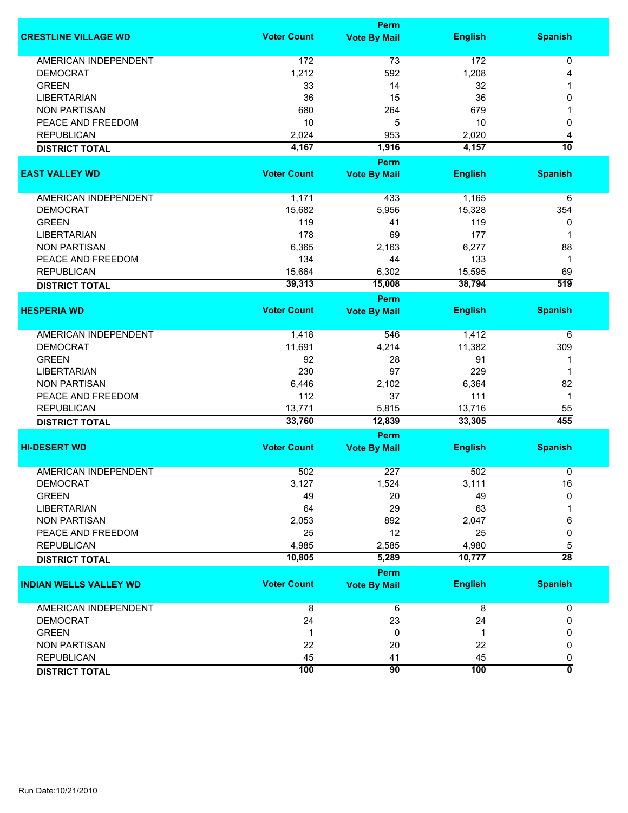|                               |                    | Perm                |                |                  |
|-------------------------------|--------------------|---------------------|----------------|------------------|
| <b>CRESTLINE VILLAGE WD</b>   | <b>Voter Count</b> | <b>Vote By Mail</b> | <b>English</b> | <b>Spanish</b>   |
| <b>AMERICAN INDEPENDENT</b>   | 172                | 73                  | 172            | 0                |
| <b>DEMOCRAT</b>               | 1,212              | 592                 | 1,208          | 4                |
| <b>GREEN</b>                  | 33                 | 14                  | 32             |                  |
| <b>LIBERTARIAN</b>            | 36                 | 15                  | 36             | 0                |
| <b>NON PARTISAN</b>           | 680                | 264                 | 679            |                  |
| PEACE AND FREEDOM             | 10                 | 5                   | 10             | 0                |
| <b>REPUBLICAN</b>             | 2,024              | 953                 | 2,020          | 4                |
| <b>DISTRICT TOTAL</b>         | 4,167              | 1,916               | 4,157          | $\overline{10}$  |
|                               |                    |                     |                |                  |
|                               |                    | Perm                |                |                  |
| <b>EAST VALLEY WD</b>         | <b>Voter Count</b> | <b>Vote By Mail</b> | <b>English</b> | <b>Spanish</b>   |
| AMERICAN INDEPENDENT          | 1,171              | 433                 | 1,165          | 6                |
| <b>DEMOCRAT</b>               | 15,682             | 5,956               | 15,328         | 354              |
| <b>GREEN</b>                  | 119                | 41                  | 119            | 0                |
| <b>LIBERTARIAN</b>            | 178                | 69                  | 177            | 1                |
| <b>NON PARTISAN</b>           | 6,365              | 2,163               | 6,277          | 88               |
| PEACE AND FREEDOM             | 134                | 44                  | 133            | $\mathbf 1$      |
| <b>REPUBLICAN</b>             | 15,664             | 6,302               | 15,595         | 69               |
| <b>DISTRICT TOTAL</b>         | 39,313             | 15,008              | 38,794         | $\overline{519}$ |
|                               |                    |                     |                |                  |
|                               |                    | <b>Perm</b>         |                |                  |
| <b>HESPERIA WD</b>            | <b>Voter Count</b> | <b>Vote By Mail</b> | <b>English</b> | <b>Spanish</b>   |
| <b>AMERICAN INDEPENDENT</b>   | 1,418              | 546                 | 1,412          | 6                |
| <b>DEMOCRAT</b>               | 11,691             | 4,214               | 11,382         | 309              |
| <b>GREEN</b>                  | 92                 | 28                  | 91             | 1                |
| <b>LIBERTARIAN</b>            | 230                | 97                  | 229            | 1                |
| <b>NON PARTISAN</b>           | 6,446              | 2,102               | 6,364          | 82               |
| PEACE AND FREEDOM             | 112                | 37                  | 111            | $\mathbf 1$      |
| <b>REPUBLICAN</b>             | 13,771             | 5,815               | 13,716         | 55               |
| <b>DISTRICT TOTAL</b>         | 33,760             | 12,839              | 33,305         | 455              |
|                               |                    | Perm                |                |                  |
| <b>HI-DESERT WD</b>           | <b>Voter Count</b> |                     | <b>English</b> | <b>Spanish</b>   |
|                               |                    | <b>Vote By Mail</b> |                |                  |
| <b>AMERICAN INDEPENDENT</b>   | 502                | 227                 | 502            | 0                |
| <b>DEMOCRAT</b>               | 3,127              | 1,524               | 3,111          | 16               |
| <b>GREEN</b>                  | 49                 | 20                  | 49             | $\mathbf{0}$     |
| <b>LIBERTARIAN</b>            | 64                 | 29                  | 63             |                  |
| <b>NON PARTISAN</b>           | 2,053              | 892                 | 2,047          | 6                |
| PEACE AND FREEDOM             | 25                 | 12                  | 25             | 0                |
| <b>REPUBLICAN</b>             | 4,985              | 2,585               | 4,980          | 5                |
| <b>DISTRICT TOTAL</b>         | 10,805             | 5,289               | 10,777         | $\overline{28}$  |
|                               |                    | <b>Perm</b>         |                |                  |
| <b>INDIAN WELLS VALLEY WD</b> | <b>Voter Count</b> | <b>Vote By Mail</b> | <b>English</b> | <b>Spanish</b>   |
|                               |                    |                     |                |                  |
| <b>AMERICAN INDEPENDENT</b>   | 8                  | 6                   | 8              | 0                |
| <b>DEMOCRAT</b>               | 24                 | 23                  | 24             | 0                |
| <b>GREEN</b>                  | 1                  | 0                   | 1              | 0                |
| <b>NON PARTISAN</b>           | 22                 | 20                  | 22             | 0                |
| <b>REPUBLICAN</b>             | 45                 | 41                  | 45             | 0                |
| <b>DISTRICT TOTAL</b>         | 100                | 90                  | 100            | ō                |
|                               |                    |                     |                |                  |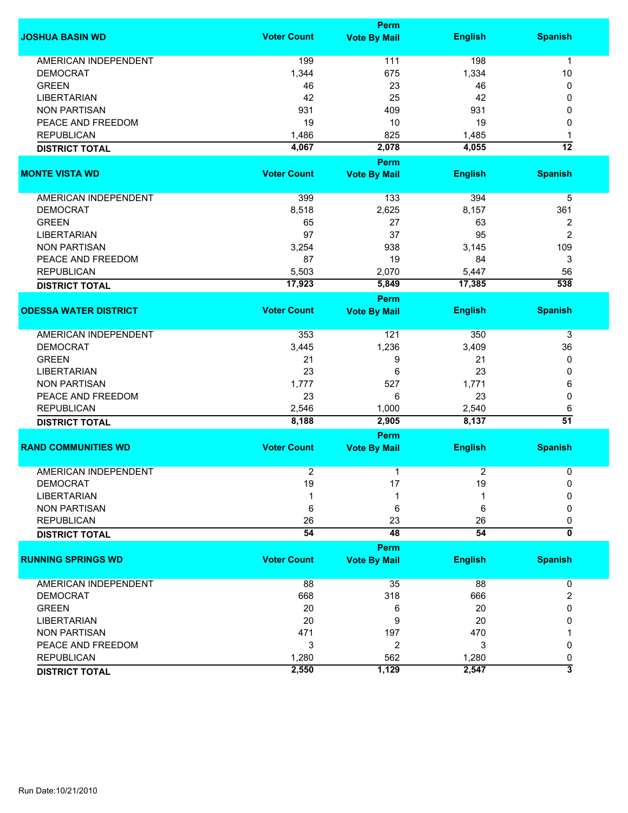|                              |                    | <b>Perm</b>         |                 |                           |
|------------------------------|--------------------|---------------------|-----------------|---------------------------|
| <b>JOSHUA BASIN WD</b>       | <b>Voter Count</b> | <b>Vote By Mail</b> | <b>English</b>  | <b>Spanish</b>            |
| <b>AMERICAN INDEPENDENT</b>  | 199                | 111                 | 198             | $\mathbf 1$               |
| <b>DEMOCRAT</b>              | 1,344              | 675                 | 1,334           | 10                        |
|                              |                    |                     |                 |                           |
| <b>GREEN</b>                 | 46                 | 23                  | 46              | 0                         |
| <b>LIBERTARIAN</b>           | 42                 | 25                  | 42              | 0                         |
| <b>NON PARTISAN</b>          | 931                | 409                 | 931             | 0                         |
| PEACE AND FREEDOM            | 19                 | 10                  | 19              | 0                         |
| <b>REPUBLICAN</b>            | 1,486              | 825                 | 1,485           | 1                         |
| <b>DISTRICT TOTAL</b>        | 4,067              | 2,078               | 4,055           | $\overline{12}$           |
|                              |                    | <b>Perm</b>         |                 |                           |
| <b>MONTE VISTA WD</b>        | <b>Voter Count</b> | <b>Vote By Mail</b> | <b>English</b>  | <b>Spanish</b>            |
|                              |                    |                     |                 |                           |
| AMERICAN INDEPENDENT         | 399                | 133                 | 394             | 5                         |
| <b>DEMOCRAT</b>              | 8,518              | 2,625               | 8,157           | 361                       |
| <b>GREEN</b>                 | 65                 | 27                  | 63              | $\overline{\mathbf{c}}$   |
| <b>LIBERTARIAN</b>           | 97                 | 37                  | 95              | $\overline{2}$            |
| <b>NON PARTISAN</b>          | 3,254              | 938                 | 3,145           | 109                       |
| PEACE AND FREEDOM            | 87                 | 19                  | 84              | 3                         |
| <b>REPUBLICAN</b>            | 5,503              | 2,070               | 5,447           | 56                        |
| <b>DISTRICT TOTAL</b>        | 17,923             | 5,849               | 17,385          | 538                       |
|                              |                    |                     |                 |                           |
|                              |                    | <b>Perm</b>         |                 |                           |
| <b>ODESSA WATER DISTRICT</b> | <b>Voter Count</b> | <b>Vote By Mail</b> | <b>English</b>  | <b>Spanish</b>            |
| <b>AMERICAN INDEPENDENT</b>  | 353                | 121                 | 350             | 3                         |
| <b>DEMOCRAT</b>              | 3,445              | 1,236               | 3,409           | 36                        |
| <b>GREEN</b>                 | 21                 | 9                   | 21              | 0                         |
| <b>LIBERTARIAN</b>           | 23                 | 6                   | 23              | 0                         |
| <b>NON PARTISAN</b>          | 1,777              | 527                 | 1,771           | 6                         |
| PEACE AND FREEDOM            | 23                 | 6                   | 23              | 0                         |
| <b>REPUBLICAN</b>            | 2,546              | 1,000               | 2,540           |                           |
|                              | 8,188              | 2,905               | 8,137           | 6<br>$\overline{51}$      |
| <b>DISTRICT TOTAL</b>        |                    |                     |                 |                           |
|                              |                    | Perm                |                 |                           |
| <b>RAND COMMUNITIES WD</b>   | <b>Voter Count</b> | <b>Vote By Mail</b> | <b>English</b>  | <b>Spanish</b>            |
| <b>AMERICAN INDEPENDENT</b>  | $\overline{2}$     | 1                   | 2               | 0                         |
| <b>DEMOCRAT</b>              | 19                 | 17                  | 19              | 0                         |
| <b>LIBERTARIAN</b>           |                    |                     |                 | 0                         |
| <b>NON PARTISAN</b>          | 6                  | 6                   | 6               | 0                         |
| <b>REPUBLICAN</b>            | 26                 | 23                  | 26              | 0                         |
|                              | $\overline{54}$    | 48                  | $\overline{54}$ | $\overline{\mathfrak{o}}$ |
| <b>DISTRICT TOTAL</b>        |                    |                     |                 |                           |
|                              |                    | Perm                |                 |                           |
| <b>RUNNING SPRINGS WD</b>    | <b>Voter Count</b> | <b>Vote By Mail</b> | <b>English</b>  | <b>Spanish</b>            |
| AMERICAN INDEPENDENT         | 88                 | 35                  | 88              | 0                         |
| <b>DEMOCRAT</b>              | 668                | 318                 | 666             | 2                         |
| <b>GREEN</b>                 | 20                 |                     | 20              | 0                         |
|                              |                    | 6                   |                 |                           |
| <b>LIBERTARIAN</b>           | 20                 | 9                   | 20              | 0                         |
| <b>NON PARTISAN</b>          | 471                | 197                 | 470             |                           |
| PEACE AND FREEDOM            | 3                  | 2                   | 3               | 0                         |
| <b>REPUBLICAN</b>            | 1,280              | 562                 | 1,280           | 0                         |
| <b>DISTRICT TOTAL</b>        | 2,550              | 1,129               | 2,547           | 3                         |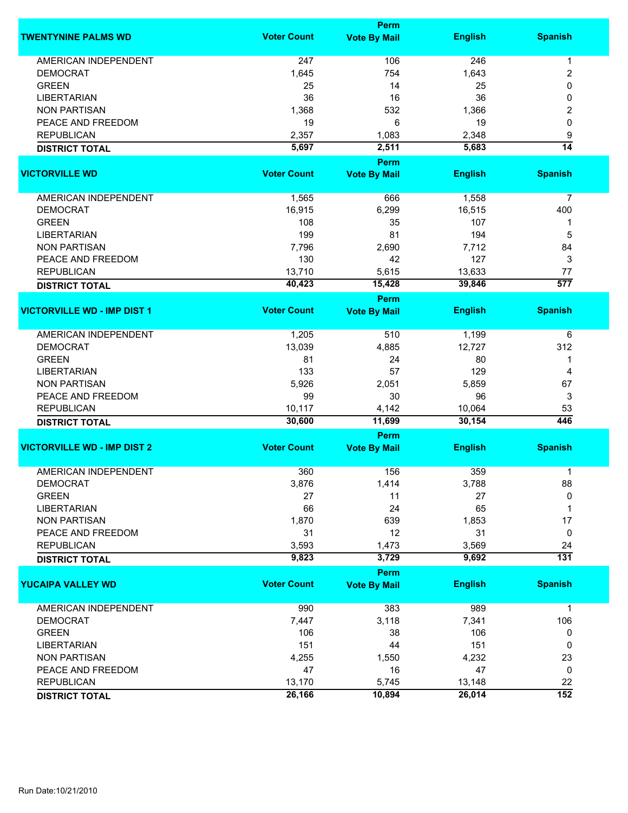|                                    |                    | Perm                |                |                      |
|------------------------------------|--------------------|---------------------|----------------|----------------------|
| <b>TWENTYNINE PALMS WD</b>         | <b>Voter Count</b> | <b>Vote By Mail</b> | <b>English</b> | <b>Spanish</b>       |
| <b>AMERICAN INDEPENDENT</b>        | 247                | 106                 | 246            | 1                    |
| <b>DEMOCRAT</b>                    | 1,645              | 754                 | 1,643          | 2                    |
| <b>GREEN</b>                       | 25                 | 14                  | 25             | 0                    |
| <b>LIBERTARIAN</b>                 | 36                 | 16                  | 36             | 0                    |
| <b>NON PARTISAN</b>                | 1,368              | 532                 | 1,366          | 2                    |
| PEACE AND FREEDOM                  | 19                 | 6                   | 19             | 0                    |
| <b>REPUBLICAN</b>                  |                    |                     |                |                      |
|                                    | 2,357              | 1,083               | 2,348          | 9<br>$\overline{14}$ |
| <b>DISTRICT TOTAL</b>              | 5,697              | 2,511<br>Perm       | 5,683          |                      |
| <b>VICTORVILLE WD</b>              | <b>Voter Count</b> | <b>Vote By Mail</b> | <b>English</b> | <b>Spanish</b>       |
| AMERICAN INDEPENDENT               | 1,565              | 666                 | 1,558          | $\overline{7}$       |
|                                    |                    |                     |                |                      |
| <b>DEMOCRAT</b>                    | 16,915             | 6,299               | 16,515         | 400                  |
| <b>GREEN</b>                       | 108                | 35                  | 107            | 1                    |
| <b>LIBERTARIAN</b>                 | 199                | 81                  | 194            | 5                    |
| <b>NON PARTISAN</b>                | 7,796              | 2,690               | 7,712          | 84                   |
| PEACE AND FREEDOM                  | 130                | 42                  | 127            | 3                    |
| <b>REPUBLICAN</b>                  | 13,710             | 5,615               | 13,633         | 77                   |
| <b>DISTRICT TOTAL</b>              | 40,423             | 15,428              | 39,846         | $\overline{577}$     |
|                                    |                    | <b>Perm</b>         |                |                      |
| <b>VICTORVILLE WD - IMP DIST 1</b> | <b>Voter Count</b> | <b>Vote By Mail</b> | <b>English</b> | <b>Spanish</b>       |
| <b>AMERICAN INDEPENDENT</b>        | 1,205              | 510                 | 1,199          | 6                    |
| <b>DEMOCRAT</b>                    | 13,039             | 4,885               | 12,727         | 312                  |
| <b>GREEN</b>                       | 81                 | 24                  | 80             | 1                    |
| <b>LIBERTARIAN</b>                 | 133                | 57                  | 129            | 4                    |
| <b>NON PARTISAN</b>                | 5,926              | 2,051               | 5,859          | 67                   |
| PEACE AND FREEDOM                  | 99                 | 30                  | 96             | 3                    |
| <b>REPUBLICAN</b>                  | 10,117             |                     | 10,064         | 53                   |
|                                    | 30,600             | 4,142<br>11,699     | 30,154         | 446                  |
| <b>DISTRICT TOTAL</b>              |                    | Perm                |                |                      |
| <b>VICTORVILLE WD - IMP DIST 2</b> | <b>Voter Count</b> | <b>Vote By Mail</b> | <b>English</b> | <b>Spanish</b>       |
| <b>AMERICAN INDEPENDENT</b>        | 360                | 156                 | 359            | 1                    |
|                                    |                    |                     |                |                      |
| DEMOCRAT                           | 3,876              | 1,414               | 3,788          | 88                   |
| <b>GREEN</b>                       | 27                 | 11                  | 27             | 0                    |
| <b>LIBERTARIAN</b>                 | 66                 | 24                  | 65             | 1                    |
| <b>NON PARTISAN</b>                | 1,870              | 639                 | 1,853          | 17                   |
| PEACE AND FREEDOM                  | 31                 | 12                  | 31             | 0                    |
| <b>REPUBLICAN</b>                  | 3,593              | 1,473               | 3,569          | 24                   |
| <b>DISTRICT TOTAL</b>              | 9,823              | 3,729               | 9,692          | $\overline{131}$     |
|                                    |                    | Perm                |                |                      |
| <b>YUCAIPA VALLEY WD</b>           | <b>Voter Count</b> | <b>Vote By Mail</b> | <b>English</b> | <b>Spanish</b>       |
| <b>AMERICAN INDEPENDENT</b>        | 990                | 383                 | 989            | $\mathbf 1$          |
| <b>DEMOCRAT</b>                    | 7,447              | 3,118               | 7,341          | 106                  |
| <b>GREEN</b>                       | 106                | 38                  | 106            | 0                    |
| <b>LIBERTARIAN</b>                 | 151                | 44                  | 151            | 0                    |
| <b>NON PARTISAN</b>                | 4,255              | 1,550               | 4,232          | 23                   |
| PEACE AND FREEDOM                  | 47                 | 16                  | 47             | 0                    |
| <b>REPUBLICAN</b>                  | 13,170             | 5,745               | 13,148         | 22                   |
|                                    | 26,166             | 10,894              | 26,014         | $\overline{152}$     |
| <b>DISTRICT TOTAL</b>              |                    |                     |                |                      |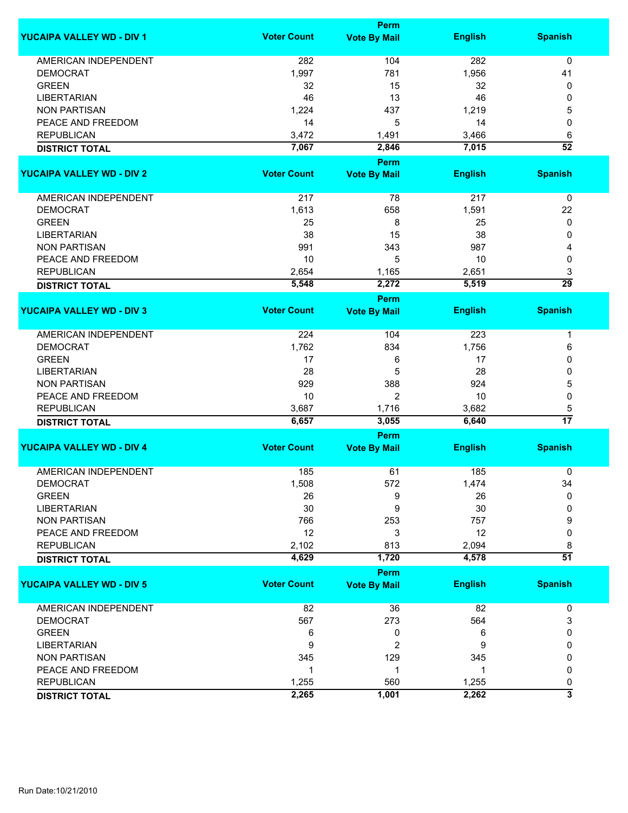|                                  |                    | <b>Perm</b>         |                |                      |  |  |  |
|----------------------------------|--------------------|---------------------|----------------|----------------------|--|--|--|
| <b>YUCAIPA VALLEY WD - DIV 1</b> | <b>Voter Count</b> | <b>Vote By Mail</b> | <b>English</b> | <b>Spanish</b>       |  |  |  |
| <b>AMERICAN INDEPENDENT</b>      | 282                | 104                 | 282            | 0                    |  |  |  |
| <b>DEMOCRAT</b>                  | 1,997              | 781                 | 1,956          | 41                   |  |  |  |
| <b>GREEN</b>                     | 32                 | 15                  | 32             | 0                    |  |  |  |
| <b>LIBERTARIAN</b>               | 46                 | 13                  | 46             | 0                    |  |  |  |
| <b>NON PARTISAN</b>              | 1,224              | 437                 | 1,219          | 5                    |  |  |  |
| PEACE AND FREEDOM                | 14                 | 5                   | 14             | 0                    |  |  |  |
| <b>REPUBLICAN</b>                | 3,472              | 1,491               | 3,466          | 6                    |  |  |  |
| <b>DISTRICT TOTAL</b>            | 7,067              | 2,846               | 7,015          | $\overline{52}$      |  |  |  |
|                                  |                    | <b>Perm</b>         |                |                      |  |  |  |
| <b>YUCAIPA VALLEY WD - DIV 2</b> | <b>Voter Count</b> | <b>Vote By Mail</b> | <b>English</b> | <b>Spanish</b>       |  |  |  |
|                                  |                    |                     |                |                      |  |  |  |
| AMERICAN INDEPENDENT             | 217                | 78                  | 217            | 0                    |  |  |  |
| <b>DEMOCRAT</b>                  | 1,613              | 658                 | 1,591          | 22                   |  |  |  |
| <b>GREEN</b>                     | 25                 | 8                   | 25             | 0                    |  |  |  |
| <b>LIBERTARIAN</b>               | 38                 | 15                  | 38             | 0                    |  |  |  |
| <b>NON PARTISAN</b>              | 991                | 343                 | 987            | 4                    |  |  |  |
| PEACE AND FREEDOM                | 10                 | 5                   | 10             | 0                    |  |  |  |
|                                  |                    |                     |                |                      |  |  |  |
| <b>REPUBLICAN</b>                | 2,654              | 1,165               | 2,651          | 3<br>$\overline{29}$ |  |  |  |
| <b>DISTRICT TOTAL</b>            | 5,548              | 2,272               | 5,519          |                      |  |  |  |
|                                  |                    | <b>Perm</b>         |                |                      |  |  |  |
| <b>YUCAIPA VALLEY WD - DIV 3</b> | <b>Voter Count</b> | <b>Vote By Mail</b> | <b>English</b> | <b>Spanish</b>       |  |  |  |
| <b>AMERICAN INDEPENDENT</b>      | 224                | 104                 | 223            | 1                    |  |  |  |
| <b>DEMOCRAT</b>                  | 1,762              | 834                 | 1,756          | 6                    |  |  |  |
| <b>GREEN</b>                     | 17                 | 6                   | 17             | 0                    |  |  |  |
| <b>LIBERTARIAN</b>               | 28                 | 5                   | 28             | 0                    |  |  |  |
| <b>NON PARTISAN</b>              | 929                | 388                 | 924            | 5                    |  |  |  |
| PEACE AND FREEDOM                | 10                 | $\overline{2}$      | 10             | 0                    |  |  |  |
| <b>REPUBLICAN</b>                |                    |                     |                |                      |  |  |  |
|                                  | 3,687<br>6,657     | 1,716<br>3,055      | 3,682<br>6,640 | 5<br>$\overline{17}$ |  |  |  |
| <b>DISTRICT TOTAL</b>            |                    | <b>Perm</b>         |                |                      |  |  |  |
| <b>YUCAIPA VALLEY WD - DIV 4</b> | <b>Voter Count</b> | <b>Vote By Mail</b> | <b>English</b> | <b>Spanish</b>       |  |  |  |
|                                  |                    |                     |                |                      |  |  |  |
| <b>AMERICAN INDEPENDENT</b>      | 185                | 61                  | 185            | 0                    |  |  |  |
| <b>DEMOCRAT</b>                  | 1,508              | 572                 | 1,474          | 34                   |  |  |  |
| <b>GREEN</b>                     | 26                 | 9                   | 26             | 0                    |  |  |  |
| <b>LIBERTARIAN</b>               | 30                 | 9                   | 30             | 0                    |  |  |  |
| <b>NON PARTISAN</b>              | 766                | 253                 | 757            | 9                    |  |  |  |
| PEACE AND FREEDOM                | 12                 | 3                   | 12             | 0                    |  |  |  |
| <b>REPUBLICAN</b>                | 2,102              | 813                 | 2,094          | 8                    |  |  |  |
| <b>DISTRICT TOTAL</b>            | 4,629              | 1,720               | 4,578          | $\overline{51}$      |  |  |  |
|                                  |                    | <b>Perm</b>         |                |                      |  |  |  |
| <b>YUCAIPA VALLEY WD - DIV 5</b> | <b>Voter Count</b> | <b>Vote By Mail</b> | <b>English</b> | <b>Spanish</b>       |  |  |  |
|                                  |                    |                     |                |                      |  |  |  |
| <b>AMERICAN INDEPENDENT</b>      | 82                 | 36                  | 82             | 0                    |  |  |  |
| <b>DEMOCRAT</b>                  | 567                | 273                 | 564            | 3                    |  |  |  |
| <b>GREEN</b>                     | 6                  | 0                   | 6              | 0                    |  |  |  |
| <b>LIBERTARIAN</b>               | 9                  | 2                   | 9              | 0                    |  |  |  |
| <b>NON PARTISAN</b>              | 345                | 129                 | 345            | 0                    |  |  |  |
| PEACE AND FREEDOM                | 1                  | 1                   | 1              | 0                    |  |  |  |
| <b>REPUBLICAN</b>                | 1,255              | 560                 | 1,255          | 0                    |  |  |  |
| <b>DISTRICT TOTAL</b>            | 2,265              | 1,001               | 2,262          | 3                    |  |  |  |
|                                  |                    |                     |                |                      |  |  |  |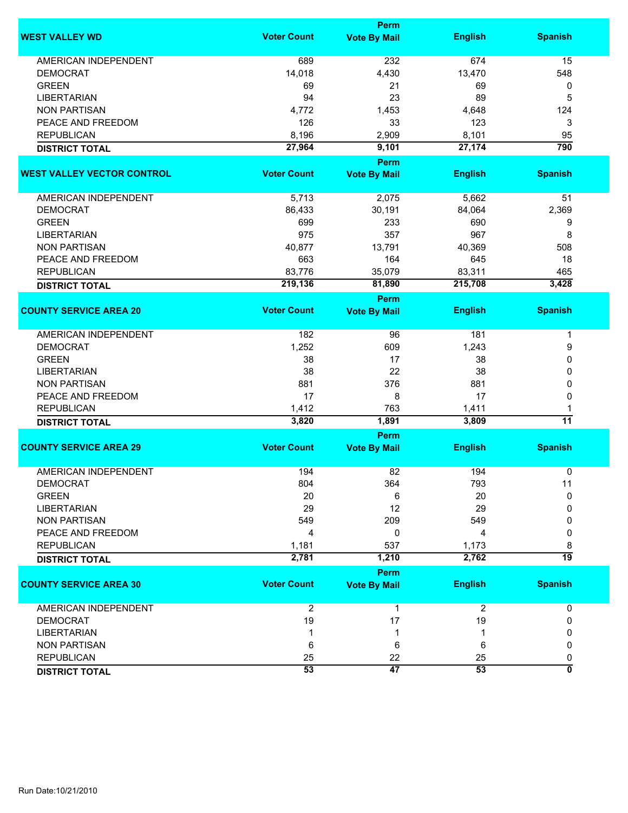|                                   |                    | Perm                |                |                 |
|-----------------------------------|--------------------|---------------------|----------------|-----------------|
| <b>WEST VALLEY WD</b>             | <b>Voter Count</b> | <b>Vote By Mail</b> | <b>English</b> | <b>Spanish</b>  |
| <b>AMERICAN INDEPENDENT</b>       | 689                | 232                 | 674            | 15              |
| <b>DEMOCRAT</b>                   | 14,018             | 4,430               | 13,470         | 548             |
| <b>GREEN</b>                      | 69                 | 21                  | 69             | 0               |
| <b>LIBERTARIAN</b>                | 94                 | 23                  | 89             | 5               |
| <b>NON PARTISAN</b>               | 4,772              | 1,453               | 4,648          | 124             |
|                                   |                    |                     |                |                 |
| PEACE AND FREEDOM                 | 126                | 33                  | 123            | 3               |
| <b>REPUBLICAN</b>                 | 8,196              | 2,909               | 8,101          | 95              |
| <b>DISTRICT TOTAL</b>             | 27,964             | 9,101               | 27,174         | 790             |
|                                   |                    | Perm                |                |                 |
| <b>WEST VALLEY VECTOR CONTROL</b> | <b>Voter Count</b> | <b>Vote By Mail</b> | <b>English</b> | <b>Spanish</b>  |
| <b>AMERICAN INDEPENDENT</b>       | 5,713              | 2,075               | 5,662          | 51              |
| <b>DEMOCRAT</b>                   | 86,433             | 30,191              | 84,064         | 2,369           |
| <b>GREEN</b>                      | 699                | 233                 | 690            | 9               |
| <b>LIBERTARIAN</b>                | 975                | 357                 | 967            | 8               |
| <b>NON PARTISAN</b>               | 40,877             | 13,791              | 40,369         | 508             |
| PEACE AND FREEDOM                 | 663                | 164                 | 645            | 18              |
|                                   |                    |                     |                |                 |
| <b>REPUBLICAN</b>                 | 83,776             | 35,079              | 83,311         | 465             |
| <b>DISTRICT TOTAL</b>             | 219,136            | 81,890              | 215,708        | 3,428           |
|                                   |                    | Perm                |                |                 |
| <b>COUNTY SERVICE AREA 20</b>     | <b>Voter Count</b> | <b>Vote By Mail</b> | <b>English</b> | <b>Spanish</b>  |
| <b>AMERICAN INDEPENDENT</b>       | 182                | 96                  | 181            | 1               |
| <b>DEMOCRAT</b>                   | 1,252              | 609                 | 1,243          | 9               |
| <b>GREEN</b>                      | 38                 | 17                  | 38             | 0               |
| <b>LIBERTARIAN</b>                | 38                 | 22                  | 38             | 0               |
| <b>NON PARTISAN</b>               | 881                | 376                 | 881            | 0               |
| PEACE AND FREEDOM                 | 17                 | 8                   | 17             | 0               |
| <b>REPUBLICAN</b>                 | 1,412              | 763                 | 1,411          | 1               |
| <b>DISTRICT TOTAL</b>             | 3,820              | 1,891               | 3,809          | $\overline{11}$ |
|                                   |                    |                     |                |                 |
|                                   |                    | Perm                |                |                 |
| <b>COUNTY SERVICE AREA 29</b>     | <b>Voter Count</b> | <b>Vote By Mail</b> | <b>English</b> | <b>Spanish</b>  |
| <b>AMERICAN INDEPENDENT</b>       | 194                | 82                  | 194            | 0               |
| <b>DEMOCRAT</b>                   | 804                | 364                 | 793            | 11              |
| <b>GREEN</b>                      | 20                 | 6                   | 20             | $\mathbf{0}$    |
| <b>LIBERTARIAN</b>                | 29                 | 12                  | 29             | 0               |
| <b>NON PARTISAN</b>               | 549                | 209                 | 549            | 0               |
| PEACE AND FREEDOM                 | 4                  | 0                   | 4              | 0               |
| <b>REPUBLICAN</b>                 | 1,181              | 537                 | 1,173          | 8               |
| <b>DISTRICT TOTAL</b>             | 2,781              | 1,210               | 2,762          | 19              |
|                                   |                    |                     |                |                 |
|                                   |                    | Perm                |                |                 |
| <b>COUNTY SERVICE AREA 30</b>     | <b>Voter Count</b> | <b>Vote By Mail</b> | <b>English</b> | <b>Spanish</b>  |
| AMERICAN INDEPENDENT              | $\overline{c}$     | 1                   | $\overline{c}$ | 0               |
| <b>DEMOCRAT</b>                   | 19                 | 17                  | 19             | 0               |
| <b>LIBERTARIAN</b>                |                    | 1                   |                | 0               |
| <b>NON PARTISAN</b>               | 6                  | 6                   | 6              | 0               |
| <b>REPUBLICAN</b>                 | 25                 | 22                  | 25             | 0               |
| <b>DISTRICT TOTAL</b>             | 53                 | 47                  | 53             | 0               |
|                                   |                    |                     |                |                 |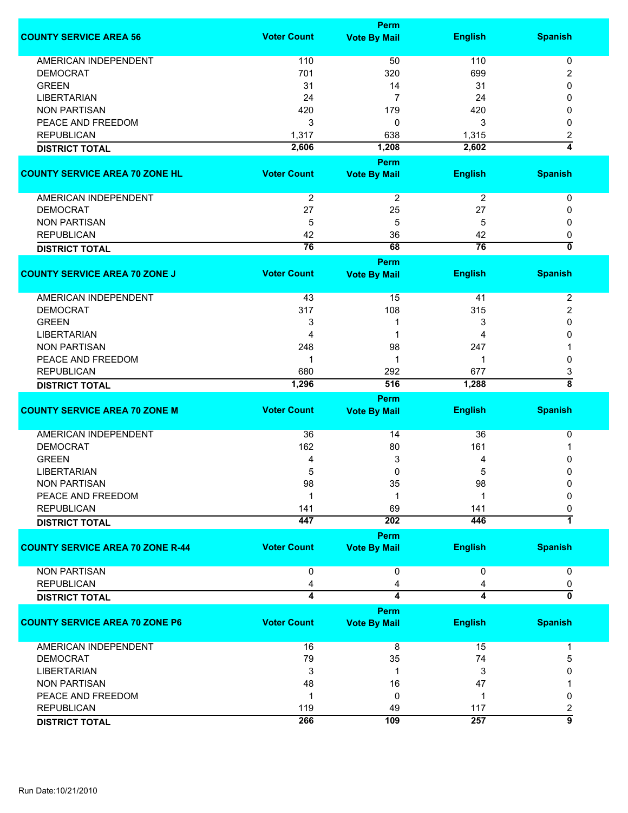|                                         |                    | Perm                |                 |                           |
|-----------------------------------------|--------------------|---------------------|-----------------|---------------------------|
| <b>COUNTY SERVICE AREA 56</b>           | <b>Voter Count</b> | <b>Vote By Mail</b> | <b>English</b>  | <b>Spanish</b>            |
|                                         |                    |                     |                 |                           |
| <b>AMERICAN INDEPENDENT</b>             | 110                | 50                  | 110             | 0                         |
| <b>DEMOCRAT</b>                         | 701                | 320                 | 699             | 2                         |
| <b>GREEN</b>                            | 31                 | 14                  | 31              | 0                         |
| <b>LIBERTARIAN</b>                      | 24                 | $\overline{7}$      | 24              | 0                         |
| <b>NON PARTISAN</b>                     | 420                | 179                 | 420             | 0                         |
| PEACE AND FREEDOM                       | 3                  | 0                   | 3               | 0                         |
| <b>REPUBLICAN</b>                       | 1,317              | 638                 | 1,315           | 2                         |
| <b>DISTRICT TOTAL</b>                   | 2,606              | 1,208               | 2,602           | 4                         |
|                                         |                    | Perm                |                 |                           |
| <b>COUNTY SERVICE AREA 70 ZONE HL</b>   | <b>Voter Count</b> | <b>Vote By Mail</b> | <b>English</b>  | <b>Spanish</b>            |
|                                         |                    |                     |                 |                           |
| AMERICAN INDEPENDENT                    | $\overline{2}$     | $\overline{2}$      | $\overline{2}$  | 0                         |
| <b>DEMOCRAT</b>                         | 27                 | 25                  | 27              | 0                         |
| <b>NON PARTISAN</b>                     | 5                  | 5                   | 5               | 0                         |
| <b>REPUBLICAN</b>                       | 42                 | 36                  | 42              | 0                         |
|                                         | $\overline{76}$    | 68                  | $\overline{76}$ | $\overline{\mathfrak{o}}$ |
| <b>DISTRICT TOTAL</b>                   |                    |                     |                 |                           |
|                                         |                    | Perm                |                 |                           |
| <b>COUNTY SERVICE AREA 70 ZONE J</b>    | <b>Voter Count</b> | <b>Vote By Mail</b> | <b>English</b>  | <b>Spanish</b>            |
| <b>AMERICAN INDEPENDENT</b>             | 43                 | 15                  | 41              | $\overline{c}$            |
| <b>DEMOCRAT</b>                         | 317                | 108                 | 315             | 2                         |
| <b>GREEN</b>                            | 3                  | 1                   | 3               | 0                         |
| <b>LIBERTARIAN</b>                      | 4                  | 1                   | 4               | 0                         |
|                                         |                    |                     |                 |                           |
| <b>NON PARTISAN</b>                     | 248                | 98                  | 247             |                           |
| PEACE AND FREEDOM                       | 1                  | $\mathbf 1$         | 1               | 0                         |
| <b>REPUBLICAN</b>                       | 680                | 292                 | 677             | 3                         |
| <b>DISTRICT TOTAL</b>                   | 1,296              | 516                 | 1,288           | $\overline{\bf 8}$        |
|                                         |                    | Perm                |                 |                           |
| <b>COUNTY SERVICE AREA 70 ZONE M</b>    | <b>Voter Count</b> | <b>Vote By Mail</b> | <b>English</b>  | <b>Spanish</b>            |
|                                         |                    |                     |                 |                           |
| AMERICAN INDEPENDENT                    | 36                 | 14                  | 36              | 0                         |
| <b>DEMOCRAT</b>                         | 162                | 80                  | 161             | 1                         |
| <b>GREEN</b>                            | 4                  | 3                   | 4               | 0                         |
| <b>LIBERTARIAN</b>                      | 5                  | 0                   | 5               | 0                         |
| NON PARTISAN                            | 98                 | 35                  | 98              | 0                         |
| PEACE AND FREEDOM                       | 1                  | 1                   | 1               | 0                         |
| <b>REPUBLICAN</b>                       | 141                | 69                  | 141             | 0                         |
| <b>DISTRICT TOTAL</b>                   | 447                | 202                 | 446             | 1                         |
|                                         |                    | Perm                |                 |                           |
| <b>COUNTY SERVICE AREA 70 ZONE R-44</b> | <b>Voter Count</b> | <b>Vote By Mail</b> | <b>English</b>  | <b>Spanish</b>            |
| <b>NON PARTISAN</b>                     | 0                  | $\mathbf 0$         | $\mathbf 0$     | 0                         |
| <b>REPUBLICAN</b>                       | 4                  | 4                   | 4               | 0                         |
| <b>DISTRICT TOTAL</b>                   | 4                  | 4                   | $\overline{4}$  | 0                         |
|                                         |                    | Perm                |                 |                           |
| <b>COUNTY SERVICE AREA 70 ZONE P6</b>   | <b>Voter Count</b> | <b>Vote By Mail</b> | <b>English</b>  | <b>Spanish</b>            |
|                                         |                    |                     |                 |                           |
| AMERICAN INDEPENDENT                    | 16                 | 8                   | 15              | 1                         |
| <b>DEMOCRAT</b>                         | 79                 | 35                  | 74              | 5                         |
| <b>LIBERTARIAN</b>                      | 3                  | 1                   | 3               | 0                         |
| <b>NON PARTISAN</b>                     | 48                 | 16                  | 47              |                           |
| PEACE AND FREEDOM                       | 1                  | 0                   | 1               | 0                         |
| <b>REPUBLICAN</b>                       | 119                | 49                  | 117             | 2                         |
|                                         | 266                | 109                 | 257             | 5                         |
| <b>DISTRICT TOTAL</b>                   |                    |                     |                 |                           |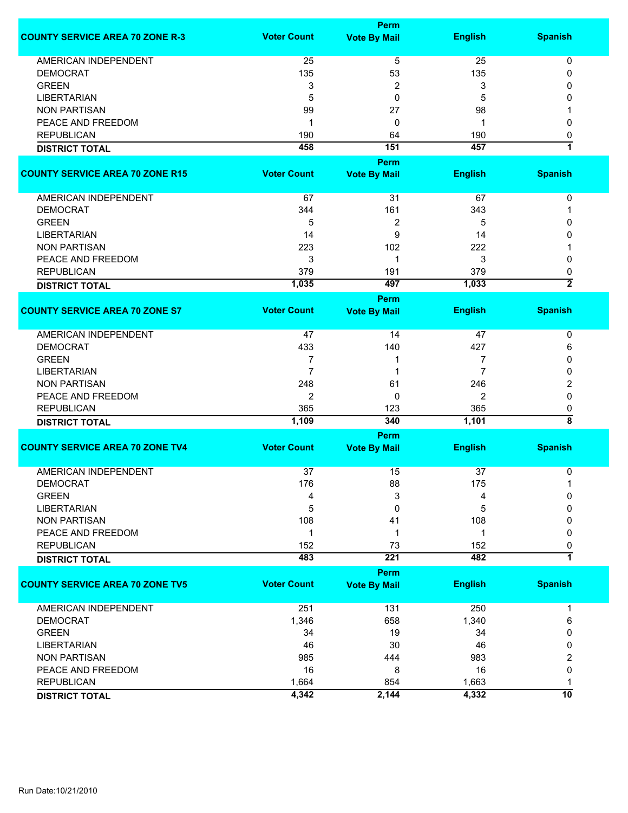|                                        |                    | <b>Perm</b>                 |                |                         |
|----------------------------------------|--------------------|-----------------------------|----------------|-------------------------|
| <b>COUNTY SERVICE AREA 70 ZONE R-3</b> | <b>Voter Count</b> | <b>Vote By Mail</b>         | <b>English</b> | <b>Spanish</b>          |
| AMERICAN INDEPENDENT                   | 25                 | 5                           | 25             | 0                       |
| <b>DEMOCRAT</b>                        | 135                | 53                          | 135            | 0                       |
| <b>GREEN</b>                           | 3                  | 2                           | 3              | 0                       |
| <b>LIBERTARIAN</b>                     | 5                  | 0                           | 5              | 0                       |
| <b>NON PARTISAN</b>                    | 99                 | 27                          | 98             |                         |
|                                        |                    |                             |                |                         |
| PEACE AND FREEDOM                      | $\mathbf 1$        | 0                           | 1              | 0                       |
| <b>REPUBLICAN</b>                      | 190                | 64                          | 190            | 0                       |
| <b>DISTRICT TOTAL</b>                  | 458                | 151                         | 457            | $\overline{\mathbf{1}}$ |
|                                        |                    | Perm                        |                |                         |
| <b>COUNTY SERVICE AREA 70 ZONE R15</b> | <b>Voter Count</b> | <b>Vote By Mail</b>         | <b>English</b> | <b>Spanish</b>          |
|                                        |                    |                             |                |                         |
| AMERICAN INDEPENDENT                   | 67                 | 31                          | 67             | 0                       |
| <b>DEMOCRAT</b>                        | 344                | 161                         | 343            | 1                       |
| <b>GREEN</b>                           | 5                  | 2                           | 5              | 0                       |
| <b>LIBERTARIAN</b>                     | 14                 | 9                           | 14             | 0                       |
| <b>NON PARTISAN</b>                    | 223                | 102                         | 222            |                         |
| PEACE AND FREEDOM                      | 3                  | $\mathbf 1$                 | 3              | 0                       |
| <b>REPUBLICAN</b>                      | 379                | 191                         | 379            | 0                       |
| <b>DISTRICT TOTAL</b>                  | 1,035              | 497                         | 1,033          | $\overline{\mathbf{2}}$ |
|                                        |                    | Perm                        |                |                         |
| <b>COUNTY SERVICE AREA 70 ZONE S7</b>  | <b>Voter Count</b> | <b>Vote By Mail</b>         | <b>English</b> | <b>Spanish</b>          |
| <b>AMERICAN INDEPENDENT</b>            | 47                 | 14                          | 47             | 0                       |
| <b>DEMOCRAT</b>                        | 433                | 140                         | 427            | 6                       |
| <b>GREEN</b>                           | 7                  | 1                           | 7              | 0                       |
| <b>LIBERTARIAN</b>                     | 7                  | 1                           | 7              | 0                       |
| <b>NON PARTISAN</b>                    | 248                | 61                          | 246            | 2                       |
| PEACE AND FREEDOM                      | 2                  | $\mathbf{0}$                | $\overline{2}$ | 0                       |
| <b>REPUBLICAN</b>                      | 365                | 123                         | 365            | 0                       |
|                                        | 1,109              | 340                         | 1,101          | $\overline{\bf 8}$      |
| <b>DISTRICT TOTAL</b>                  |                    |                             |                |                         |
| <b>COUNTY SERVICE AREA 70 ZONE TV4</b> | <b>Voter Count</b> | Perm<br><b>Vote By Mail</b> | <b>English</b> | <b>Spanish</b>          |
|                                        |                    |                             |                |                         |
| <b>AMERICAN INDEPENDENT</b>            | 37                 | 15                          | 37             | 0                       |
| <b>DEMOCRAT</b>                        | 176                | 88                          | 175            | 1                       |
| <b>GREEN</b>                           | 4                  | 3                           | 4              | 0                       |
| <b>LIBERTARIAN</b>                     | 5                  | 0                           | 5              | 0                       |
| <b>NON PARTISAN</b>                    | 108                | 41                          | 108            | 0                       |
| PEACE AND FREEDOM                      | -1                 | 1                           | 1              | 0                       |
| <b>REPUBLICAN</b>                      | 152                | 73                          | 152            | 0                       |
| <b>DISTRICT TOTAL</b>                  | 483                | 221                         | 482            | $\overline{1}$          |
|                                        |                    | Perm                        |                |                         |
| <b>COUNTY SERVICE AREA 70 ZONE TV5</b> | <b>Voter Count</b> | <b>Vote By Mail</b>         | <b>English</b> | <b>Spanish</b>          |
| AMERICAN INDEPENDENT                   | 251                | 131                         | 250            | 1                       |
| <b>DEMOCRAT</b>                        | 1,346              | 658                         | 1,340          | 6                       |
| <b>GREEN</b>                           | 34                 | 19                          | 34             | 0                       |
| <b>LIBERTARIAN</b>                     | 46                 | 30                          | 46             | 0                       |
| <b>NON PARTISAN</b>                    | 985                | 444                         | 983            | 2                       |
| PEACE AND FREEDOM                      | 16                 | 8                           | 16             | 0                       |
| <b>REPUBLICAN</b>                      | 1,664              | 854                         | 1,663          | 1                       |
| <b>DISTRICT TOTAL</b>                  | 4,342              | 2,144                       | 4,332          | 10                      |
|                                        |                    |                             |                |                         |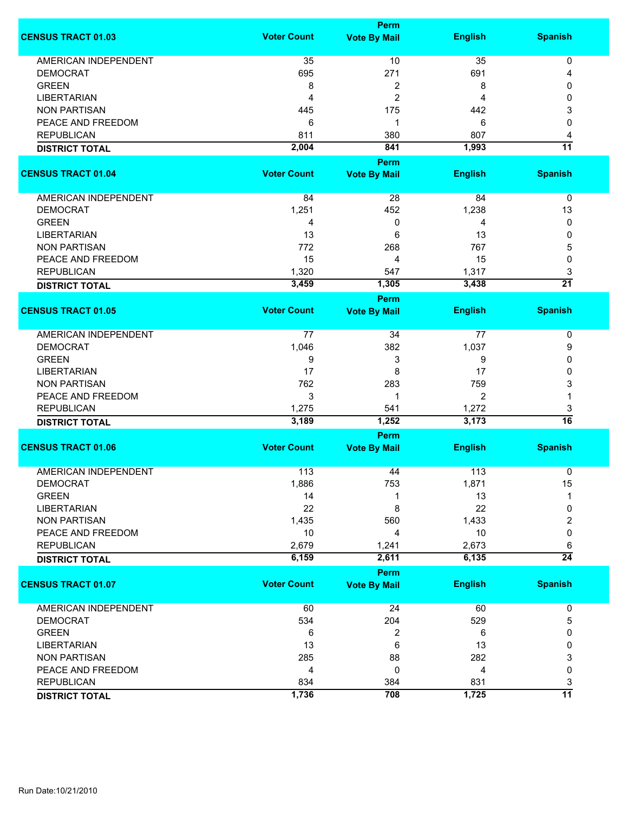|                             | <b>Perm</b>        |                                    |                |                 |
|-----------------------------|--------------------|------------------------------------|----------------|-----------------|
| <b>CENSUS TRACT 01.03</b>   | <b>Voter Count</b> | <b>Vote By Mail</b>                | <b>English</b> | <b>Spanish</b>  |
|                             |                    |                                    |                |                 |
| <b>AMERICAN INDEPENDENT</b> | 35                 | 10                                 | 35             | 0               |
| <b>DEMOCRAT</b>             | 695                | 271                                | 691            | 4               |
| <b>GREEN</b>                | 8                  | 2                                  | 8              | 0               |
| <b>LIBERTARIAN</b>          | $\overline{4}$     | 2                                  | 4              | 0               |
| <b>NON PARTISAN</b>         | 445                | 175                                | 442            | 3               |
| PEACE AND FREEDOM           | 6                  | 1                                  | 6              | 0               |
| <b>REPUBLICAN</b>           | 811                | 380                                | 807            | 4               |
| <b>DISTRICT TOTAL</b>       | 2,004              | 841                                | 1,993          | $\overline{11}$ |
| <b>CENSUS TRACT 01.04</b>   | <b>Voter Count</b> | <b>Perm</b><br><b>Vote By Mail</b> | <b>English</b> | <b>Spanish</b>  |
|                             |                    |                                    |                |                 |
| AMERICAN INDEPENDENT        | 84                 | 28                                 | 84             | 0               |
| <b>DEMOCRAT</b>             | 1,251              | 452                                | 1,238          | 13              |
| <b>GREEN</b>                | 4                  | 0                                  | 4              | 0               |
| <b>LIBERTARIAN</b>          | 13                 | 6                                  | 13             | 0               |
| <b>NON PARTISAN</b>         | 772                | 268                                | 767            | 5               |
| PEACE AND FREEDOM           | 15                 | 4                                  | 15             | 0               |
| <b>REPUBLICAN</b>           | 1,320              | 547                                | 1,317          | 3               |
|                             | 3,459              | 1,305                              | 3,438          | $\overline{21}$ |
| <b>DISTRICT TOTAL</b>       |                    |                                    |                |                 |
|                             |                    | <b>Perm</b>                        |                |                 |
| <b>CENSUS TRACT 01.05</b>   | <b>Voter Count</b> | <b>Vote By Mail</b>                | <b>English</b> | <b>Spanish</b>  |
| <b>AMERICAN INDEPENDENT</b> | 77                 | 34                                 | 77             | $\pmb{0}$       |
| <b>DEMOCRAT</b>             | 1,046              | 382                                | 1,037          | 9               |
| <b>GREEN</b>                | 9                  | 3                                  | 9              | 0               |
| <b>LIBERTARIAN</b>          | 17                 | 8                                  | 17             | 0               |
| <b>NON PARTISAN</b>         | 762                | 283                                | 759            | 3               |
|                             |                    |                                    |                |                 |
| PEACE AND FREEDOM           | 3                  | 1                                  | 2              |                 |
| <b>REPUBLICAN</b>           | 1,275              | 541                                | 1,272          | 3               |
| <b>DISTRICT TOTAL</b>       | 3,189              | 1,252                              | 3,173          | $\overline{16}$ |
|                             |                    | <b>Perm</b>                        |                |                 |
| <b>CENSUS TRACT 01.06</b>   | <b>Voter Count</b> | <b>Vote By Mail</b>                | <b>English</b> | <b>Spanish</b>  |
| <b>AMERICAN INDEPENDENT</b> | 113                | 44                                 | 113            | 0               |
| DEMOCRAI                    | 1,886              | 753                                | 1,871          | 15              |
| <b>GREEN</b>                | 14                 | 1                                  | 13             | 1               |
| <b>LIBERTARIAN</b>          | 22                 | 8                                  | 22             | 0               |
| <b>NON PARTISAN</b>         | 1,435              | 560                                | 1,433          | 2               |
| PEACE AND FREEDOM           | 10                 | 4                                  | 10             | 0               |
| <b>REPUBLICAN</b>           | 2,679              | 1,241                              | 2,673          | 6               |
|                             | 6,159              | 2,611                              | 6,135          | $\overline{24}$ |
| <b>DISTRICT TOTAL</b>       |                    |                                    |                |                 |
| <b>CENSUS TRACT 01.07</b>   | <b>Voter Count</b> | <b>Perm</b><br><b>Vote By Mail</b> | <b>English</b> | <b>Spanish</b>  |
|                             |                    |                                    |                |                 |
| <b>AMERICAN INDEPENDENT</b> | 60                 | 24                                 | 60             | 0               |
| <b>DEMOCRAT</b>             | 534                | 204                                | 529            | 5               |
| <b>GREEN</b>                | 6                  | 2                                  | 6              | 0               |
| <b>LIBERTARIAN</b>          | 13                 | 6                                  | 13             | 0               |
| <b>NON PARTISAN</b>         | 285                | 88                                 | 282            | 3               |
| PEACE AND FREEDOM           | 4                  | 0                                  | 4              | 0               |
| <b>REPUBLICAN</b>           | 834                | 384                                | 831            | 3               |
|                             | 1,736              | 708                                | 1,725          | $\overline{11}$ |
| <b>DISTRICT TOTAL</b>       |                    |                                    |                |                 |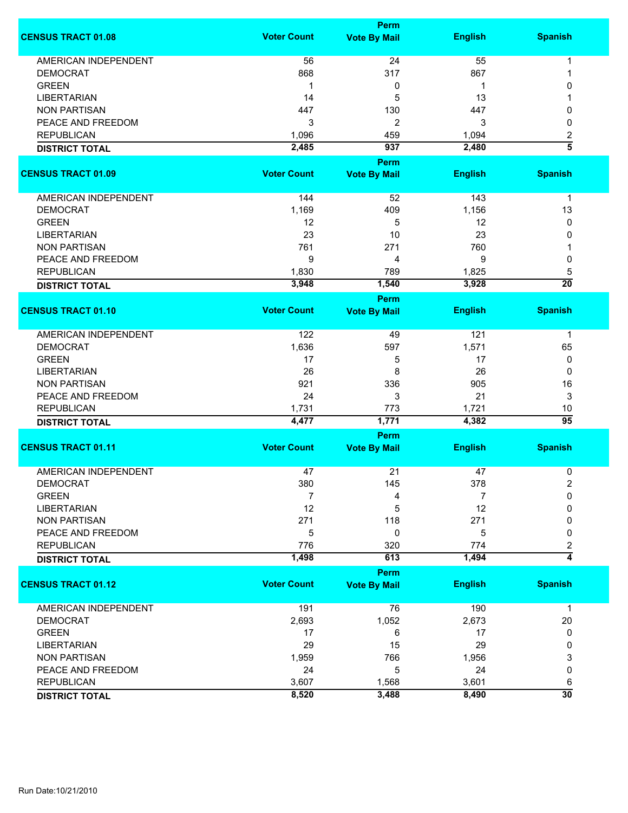|                             | <b>Perm</b>        |                                    |                |                       |  |
|-----------------------------|--------------------|------------------------------------|----------------|-----------------------|--|
| <b>CENSUS TRACT 01.08</b>   | <b>Voter Count</b> | <b>Vote By Mail</b>                | <b>English</b> | <b>Spanish</b>        |  |
| <b>AMERICAN INDEPENDENT</b> | 56                 | 24                                 | 55             | 1                     |  |
| <b>DEMOCRAT</b>             | 868                | 317                                | 867            | 1                     |  |
| <b>GREEN</b>                | -1                 | 0                                  | 1              | 0                     |  |
| <b>LIBERTARIAN</b>          | 14                 | 5                                  | 13             |                       |  |
| <b>NON PARTISAN</b>         | 447                | 130                                | 447            | 0                     |  |
|                             |                    |                                    |                |                       |  |
| PEACE AND FREEDOM           | 3                  | 2                                  | 3              | 0                     |  |
| <b>REPUBLICAN</b>           | 1,096              | 459                                | 1,094          | 2                     |  |
| <b>DISTRICT TOTAL</b>       | 2,485              | 937                                | 2,480          | $\overline{5}$        |  |
| <b>CENSUS TRACT 01.09</b>   | <b>Voter Count</b> | <b>Perm</b><br><b>Vote By Mail</b> | <b>English</b> | <b>Spanish</b>        |  |
|                             |                    |                                    |                |                       |  |
| AMERICAN INDEPENDENT        | 144                | 52                                 | 143            | $\mathbf 1$           |  |
| <b>DEMOCRAT</b>             | 1,169              | 409                                | 1,156          | 13                    |  |
| <b>GREEN</b>                | 12                 | 5                                  | 12             | 0                     |  |
| <b>LIBERTARIAN</b>          | 23                 | 10                                 | 23             | 0                     |  |
| <b>NON PARTISAN</b>         | 761                | 271                                | 760            |                       |  |
| PEACE AND FREEDOM           | 9                  | 4                                  | 9              | 0                     |  |
|                             |                    |                                    |                |                       |  |
| <b>REPUBLICAN</b>           | 1,830              | 789                                | 1,825          | 5                     |  |
| <b>DISTRICT TOTAL</b>       | 3,948              | 1,540                              | 3,928          | $\overline{20}$       |  |
| <b>CENSUS TRACT 01.10</b>   | <b>Voter Count</b> | <b>Perm</b><br><b>Vote By Mail</b> | <b>English</b> | <b>Spanish</b>        |  |
|                             |                    |                                    |                |                       |  |
| <b>AMERICAN INDEPENDENT</b> | 122                | 49                                 | 121            | $\mathbf 1$           |  |
| <b>DEMOCRAT</b>             | 1,636              | 597                                | 1,571          | 65                    |  |
| <b>GREEN</b>                | 17                 | 5                                  | 17             | 0                     |  |
| <b>LIBERTARIAN</b>          | 26                 | 8                                  | 26             | 0                     |  |
| <b>NON PARTISAN</b>         | 921                | 336                                | 905            | 16                    |  |
|                             |                    |                                    |                |                       |  |
| PEACE AND FREEDOM           | 24                 | 3                                  | 21             | 3                     |  |
| <b>REPUBLICAN</b>           | 1,731              | 773                                | 1,721          | 10<br>$\overline{95}$ |  |
| <b>DISTRICT TOTAL</b>       | 4,477              | 1,771                              | 4,382          |                       |  |
| <b>CENSUS TRACT 01.11</b>   | <b>Voter Count</b> | Perm<br><b>Vote By Mail</b>        | <b>English</b> | <b>Spanish</b>        |  |
|                             |                    |                                    |                |                       |  |
| <b>AMERICAN INDEPENDENT</b> | 47                 | 21                                 | 47             | 0                     |  |
| <b>DEMOCRAT</b>             | 380                | 145                                | 378            | 2                     |  |
| <b>GREEN</b>                | 7                  | 4                                  | 7              | 0                     |  |
| <b>LIBERTARIAN</b>          | 12                 | 5                                  | 12             | 0                     |  |
| <b>NON PARTISAN</b>         | 271                | 118                                | 271            | 0                     |  |
| PEACE AND FREEDOM           | 5                  | 0                                  | 5              | 0                     |  |
| <b>REPUBLICAN</b>           | 776                | 320                                | 774            | 2                     |  |
| <b>DISTRICT TOTAL</b>       | 1,498              | 613                                | 1,494          | $\overline{4}$        |  |
|                             |                    | Perm                               |                |                       |  |
| <b>CENSUS TRACT 01.12</b>   | <b>Voter Count</b> | <b>Vote By Mail</b>                | <b>English</b> | <b>Spanish</b>        |  |
| <b>AMERICAN INDEPENDENT</b> | 191                | 76                                 | 190            | $\mathbf 1$           |  |
| <b>DEMOCRAT</b>             | 2,693              | 1,052                              | 2,673          | 20                    |  |
| <b>GREEN</b>                | 17                 | 6                                  | 17             | 0                     |  |
| <b>LIBERTARIAN</b>          | 29                 | 15                                 | 29             | 0                     |  |
| <b>NON PARTISAN</b>         | 1,959              | 766                                | 1,956          | 3                     |  |
| PEACE AND FREEDOM           | 24                 | 5                                  | 24             | 0                     |  |
| <b>REPUBLICAN</b>           | 3,607              | 1,568                              | 3,601          | 6                     |  |
|                             | 8,520              | 3,488                              | 8,490          | $\overline{30}$       |  |
| <b>DISTRICT TOTAL</b>       |                    |                                    |                |                       |  |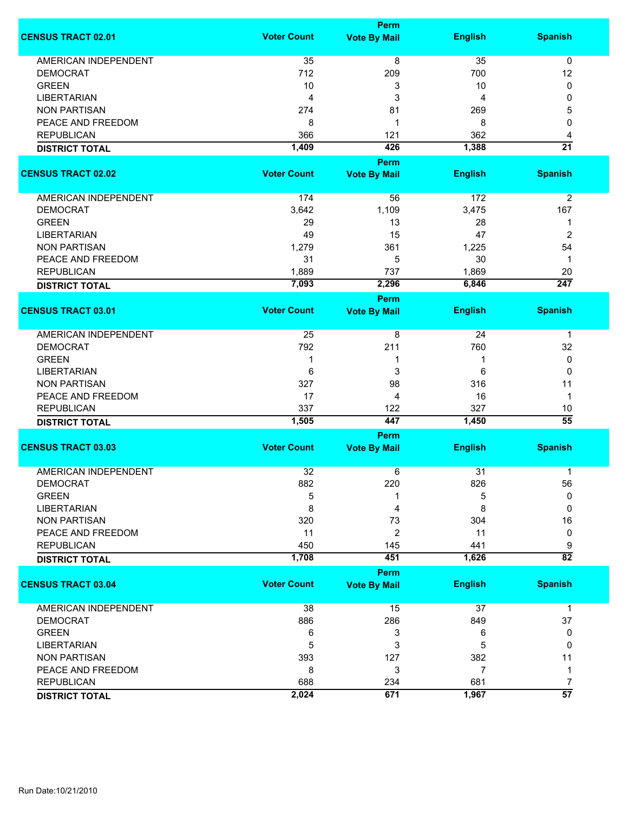|                             |                    | <b>Perm</b>         |                |                  |
|-----------------------------|--------------------|---------------------|----------------|------------------|
| <b>CENSUS TRACT 02.01</b>   | <b>Voter Count</b> | <b>Vote By Mail</b> | <b>English</b> | <b>Spanish</b>   |
| <b>AMERICAN INDEPENDENT</b> | 35                 | 8                   | 35             | $\mathbf 0$      |
| <b>DEMOCRAT</b>             | 712                | 209                 | 700            | 12               |
| <b>GREEN</b>                | 10                 | 3                   | 10             | 0                |
| <b>LIBERTARIAN</b>          | 4                  | 3                   | 4              | 0                |
|                             |                    |                     |                |                  |
| <b>NON PARTISAN</b>         | 274                | 81                  | 269            | 5                |
| PEACE AND FREEDOM           | 8                  | 1                   | 8              | 0                |
| <b>REPUBLICAN</b>           | 366                | 121                 | 362            | 4                |
| <b>DISTRICT TOTAL</b>       | 1,409              | 426                 | 1,388          | $\overline{21}$  |
| <b>CENSUS TRACT 02.02</b>   | <b>Voter Count</b> | <b>Perm</b>         | <b>English</b> | <b>Spanish</b>   |
|                             |                    | <b>Vote By Mail</b> |                |                  |
| AMERICAN INDEPENDENT        | 174                | 56                  | 172            | 2                |
| <b>DEMOCRAT</b>             | 3,642              | 1,109               | 3,475          | 167              |
| <b>GREEN</b>                | 29                 | 13                  | 28             | 1                |
| <b>LIBERTARIAN</b>          | 49                 | 15                  | 47             | $\overline{2}$   |
| <b>NON PARTISAN</b>         | 1,279              | 361                 | 1,225          | 54               |
| PEACE AND FREEDOM           | 31                 | 5                   | 30             | 1                |
| <b>REPUBLICAN</b>           | 1,889              | 737                 | 1,869          | 20               |
|                             | 7,093              | 2,296               | 6,846          | $\overline{247}$ |
| <b>DISTRICT TOTAL</b>       |                    | <b>Perm</b>         |                |                  |
| <b>CENSUS TRACT 03.01</b>   | <b>Voter Count</b> | <b>Vote By Mail</b> | <b>English</b> | <b>Spanish</b>   |
|                             |                    |                     |                |                  |
| <b>AMERICAN INDEPENDENT</b> | 25                 | 8                   | 24             | 1                |
| <b>DEMOCRAT</b>             | 792                | 211                 | 760            | 32               |
| <b>GREEN</b>                | 1                  | 1                   | 1              | 0                |
| <b>LIBERTARIAN</b>          | 6                  | 3                   | 6              | 0                |
| <b>NON PARTISAN</b>         | 327                | 98                  | 316            | 11               |
| PEACE AND FREEDOM           | 17                 | 4                   | 16             | $\mathbf{1}$     |
| <b>REPUBLICAN</b>           | 337                | 122                 | 327            | 10               |
| <b>DISTRICT TOTAL</b>       | 1,505              | 447                 | 1,450          | $\overline{55}$  |
|                             |                    | <b>Perm</b>         |                |                  |
| <b>CENSUS TRACT 03.03</b>   | <b>Voter Count</b> | <b>Vote By Mail</b> | <b>English</b> | <b>Spanish</b>   |
| <b>AMERICAN INDEPENDENT</b> | 32                 | 6                   | 31             | 1                |
| <b>DEMOCRAT</b>             | 882                | 220                 | 826            | 56               |
| <b>GREEN</b>                | 5                  |                     | 5              | 0                |
| <b>LIBERTARIAN</b>          | 8                  | 4                   | 8              | $\Omega$         |
| <b>NON PARTISAN</b>         | 320                | 73                  | 304            | 16               |
|                             |                    |                     |                |                  |
| PEACE AND FREEDOM           | 11                 | 2                   | 11             | 0                |
| <b>REPUBLICAN</b>           | 450                | 145                 | 441            | 9                |
| <b>DISTRICT TOTAL</b>       | 1,708              | 451                 | 1,626          | $\overline{82}$  |
|                             |                    | Perm                |                |                  |
| <b>CENSUS TRACT 03.04</b>   | <b>Voter Count</b> | <b>Vote By Mail</b> | <b>English</b> | <b>Spanish</b>   |
| <b>AMERICAN INDEPENDENT</b> | 38                 | 15                  | 37             | $\mathbf 1$      |
| <b>DEMOCRAT</b>             | 886                | 286                 | 849            | 37               |
| <b>GREEN</b>                | 6                  | 3                   | 6              | 0                |
| <b>LIBERTARIAN</b>          | 5                  | 3                   | 5              | 0                |
| <b>NON PARTISAN</b>         | 393                | 127                 | 382            | 11               |
| PEACE AND FREEDOM           | 8                  | 3                   | 7              | 1                |
| <b>REPUBLICAN</b>           | 688                | 234                 | 681            | 7                |
|                             | 2,024              | 671                 | 1,967          | $\overline{57}$  |
| <b>DISTRICT TOTAL</b>       |                    |                     |                |                  |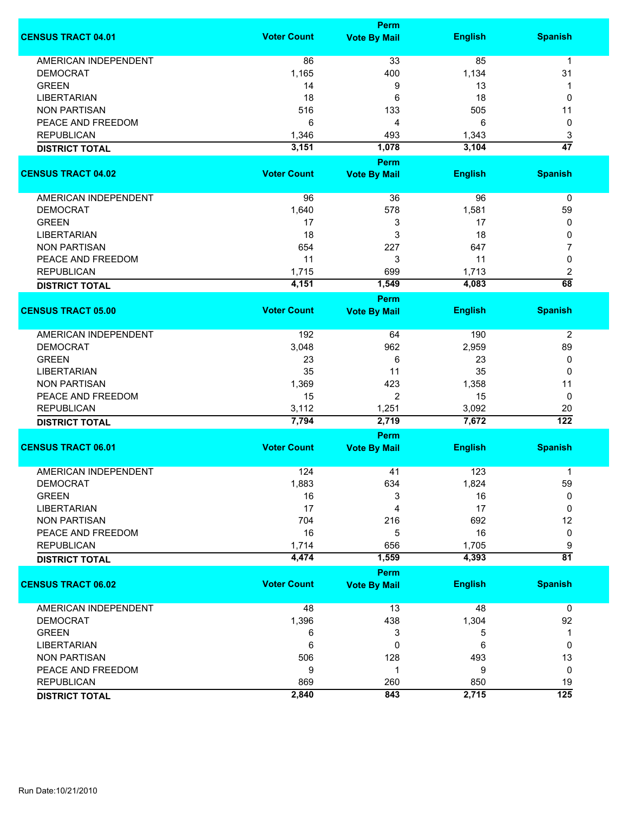|                             | <b>Perm</b>        |                     |                |                  |  |
|-----------------------------|--------------------|---------------------|----------------|------------------|--|
| <b>CENSUS TRACT 04.01</b>   | <b>Voter Count</b> | <b>Vote By Mail</b> | <b>English</b> | <b>Spanish</b>   |  |
| <b>AMERICAN INDEPENDENT</b> | 86                 | 33                  | 85             | 1                |  |
| <b>DEMOCRAT</b>             | 1,165              | 400                 | 1,134          | 31               |  |
| <b>GREEN</b>                | 14                 | 9                   | 13             | 1                |  |
| <b>LIBERTARIAN</b>          | 18                 | 6                   | 18             | 0                |  |
| <b>NON PARTISAN</b>         | 516                | 133                 | 505            | 11               |  |
| PEACE AND FREEDOM           | 6                  | 4                   | 6              | 0                |  |
|                             |                    |                     |                |                  |  |
| <b>REPUBLICAN</b>           | 1,346              | 493                 | 1,343          | 3                |  |
| <b>DISTRICT TOTAL</b>       | 3,151              | 1,078               | 3,104          | $\overline{47}$  |  |
| <b>CENSUS TRACT 04.02</b>   | <b>Voter Count</b> | <b>Perm</b>         | <b>English</b> | <b>Spanish</b>   |  |
|                             |                    | <b>Vote By Mail</b> |                |                  |  |
| AMERICAN INDEPENDENT        | 96                 | 36                  | 96             | 0                |  |
| <b>DEMOCRAT</b>             | 1,640              | 578                 | 1,581          | 59               |  |
| <b>GREEN</b>                | 17                 | 3                   | 17             | 0                |  |
| <b>LIBERTARIAN</b>          | 18                 | 3                   | 18             | 0                |  |
| <b>NON PARTISAN</b>         | 654                | 227                 | 647            | 7                |  |
| PEACE AND FREEDOM           | 11                 | 3                   | 11             | 0                |  |
| <b>REPUBLICAN</b>           | 1,715              | 699                 | 1,713          | 2                |  |
|                             | 4,151              | 1,549               | 4,083          | $\overline{68}$  |  |
| <b>DISTRICT TOTAL</b>       |                    | <b>Perm</b>         |                |                  |  |
| <b>CENSUS TRACT 05.00</b>   | <b>Voter Count</b> | <b>Vote By Mail</b> | <b>English</b> | <b>Spanish</b>   |  |
|                             |                    |                     |                |                  |  |
| <b>AMERICAN INDEPENDENT</b> | 192                | 64                  | 190            | 2                |  |
| <b>DEMOCRAT</b>             | 3,048              | 962                 | 2,959          | 89               |  |
| <b>GREEN</b>                | 23                 | 6                   | 23             | 0                |  |
| <b>LIBERTARIAN</b>          | 35                 | 11                  | 35             | 0                |  |
| <b>NON PARTISAN</b>         | 1,369              | 423                 | 1,358          | 11               |  |
| PEACE AND FREEDOM           | 15                 | $\overline{2}$      | 15             | 0                |  |
| <b>REPUBLICAN</b>           | 3,112              | 1,251               | 3,092          | 20               |  |
| <b>DISTRICT TOTAL</b>       | 7,794              | 2,719               | 7,672          | 122              |  |
|                             |                    | <b>Perm</b>         |                |                  |  |
| <b>CENSUS TRACT 06.01</b>   | <b>Voter Count</b> | <b>Vote By Mail</b> | <b>English</b> | <b>Spanish</b>   |  |
| <b>AMERICAN INDEPENDENT</b> | 124                | 41                  | 123            | 1                |  |
| <b>DEMOCRAT</b>             | 1,883              | 634                 | 1,824          | 59               |  |
| <b>GREEN</b>                | 16                 | 3                   | 16             | 0                |  |
| <b>LIBERTARIAN</b>          | 17                 | 4                   | 17             | 0                |  |
|                             | 704                |                     |                |                  |  |
| <b>NON PARTISAN</b>         |                    | 216                 | 692            | 12               |  |
| PEACE AND FREEDOM           | 16                 | 5                   | 16             | 0                |  |
| <b>REPUBLICAN</b>           | 1,714              | 656                 | 1,705          | 9                |  |
| <b>DISTRICT TOTAL</b>       | 4,474              | 1,559               | 4,393          | $\overline{81}$  |  |
|                             |                    | Perm                |                |                  |  |
| <b>CENSUS TRACT 06.02</b>   | <b>Voter Count</b> | <b>Vote By Mail</b> | <b>English</b> | <b>Spanish</b>   |  |
| <b>AMERICAN INDEPENDENT</b> | 48                 | 13                  | 48             | 0                |  |
| <b>DEMOCRAT</b>             | 1,396              | 438                 | 1,304          | 92               |  |
| <b>GREEN</b>                | 6                  | 3                   | 5              | 1                |  |
| <b>LIBERTARIAN</b>          | 6                  | 0                   | 6              | 0                |  |
| <b>NON PARTISAN</b>         | 506                | 128                 | 493            | 13               |  |
| PEACE AND FREEDOM           | 9                  | 1                   | 9              | 0                |  |
| <b>REPUBLICAN</b>           | 869                | 260                 | 850            | 19               |  |
|                             | 2,840              | 843                 | 2,715          | $\overline{125}$ |  |
| <b>DISTRICT TOTAL</b>       |                    |                     |                |                  |  |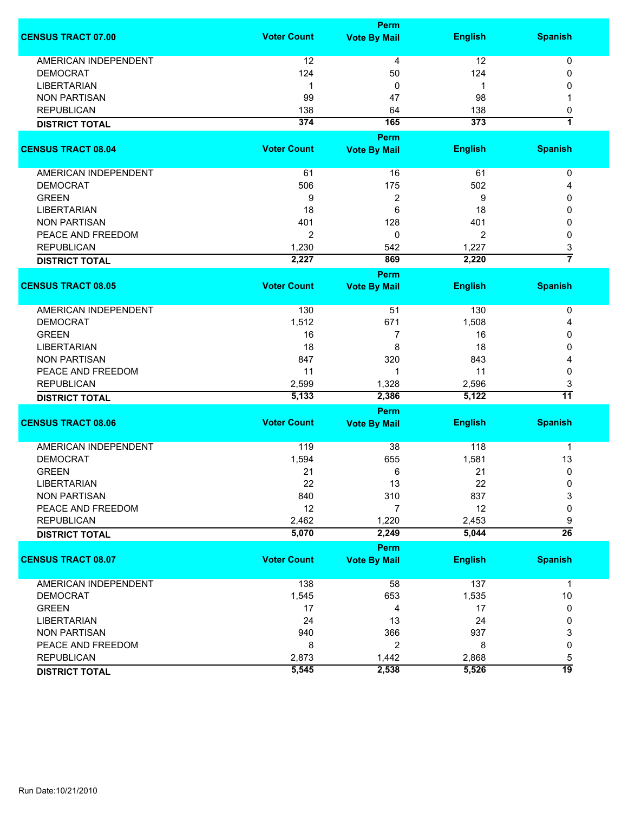|                             |                    | Perm                |                |                 |
|-----------------------------|--------------------|---------------------|----------------|-----------------|
| <b>CENSUS TRACT 07.00</b>   | <b>Voter Count</b> | <b>Vote By Mail</b> | <b>English</b> | <b>Spanish</b>  |
| <b>AMERICAN INDEPENDENT</b> | 12                 | 4                   | 12             | 0               |
| <b>DEMOCRAT</b>             | 124                | 50                  | 124            | 0               |
| <b>LIBERTARIAN</b>          | 1                  | 0                   | 1              | 0               |
| <b>NON PARTISAN</b>         | 99                 | 47                  | 98             |                 |
|                             |                    |                     |                |                 |
| <b>REPUBLICAN</b>           | 138                | 64                  | 138            | 0               |
| <b>DISTRICT TOTAL</b>       | 374                | 165                 | 373            | 1               |
|                             |                    | <b>Perm</b>         |                |                 |
| <b>CENSUS TRACT 08.04</b>   | <b>Voter Count</b> | <b>Vote By Mail</b> | <b>English</b> | <b>Spanish</b>  |
| AMERICAN INDEPENDENT        | 61                 | 16                  | 61             | $\pmb{0}$       |
| <b>DEMOCRAT</b>             | 506                | 175                 | 502            | 4               |
| <b>GREEN</b>                | 9                  | 2                   | 9              | 0               |
| <b>LIBERTARIAN</b>          | 18                 | 6                   | 18             | 0               |
| <b>NON PARTISAN</b>         | 401                | 128                 | 401            | 0               |
| PEACE AND FREEDOM           | 2                  | 0                   | 2              | 0               |
| <b>REPUBLICAN</b>           | 1,230              | 542                 | 1,227          | 3               |
|                             | 2,227              | 869                 | 2,220          | $\overline{7}$  |
| <b>DISTRICT TOTAL</b>       |                    |                     |                |                 |
|                             |                    | Perm                |                |                 |
| <b>CENSUS TRACT 08.05</b>   | <b>Voter Count</b> | <b>Vote By Mail</b> | <b>English</b> | <b>Spanish</b>  |
| <b>AMERICAN INDEPENDENT</b> | 130                | 51                  | 130            | 0               |
| <b>DEMOCRAT</b>             | 1,512              | 671                 | 1,508          | 4               |
| <b>GREEN</b>                | 16                 | 7                   | 16             | 0               |
| <b>LIBERTARIAN</b>          | 18                 | 8                   | 18             | 0               |
| <b>NON PARTISAN</b>         | 847                | 320                 | 843            | 4               |
| PEACE AND FREEDOM           | 11                 | 1                   | 11             | 0               |
| <b>REPUBLICAN</b>           | 2,599              | 1,328               | 2,596          | 3               |
| <b>DISTRICT TOTAL</b>       | 5,133              | 2,386               | 5,122          | $\overline{11}$ |
|                             |                    |                     |                |                 |
|                             | <b>Voter Count</b> | <b>Perm</b>         |                | <b>Spanish</b>  |
| <b>CENSUS TRACT 08.06</b>   |                    | <b>Vote By Mail</b> | <b>English</b> |                 |
| <b>AMERICAN INDEPENDENT</b> | 119                | 38                  | 118            | 1               |
| <b>DEMOCRAT</b>             | 1,594              | 655                 | 1,581          | 13              |
| <b>GREEN</b>                | 21                 | 6                   | 21             | 0               |
| LIBERTARIAN                 | 22                 | 13                  | 22             | 0               |
| <b>NON PARTISAN</b>         | 840                | 310                 | 837            | 3               |
| PEACE AND FREEDOM           | 12                 | $\overline{7}$      | 12             | 0               |
| <b>REPUBLICAN</b>           | 2,462              | 1,220               | 2,453          | 9               |
| <b>DISTRICT TOTAL</b>       | 5,070              | 2,249               | 5,044          | $\overline{26}$ |
|                             |                    | <b>Perm</b>         |                |                 |
|                             | <b>Voter Count</b> |                     | <b>English</b> |                 |
| <b>CENSUS TRACT 08.07</b>   |                    | <b>Vote By Mail</b> |                | <b>Spanish</b>  |
| <b>AMERICAN INDEPENDENT</b> | 138                | 58                  | 137            | $\mathbf 1$     |
| <b>DEMOCRAT</b>             | 1,545              | 653                 | 1,535          | 10              |
| <b>GREEN</b>                | 17                 | 4                   | 17             | 0               |
| <b>LIBERTARIAN</b>          | 24                 | 13                  | 24             | 0               |
| <b>NON PARTISAN</b>         | 940                | 366                 | 937            | 3               |
| PEACE AND FREEDOM           | 8                  | 2                   | 8              | 0               |
| <b>REPUBLICAN</b>           | 2,873              | 1,442               | 2,868          | 5               |
| <b>DISTRICT TOTAL</b>       | 5,545              | 2,538               | 5,526          | 19              |
|                             |                    |                     |                |                 |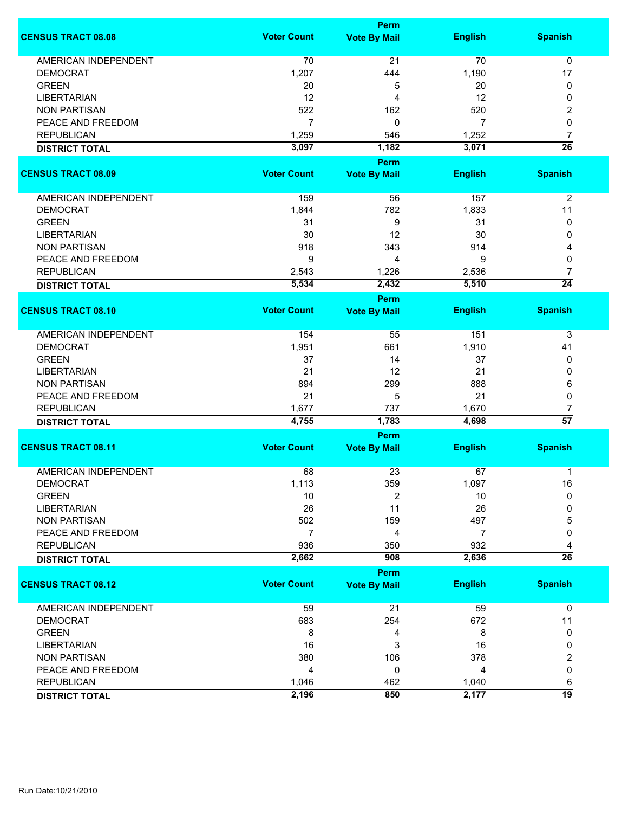|                             |                    | <b>Perm</b>         |                |                 |  |  |
|-----------------------------|--------------------|---------------------|----------------|-----------------|--|--|
| <b>CENSUS TRACT 08.08</b>   | <b>Voter Count</b> | <b>Vote By Mail</b> | <b>English</b> | <b>Spanish</b>  |  |  |
| <b>AMERICAN INDEPENDENT</b> | 70                 | 21                  | 70             | $\mathbf 0$     |  |  |
| <b>DEMOCRAT</b>             | 1,207              | 444                 | 1,190          | 17              |  |  |
| <b>GREEN</b>                | 20                 | 5                   | 20             | 0               |  |  |
| <b>LIBERTARIAN</b>          | 12                 | 4                   | 12             | 0               |  |  |
| <b>NON PARTISAN</b>         | 522                | 162                 | 520            | 2               |  |  |
| PEACE AND FREEDOM           | $\overline{7}$     | 0                   | 7              | 0               |  |  |
| <b>REPUBLICAN</b>           | 1,259              | 546                 | 1,252          | 7               |  |  |
| <b>DISTRICT TOTAL</b>       | 3,097              | 1,182               | 3,071          | $\overline{26}$ |  |  |
|                             |                    | <b>Perm</b>         |                |                 |  |  |
| <b>CENSUS TRACT 08.09</b>   | <b>Voter Count</b> | <b>Vote By Mail</b> | <b>English</b> | <b>Spanish</b>  |  |  |
| AMERICAN INDEPENDENT        | 159                | 56                  | 157            | $\overline{2}$  |  |  |
| <b>DEMOCRAT</b>             | 1,844              | 782                 | 1,833          | 11              |  |  |
| <b>GREEN</b>                | 31                 | 9                   | 31             | 0               |  |  |
| <b>LIBERTARIAN</b>          | 30                 | 12                  | 30             | 0               |  |  |
| <b>NON PARTISAN</b>         | 918                | 343                 | 914            | 4               |  |  |
| PEACE AND FREEDOM           | 9                  | 4                   | 9              | 0               |  |  |
| <b>REPUBLICAN</b>           | 2,543              | 1,226               | 2,536          | 7               |  |  |
| <b>DISTRICT TOTAL</b>       | 5,534              | 2,432               | 5,510          | $\overline{24}$ |  |  |
|                             |                    | <b>Perm</b>         |                |                 |  |  |
| <b>CENSUS TRACT 08.10</b>   | <b>Voter Count</b> | <b>Vote By Mail</b> | <b>English</b> | <b>Spanish</b>  |  |  |
| AMERICAN INDEPENDENT        | 154                | 55                  | 151            | 3               |  |  |
| <b>DEMOCRAT</b>             | 1,951              | 661                 | 1,910          | 41              |  |  |
| <b>GREEN</b>                | 37                 | 14                  | 37             | 0               |  |  |
| <b>LIBERTARIAN</b>          | 21                 | 12                  | 21             | 0               |  |  |
| <b>NON PARTISAN</b>         | 894                | 299                 | 888            | 6               |  |  |
| PEACE AND FREEDOM           | 21                 | 5                   | 21             | 0               |  |  |
| <b>REPUBLICAN</b>           | 1,677              | 737                 | 1,670          | 7               |  |  |
| <b>DISTRICT TOTAL</b>       | 4,755              | 1,783               | 4,698          | $\overline{57}$ |  |  |
|                             |                    | <b>Perm</b>         |                |                 |  |  |
| <b>CENSUS TRACT 08.11</b>   | <b>Voter Count</b> | <b>Vote By Mail</b> | <b>English</b> | <b>Spanish</b>  |  |  |
| <b>AMERICAN INDEPENDENT</b> | 68                 | 23                  | 67             | 1               |  |  |
| DEMOCRAT                    | 1,113              | 359                 | 1,097          | 16              |  |  |
| <b>GREEN</b>                | 10                 | 2                   | 10             | 0               |  |  |
| <b>LIBERTARIAN</b>          | 26                 | 11                  | 26             | 0               |  |  |
| <b>NON PARTISAN</b>         | 502                | 159                 | 497            | 5               |  |  |
| PEACE AND FREEDOM           | $\overline{7}$     | 4                   | 7              | 0               |  |  |
| <b>REPUBLICAN</b>           | 936                | 350                 | 932            | 4               |  |  |
| <b>DISTRICT TOTAL</b>       | 2,662              | 908                 | 2,636          | $\overline{26}$ |  |  |
|                             |                    | <b>Perm</b>         |                |                 |  |  |
| <b>CENSUS TRACT 08.12</b>   | <b>Voter Count</b> | <b>Vote By Mail</b> | <b>English</b> | <b>Spanish</b>  |  |  |
| <b>AMERICAN INDEPENDENT</b> | 59                 | 21                  | 59             | $\mathbf 0$     |  |  |
| <b>DEMOCRAT</b>             | 683                | 254                 | 672            | 11              |  |  |
| <b>GREEN</b>                | 8                  | 4                   | 8              | 0               |  |  |
| <b>LIBERTARIAN</b>          | 16                 | 3                   | 16             | 0               |  |  |
| <b>NON PARTISAN</b>         | 380                | 106                 | 378            | 2               |  |  |
| PEACE AND FREEDOM           | 4                  | 0                   | 4              | 0               |  |  |
| <b>REPUBLICAN</b>           | 1,046              | 462                 | 1,040          | 6               |  |  |
| <b>DISTRICT TOTAL</b>       | 2,196              | 850                 | 2,177          | 19              |  |  |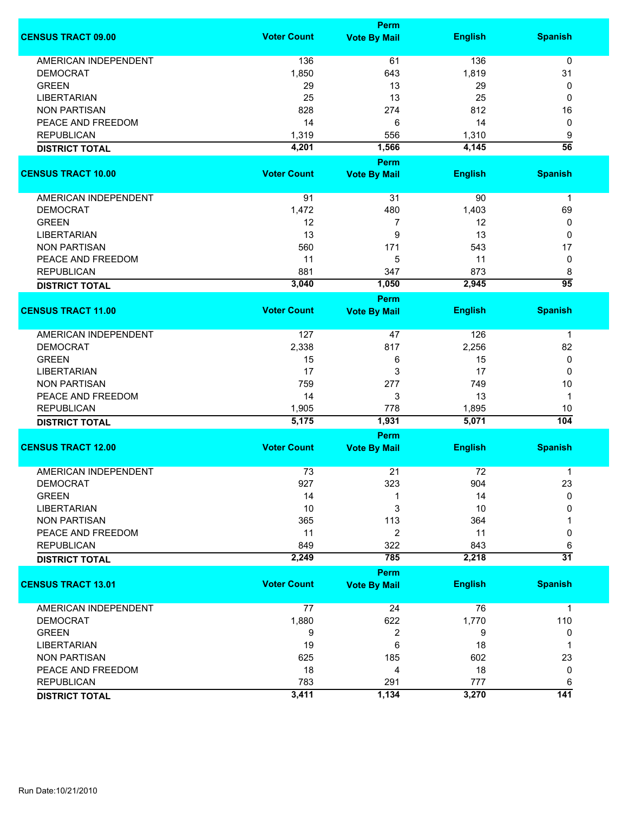|                             |                    | Perm                        |                |                      |
|-----------------------------|--------------------|-----------------------------|----------------|----------------------|
| <b>CENSUS TRACT 09.00</b>   | <b>Voter Count</b> | <b>Vote By Mail</b>         | <b>English</b> | <b>Spanish</b>       |
| <b>AMERICAN INDEPENDENT</b> | 136                | 61                          | 136            | 0                    |
| <b>DEMOCRAT</b>             | 1,850              | 643                         | 1,819          | 31                   |
| <b>GREEN</b>                | 29                 | 13                          | 29             | 0                    |
| <b>LIBERTARIAN</b>          | 25                 | 13                          | 25             | 0                    |
| <b>NON PARTISAN</b>         | 828                |                             | 812            |                      |
|                             |                    | 274                         |                | 16                   |
| PEACE AND FREEDOM           | 14                 | 6                           | 14             | 0                    |
| <b>REPUBLICAN</b>           | 1,319              | 556                         | 1,310          | 9                    |
| <b>DISTRICT TOTAL</b>       | 4,201              | 1,566                       | 4,145          | $\overline{56}$      |
| <b>CENSUS TRACT 10.00</b>   | <b>Voter Count</b> | Perm                        | <b>English</b> | <b>Spanish</b>       |
|                             |                    | <b>Vote By Mail</b>         |                |                      |
| AMERICAN INDEPENDENT        | 91                 | 31                          | 90             | $\mathbf{1}$         |
| <b>DEMOCRAT</b>             | 1,472              | 480                         | 1,403          | 69                   |
| <b>GREEN</b>                | 12                 | 7                           | 12             | 0                    |
| <b>LIBERTARIAN</b>          | 13                 | 9                           | 13             | 0                    |
| <b>NON PARTISAN</b>         | 560                | 171                         | 543            | 17                   |
| PEACE AND FREEDOM           | 11                 | 5                           | 11             | 0                    |
| <b>REPUBLICAN</b>           | 881                | 347                         | 873            | 8                    |
|                             | 3,040              | 1,050                       | 2,945          | $\overline{95}$      |
| <b>DISTRICT TOTAL</b>       |                    | <b>Perm</b>                 |                |                      |
| <b>CENSUS TRACT 11.00</b>   | <b>Voter Count</b> | <b>Vote By Mail</b>         | <b>English</b> | <b>Spanish</b>       |
| <b>AMERICAN INDEPENDENT</b> | 127                | 47                          | 126            |                      |
|                             |                    |                             |                | $\mathbf 1$          |
| <b>DEMOCRAT</b>             | 2,338              | 817                         | 2,256          | 82                   |
| <b>GREEN</b>                | 15                 | 6                           | 15             | 0                    |
| <b>LIBERTARIAN</b>          | 17                 | 3                           | 17             | 0                    |
| <b>NON PARTISAN</b>         | 759                | 277                         | 749            | 10                   |
| PEACE AND FREEDOM           | 14                 | 3                           | 13             | $\mathbf{1}$         |
| <b>REPUBLICAN</b>           | 1,905              | 778                         | 1,895          | 10                   |
| <b>DISTRICT TOTAL</b>       | 5,175              | 1,931                       | 5,071          | 104                  |
|                             |                    | Perm                        |                |                      |
| <b>CENSUS TRACT 12.00</b>   | <b>Voter Count</b> | <b>Vote By Mail</b>         | <b>English</b> | <b>Spanish</b>       |
| <b>AMERICAN INDEPENDENT</b> | 73                 | 21                          | 72             | 1                    |
| <b>DEMOCRAT</b>             | 927                | 323                         | 904            | 23                   |
| <b>GREEN</b>                | 14                 | 1                           | 14             | $\mathbf{0}$         |
| <b>LIBERTARIAN</b>          | 10                 | 3                           | 10             | 0                    |
| <b>NON PARTISAN</b>         | 365                | 113                         | 364            |                      |
| PEACE AND FREEDOM           | 11                 | 2                           | 11             | 0                    |
| <b>REPUBLICAN</b>           | 849                | 322                         | 843            |                      |
|                             | 2,249              | 785                         | 2,218          | 6<br>$\overline{31}$ |
| <b>DISTRICT TOTAL</b>       |                    |                             |                |                      |
| <b>CENSUS TRACT 13.01</b>   | <b>Voter Count</b> | Perm<br><b>Vote By Mail</b> | <b>English</b> | <b>Spanish</b>       |
|                             |                    |                             |                |                      |
| <b>AMERICAN INDEPENDENT</b> | 77                 | 24                          | 76             | $\mathbf{1}$         |
| <b>DEMOCRAT</b>             | 1,880              | 622                         | 1,770          | 110                  |
| <b>GREEN</b>                | 9                  | 2                           | 9              | 0                    |
| <b>LIBERTARIAN</b>          | 19                 | 6                           | 18             | 1                    |
| <b>NON PARTISAN</b>         | 625                | 185                         | 602            | 23                   |
| PEACE AND FREEDOM           | 18                 | 4                           | 18             | 0                    |
| <b>REPUBLICAN</b>           | 783                | 291                         | 777            | 6                    |
| <b>DISTRICT TOTAL</b>       | 3,411              | 1,134                       | 3,270          | $\overline{141}$     |
|                             |                    |                             |                |                      |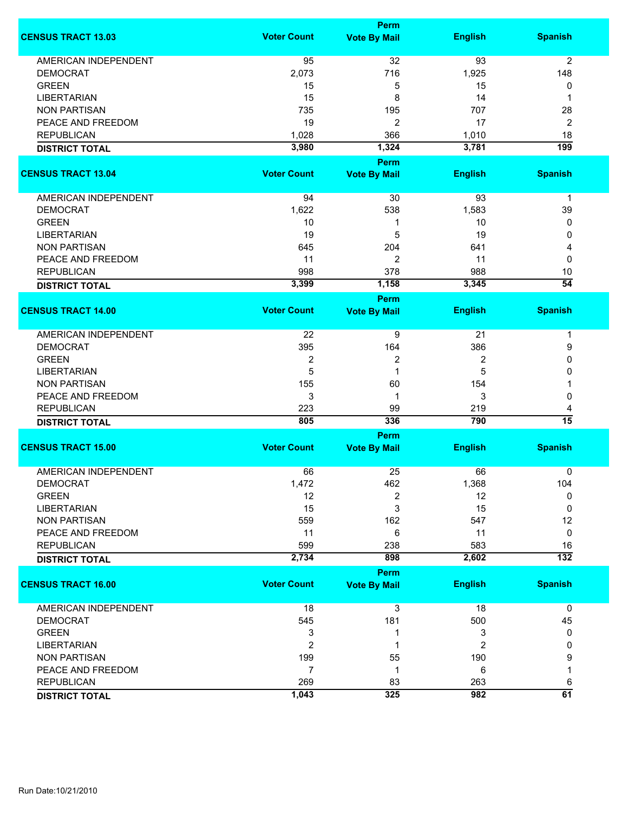|                             | <b>Perm</b>        |                                    |                |                  |
|-----------------------------|--------------------|------------------------------------|----------------|------------------|
| <b>CENSUS TRACT 13.03</b>   | <b>Voter Count</b> | <b>Vote By Mail</b>                | <b>English</b> | <b>Spanish</b>   |
| <b>AMERICAN INDEPENDENT</b> | 95                 | 32                                 | 93             | $\overline{2}$   |
| <b>DEMOCRAT</b>             | 2,073              | 716                                | 1,925          | 148              |
| <b>GREEN</b>                | 15                 | 5                                  | 15             | 0                |
| <b>LIBERTARIAN</b>          | 15                 | 8                                  | 14             | 1                |
| <b>NON PARTISAN</b>         | 735                | 195                                | 707            | 28               |
| PEACE AND FREEDOM           | 19                 |                                    | 17             |                  |
|                             |                    | 2                                  |                | 2                |
| <b>REPUBLICAN</b>           | 1,028              | 366                                | 1,010          | 18               |
| <b>DISTRICT TOTAL</b>       | 3,980              | 1,324<br><b>Perm</b>               | 3,781          | $\overline{199}$ |
| <b>CENSUS TRACT 13.04</b>   | <b>Voter Count</b> | <b>Vote By Mail</b>                | <b>English</b> | <b>Spanish</b>   |
| AMERICAN INDEPENDENT        | 94                 | 30                                 | 93             | $\mathbf 1$      |
| <b>DEMOCRAT</b>             | 1,622              | 538                                | 1,583          | 39               |
| <b>GREEN</b>                | 10                 | 1                                  | 10             | 0                |
| <b>LIBERTARIAN</b>          | 19                 | 5                                  | 19             | 0                |
| <b>NON PARTISAN</b>         | 645                | 204                                | 641            | 4                |
| PEACE AND FREEDOM           | 11                 | 2                                  | 11             | 0                |
|                             |                    |                                    |                |                  |
| <b>REPUBLICAN</b>           | 998                | 378                                | 988            | 10               |
| <b>DISTRICT TOTAL</b>       | 3,399              | 1,158                              | 3,345          | $\overline{54}$  |
| <b>CENSUS TRACT 14.00</b>   | <b>Voter Count</b> | <b>Perm</b><br><b>Vote By Mail</b> | <b>English</b> | <b>Spanish</b>   |
| AMERICAN INDEPENDENT        | 22                 | 9                                  | 21             | 1                |
| <b>DEMOCRAT</b>             | 395                |                                    |                |                  |
|                             |                    | 164                                | 386            | 9                |
| <b>GREEN</b>                | $\boldsymbol{2}$   | 2                                  | 2              | 0                |
| <b>LIBERTARIAN</b>          | 5                  | 1                                  | 5              | 0                |
| <b>NON PARTISAN</b>         | 155                | 60                                 | 154            | 1                |
| PEACE AND FREEDOM           | 3                  | 1                                  | 3              | 0                |
| <b>REPUBLICAN</b>           | 223                | 99                                 | 219            | 4                |
| <b>DISTRICT TOTAL</b>       | 805                | 336                                | 790            | $\overline{15}$  |
|                             |                    | Perm                               |                |                  |
| <b>CENSUS TRACT 15.00</b>   | <b>Voter Count</b> | <b>Vote By Mail</b>                | <b>English</b> | <b>Spanish</b>   |
| <b>AMERICAN INDEPENDENT</b> | 66                 | 25                                 | 66             | 0                |
| DEMOCRAT                    | 1,472              | 462                                | 1,368          | 104              |
| <b>GREEN</b>                | 12                 | 2                                  | 12             | 0                |
| <b>LIBERTARIAN</b>          | 15                 | 3                                  | 15             | 0                |
| <b>NON PARTISAN</b>         | 559                | 162                                | 547            | 12               |
| PEACE AND FREEDOM           | 11                 | 6                                  | 11             | $\mathbf 0$      |
| <b>REPUBLICAN</b>           | 599                | 238                                | 583            | 16               |
| <b>DISTRICT TOTAL</b>       | 2,734              | 898                                | 2,602          | $\overline{132}$ |
|                             |                    | <b>Perm</b>                        |                |                  |
| <b>CENSUS TRACT 16.00</b>   | <b>Voter Count</b> | <b>Vote By Mail</b>                | <b>English</b> | <b>Spanish</b>   |
| <b>AMERICAN INDEPENDENT</b> | 18                 | 3                                  | 18             | $\mathbf 0$      |
| <b>DEMOCRAT</b>             | 545                | 181                                | 500            | 45               |
| <b>GREEN</b>                | 3                  | 1                                  | 3              | 0                |
| <b>LIBERTARIAN</b>          | $\overline{2}$     | 1                                  | $\overline{2}$ | 0                |
| <b>NON PARTISAN</b>         | 199                | 55                                 | 190            | 9                |
| PEACE AND FREEDOM           | $\overline{7}$     | 1                                  | 6              | 1                |
| <b>REPUBLICAN</b>           | 269                | 83                                 | 263            |                  |
|                             |                    |                                    | 982            | 6<br>61          |
| <b>DISTRICT TOTAL</b>       | 1,043              | 325                                |                |                  |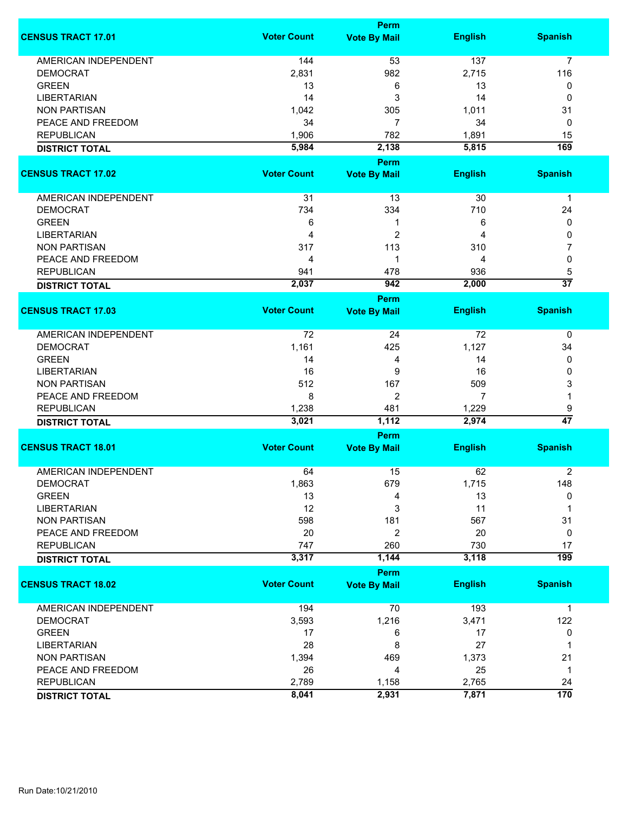|                             |                    | <b>Perm</b>                        |                |                  |
|-----------------------------|--------------------|------------------------------------|----------------|------------------|
| <b>CENSUS TRACT 17.01</b>   | <b>Voter Count</b> | <b>Vote By Mail</b>                | <b>English</b> | <b>Spanish</b>   |
| <b>AMERICAN INDEPENDENT</b> | 144                | 53                                 | 137            | $\overline{7}$   |
| <b>DEMOCRAT</b>             | 2,831              | 982                                | 2,715          | 116              |
| <b>GREEN</b>                | 13                 | 6                                  | 13             | 0                |
| <b>LIBERTARIAN</b>          | 14                 | 3                                  | 14             | 0                |
| <b>NON PARTISAN</b>         | 1,042              | 305                                | 1,011          | 31               |
| PEACE AND FREEDOM           | 34                 | $\overline{7}$                     | 34             | 0                |
|                             |                    |                                    |                |                  |
| <b>REPUBLICAN</b>           | 1,906              | 782                                | 1,891          | 15               |
| <b>DISTRICT TOTAL</b>       | 5,984              | 2,138<br><b>Perm</b>               | 5,815          | 169              |
| <b>CENSUS TRACT 17.02</b>   | <b>Voter Count</b> | <b>Vote By Mail</b>                | <b>English</b> | <b>Spanish</b>   |
| AMERICAN INDEPENDENT        | 31                 | 13                                 | 30             | $\mathbf 1$      |
| <b>DEMOCRAT</b>             | 734                | 334                                | 710            | 24               |
| <b>GREEN</b>                | 6                  | 1                                  | 6              | 0                |
| <b>LIBERTARIAN</b>          | 4                  | $\overline{c}$                     | 4              | 0                |
| <b>NON PARTISAN</b>         | 317                | 113                                | 310            | 7                |
|                             |                    |                                    |                |                  |
| PEACE AND FREEDOM           | 4                  | 1                                  | 4              | 0                |
| <b>REPUBLICAN</b>           | 941                | 478                                | 936            | 5                |
| <b>DISTRICT TOTAL</b>       | 2,037              | 942                                | 2,000          | $\overline{37}$  |
| <b>CENSUS TRACT 17.03</b>   | <b>Voter Count</b> | Perm<br><b>Vote By Mail</b>        | <b>English</b> | <b>Spanish</b>   |
|                             |                    |                                    |                |                  |
| AMERICAN INDEPENDENT        | 72                 | 24                                 | 72             | 0                |
| <b>DEMOCRAT</b>             | 1,161              | 425                                | 1,127          | 34               |
| <b>GREEN</b>                | 14                 | 4                                  | 14             | 0                |
| <b>LIBERTARIAN</b>          | 16                 | 9                                  | 16             | 0                |
| <b>NON PARTISAN</b>         | 512                | 167                                | 509            | 3                |
| PEACE AND FREEDOM           | 8                  | 2                                  | 7              | 1                |
| <b>REPUBLICAN</b>           | 1,238              | 481                                | 1,229          | 9                |
|                             | 3,021              | 1,112                              | 2,974          | $\overline{47}$  |
| <b>DISTRICT TOTAL</b>       |                    | <b>Perm</b>                        |                |                  |
| <b>CENSUS TRACT 18.01</b>   | <b>Voter Count</b> | <b>Vote By Mail</b>                | <b>English</b> | <b>Spanish</b>   |
| <b>AMERICAN INDEPENDENT</b> | 64                 | 15                                 | 62             | $\boldsymbol{2}$ |
| DEMOCRAT                    |                    | 679                                |                | 148              |
| <b>GREEN</b>                | 1,863<br>13        | 4                                  | 1,715<br>13    | 0                |
| <b>LIBERTARIAN</b>          | 12                 |                                    | 11             | 1                |
|                             |                    | 3                                  |                |                  |
| <b>NON PARTISAN</b>         | 598                | 181                                | 567            | 31               |
| PEACE AND FREEDOM           | 20                 | $\overline{2}$                     | 20             | 0                |
| <b>REPUBLICAN</b>           | 747                | 260                                | 730            | 17               |
| <b>DISTRICT TOTAL</b>       | 3,317              | 1,144                              | 3,118          | $\overline{199}$ |
| <b>CENSUS TRACT 18.02</b>   | <b>Voter Count</b> | <b>Perm</b><br><b>Vote By Mail</b> | <b>English</b> | <b>Spanish</b>   |
|                             |                    |                                    |                |                  |
| <b>AMERICAN INDEPENDENT</b> | 194                | 70                                 | 193            | $\mathbf 1$      |
| <b>DEMOCRAT</b>             | 3,593              | 1,216                              | 3,471          | 122              |
| <b>GREEN</b>                | 17                 | 6                                  | 17             | 0                |
| <b>LIBERTARIAN</b>          | 28                 | 8                                  | 27             | 1                |
| <b>NON PARTISAN</b>         | 1,394              | 469                                | 1,373          | 21               |
| PEACE AND FREEDOM           | 26                 | 4                                  | 25             | 1                |
| <b>REPUBLICAN</b>           | 2,789              | 1,158                              | 2,765          | 24               |
| <b>DISTRICT TOTAL</b>       | 8,041              | 2,931                              | 7,871          | $\overline{170}$ |
|                             |                    |                                    |                |                  |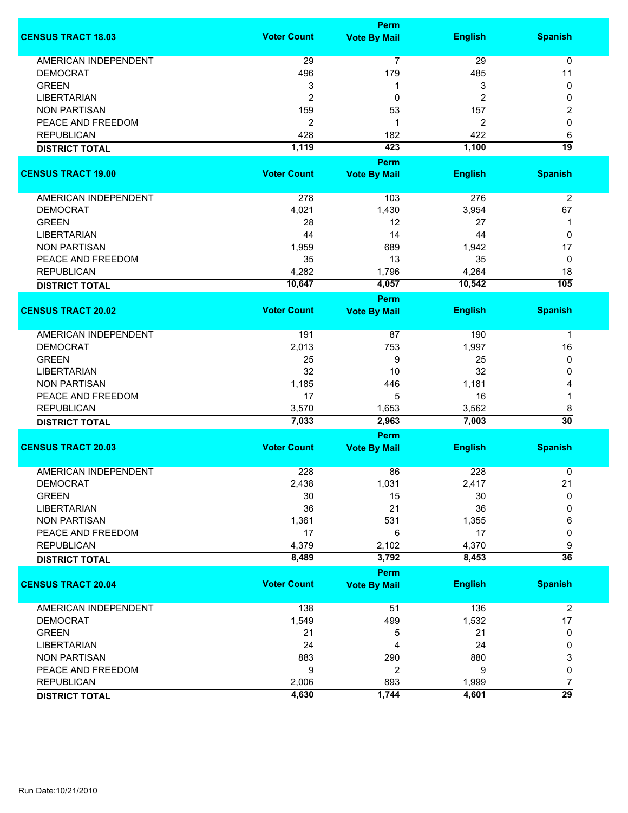|                             | <b>Perm</b>        |                                    |                |                  |  |
|-----------------------------|--------------------|------------------------------------|----------------|------------------|--|
| <b>CENSUS TRACT 18.03</b>   | <b>Voter Count</b> | <b>Vote By Mail</b>                | <b>English</b> | <b>Spanish</b>   |  |
| <b>AMERICAN INDEPENDENT</b> | 29                 | 7                                  | 29             | 0                |  |
| <b>DEMOCRAT</b>             | 496                | 179                                | 485            | 11               |  |
| <b>GREEN</b>                | 3                  | 1                                  | 3              | 0                |  |
| <b>LIBERTARIAN</b>          | $\overline{2}$     | 0                                  | 2              | 0                |  |
| <b>NON PARTISAN</b>         | 159                | 53                                 | 157            | 2                |  |
| PEACE AND FREEDOM           | $\overline{2}$     | 1                                  |                |                  |  |
|                             |                    |                                    | 2              | 0                |  |
| <b>REPUBLICAN</b>           | 428                | 182                                | 422            | 6                |  |
| <b>DISTRICT TOTAL</b>       | 1,119              | 423                                | 1,100          | $\overline{19}$  |  |
| <b>CENSUS TRACT 19.00</b>   | <b>Voter Count</b> | <b>Perm</b><br><b>Vote By Mail</b> | <b>English</b> | <b>Spanish</b>   |  |
|                             |                    |                                    |                |                  |  |
| AMERICAN INDEPENDENT        | 278                | 103                                | 276            | $\overline{2}$   |  |
| <b>DEMOCRAT</b>             | 4,021              | 1,430                              | 3,954          | 67               |  |
| <b>GREEN</b>                | 28                 | 12                                 | 27             | 1                |  |
| <b>LIBERTARIAN</b>          | 44                 | 14                                 | 44             | 0                |  |
| <b>NON PARTISAN</b>         | 1,959              | 689                                | 1,942          | 17               |  |
| PEACE AND FREEDOM           | 35                 | 13                                 | 35             | 0                |  |
| <b>REPUBLICAN</b>           | 4,282              | 1,796                              | 4,264          | 18               |  |
| <b>DISTRICT TOTAL</b>       | 10,647             | 4,057                              | 10,542         | $\overline{105}$ |  |
|                             |                    | <b>Perm</b>                        |                |                  |  |
| <b>CENSUS TRACT 20.02</b>   | <b>Voter Count</b> | <b>Vote By Mail</b>                | <b>English</b> | <b>Spanish</b>   |  |
| <b>AMERICAN INDEPENDENT</b> | 191                | 87                                 | 190            | $\mathbf 1$      |  |
| <b>DEMOCRAT</b>             | 2,013              | 753                                | 1,997          | 16               |  |
| <b>GREEN</b>                | 25                 | 9                                  | 25             | 0                |  |
| <b>LIBERTARIAN</b>          | 32                 | 10                                 | 32             | 0                |  |
|                             |                    |                                    |                |                  |  |
| <b>NON PARTISAN</b>         | 1,185              | 446                                | 1,181          | 4                |  |
| PEACE AND FREEDOM           | 17                 | 5                                  | 16             | 1                |  |
| <b>REPUBLICAN</b>           | 3,570              | 1,653                              | 3,562          | 8                |  |
| <b>DISTRICT TOTAL</b>       | 7,033              | 2,963                              | 7,003          | $\overline{30}$  |  |
|                             |                    | Perm                               |                |                  |  |
| <b>CENSUS TRACT 20.03</b>   | <b>Voter Count</b> | <b>Vote By Mail</b>                | <b>English</b> | <b>Spanish</b>   |  |
| <b>AMERICAN INDEPENDENT</b> | 228                | 86                                 | 228            | 0                |  |
| <b>DEMOCRAT</b>             | 2,438              | 1,031                              | 2,417          | 21               |  |
| <b>GREEN</b>                | 30                 | 15                                 | 30             | 0                |  |
| <b>LIBERTARIAN</b>          | 36                 | 21                                 | 36             | 0                |  |
| <b>NON PARTISAN</b>         | 1,361              | 531                                | 1,355          | 6                |  |
| PEACE AND FREEDOM           | 17                 | 6                                  | 17             | 0                |  |
| <b>REPUBLICAN</b>           | 4,379              | 2,102                              | 4,370          | 9                |  |
| <b>DISTRICT TOTAL</b>       | 8,489              | 3,792                              | 8,453          | $\overline{36}$  |  |
|                             |                    | Perm                               |                |                  |  |
| <b>CENSUS TRACT 20.04</b>   | <b>Voter Count</b> | <b>Vote By Mail</b>                | <b>English</b> | <b>Spanish</b>   |  |
| AMERICAN INDEPENDENT        | 138                | 51                                 | 136            | $\overline{c}$   |  |
| <b>DEMOCRAT</b>             | 1,549              | 499                                | 1,532          | 17               |  |
| <b>GREEN</b>                | 21                 | 5                                  | 21             | 0                |  |
| <b>LIBERTARIAN</b>          | 24                 | 4                                  | 24             | 0                |  |
|                             |                    |                                    |                |                  |  |
| <b>NON PARTISAN</b>         | 883                | 290                                | 880            | 3                |  |
| PEACE AND FREEDOM           | 9                  | $\overline{2}$                     | 9              | 0                |  |
| <b>REPUBLICAN</b>           | 2,006              | 893                                | 1,999          | 7                |  |
| <b>DISTRICT TOTAL</b>       | 4,630              | 1,744                              | 4,601          | $\overline{29}$  |  |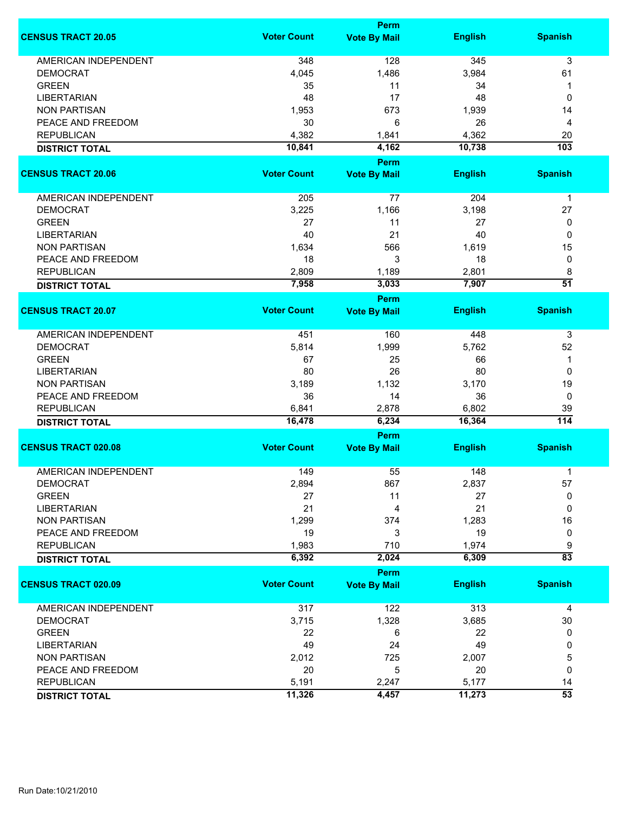|                             | Perm               |                             |                |                  |
|-----------------------------|--------------------|-----------------------------|----------------|------------------|
| <b>CENSUS TRACT 20.05</b>   | <b>Voter Count</b> | <b>Vote By Mail</b>         | <b>English</b> | <b>Spanish</b>   |
| <b>AMERICAN INDEPENDENT</b> | 348                | 128                         | 345            | 3                |
| <b>DEMOCRAT</b>             | 4,045              | 1,486                       | 3,984          | 61               |
| <b>GREEN</b>                | 35                 | 11                          | 34             | 1                |
| <b>LIBERTARIAN</b>          | 48                 | 17                          | 48             | 0                |
| <b>NON PARTISAN</b>         | 1,953              | 673                         | 1,939          | 14               |
| PEACE AND FREEDOM           | 30                 | 6                           |                |                  |
|                             |                    |                             | 26             | 4                |
| <b>REPUBLICAN</b>           | 4,382              | 1,841                       | 4,362          | 20               |
| <b>DISTRICT TOTAL</b>       | 10,841             | 4,162                       | 10,738         | $\overline{103}$ |
| <b>CENSUS TRACT 20.06</b>   | <b>Voter Count</b> | Perm<br><b>Vote By Mail</b> | <b>English</b> | <b>Spanish</b>   |
| <b>AMERICAN INDEPENDENT</b> | 205                | 77                          | 204            | $\mathbf{1}$     |
|                             |                    |                             |                |                  |
| <b>DEMOCRAT</b>             | 3,225              | 1,166                       | 3,198          | 27               |
| <b>GREEN</b>                | 27                 | 11                          | 27             | 0                |
| <b>LIBERTARIAN</b>          | 40                 | 21                          | 40             | 0                |
| <b>NON PARTISAN</b>         | 1,634              | 566                         | 1,619          | 15               |
| PEACE AND FREEDOM           | 18                 | 3                           | 18             | 0                |
| <b>REPUBLICAN</b>           | 2,809              | 1,189                       | 2,801          | 8                |
| <b>DISTRICT TOTAL</b>       | 7,958              | 3,033                       | 7,907          | $\overline{51}$  |
|                             |                    | <b>Perm</b>                 |                |                  |
| <b>CENSUS TRACT 20.07</b>   | <b>Voter Count</b> | <b>Vote By Mail</b>         | <b>English</b> | <b>Spanish</b>   |
| <b>AMERICAN INDEPENDENT</b> | 451                | 160                         | 448            | 3                |
| <b>DEMOCRAT</b>             | 5,814              | 1,999                       | 5,762          | 52               |
| <b>GREEN</b>                | 67                 | 25                          | 66             | $\mathbf 1$      |
| <b>LIBERTARIAN</b>          | 80                 | 26                          | 80             | 0                |
| <b>NON PARTISAN</b>         | 3,189              | 1,132                       | 3,170          | 19               |
| PEACE AND FREEDOM           | 36                 | 14                          | 36             | 0                |
| <b>REPUBLICAN</b>           | 6,841              | 2,878                       | 6,802          | 39               |
| <b>DISTRICT TOTAL</b>       | 16,478             | 6,234                       | 16,364         | $\overline{114}$ |
|                             |                    | <b>Perm</b>                 |                |                  |
| <b>CENSUS TRACT 020.08</b>  | <b>Voter Count</b> | <b>Vote By Mail</b>         | <b>English</b> | <b>Spanish</b>   |
| <b>AMERICAN INDEPENDENT</b> | 149                | 55                          | 148            | 1                |
| DEMOCRAT                    | 2,894              | 867                         | 2,837          | 57               |
| <b>GREEN</b>                | 27                 | 11                          | 27             | 0                |
| <b>LIBERTARIAN</b>          | 21                 | 4                           | 21             | 0                |
| <b>NON PARTISAN</b>         | 1,299              | 374                         | 1,283          | 16               |
| PEACE AND FREEDOM           | 19                 | 3                           | 19             | 0                |
| <b>REPUBLICAN</b>           | 1,983              | 710                         | 1,974          | 9                |
| <b>DISTRICT TOTAL</b>       | 6,392              | 2,024                       | 6,309          | $\overline{83}$  |
|                             |                    | Perm                        |                |                  |
| <b>CENSUS TRACT 020.09</b>  | <b>Voter Count</b> | <b>Vote By Mail</b>         | <b>English</b> | <b>Spanish</b>   |
| <b>AMERICAN INDEPENDENT</b> | 317                | 122                         | 313            | 4                |
| <b>DEMOCRAT</b>             | 3,715              | 1,328                       | 3,685          | 30               |
| <b>GREEN</b>                |                    |                             |                | 0                |
|                             | 22                 | 6                           | 22             |                  |
| <b>LIBERTARIAN</b>          | 49                 | 24                          | 49             | 0                |
| <b>NON PARTISAN</b>         | 2,012              | 725                         | 2,007          | 5                |
| PEACE AND FREEDOM           | 20                 | 5                           | 20             | 0                |
| <b>REPUBLICAN</b>           | 5,191              | 2,247                       | 5,177          | 14               |
| <b>DISTRICT TOTAL</b>       | 11,326             | 4,457                       | 11,273         | $\overline{53}$  |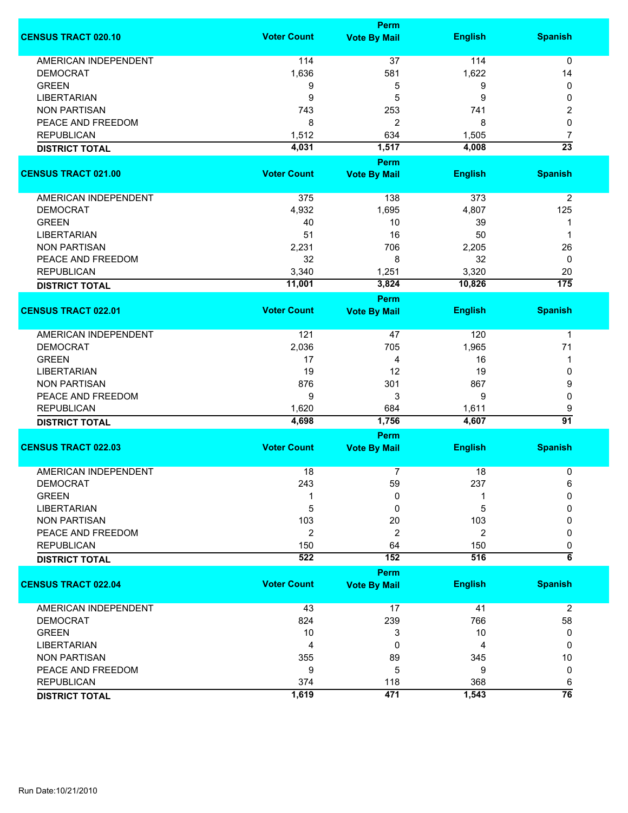|                             |                    | Perm                |                |                  |  |  |  |
|-----------------------------|--------------------|---------------------|----------------|------------------|--|--|--|
| <b>CENSUS TRACT 020.10</b>  | <b>Voter Count</b> | <b>Vote By Mail</b> | <b>English</b> | <b>Spanish</b>   |  |  |  |
| <b>AMERICAN INDEPENDENT</b> | 114                | 37                  | 114            | 0                |  |  |  |
| <b>DEMOCRAT</b>             | 1,636              | 581                 | 1,622          | 14               |  |  |  |
| <b>GREEN</b>                | 9                  | 5                   | 9              | 0                |  |  |  |
| <b>LIBERTARIAN</b>          | 9                  | 5                   | 9              | 0                |  |  |  |
| <b>NON PARTISAN</b>         | 743                | 253                 | 741            | 2                |  |  |  |
| PEACE AND FREEDOM           | 8                  | $\overline{c}$      | 8              | 0                |  |  |  |
|                             |                    |                     |                |                  |  |  |  |
| <b>REPUBLICAN</b>           | 1,512              | 634                 | 1,505          | 7                |  |  |  |
| <b>DISTRICT TOTAL</b>       | 4,031              | 1,517<br>Perm       | 4,008          | $\overline{23}$  |  |  |  |
| <b>CENSUS TRACT 021.00</b>  | <b>Voter Count</b> | <b>Vote By Mail</b> | <b>English</b> | <b>Spanish</b>   |  |  |  |
|                             |                    |                     |                |                  |  |  |  |
| AMERICAN INDEPENDENT        | 375                | 138                 | 373            | $\overline{2}$   |  |  |  |
| <b>DEMOCRAT</b>             | 4,932              | 1,695               | 4,807          | 125              |  |  |  |
| <b>GREEN</b>                | 40                 | 10                  | 39             | 1                |  |  |  |
| <b>LIBERTARIAN</b>          | 51                 | 16                  | 50             | 1                |  |  |  |
| <b>NON PARTISAN</b>         | 2,231              | 706                 | 2,205          | 26               |  |  |  |
| PEACE AND FREEDOM           | 32                 | 8                   | 32             | 0                |  |  |  |
| <b>REPUBLICAN</b>           | 3,340              | 1,251               | 3,320          | 20               |  |  |  |
| <b>DISTRICT TOTAL</b>       | 11,001             | 3,824               | 10,826         | $\overline{175}$ |  |  |  |
|                             |                    | <b>Perm</b>         |                |                  |  |  |  |
| <b>CENSUS TRACT 022.01</b>  | <b>Voter Count</b> | <b>Vote By Mail</b> | <b>English</b> | <b>Spanish</b>   |  |  |  |
| AMERICAN INDEPENDENT        | 121                | 47                  | 120            | $\mathbf 1$      |  |  |  |
|                             |                    | 705                 | 1,965          | 71               |  |  |  |
| <b>DEMOCRAT</b>             | 2,036              |                     |                |                  |  |  |  |
| <b>GREEN</b>                | 17                 | 4                   | 16             | 1                |  |  |  |
| <b>LIBERTARIAN</b>          | 19                 | 12                  | 19             | 0                |  |  |  |
| <b>NON PARTISAN</b>         | 876                | 301                 | 867            | 9                |  |  |  |
| PEACE AND FREEDOM           | 9                  | 3                   | 9              | 0                |  |  |  |
| <b>REPUBLICAN</b>           | 1,620              | 684                 | 1,611          | 9                |  |  |  |
| <b>DISTRICT TOTAL</b>       | 4,698              | 1,756               | 4,607          | $\overline{91}$  |  |  |  |
|                             |                    | <b>Perm</b>         |                |                  |  |  |  |
| <b>CENSUS TRACT 022.03</b>  | <b>Voter Count</b> | <b>Vote By Mail</b> | <b>English</b> | <b>Spanish</b>   |  |  |  |
| <b>AMERICAN INDEPENDENT</b> | 18                 | 7                   | 18             | 0                |  |  |  |
| <b>DEMOCRAT</b>             | 243                | 59                  | 237            | 6                |  |  |  |
| <b>GREEN</b>                |                    | 0                   |                | 0                |  |  |  |
| <b>LIBERTARIAN</b>          | 5                  | 0                   | 5              | 0                |  |  |  |
| <b>NON PARTISAN</b>         | 103                | 20                  | 103            | 0                |  |  |  |
| PEACE AND FREEDOM           | $\overline{c}$     | 2                   | $\overline{c}$ | 0                |  |  |  |
| <b>REPUBLICAN</b>           | 150                | 64                  | 150            | 0                |  |  |  |
|                             | 522                | 152                 | 516            | $\overline{6}$   |  |  |  |
| <b>DISTRICT TOTAL</b>       |                    | Perm                |                |                  |  |  |  |
| <b>CENSUS TRACT 022.04</b>  | <b>Voter Count</b> | <b>Vote By Mail</b> | <b>English</b> | <b>Spanish</b>   |  |  |  |
|                             |                    |                     |                |                  |  |  |  |
| <b>AMERICAN INDEPENDENT</b> | 43                 | 17                  | 41             | $\overline{2}$   |  |  |  |
| <b>DEMOCRAT</b>             | 824                | 239                 | 766            | 58               |  |  |  |
| <b>GREEN</b>                | 10                 | 3                   | 10             | 0                |  |  |  |
| <b>LIBERTARIAN</b>          | 4                  | 0                   | 4              | 0                |  |  |  |
| <b>NON PARTISAN</b>         | 355                | 89                  | 345            | 10               |  |  |  |
| PEACE AND FREEDOM           | 9                  | 5                   | 9              | 0                |  |  |  |
| <b>REPUBLICAN</b>           | 374                | 118                 | 368            | 6                |  |  |  |
| <b>DISTRICT TOTAL</b>       | 1,619              | 471                 | 1,543          | $\overline{76}$  |  |  |  |
|                             |                    |                     |                |                  |  |  |  |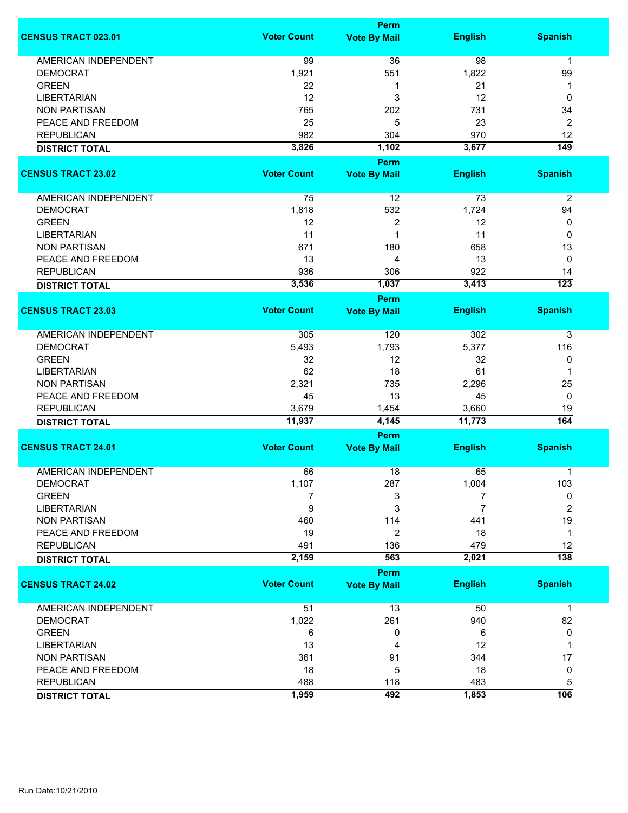|                             |                    | Perm                |                |                  |
|-----------------------------|--------------------|---------------------|----------------|------------------|
| <b>CENSUS TRACT 023.01</b>  | <b>Voter Count</b> | <b>Vote By Mail</b> | <b>English</b> | <b>Spanish</b>   |
| <b>AMERICAN INDEPENDENT</b> | 99                 | 36                  | 98             | $\mathbf{1}$     |
| <b>DEMOCRAT</b>             | 1,921              | 551                 | 1,822          | 99               |
| <b>GREEN</b>                | 22                 | 1                   | 21             | 1                |
| <b>LIBERTARIAN</b>          | 12                 | 3                   | 12             | 0                |
| <b>NON PARTISAN</b>         | 765                | 202                 | 731            | 34               |
| PEACE AND FREEDOM           | 25                 | 5                   | 23             | 2                |
| <b>REPUBLICAN</b>           | 982                | 304                 | 970            | 12               |
| <b>DISTRICT TOTAL</b>       | 3,826              | 1,102               | 3,677          | $\overline{149}$ |
|                             |                    | Perm                |                |                  |
| <b>CENSUS TRACT 23.02</b>   | <b>Voter Count</b> | <b>Vote By Mail</b> | <b>English</b> | <b>Spanish</b>   |
|                             |                    |                     |                |                  |
| AMERICAN INDEPENDENT        | 75                 | 12                  | 73             | $\overline{2}$   |
| <b>DEMOCRAT</b>             | 1,818              | 532                 | 1,724          | 94               |
| <b>GREEN</b>                | 12                 | 2                   | 12             | 0                |
| <b>LIBERTARIAN</b>          | 11                 | 1                   | 11             | 0                |
| <b>NON PARTISAN</b>         | 671                | 180                 | 658            | 13               |
| PEACE AND FREEDOM           | 13                 | 4                   | 13             | 0                |
| <b>REPUBLICAN</b>           | 936                | 306                 | 922            | 14               |
| <b>DISTRICT TOTAL</b>       | 3,536              | 1,037               | 3,413          | $\overline{123}$ |
|                             |                    | <b>Perm</b>         |                |                  |
| <b>CENSUS TRACT 23.03</b>   | <b>Voter Count</b> | <b>Vote By Mail</b> | <b>English</b> | <b>Spanish</b>   |
| <b>AMERICAN INDEPENDENT</b> | 305                | 120                 | 302            | 3                |
| <b>DEMOCRAT</b>             | 5,493              | 1,793               | 5,377          | 116              |
| <b>GREEN</b>                | 32                 | 12                  | 32             | 0                |
| <b>LIBERTARIAN</b>          | 62                 | 18                  | 61             | 1                |
| <b>NON PARTISAN</b>         | 2,321              | 735                 | 2,296          | 25               |
| PEACE AND FREEDOM           | 45                 | 13                  | 45             | 0                |
| <b>REPUBLICAN</b>           | 3,679              | 1,454               | 3,660          | 19               |
| <b>DISTRICT TOTAL</b>       | 11,937             | 4,145               | 11,773         | 164              |
|                             |                    | <b>Perm</b>         |                |                  |
| <b>CENSUS TRACT 24.01</b>   | <b>Voter Count</b> | <b>Vote By Mail</b> | <b>English</b> | <b>Spanish</b>   |
| <b>AMERICAN INDEPENDENT</b> | 66                 | 18                  | 65             | 1                |
| <b>DEMOCRAT</b>             | 1,107              | 287                 | 1,004          | 103              |
| <b>GREEN</b>                | 7                  | 3                   | 7              | 0                |
| <b>LIBERTARIAN</b>          | 9                  | 3                   | 7              | $\overline{2}$   |
| <b>NON PARTISAN</b>         | 460                | 114                 | 441            | 19               |
| PEACE AND FREEDOM           | 19                 | 2                   | 18             | $\mathbf{1}$     |
| <b>REPUBLICAN</b>           | 491                | 136                 | 479            | 12               |
| <b>DISTRICT TOTAL</b>       | 2,159              | 563                 | 2,021          | $\overline{138}$ |
|                             |                    | Perm                |                |                  |
| <b>CENSUS TRACT 24.02</b>   | <b>Voter Count</b> | <b>Vote By Mail</b> | <b>English</b> | <b>Spanish</b>   |
| <b>AMERICAN INDEPENDENT</b> | 51                 | 13                  | 50             | $\mathbf{1}$     |
| <b>DEMOCRAT</b>             | 1,022              | 261                 | 940            | 82               |
| <b>GREEN</b>                | 6                  | 0                   | 6              | 0                |
| <b>LIBERTARIAN</b>          | 13                 | 4                   | 12             | 1                |
| <b>NON PARTISAN</b>         | 361                | 91                  | 344            | 17               |
| PEACE AND FREEDOM           | 18                 | 5                   | 18             | 0                |
| <b>REPUBLICAN</b>           | 488                | 118                 | 483            | 5                |
| <b>DISTRICT TOTAL</b>       | 1,959              | 492                 | 1,853          | 106              |
|                             |                    |                     |                |                  |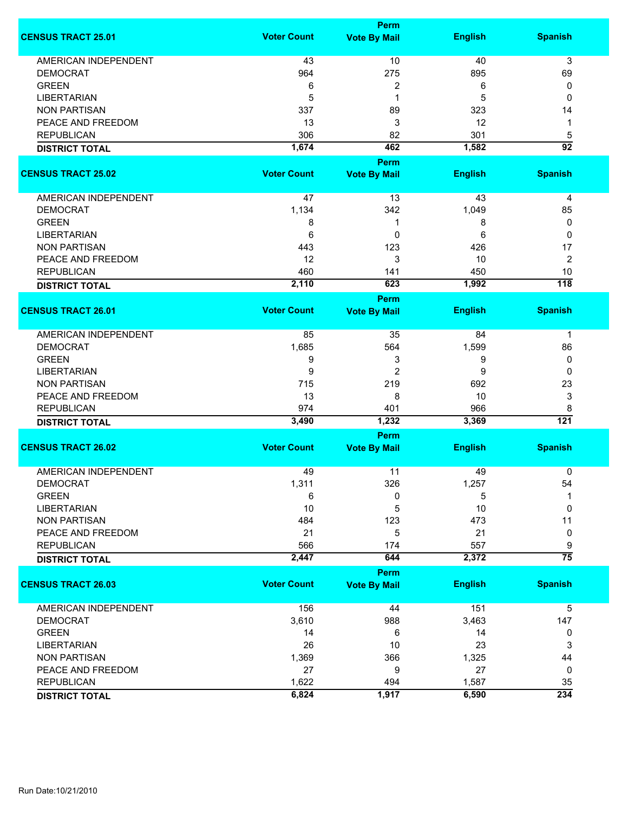|                             | <b>Perm</b>        |                                    |                |                         |  |
|-----------------------------|--------------------|------------------------------------|----------------|-------------------------|--|
| <b>CENSUS TRACT 25.01</b>   | <b>Voter Count</b> | <b>Vote By Mail</b>                | <b>English</b> | <b>Spanish</b>          |  |
| <b>AMERICAN INDEPENDENT</b> | 43                 | 10                                 | 40             | 3                       |  |
| <b>DEMOCRAT</b>             | 964                | 275                                | 895            | 69                      |  |
| <b>GREEN</b>                | 6                  | 2                                  | 6              | 0                       |  |
| <b>LIBERTARIAN</b>          | 5                  | 1                                  | 5              | 0                       |  |
| <b>NON PARTISAN</b>         | 337                | 89                                 | 323            | 14                      |  |
|                             |                    |                                    |                |                         |  |
| PEACE AND FREEDOM           | 13                 | 3                                  | 12             | 1                       |  |
| <b>REPUBLICAN</b>           | 306                | 82                                 | 301            | 5                       |  |
| <b>DISTRICT TOTAL</b>       | 1,674              | 462                                | 1,582          | $\overline{92}$         |  |
|                             |                    | <b>Perm</b>                        |                |                         |  |
| <b>CENSUS TRACT 25.02</b>   | <b>Voter Count</b> | <b>Vote By Mail</b>                | <b>English</b> | <b>Spanish</b>          |  |
| AMERICAN INDEPENDENT        | 47                 | 13                                 | 43             | $\overline{\mathbf{4}}$ |  |
| <b>DEMOCRAT</b>             | 1,134              | 342                                | 1,049          | 85                      |  |
| <b>GREEN</b>                | 8                  | 1                                  | 8              | 0                       |  |
| <b>LIBERTARIAN</b>          | 6                  | 0                                  | 6              | $\mathbf 0$             |  |
| <b>NON PARTISAN</b>         | 443                | 123                                | 426            | 17                      |  |
| PEACE AND FREEDOM           | 12                 | 3                                  | 10             | $\overline{2}$          |  |
| <b>REPUBLICAN</b>           | 460                |                                    | 450            | 10                      |  |
|                             |                    | 141                                |                | 118                     |  |
| <b>DISTRICT TOTAL</b>       | 2,110              | 623                                | 1,992          |                         |  |
| <b>CENSUS TRACT 26.01</b>   | <b>Voter Count</b> | <b>Perm</b><br><b>Vote By Mail</b> | <b>English</b> | <b>Spanish</b>          |  |
|                             |                    |                                    |                |                         |  |
| <b>AMERICAN INDEPENDENT</b> | 85                 | 35                                 | 84             | 1                       |  |
| <b>DEMOCRAT</b>             | 1,685              | 564                                | 1,599          | 86                      |  |
| <b>GREEN</b>                | 9                  | 3                                  | 9              | 0                       |  |
| <b>LIBERTARIAN</b>          | 9                  | $\overline{2}$                     | 9              | 0                       |  |
| <b>NON PARTISAN</b>         | 715                | 219                                | 692            | 23                      |  |
| PEACE AND FREEDOM           | 13                 | 8                                  | 10             | 3                       |  |
| <b>REPUBLICAN</b>           | 974                | 401                                | 966            | 8                       |  |
|                             | 3,490              | 1,232                              | 3,369          | 121                     |  |
| <b>DISTRICT TOTAL</b>       |                    | Perm                               |                |                         |  |
| <b>CENSUS TRACT 26.02</b>   | <b>Voter Count</b> | <b>Vote By Mail</b>                | <b>English</b> | <b>Spanish</b>          |  |
|                             |                    |                                    |                |                         |  |
| <b>AMERICAN INDEPENDENT</b> | 49                 | 11                                 | 49             | 0                       |  |
| <b>DEMOCRAT</b>             | 1,311              | 326                                | 1,257          | 54                      |  |
| <b>GREEN</b>                | 6                  | 0                                  | 5              |                         |  |
| <b>LIBERTARIAN</b>          | 10                 | 5                                  | 10             | 0                       |  |
| <b>NON PARTISAN</b>         | 484                | 123                                | 473            | 11                      |  |
| PEACE AND FREEDOM           | 21                 | 5                                  | 21             | 0                       |  |
| <b>REPUBLICAN</b>           | 566                | 174                                | 557            | 9                       |  |
| <b>DISTRICT TOTAL</b>       | 2,447              | 644                                | 2,372          | $\overline{75}$         |  |
|                             |                    | Perm                               |                |                         |  |
| <b>CENSUS TRACT 26.03</b>   | <b>Voter Count</b> | <b>Vote By Mail</b>                | <b>English</b> | <b>Spanish</b>          |  |
| <b>AMERICAN INDEPENDENT</b> | 156                | 44                                 | 151            | 5                       |  |
| <b>DEMOCRAT</b>             | 3,610              | 988                                | 3,463          | 147                     |  |
| <b>GREEN</b>                | 14                 | 6                                  | 14             | 0                       |  |
| <b>LIBERTARIAN</b>          | 26                 | 10                                 | 23             | 3                       |  |
| <b>NON PARTISAN</b>         | 1,369              | 366                                | 1,325          | 44                      |  |
| PEACE AND FREEDOM           | 27                 | 9                                  | 27             | 0                       |  |
| <b>REPUBLICAN</b>           | 1,622              | 494                                | 1,587          | 35                      |  |
|                             | 6,824              | 1,917                              | 6,590          | 234                     |  |
| <b>DISTRICT TOTAL</b>       |                    |                                    |                |                         |  |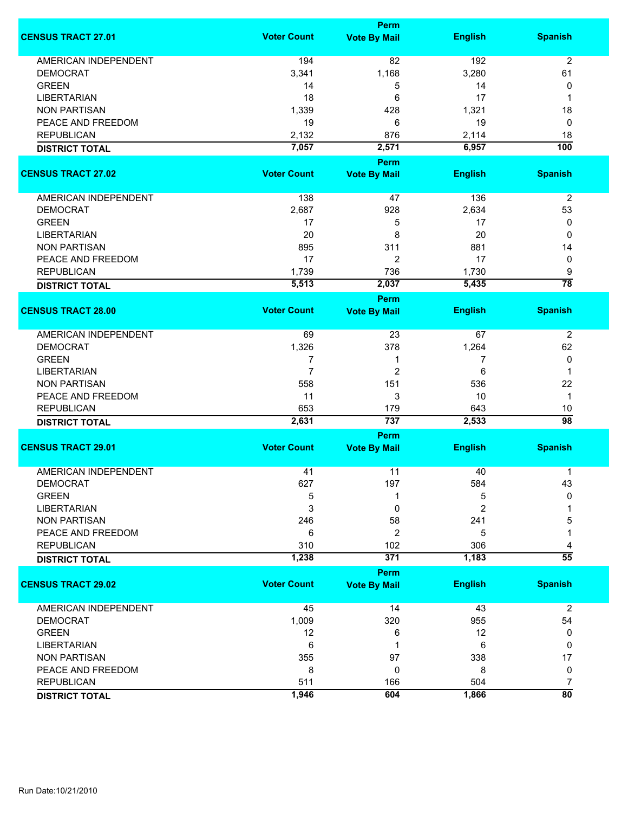|                             | <b>Perm</b>        |                      |                |                       |
|-----------------------------|--------------------|----------------------|----------------|-----------------------|
| <b>CENSUS TRACT 27.01</b>   | <b>Voter Count</b> | <b>Vote By Mail</b>  | <b>English</b> | <b>Spanish</b>        |
| <b>AMERICAN INDEPENDENT</b> | 194                | 82                   | 192            | $\overline{2}$        |
| <b>DEMOCRAT</b>             | 3,341              | 1,168                | 3,280          | 61                    |
| <b>GREEN</b>                | 14                 | 5                    | 14             | 0                     |
| <b>LIBERTARIAN</b>          | 18                 | 6                    | 17             | 1                     |
| <b>NON PARTISAN</b>         | 1,339              | 428                  | 1,321          | 18                    |
| PEACE AND FREEDOM           |                    | 6                    |                |                       |
|                             | 19                 |                      | 19             | 0                     |
| <b>REPUBLICAN</b>           | 2,132              | 876                  | 2,114          | 18                    |
| <b>DISTRICT TOTAL</b>       | 7,057              | 2,571<br><b>Perm</b> | 6,957          | 100                   |
| <b>CENSUS TRACT 27.02</b>   | <b>Voter Count</b> | <b>Vote By Mail</b>  | <b>English</b> | <b>Spanish</b>        |
| AMERICAN INDEPENDENT        | 138                | 47                   | 136            | $\overline{2}$        |
| <b>DEMOCRAT</b>             | 2,687              | 928                  | 2,634          | 53                    |
| <b>GREEN</b>                |                    |                      |                |                       |
|                             | 17                 | 5                    | 17             | 0                     |
| <b>LIBERTARIAN</b>          | 20                 | 8                    | 20             | 0                     |
| <b>NON PARTISAN</b>         | 895                | 311                  | 881            | 14                    |
| PEACE AND FREEDOM           | 17                 | 2                    | 17             | 0                     |
| <b>REPUBLICAN</b>           | 1,739              | 736                  | 1,730          | 9                     |
| <b>DISTRICT TOTAL</b>       | 5,513              | 2,037                | 5,435          | $\overline{78}$       |
|                             |                    | <b>Perm</b>          |                |                       |
| <b>CENSUS TRACT 28.00</b>   | <b>Voter Count</b> | <b>Vote By Mail</b>  | <b>English</b> | <b>Spanish</b>        |
| AMERICAN INDEPENDENT        | 69                 | 23                   | 67             | $\overline{2}$        |
| <b>DEMOCRAT</b>             | 1,326              | 378                  | 1,264          | 62                    |
| <b>GREEN</b>                | 7                  | 1                    | 7              | 0                     |
| <b>LIBERTARIAN</b>          | $\overline{7}$     | $\overline{2}$       | 6              | 1                     |
| <b>NON PARTISAN</b>         | 558                | 151                  | 536            | 22                    |
| PEACE AND FREEDOM           | 11                 | 3                    | 10             | $\mathbf 1$           |
|                             |                    |                      |                |                       |
| <b>REPUBLICAN</b>           | 653<br>2,631       | 179<br>737           | 643<br>2,533   | 10<br>$\overline{98}$ |
| <b>DISTRICT TOTAL</b>       |                    | Perm                 |                |                       |
| <b>CENSUS TRACT 29.01</b>   | <b>Voter Count</b> | <b>Vote By Mail</b>  | <b>English</b> | <b>Spanish</b>        |
| <b>AMERICAN INDEPENDENT</b> |                    | 11                   |                | 1                     |
|                             | 41                 |                      | 40             |                       |
| DEMOCRAT<br><b>GREEN</b>    | 627                | 197                  | 584            | 43<br>0               |
|                             | 5                  |                      | 5              |                       |
| <b>LIBERTARIAN</b>          | 3                  | 0                    | 2              |                       |
| <b>NON PARTISAN</b>         | 246                | 58                   | 241            | 5                     |
| PEACE AND FREEDOM           | 6                  | $\overline{c}$       | 5              |                       |
| <b>REPUBLICAN</b>           | 310                | 102                  | 306            | 4                     |
| <b>DISTRICT TOTAL</b>       | 1,238              | 371                  | 1,183          | $\overline{55}$       |
| <b>CENSUS TRACT 29.02</b>   | <b>Voter Count</b> | <b>Perm</b>          | <b>English</b> | <b>Spanish</b>        |
|                             |                    | <b>Vote By Mail</b>  |                |                       |
| <b>AMERICAN INDEPENDENT</b> | 45                 | 14                   | 43             | $\overline{2}$        |
| <b>DEMOCRAT</b>             | 1,009              | 320                  | 955            | 54                    |
| <b>GREEN</b>                | 12                 | 6                    | 12             | 0                     |
| <b>LIBERTARIAN</b>          | 6                  | 1                    | 6              | 0                     |
| <b>NON PARTISAN</b>         | 355                | 97                   | 338            | 17                    |
| PEACE AND FREEDOM           | 8                  | 0                    | 8              | 0                     |
| <b>REPUBLICAN</b>           | 511                | 166                  | 504            | 7                     |
| <b>DISTRICT TOTAL</b>       | 1,946              | 604                  | 1,866          | $\overline{80}$       |
|                             |                    |                      |                |                       |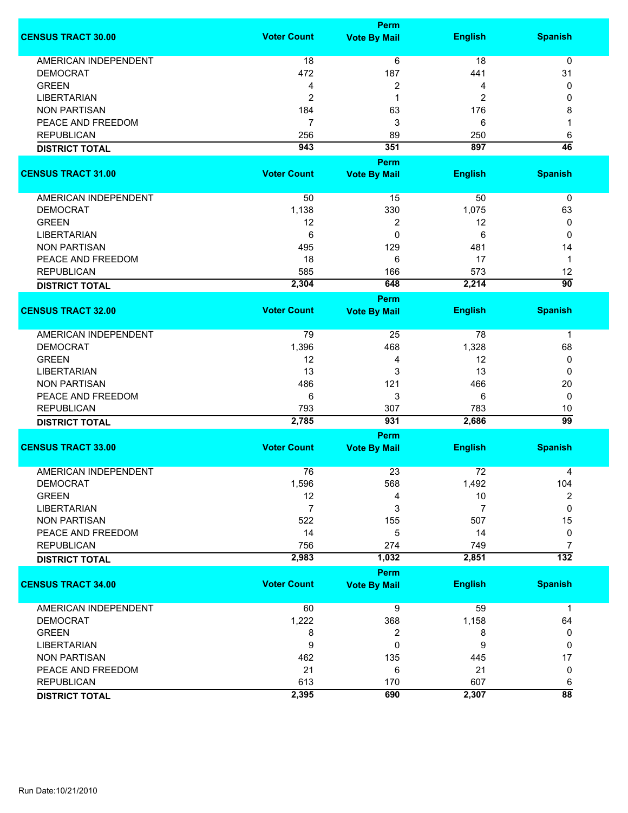|                             |                    | <b>Perm</b>         |                |                  |
|-----------------------------|--------------------|---------------------|----------------|------------------|
| <b>CENSUS TRACT 30.00</b>   | <b>Voter Count</b> | <b>Vote By Mail</b> | <b>English</b> | <b>Spanish</b>   |
| <b>AMERICAN INDEPENDENT</b> | 18                 | 6                   | 18             | 0                |
| <b>DEMOCRAT</b>             | 472                | 187                 | 441            | 31               |
| <b>GREEN</b>                | 4                  | 2                   | 4              | 0                |
| <b>LIBERTARIAN</b>          | $\overline{2}$     | 1                   | 2              | 0                |
| <b>NON PARTISAN</b>         | 184                | 63                  | 176            | 8                |
| PEACE AND FREEDOM           | $\overline{7}$     |                     |                | 1                |
|                             |                    | 3                   | 6              |                  |
| <b>REPUBLICAN</b>           | 256                | 89                  | 250            | 6                |
| <b>DISTRICT TOTAL</b>       | 943                | 351                 | 897            | $\overline{46}$  |
|                             |                    | Perm                |                |                  |
| <b>CENSUS TRACT 31.00</b>   | <b>Voter Count</b> | <b>Vote By Mail</b> | <b>English</b> | <b>Spanish</b>   |
| AMERICAN INDEPENDENT        | 50                 | 15                  | 50             | 0                |
| <b>DEMOCRAT</b>             | 1,138              | 330                 | 1,075          | 63               |
| <b>GREEN</b>                | 12                 | 2                   | 12             | 0                |
| <b>LIBERTARIAN</b>          | 6                  | 0                   | 6              | 0                |
| <b>NON PARTISAN</b>         | 495                | 129                 | 481            | 14               |
| PEACE AND FREEDOM           | 18                 | 6                   | 17             | $\mathbf 1$      |
|                             | 585                |                     | 573            | 12               |
| <b>REPUBLICAN</b>           |                    | 166                 |                | $\overline{90}$  |
| <b>DISTRICT TOTAL</b>       | 2,304              | 648                 | 2,214          |                  |
|                             |                    | <b>Perm</b>         |                |                  |
| <b>CENSUS TRACT 32.00</b>   | <b>Voter Count</b> | <b>Vote By Mail</b> | <b>English</b> | <b>Spanish</b>   |
| <b>AMERICAN INDEPENDENT</b> | 79                 | 25                  | 78             | $\mathbf 1$      |
| <b>DEMOCRAT</b>             | 1,396              | 468                 | 1,328          | 68               |
| <b>GREEN</b>                | 12                 | 4                   | 12             | 0                |
| <b>LIBERTARIAN</b>          | 13                 | 3                   | 13             | 0                |
| <b>NON PARTISAN</b>         | 486                | 121                 | 466            | 20               |
| PEACE AND FREEDOM           | 6                  | 3                   | 6              | 0                |
| <b>REPUBLICAN</b>           | 793                | 307                 | 783            | 10               |
| <b>DISTRICT TOTAL</b>       | 2,785              | 931                 | 2,686          | 99               |
|                             |                    | Perm                |                |                  |
| <b>CENSUS TRACT 33.00</b>   | <b>Voter Count</b> | <b>Vote By Mail</b> | <b>English</b> | <b>Spanish</b>   |
|                             |                    |                     |                |                  |
| <b>AMERICAN INDEPENDENT</b> | 76                 | 23                  | 72             | 4                |
| <b>DEMOCRAT</b>             | 1,596              | 568                 | 1,492          | 104              |
| <b>GREEN</b>                | 12                 | 4                   | 10             | $\overline{2}$   |
| <b>LIBERTARIAN</b>          | $\overline{7}$     | 3                   | 7              | $\mathbf 0$      |
| <b>NON PARTISAN</b>         | 522                | 155                 | 507            | 15               |
| PEACE AND FREEDOM           | 14                 | 5                   | 14             | 0                |
| <b>REPUBLICAN</b>           | 756                | 274                 | 749            | 7                |
| <b>DISTRICT TOTAL</b>       | 2,983              | 1,032               | 2,851          | $\overline{132}$ |
|                             |                    | <b>Perm</b>         |                |                  |
| <b>CENSUS TRACT 34.00</b>   | <b>Voter Count</b> | <b>Vote By Mail</b> | <b>English</b> | <b>Spanish</b>   |
| <b>AMERICAN INDEPENDENT</b> | 60                 | 9                   | 59             | $\mathbf 1$      |
| <b>DEMOCRAT</b>             | 1,222              | 368                 | 1,158          | 64               |
| <b>GREEN</b>                | 8                  | 2                   | 8              | 0                |
| <b>LIBERTARIAN</b>          | $\boldsymbol{9}$   | 0                   | 9              | 0                |
| <b>NON PARTISAN</b>         | 462                | 135                 | 445            | 17               |
| PEACE AND FREEDOM           | 21                 | 6                   | 21             | 0                |
| <b>REPUBLICAN</b>           | 613                | 170                 | 607            | 6                |
| <b>DISTRICT TOTAL</b>       | 2,395              | 690                 | 2,307          | $\overline{88}$  |
|                             |                    |                     |                |                  |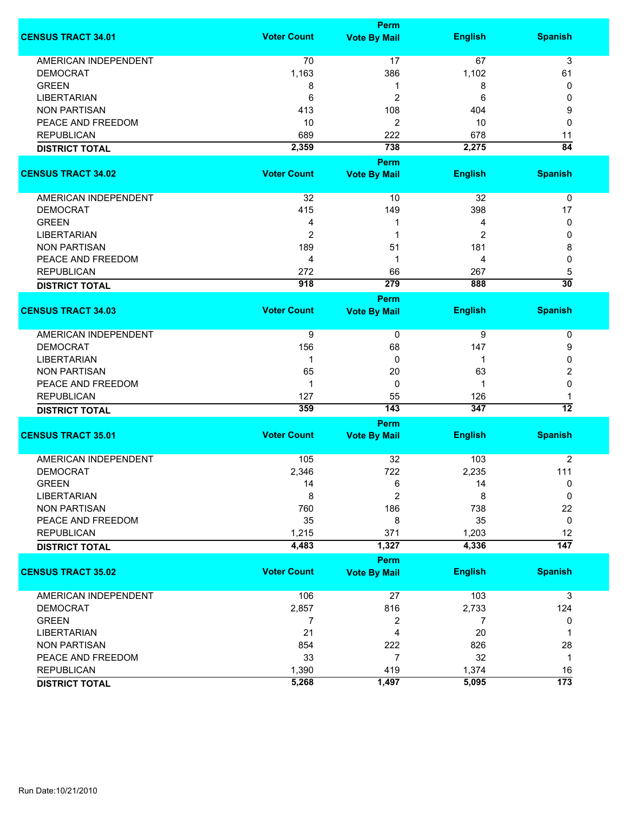|                             |                    | <b>Perm</b>             |                |                       |
|-----------------------------|--------------------|-------------------------|----------------|-----------------------|
| <b>CENSUS TRACT 34.01</b>   | <b>Voter Count</b> | <b>Vote By Mail</b>     | <b>English</b> | <b>Spanish</b>        |
| <b>AMERICAN INDEPENDENT</b> | 70                 | 17                      | 67             | 3                     |
| <b>DEMOCRAT</b>             | 1,163              | 386                     | 1,102          | 61                    |
| <b>GREEN</b>                | 8                  | 1                       | 8              | 0                     |
| <b>LIBERTARIAN</b>          | 6                  | 2                       | 6              | 0                     |
| <b>NON PARTISAN</b>         | 413                | 108                     | 404            | 9                     |
| PEACE AND FREEDOM           | 10                 | 2                       | 10             | 0                     |
| <b>REPUBLICAN</b>           |                    |                         | 678            |                       |
|                             | 689                | 222<br>738              |                | 11<br>$\overline{84}$ |
| <b>DISTRICT TOTAL</b>       | 2,359              |                         | 2,275          |                       |
|                             |                    | Perm                    |                |                       |
| <b>CENSUS TRACT 34.02</b>   | <b>Voter Count</b> | <b>Vote By Mail</b>     | <b>English</b> | <b>Spanish</b>        |
| AMERICAN INDEPENDENT        | 32                 | 10                      | 32             | 0                     |
| <b>DEMOCRAT</b>             | 415                | 149                     | 398            | 17                    |
| <b>GREEN</b>                | 4                  | -1                      | 4              | 0                     |
| <b>LIBERTARIAN</b>          | $\overline{c}$     | 1                       | 2              | 0                     |
| <b>NON PARTISAN</b>         | 189                | 51                      | 181            | 8                     |
| PEACE AND FREEDOM           | $\overline{4}$     | -1                      | 4              | 0                     |
| <b>REPUBLICAN</b>           | 272                | 66                      | 267            | 5                     |
| <b>DISTRICT TOTAL</b>       | 918                | 279                     | 888            | $\overline{30}$       |
|                             |                    | Perm                    |                |                       |
| <b>CENSUS TRACT 34.03</b>   | <b>Voter Count</b> | <b>Vote By Mail</b>     | <b>English</b> | <b>Spanish</b>        |
|                             |                    |                         |                |                       |
| <b>AMERICAN INDEPENDENT</b> | 9                  | 0                       | 9              | 0                     |
| <b>DEMOCRAT</b>             | 156                | 68                      | 147            | 9                     |
| <b>LIBERTARIAN</b>          | $\mathbf 1$        | 0                       | 1              | 0                     |
| <b>NON PARTISAN</b>         | 65                 | 20                      | 63             | 2                     |
| PEACE AND FREEDOM           | $\mathbf 1$        | 0                       | 1              | 0                     |
| <b>REPUBLICAN</b>           | 127                | 55                      | 126            | 1                     |
| <b>DISTRICT TOTAL</b>       | 359                | 143                     | 347            | $\overline{12}$       |
|                             |                    | Perm                    |                |                       |
| <b>CENSUS TRACT 35.01</b>   | <b>Voter Count</b> | <b>Vote By Mail</b>     | <b>English</b> | <b>Spanish</b>        |
|                             |                    |                         |                |                       |
| <b>AMERICAN INDEPENDENT</b> | 105                | 32                      | 103            | 2                     |
| <b>DEMOCRAT</b>             | 2,346              | 722                     | 2,235          | 111                   |
| <b>GREEN</b>                | 14                 | 6                       | 14             | 0                     |
| <b>LIBERTARIAN</b>          | 8                  | $\overline{2}$          | 8              | 0                     |
| <b>NON PARTISAN</b>         | 760                | 186                     | 738            | 22                    |
| PEACE AND FREEDOM           | 35                 | 8                       | 35             | 0                     |
| <b>REPUBLICAN</b>           | 1,215              | 371                     | 1,203          | 12                    |
| <b>DISTRICT TOTAL</b>       | 4,483              | 1,327                   | 4,336          | $\overline{147}$      |
|                             |                    | Perm                    |                |                       |
| <b>CENSUS TRACT 35.02</b>   | <b>Voter Count</b> | <b>Vote By Mail</b>     | <b>English</b> | <b>Spanish</b>        |
| AMERICAN INDEPENDENT        | 106                | 27                      | 103            | 3                     |
| <b>DEMOCRAT</b>             | 2,857              | 816                     | 2,733          | 124                   |
| <b>GREEN</b>                | 7                  | $\overline{\mathbf{c}}$ | 7              | 0                     |
| <b>LIBERTARIAN</b>          | 21                 | 4                       | 20             | 1                     |
|                             |                    |                         |                |                       |
| <b>NON PARTISAN</b>         | 854                | 222                     | 826            | 28                    |
| PEACE AND FREEDOM           | 33                 | $\overline{7}$          | 32             | 1                     |
| <b>REPUBLICAN</b>           | 1,390              | 419                     | 1,374          | 16                    |
| <b>DISTRICT TOTAL</b>       | 5,268              | 1,497                   | 5,095          | $\overline{173}$      |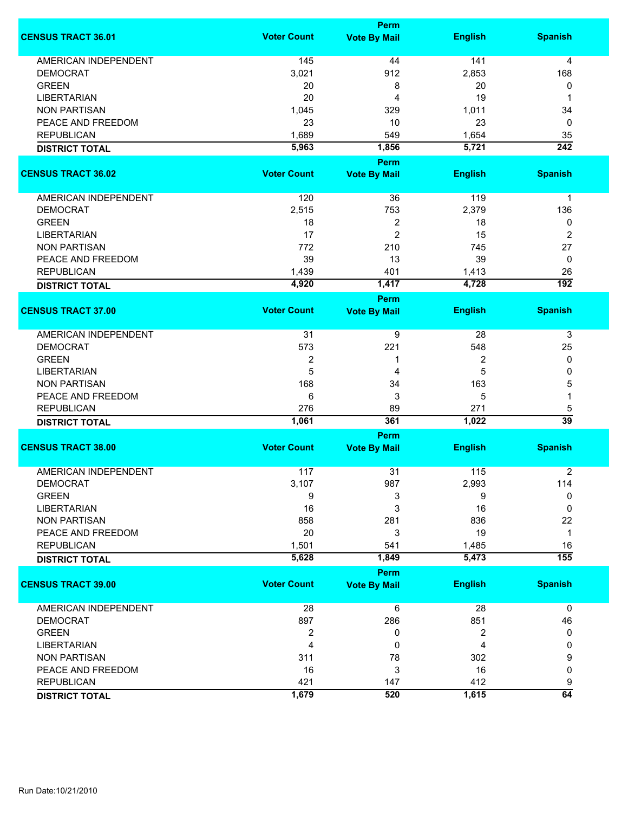|                             | <b>Perm</b>        |                                    |                |                  |  |
|-----------------------------|--------------------|------------------------------------|----------------|------------------|--|
| <b>CENSUS TRACT 36.01</b>   | <b>Voter Count</b> | <b>Vote By Mail</b>                | <b>English</b> | <b>Spanish</b>   |  |
| <b>AMERICAN INDEPENDENT</b> | 145                | 44                                 | 141            | 4                |  |
| <b>DEMOCRAT</b>             | 3,021              | 912                                | 2,853          | 168              |  |
| <b>GREEN</b>                | 20                 | 8                                  | 20             | 0                |  |
| <b>LIBERTARIAN</b>          | 20                 | 4                                  | 19             | 1                |  |
| <b>NON PARTISAN</b>         | 1,045              | 329                                | 1,011          | 34               |  |
| PEACE AND FREEDOM           | 23                 | 10                                 | 23             | 0                |  |
| <b>REPUBLICAN</b>           |                    |                                    |                |                  |  |
|                             | 1,689              | 549                                | 1,654          | 35               |  |
| <b>DISTRICT TOTAL</b>       | 5,963              | 1,856<br><b>Perm</b>               | 5,721          | $\overline{242}$ |  |
| <b>CENSUS TRACT 36.02</b>   | <b>Voter Count</b> | <b>Vote By Mail</b>                | <b>English</b> | <b>Spanish</b>   |  |
|                             |                    |                                    |                |                  |  |
| AMERICAN INDEPENDENT        | 120                | 36                                 | 119            | $\mathbf 1$      |  |
| <b>DEMOCRAT</b>             | 2,515              | 753                                | 2,379          | 136              |  |
| <b>GREEN</b>                | 18                 | 2                                  | 18             | 0                |  |
| <b>LIBERTARIAN</b>          | 17                 | $\overline{c}$                     | 15             | $\overline{2}$   |  |
| <b>NON PARTISAN</b>         | 772                | 210                                | 745            | 27               |  |
| PEACE AND FREEDOM           | 39                 | 13                                 | 39             | 0                |  |
| <b>REPUBLICAN</b>           | 1,439              | 401                                | 1,413          | 26               |  |
| <b>DISTRICT TOTAL</b>       | 4,920              | 1,417                              | 4,728          | $\overline{192}$ |  |
|                             |                    | <b>Perm</b>                        |                |                  |  |
| <b>CENSUS TRACT 37.00</b>   | <b>Voter Count</b> | <b>Vote By Mail</b>                | <b>English</b> | <b>Spanish</b>   |  |
| <b>AMERICAN INDEPENDENT</b> | 31                 | 9                                  | 28             | 3                |  |
| <b>DEMOCRAT</b>             | 573                | 221                                | 548            | 25               |  |
| <b>GREEN</b>                | $\overline{2}$     | 1                                  | 2              | 0                |  |
| <b>LIBERTARIAN</b>          | 5                  | 4                                  | 5              | 0                |  |
| <b>NON PARTISAN</b>         | 168                | 34                                 | 163            | 5                |  |
| PEACE AND FREEDOM           | 6                  | 3                                  | 5              | 1                |  |
| <b>REPUBLICAN</b>           | 276                | 89                                 | 271            | 5                |  |
|                             | 1,061              | 361                                | 1,022          | $\overline{39}$  |  |
| <b>DISTRICT TOTAL</b>       |                    |                                    |                |                  |  |
| <b>CENSUS TRACT 38.00</b>   | <b>Voter Count</b> | <b>Perm</b><br><b>Vote By Mail</b> | <b>English</b> | <b>Spanish</b>   |  |
|                             |                    |                                    |                |                  |  |
| <b>AMERICAN INDEPENDENT</b> | 117                | 31                                 | 115            | $\overline{2}$   |  |
| <b>DEMOCRAT</b>             | 3,107              | 987                                | 2,993          | 114              |  |
| <b>GREEN</b>                | 9                  | 3                                  | 9              | 0                |  |
| <b>LIBERTARIAN</b>          | 16                 | 3                                  | 16             | 0                |  |
| <b>NON PARTISAN</b>         | 858                | 281                                | 836            | 22               |  |
| PEACE AND FREEDOM           | 20                 | 3                                  | 19             | $\mathbf{1}$     |  |
| <b>REPUBLICAN</b>           | 1,501              | 541                                | 1,485          | 16               |  |
| <b>DISTRICT TOTAL</b>       | 5,628              | 1,849                              | 5,473          | $\overline{155}$ |  |
|                             |                    | Perm                               |                |                  |  |
| <b>CENSUS TRACT 39.00</b>   | <b>Voter Count</b> | <b>Vote By Mail</b>                | <b>English</b> | <b>Spanish</b>   |  |
| AMERICAN INDEPENDENT        | 28                 | 6                                  | 28             | $\mathbf 0$      |  |
| <b>DEMOCRAT</b>             | 897                | 286                                | 851            | 46               |  |
| <b>GREEN</b>                | $\boldsymbol{2}$   | 0                                  | 2              | 0                |  |
| <b>LIBERTARIAN</b>          | 4                  | 0                                  | 4              | 0                |  |
| <b>NON PARTISAN</b>         | 311                | 78                                 | 302            | 9                |  |
| PEACE AND FREEDOM           | 16                 | 3                                  | 16             | 0                |  |
| <b>REPUBLICAN</b>           | 421                | 147                                | 412            | 9                |  |
| <b>DISTRICT TOTAL</b>       | 1,679              | 520                                | 1,615          | 64               |  |
|                             |                    |                                    |                |                  |  |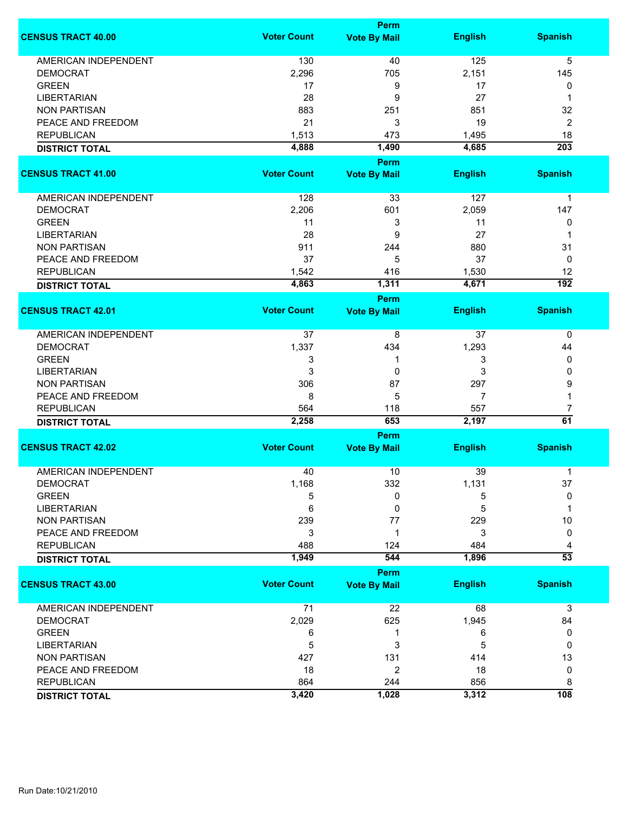|                             |                    | <b>Perm</b>                        |                |                  |
|-----------------------------|--------------------|------------------------------------|----------------|------------------|
| <b>CENSUS TRACT 40.00</b>   | <b>Voter Count</b> | <b>Vote By Mail</b>                | <b>English</b> | <b>Spanish</b>   |
| <b>AMERICAN INDEPENDENT</b> | 130                | 40                                 | 125            | 5                |
| <b>DEMOCRAT</b>             | 2,296              | 705                                | 2,151          | 145              |
| <b>GREEN</b>                | 17                 | 9                                  | 17             | 0                |
| <b>LIBERTARIAN</b>          | 28                 | 9                                  | 27             | 1                |
| <b>NON PARTISAN</b>         | 883                | 251                                | 851            | 32               |
|                             |                    |                                    |                |                  |
| PEACE AND FREEDOM           | 21                 | 3                                  | 19             | $\overline{2}$   |
| <b>REPUBLICAN</b>           | 1,513              | 473                                | 1,495          | 18               |
| <b>DISTRICT TOTAL</b>       | 4,888              | 1,490                              | 4,685          | $\overline{203}$ |
| <b>CENSUS TRACT 41.00</b>   | <b>Voter Count</b> | <b>Perm</b><br><b>Vote By Mail</b> | <b>English</b> | <b>Spanish</b>   |
|                             |                    |                                    |                |                  |
| AMERICAN INDEPENDENT        | 128                | 33                                 | 127            | $\mathbf 1$      |
| <b>DEMOCRAT</b>             | 2,206              | 601                                | 2,059          | 147              |
| <b>GREEN</b>                | 11                 | 3                                  | 11             | 0                |
| <b>LIBERTARIAN</b>          | 28                 | 9                                  | 27             | 1                |
| <b>NON PARTISAN</b>         | 911                | 244                                | 880            | 31               |
| PEACE AND FREEDOM           | 37                 | 5                                  | 37             | 0                |
| <b>REPUBLICAN</b>           |                    |                                    |                | 12               |
|                             | 1,542              | 416                                | 1,530          |                  |
| <b>DISTRICT TOTAL</b>       | 4,863              | 1,311                              | 4,671          | $\overline{192}$ |
| <b>CENSUS TRACT 42.01</b>   | <b>Voter Count</b> | <b>Perm</b>                        | <b>English</b> | <b>Spanish</b>   |
|                             |                    | <b>Vote By Mail</b>                |                |                  |
| <b>AMERICAN INDEPENDENT</b> | 37                 | 8                                  | 37             | 0                |
| <b>DEMOCRAT</b>             | 1,337              | 434                                | 1,293          | 44               |
| <b>GREEN</b>                | 3                  | 1                                  | 3              | 0                |
| <b>LIBERTARIAN</b>          | 3                  | 0                                  | 3              | 0                |
| <b>NON PARTISAN</b>         | 306                | 87                                 | 297            | 9                |
|                             |                    | 5                                  | 7              | 1                |
| PEACE AND FREEDOM           | 8                  |                                    |                |                  |
| <b>REPUBLICAN</b>           | 564                | 118                                | 557            | 7                |
| <b>DISTRICT TOTAL</b>       | 2,258              | 653                                | 2,197          | 61               |
|                             |                    | <b>Perm</b>                        |                |                  |
| <b>CENSUS TRACT 42.02</b>   | <b>Voter Count</b> | <b>Vote By Mail</b>                | <b>English</b> | <b>Spanish</b>   |
| <b>AMERICAN INDEPENDENT</b> | 40                 | 10                                 | 39             | 1                |
| <b>DEMOCRAT</b>             | 1,168              | 332                                | 1,131          | 37               |
| <b>GREEN</b>                | 5                  | 0                                  | 5              | 0                |
| <b>LIBERTARIAN</b>          | 6                  | 0                                  | 5              | 1                |
| <b>NON PARTISAN</b>         | 239                | 77                                 | 229            | 10               |
| PEACE AND FREEDOM           | 3                  | 1                                  | 3              | 0                |
| <b>REPUBLICAN</b>           | 488                | 124                                | 484            | 4                |
| <b>DISTRICT TOTAL</b>       | 1,949              | 544                                | 1,896          | $\overline{53}$  |
|                             |                    | Perm                               |                |                  |
| <b>CENSUS TRACT 43.00</b>   | <b>Voter Count</b> | <b>Vote By Mail</b>                | <b>English</b> | <b>Spanish</b>   |
|                             |                    |                                    |                |                  |
| AMERICAN INDEPENDENT        | 71                 | 22                                 | 68             | 3                |
| <b>DEMOCRAT</b>             | 2,029              | 625                                | 1,945          | 84               |
| <b>GREEN</b>                | 6                  | 1                                  | 6              | 0                |
| <b>LIBERTARIAN</b>          | 5                  | 3                                  | 5              | 0                |
| <b>NON PARTISAN</b>         | 427                | 131                                | 414            | 13               |
| PEACE AND FREEDOM           | 18                 | 2                                  | 18             | 0                |
| <b>REPUBLICAN</b>           | 864                | 244                                | 856            | 8                |
| <b>DISTRICT TOTAL</b>       | 3,420              | 1,028                              | 3,312          | 108              |
|                             |                    |                                    |                |                  |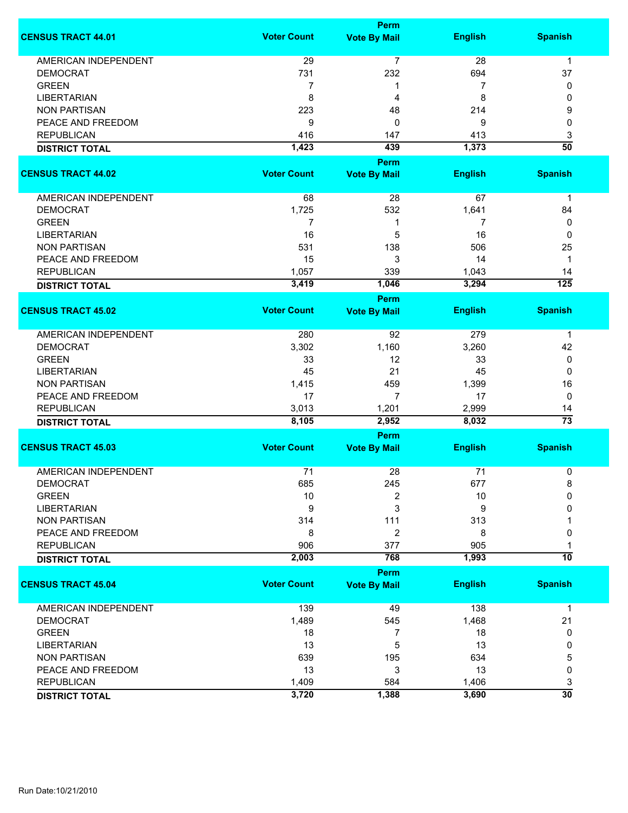|                             |                    | <b>Perm</b>         |                |                  |  |  |
|-----------------------------|--------------------|---------------------|----------------|------------------|--|--|
| <b>CENSUS TRACT 44.01</b>   | <b>Voter Count</b> | <b>Vote By Mail</b> | <b>English</b> | <b>Spanish</b>   |  |  |
| <b>AMERICAN INDEPENDENT</b> | 29                 | $\overline{7}$      | 28             | $\mathbf{1}$     |  |  |
| <b>DEMOCRAT</b>             | 731                | 232                 | 694            | 37               |  |  |
| <b>GREEN</b>                | $\overline{7}$     | 1                   | 7              | 0                |  |  |
| <b>LIBERTARIAN</b>          | 8                  | 4                   | 8              | 0                |  |  |
| <b>NON PARTISAN</b>         | 223                | 48                  | 214            | 9                |  |  |
| PEACE AND FREEDOM           | 9                  | 0                   | 9              | 0                |  |  |
| <b>REPUBLICAN</b>           | 416                | 147                 | 413            | 3                |  |  |
| <b>DISTRICT TOTAL</b>       | 1,423              | 439                 | 1,373          | $\overline{50}$  |  |  |
|                             |                    | <b>Perm</b>         |                |                  |  |  |
| <b>CENSUS TRACT 44.02</b>   | <b>Voter Count</b> | <b>Vote By Mail</b> | <b>English</b> | <b>Spanish</b>   |  |  |
|                             |                    |                     |                |                  |  |  |
| AMERICAN INDEPENDENT        | 68                 | 28                  | 67             | $\mathbf 1$      |  |  |
| <b>DEMOCRAT</b>             | 1,725              | 532                 | 1,641          | 84               |  |  |
| <b>GREEN</b>                | 7                  | 1                   | 7              | 0                |  |  |
| <b>LIBERTARIAN</b>          | 16                 | 5                   | 16             | 0                |  |  |
| <b>NON PARTISAN</b>         | 531                | 138                 | 506            | 25               |  |  |
| PEACE AND FREEDOM           | 15                 | 3                   | 14             | $\mathbf 1$      |  |  |
| <b>REPUBLICAN</b>           | 1,057              | 339                 | 1,043          | 14               |  |  |
| <b>DISTRICT TOTAL</b>       | 3,419              | 1,046               | 3,294          | $\overline{125}$ |  |  |
|                             |                    | <b>Perm</b>         |                |                  |  |  |
| <b>CENSUS TRACT 45.02</b>   | <b>Voter Count</b> | <b>Vote By Mail</b> | <b>English</b> | <b>Spanish</b>   |  |  |
| <b>AMERICAN INDEPENDENT</b> | 280                | 92                  | 279            | 1                |  |  |
| <b>DEMOCRAT</b>             | 3,302              | 1,160               | 3,260          | 42               |  |  |
| <b>GREEN</b>                | 33                 | 12                  | 33             | 0                |  |  |
| <b>LIBERTARIAN</b>          | 45                 | 21                  | 45             | 0                |  |  |
| <b>NON PARTISAN</b>         | 1,415              | 459                 | 1,399          | 16               |  |  |
| PEACE AND FREEDOM           | 17                 | 7                   | 17             | 0                |  |  |
| <b>REPUBLICAN</b>           | 3,013              | 1,201               | 2,999          | 14               |  |  |
| <b>DISTRICT TOTAL</b>       | 8,105              | 2,952               | 8,032          | $\overline{73}$  |  |  |
|                             | <b>Perm</b>        |                     |                |                  |  |  |
| <b>CENSUS TRACT 45.03</b>   | <b>Voter Count</b> | <b>Vote By Mail</b> | <b>English</b> | <b>Spanish</b>   |  |  |
| <b>AMERICAN INDEPENDENT</b> | 71                 | 28                  | 71             | 0                |  |  |
| <b>DEMOCRAT</b>             | 685                | 245                 | 677            | 8                |  |  |
| <b>GREEN</b>                | 10                 | 2                   | 10             | 0                |  |  |
| <b>LIBERTARIAN</b>          | 9                  | 3                   | 9              | 0                |  |  |
| <b>NON PARTISAN</b>         | 314                | 111                 | 313            |                  |  |  |
| PEACE AND FREEDOM           | 8                  | $\overline{2}$      | 8              | 0                |  |  |
| <b>REPUBLICAN</b>           | 906                | 377                 | 905            |                  |  |  |
| <b>DISTRICT TOTAL</b>       | 2,003              | 768                 | 1,993          | 10               |  |  |
|                             |                    | <b>Perm</b>         |                |                  |  |  |
| <b>CENSUS TRACT 45.04</b>   | <b>Voter Count</b> | <b>Vote By Mail</b> | <b>English</b> | <b>Spanish</b>   |  |  |
| <b>AMERICAN INDEPENDENT</b> | 139                | 49                  | 138            | $\mathbf 1$      |  |  |
| <b>DEMOCRAT</b>             | 1,489              | 545                 | 1,468          | 21               |  |  |
| <b>GREEN</b>                | 18                 | 7                   | 18             | 0                |  |  |
| <b>LIBERTARIAN</b>          | 13                 | 5                   | 13             | 0                |  |  |
| <b>NON PARTISAN</b>         | 639                | 195                 | 634            | 5                |  |  |
| PEACE AND FREEDOM           | 13                 | 3                   | 13             | 0                |  |  |
| <b>REPUBLICAN</b>           | 1,409              | 584                 | 1,406          | 3                |  |  |
| <b>DISTRICT TOTAL</b>       | 3,720              | 1,388               | 3,690          | $\overline{30}$  |  |  |
|                             |                    |                     |                |                  |  |  |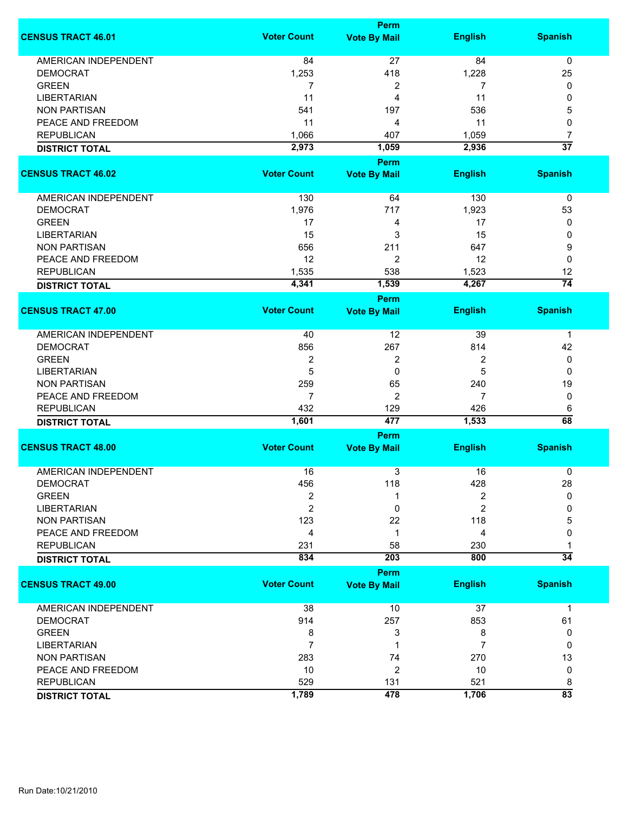|                             | <b>Perm</b>        |                                    |                |                 |
|-----------------------------|--------------------|------------------------------------|----------------|-----------------|
| <b>CENSUS TRACT 46.01</b>   | <b>Voter Count</b> | <b>Vote By Mail</b>                | <b>English</b> | <b>Spanish</b>  |
| <b>AMERICAN INDEPENDENT</b> | 84                 | 27                                 | 84             | $\mathbf 0$     |
| <b>DEMOCRAT</b>             | 1,253              | 418                                | 1,228          | 25              |
| <b>GREEN</b>                | 7                  | 2                                  | 7              | 0               |
| <b>LIBERTARIAN</b>          | 11                 | 4                                  | 11             | 0               |
| <b>NON PARTISAN</b>         | 541                | 197                                | 536            | 5               |
|                             |                    |                                    |                |                 |
| PEACE AND FREEDOM           | 11                 | 4                                  | 11             | 0               |
| <b>REPUBLICAN</b>           | 1,066              | 407                                | 1,059          | 7               |
| <b>DISTRICT TOTAL</b>       | 2,973              | 1,059                              | 2,936          | $\overline{37}$ |
| <b>CENSUS TRACT 46.02</b>   | <b>Voter Count</b> | <b>Perm</b><br><b>Vote By Mail</b> | <b>English</b> | <b>Spanish</b>  |
| AMERICAN INDEPENDENT        | 130                | 64                                 | 130            | $\pmb{0}$       |
| <b>DEMOCRAT</b>             | 1,976              | 717                                | 1,923          | 53              |
| <b>GREEN</b>                | 17                 | 4                                  | 17             | 0               |
| <b>LIBERTARIAN</b>          | 15                 | 3                                  | 15             | 0               |
| <b>NON PARTISAN</b>         | 656                | 211                                | 647            | 9               |
| PEACE AND FREEDOM           | 12                 | 2                                  | 12             | 0               |
|                             |                    |                                    |                |                 |
| <b>REPUBLICAN</b>           | 1,535              | 538                                | 1,523          | 12              |
| <b>DISTRICT TOTAL</b>       | 4,341              | 1,539                              | 4,267          | $\overline{74}$ |
| <b>CENSUS TRACT 47.00</b>   | <b>Voter Count</b> | <b>Perm</b><br><b>Vote By Mail</b> | <b>English</b> | <b>Spanish</b>  |
|                             |                    |                                    |                |                 |
| AMERICAN INDEPENDENT        | 40                 | 12                                 | 39             | 1               |
| <b>DEMOCRAT</b>             | 856                | 267                                | 814            | 42              |
| <b>GREEN</b>                | $\boldsymbol{2}$   | 2                                  | 2              | 0               |
| <b>LIBERTARIAN</b>          | 5                  | $\mathbf 0$                        | 5              | 0               |
| <b>NON PARTISAN</b>         | 259                | 65                                 | 240            | 19              |
| PEACE AND FREEDOM           | $\overline{7}$     | $\overline{2}$                     | 7              | 0               |
| <b>REPUBLICAN</b>           | 432                | 129                                | 426            | 6               |
|                             | 1,601              | 477                                | 1,533          | 68              |
| <b>DISTRICT TOTAL</b>       |                    | Perm                               |                |                 |
| <b>CENSUS TRACT 48.00</b>   | <b>Voter Count</b> | <b>Vote By Mail</b>                | <b>English</b> | <b>Spanish</b>  |
|                             |                    |                                    |                |                 |
| <b>AMERICAN INDEPENDENT</b> | 16                 | 3                                  | 16             | 0               |
| DEMOCRAT                    | 456                | 118                                | 428            | 28              |
| <b>GREEN</b>                | $\overline{2}$     | 1                                  | 2              | 0               |
| <b>LIBERTARIAN</b>          | $\overline{2}$     | 0                                  | 2              | 0               |
| <b>NON PARTISAN</b>         | 123                | 22                                 | 118            | 5               |
| PEACE AND FREEDOM           | 4                  | 1                                  | 4              | 0               |
| <b>REPUBLICAN</b>           | 231                | 58                                 | 230            |                 |
| <b>DISTRICT TOTAL</b>       | 834                | 203                                | 800            | $\overline{34}$ |
|                             |                    | <b>Perm</b>                        |                |                 |
| <b>CENSUS TRACT 49.00</b>   | <b>Voter Count</b> | <b>Vote By Mail</b>                | <b>English</b> | <b>Spanish</b>  |
| <b>AMERICAN INDEPENDENT</b> | 38                 | 10                                 | 37             | $\mathbf 1$     |
| <b>DEMOCRAT</b>             | 914                | 257                                | 853            | 61              |
| <b>GREEN</b>                | 8                  | 3                                  | 8              | 0               |
| <b>LIBERTARIAN</b>          | $\overline{7}$     | 1                                  | 7              | 0               |
| <b>NON PARTISAN</b>         | 283                | 74                                 | 270            | 13              |
| PEACE AND FREEDOM           | 10                 | $\overline{2}$                     | 10             | 0               |
| <b>REPUBLICAN</b>           | 529                | 131                                | 521            | 8               |
| <b>DISTRICT TOTAL</b>       | 1,789              | 478                                | 1,706          | $\overline{83}$ |
|                             |                    |                                    |                |                 |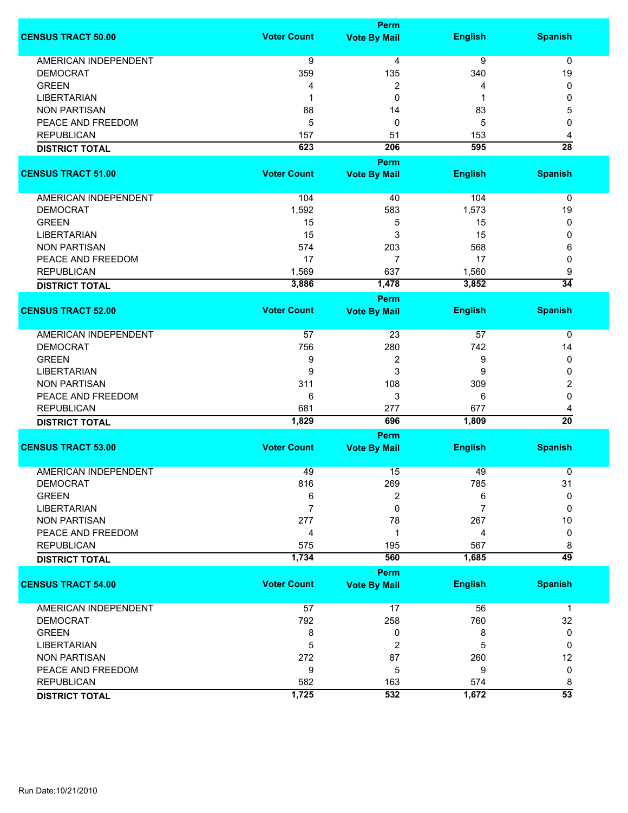|                             |                    | Perm                |                |                      |
|-----------------------------|--------------------|---------------------|----------------|----------------------|
| <b>CENSUS TRACT 50.00</b>   | <b>Voter Count</b> | <b>Vote By Mail</b> | <b>English</b> | <b>Spanish</b>       |
| <b>AMERICAN INDEPENDENT</b> | 9                  | 4                   | 9              | 0                    |
| <b>DEMOCRAT</b>             | 359                | 135                 | 340            | 19                   |
| <b>GREEN</b>                | 4                  | 2                   | 4              | 0                    |
| <b>LIBERTARIAN</b>          | 1                  | 0                   | 1              | 0                    |
| <b>NON PARTISAN</b>         | 88                 | 14                  | 83             | 5                    |
| PEACE AND FREEDOM           | 5                  | $\mathbf 0$         | 5              | 0                    |
|                             |                    |                     |                |                      |
| <b>REPUBLICAN</b>           | 157                | 51                  | 153            | 4<br>$\overline{28}$ |
| <b>DISTRICT TOTAL</b>       | 623                | 206                 | 595            |                      |
|                             |                    | <b>Perm</b>         |                |                      |
| <b>CENSUS TRACT 51.00</b>   | <b>Voter Count</b> | <b>Vote By Mail</b> | <b>English</b> | <b>Spanish</b>       |
| AMERICAN INDEPENDENT        | 104                | 40                  | 104            | 0                    |
| <b>DEMOCRAT</b>             | 1,592              | 583                 | 1,573          | 19                   |
| <b>GREEN</b>                | 15                 | 5                   | 15             | 0                    |
| <b>LIBERTARIAN</b>          | 15                 | 3                   | 15             | 0                    |
| <b>NON PARTISAN</b>         | 574                | 203                 | 568            | 6                    |
| PEACE AND FREEDOM           | 17                 | $\overline{7}$      | 17             | 0                    |
| <b>REPUBLICAN</b>           | 1,569              | 637                 | 1,560          |                      |
|                             | 3,886              | 1,478               | 3,852          | 9<br>$\overline{34}$ |
| <b>DISTRICT TOTAL</b>       |                    |                     |                |                      |
| <b>CENSUS TRACT 52.00</b>   | <b>Voter Count</b> | <b>Perm</b>         | <b>English</b> | <b>Spanish</b>       |
|                             |                    | <b>Vote By Mail</b> |                |                      |
| <b>AMERICAN INDEPENDENT</b> | 57                 | 23                  | 57             | 0                    |
| <b>DEMOCRAT</b>             | 756                | 280                 | 742            | 14                   |
| <b>GREEN</b>                | 9                  | 2                   | 9              | 0                    |
| <b>LIBERTARIAN</b>          | 9                  | 3                   | 9              | 0                    |
| <b>NON PARTISAN</b>         | 311                | 108                 | 309            | 2                    |
| PEACE AND FREEDOM           | 6                  | 3                   | 6              | 0                    |
| <b>REPUBLICAN</b>           | 681                | 277                 | 677            | 4                    |
| <b>DISTRICT TOTAL</b>       | 1,829              | 696                 | 1,809          | $\overline{20}$      |
|                             |                    | Perm                |                |                      |
| <b>CENSUS TRACT 53.00</b>   | <b>Voter Count</b> | <b>Vote By Mail</b> | <b>English</b> | <b>Spanish</b>       |
|                             |                    |                     |                |                      |
| <b>AMERICAN INDEPENDENT</b> | 49                 | 15                  | 49             | 0                    |
| <b>DEMOCRAT</b>             | 816                | 269                 | 785            | 31                   |
| <b>GREEN</b>                | 6                  | 2                   | 6              | $\mathbf 0$          |
| <b>LIBERTARIAN</b>          | $\overline{7}$     | 0                   | 7              | 0                    |
| <b>NON PARTISAN</b>         | 277                | 78                  | 267            | 10                   |
| PEACE AND FREEDOM           | 4                  | 1                   | 4              | 0                    |
| <b>REPUBLICAN</b>           | 575                | 195                 | 567            | 8                    |
| <b>DISTRICT TOTAL</b>       | 1,734              | 560                 | 1,685          | $\overline{49}$      |
|                             |                    | <b>Perm</b>         |                |                      |
| <b>CENSUS TRACT 54.00</b>   | <b>Voter Count</b> | <b>Vote By Mail</b> | <b>English</b> | <b>Spanish</b>       |
| <b>AMERICAN INDEPENDENT</b> | 57                 | 17                  | 56             | $\mathbf{1}$         |
| <b>DEMOCRAT</b>             | 792                | 258                 | 760            | 32                   |
| <b>GREEN</b>                | 8                  | 0                   | 8              | 0                    |
| <b>LIBERTARIAN</b>          | 5                  | 2                   | 5              | 0                    |
| <b>NON PARTISAN</b>         | 272                | 87                  | 260            | 12                   |
| PEACE AND FREEDOM           | 9                  | 5                   | 9              | $\pmb{0}$            |
| <b>REPUBLICAN</b>           | 582                | 163                 | 574            | 8                    |
|                             | 1,725              | 532                 | 1,672          | $\overline{53}$      |
| <b>DISTRICT TOTAL</b>       |                    |                     |                |                      |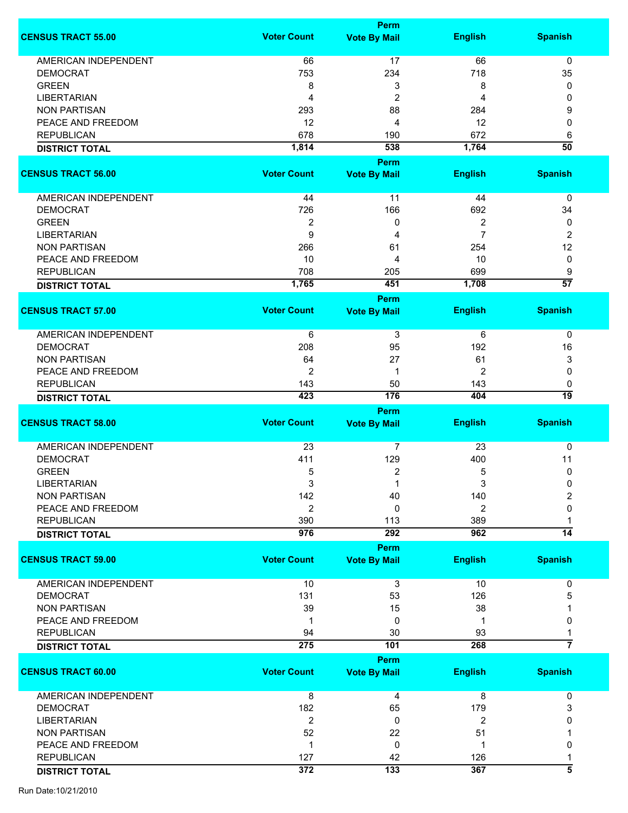|                             |                    | Perm                               |                |                      |
|-----------------------------|--------------------|------------------------------------|----------------|----------------------|
| <b>CENSUS TRACT 55.00</b>   | <b>Voter Count</b> | <b>Vote By Mail</b>                | <b>English</b> | <b>Spanish</b>       |
|                             |                    |                                    |                |                      |
| <b>AMERICAN INDEPENDENT</b> | 66                 | 17                                 | 66             | 0                    |
| <b>DEMOCRAT</b>             | 753                | 234                                | 718            | 35                   |
| <b>GREEN</b>                | 8                  | 3                                  | 8              | 0                    |
| <b>LIBERTARIAN</b>          | 4                  | $\overline{c}$                     | 4              | 0                    |
| <b>NON PARTISAN</b>         | 293                | 88                                 | 284            | 9                    |
| PEACE AND FREEDOM           | 12                 | 4                                  | 12             | 0                    |
| <b>REPUBLICAN</b>           | 678                | 190                                | 672            | 6                    |
| <b>DISTRICT TOTAL</b>       | 1,814              | 538                                | 1,764          | $\overline{50}$      |
|                             |                    | <b>Perm</b>                        |                |                      |
| <b>CENSUS TRACT 56.00</b>   | <b>Voter Count</b> | <b>Vote By Mail</b>                | <b>English</b> | <b>Spanish</b>       |
| AMERICAN INDEPENDENT        | 44                 | 11                                 | 44             | 0                    |
| <b>DEMOCRAT</b>             | 726                | 166                                | 692            | 34                   |
| <b>GREEN</b>                | 2                  | 0                                  | 2              | 0                    |
| <b>LIBERTARIAN</b>          | 9                  | 4                                  | 7              | 2                    |
| <b>NON PARTISAN</b>         | 266                | 61                                 | 254            | 12                   |
| PEACE AND FREEDOM           | 10                 | 4                                  | 10             | 0                    |
|                             |                    |                                    |                |                      |
| <b>REPUBLICAN</b>           | 708<br>1,765       | 205<br>451                         | 699            | 9<br>$\overline{57}$ |
| <b>DISTRICT TOTAL</b>       |                    |                                    | 1,708          |                      |
| <b>CENSUS TRACT 57.00</b>   | <b>Voter Count</b> | Perm<br><b>Vote By Mail</b>        | <b>English</b> | <b>Spanish</b>       |
|                             |                    |                                    |                |                      |
| <b>AMERICAN INDEPENDENT</b> | 6                  | 3                                  | 6              | $\mathbf 0$          |
| <b>DEMOCRAT</b>             | 208                | 95                                 | 192            | 16                   |
| <b>NON PARTISAN</b>         | 64                 | 27                                 | 61             | 3                    |
| PEACE AND FREEDOM           | $\overline{2}$     | 1                                  | 2              | 0                    |
| <b>REPUBLICAN</b>           | 143                | 50                                 | 143            | 0                    |
| <b>DISTRICT TOTAL</b>       | 423                | 176                                | 404            | 19                   |
|                             |                    | <b>Perm</b>                        |                |                      |
| <b>CENSUS TRACT 58.00</b>   | <b>Voter Count</b> | <b>Vote By Mail</b>                | <b>English</b> | <b>Spanish</b>       |
| <b>AMERICAN INDEPENDENT</b> | 23                 | 7                                  | 23             | 0                    |
| <b>DEMOCRAT</b>             | 411                | 129                                | 400            | 11                   |
| <b>GREEN</b>                |                    |                                    |                | 0                    |
|                             | 5                  | $\overline{c}$                     | 5              |                      |
| LIBERTARIAN                 | 3                  |                                    | 3              | 0                    |
| <b>NON PARTISAN</b>         | 142                | 40                                 | 140            | 2                    |
| PEACE AND FREEDOM           | $\overline{2}$     | 0                                  | 2              | 0                    |
| <b>REPUBLICAN</b>           | 390                | 113                                | 389            |                      |
| <b>DISTRICT TOTAL</b>       | 976                | 292                                | 962            | $\overline{14}$      |
| <b>CENSUS TRACT 59.00</b>   | <b>Voter Count</b> | <b>Perm</b><br><b>Vote By Mail</b> | <b>English</b> | <b>Spanish</b>       |
|                             |                    |                                    |                |                      |
| <b>AMERICAN INDEPENDENT</b> | 10                 | 3                                  | 10             | 0                    |
| <b>DEMOCRAT</b>             | 131                | 53                                 | 126            | 5                    |
| <b>NON PARTISAN</b>         | 39                 | 15                                 | 38             |                      |
| PEACE AND FREEDOM           | 1                  | 0                                  | 1              | 0                    |
| <b>REPUBLICAN</b>           | 94                 | 30                                 | 93             |                      |
| <b>DISTRICT TOTAL</b>       | 275                | 101                                | 268            | 7                    |
|                             |                    | <b>Perm</b>                        |                |                      |
| <b>CENSUS TRACT 60.00</b>   | <b>Voter Count</b> | <b>Vote By Mail</b>                | <b>English</b> | <b>Spanish</b>       |
| AMERICAN INDEPENDENT        | 8                  | 4                                  | 8              | 0                    |
| <b>DEMOCRAT</b>             | 182                | 65                                 | 179            | 3                    |
| <b>LIBERTARIAN</b>          | $\overline{2}$     | 0                                  | 2              | O                    |
| <b>NON PARTISAN</b>         | 52                 | 22                                 | 51             |                      |
| PEACE AND FREEDOM           | 1                  | 0                                  | 1              | 0                    |
| <b>REPUBLICAN</b>           | 127                | 42                                 | 126            |                      |
|                             | 372                | 133                                | 367            | 5                    |
| <b>DISTRICT TOTAL</b>       |                    |                                    |                |                      |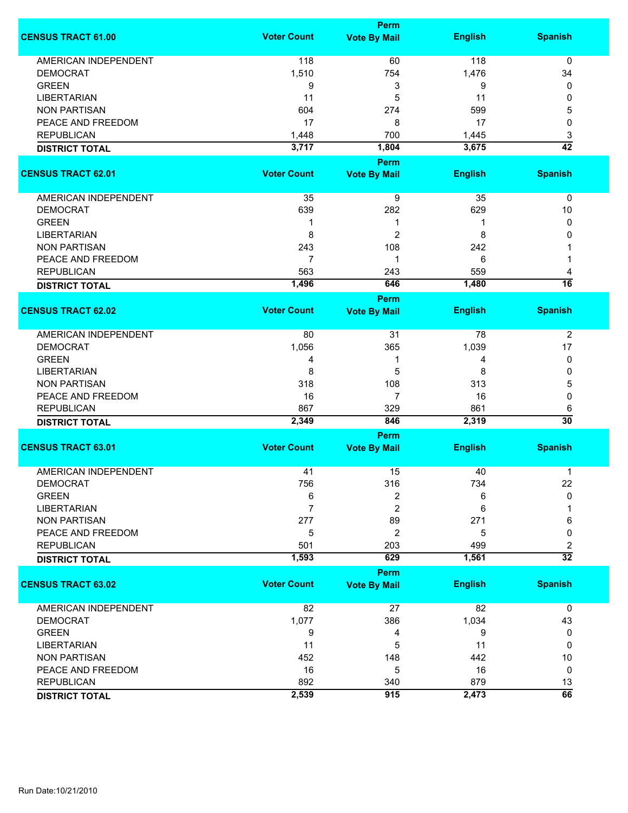|                             |                    | <b>Perm</b>                        |                |                 |
|-----------------------------|--------------------|------------------------------------|----------------|-----------------|
| <b>CENSUS TRACT 61.00</b>   | <b>Voter Count</b> | <b>Vote By Mail</b>                | <b>English</b> | <b>Spanish</b>  |
| <b>AMERICAN INDEPENDENT</b> | 118                | 60                                 | 118            | 0               |
| <b>DEMOCRAT</b>             | 1,510              | 754                                | 1,476          | 34              |
| <b>GREEN</b>                | 9                  | 3                                  | 9              | 0               |
| <b>LIBERTARIAN</b>          | 11                 |                                    | 11             | 0               |
|                             |                    | 5                                  |                |                 |
| <b>NON PARTISAN</b>         | 604                | 274                                | 599            | 5               |
| PEACE AND FREEDOM           | 17                 | 8                                  | 17             | 0               |
| <b>REPUBLICAN</b>           | 1,448              | 700                                | 1,445          | 3               |
| <b>DISTRICT TOTAL</b>       | 3,717              | 1,804                              | 3,675          | $\overline{42}$ |
| <b>CENSUS TRACT 62.01</b>   | <b>Voter Count</b> | <b>Perm</b><br><b>Vote By Mail</b> | <b>English</b> | <b>Spanish</b>  |
|                             |                    |                                    |                |                 |
| AMERICAN INDEPENDENT        | 35                 | 9                                  | 35             | 0               |
| <b>DEMOCRAT</b>             | 639                | 282                                | 629            | 10              |
| <b>GREEN</b>                | 1                  | 1                                  | 1              | 0               |
| <b>LIBERTARIAN</b>          | 8                  | 2                                  | 8              | 0               |
| <b>NON PARTISAN</b>         | 243                | 108                                | 242            |                 |
| PEACE AND FREEDOM           | 7                  | 1                                  | 6              |                 |
| <b>REPUBLICAN</b>           | 563                | 243                                | 559            | 4               |
| <b>DISTRICT TOTAL</b>       | 1,496              | 646                                | 1,480          | $\overline{16}$ |
|                             |                    | Perm                               |                |                 |
| <b>CENSUS TRACT 62.02</b>   | <b>Voter Count</b> | <b>Vote By Mail</b>                | <b>English</b> | <b>Spanish</b>  |
| <b>AMERICAN INDEPENDENT</b> | 80                 | 31                                 | 78             | $\overline{2}$  |
| <b>DEMOCRAT</b>             | 1,056              | 365                                | 1,039          | 17              |
| <b>GREEN</b>                | 4                  | 1                                  | 4              | 0               |
| <b>LIBERTARIAN</b>          | 8                  | 5                                  | 8              | 0               |
|                             |                    |                                    |                |                 |
| <b>NON PARTISAN</b>         | 318                | 108                                | 313            | 5               |
| PEACE AND FREEDOM           | 16                 | $\overline{7}$                     | 16             | 0               |
| <b>REPUBLICAN</b>           | 867                | 329                                | 861            | 6               |
| <b>DISTRICT TOTAL</b>       | 2,349              | 846                                | 2,319          | $\overline{30}$ |
|                             |                    | <b>Perm</b>                        |                |                 |
| <b>CENSUS TRACT 63.01</b>   | <b>Voter Count</b> | <b>Vote By Mail</b>                | <b>English</b> | <b>Spanish</b>  |
| <b>AMERICAN INDEPENDENT</b> | 41                 | 15                                 | 40             | 1               |
| <b>DEMOCRAT</b>             | 756                | 316                                | 734            | 22              |
| <b>GREEN</b>                | 6                  | 2                                  | 6              | $\mathbf{0}$    |
| <b>LIBERTARIAN</b>          | 7                  | $\overline{c}$                     | 6              |                 |
| <b>NON PARTISAN</b>         | 277                | 89                                 | 271            | 6               |
| PEACE AND FREEDOM           | 5                  | 2                                  | 5              | 0               |
| <b>REPUBLICAN</b>           | 501                | 203                                | 499            | 2               |
| <b>DISTRICT TOTAL</b>       | 1,593              | 629                                | 1,561          | $\overline{32}$ |
|                             |                    | Perm                               |                |                 |
| <b>CENSUS TRACT 63.02</b>   | <b>Voter Count</b> | <b>Vote By Mail</b>                | <b>English</b> | <b>Spanish</b>  |
| <b>AMERICAN INDEPENDENT</b> | 82                 | 27                                 | 82             | $\mathbf 0$     |
| <b>DEMOCRAT</b>             | 1,077              | 386                                | 1,034          | 43              |
| <b>GREEN</b>                | 9                  | 4                                  | 9              | 0               |
| <b>LIBERTARIAN</b>          | 11                 | 5                                  | 11             | 0               |
| <b>NON PARTISAN</b>         | 452                | 148                                | 442            | 10              |
| PEACE AND FREEDOM           | 16                 | 5                                  | 16             | 0               |
| <b>REPUBLICAN</b>           | 892                | 340                                | 879            | 13              |
| <b>DISTRICT TOTAL</b>       | 2,539              | 915                                | 2,473          | $\overline{66}$ |
|                             |                    |                                    |                |                 |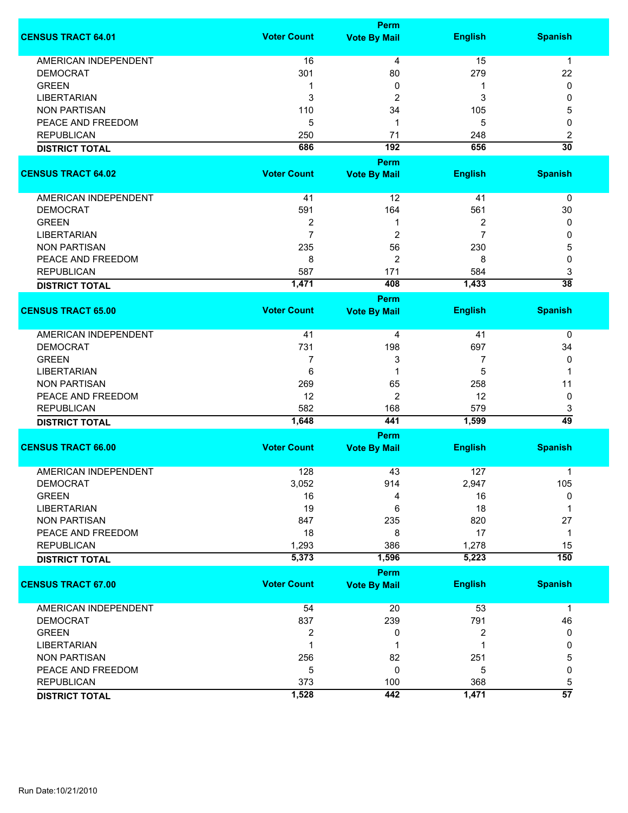|                             |                    | <b>Perm</b>         |                |                 |  |  |
|-----------------------------|--------------------|---------------------|----------------|-----------------|--|--|
| <b>CENSUS TRACT 64.01</b>   | <b>Voter Count</b> | <b>Vote By Mail</b> | <b>English</b> | <b>Spanish</b>  |  |  |
| <b>AMERICAN INDEPENDENT</b> | 16                 | 4                   | 15             | $\mathbf{1}$    |  |  |
| <b>DEMOCRAT</b>             | 301                | 80                  | 279            | 22              |  |  |
| <b>GREEN</b>                | 1                  | 0                   | 1              | 0               |  |  |
| <b>LIBERTARIAN</b>          | 3                  | 2                   | 3              | 0               |  |  |
| <b>NON PARTISAN</b>         | 110                | 34                  | 105            | 5               |  |  |
| PEACE AND FREEDOM           | 5                  | 1                   | 5              | 0               |  |  |
| <b>REPUBLICAN</b>           | 250                | 71                  | 248            | 2               |  |  |
|                             | 686                | 192                 | 656            | $\overline{30}$ |  |  |
| <b>DISTRICT TOTAL</b>       |                    |                     |                |                 |  |  |
|                             |                    | Perm                |                |                 |  |  |
| <b>CENSUS TRACT 64.02</b>   | <b>Voter Count</b> | <b>Vote By Mail</b> | <b>English</b> | <b>Spanish</b>  |  |  |
| AMERICAN INDEPENDENT        | 41                 | 12                  | 41             | 0               |  |  |
| <b>DEMOCRAT</b>             | 591                | 164                 | 561            | 30              |  |  |
| <b>GREEN</b>                | $\overline{2}$     | 1                   | 2              | 0               |  |  |
| <b>LIBERTARIAN</b>          | $\overline{7}$     | $\overline{c}$      | $\overline{7}$ | 0               |  |  |
| <b>NON PARTISAN</b>         | 235                | 56                  | 230            | 5               |  |  |
| PEACE AND FREEDOM           | 8                  | 2                   | 8              | 0               |  |  |
| <b>REPUBLICAN</b>           | 587                | 171                 | 584            | 3               |  |  |
| <b>DISTRICT TOTAL</b>       | 1,471              | 408                 | 1,433          | $\overline{38}$ |  |  |
|                             |                    | Perm                |                |                 |  |  |
| <b>CENSUS TRACT 65.00</b>   | <b>Voter Count</b> | <b>Vote By Mail</b> | <b>English</b> | <b>Spanish</b>  |  |  |
| <b>AMERICAN INDEPENDENT</b> | 41                 | 4                   | 41             | 0               |  |  |
| <b>DEMOCRAT</b>             | 731                | 198                 | 697            | 34              |  |  |
| <b>GREEN</b>                | 7                  | 3                   | 7              | 0               |  |  |
| <b>LIBERTARIAN</b>          | 6                  | 1                   | 5              | 1               |  |  |
| <b>NON PARTISAN</b>         | 269                | 65                  | 258            | 11              |  |  |
| PEACE AND FREEDOM           | 12                 | $\overline{c}$      | 12             | 0               |  |  |
| <b>REPUBLICAN</b>           | 582                | 168                 | 579            | 3               |  |  |
| <b>DISTRICT TOTAL</b>       | 1,648              | 441                 | 1,599          | 49              |  |  |
|                             | <b>Perm</b>        |                     |                |                 |  |  |
| <b>CENSUS TRACT 66.00</b>   | <b>Voter Count</b> | <b>Vote By Mail</b> | <b>English</b> | <b>Spanish</b>  |  |  |
| <b>AMERICAN INDEPENDENT</b> | 128                | 43                  | 127            | 1               |  |  |
| <b>DEMOCRAT</b>             | 3,052              | 914                 | 2,947          | 105             |  |  |
| <b>GREEN</b>                | 16                 | 4                   | 16             | 0               |  |  |
| <b>LIBERTARIAN</b>          | 19                 | 6                   | 18             | 1               |  |  |
| <b>NON PARTISAN</b>         | 847                | 235                 | 820            | 27              |  |  |
| PEACE AND FREEDOM           | 18                 | 8                   | 17             | 1               |  |  |
| <b>REPUBLICAN</b>           | 1,293              | 386                 | 1,278          | 15              |  |  |
| <b>DISTRICT TOTAL</b>       | 5,373              | 1,596               | 5,223          | 150             |  |  |
|                             |                    | <b>Perm</b>         |                |                 |  |  |
| <b>CENSUS TRACT 67.00</b>   | <b>Voter Count</b> | <b>Vote By Mail</b> | <b>English</b> | <b>Spanish</b>  |  |  |
| <b>AMERICAN INDEPENDENT</b> | 54                 | 20                  | 53             | $\mathbf 1$     |  |  |
| <b>DEMOCRAT</b>             | 837                | 239                 | 791            | 46              |  |  |
| <b>GREEN</b>                | $\boldsymbol{2}$   | 0                   | 2              | 0               |  |  |
| <b>LIBERTARIAN</b>          | 1                  | 1                   | 1              | 0               |  |  |
| <b>NON PARTISAN</b>         | 256                | 82                  | 251            | 5               |  |  |
| PEACE AND FREEDOM           | 5                  | 0                   | 5              | 0               |  |  |
| <b>REPUBLICAN</b>           | 373                | 100                 | 368            | 5               |  |  |
| <b>DISTRICT TOTAL</b>       | 1,528              | 442                 | 1,471          | $\overline{57}$ |  |  |
|                             |                    |                     |                |                 |  |  |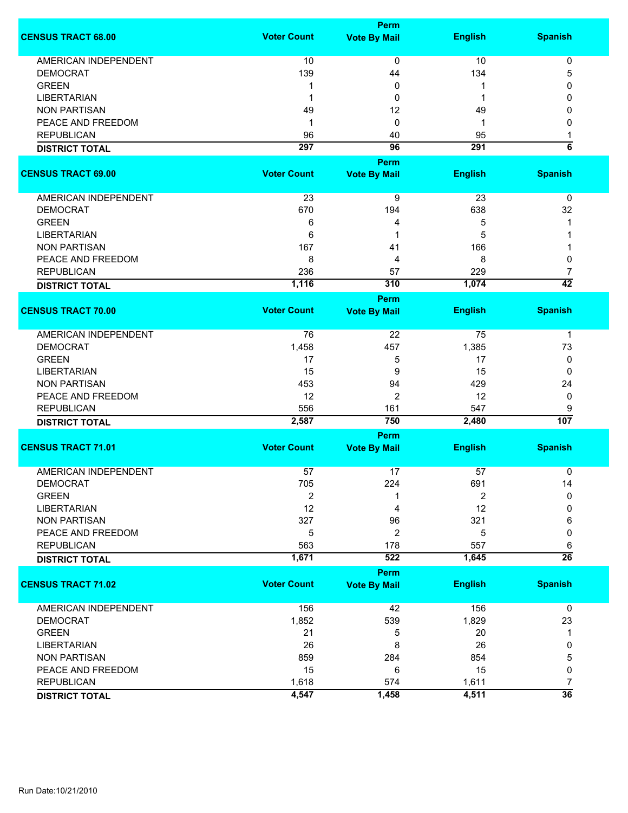|                             |                    | Perm                               |                |                         |
|-----------------------------|--------------------|------------------------------------|----------------|-------------------------|
| <b>CENSUS TRACT 68.00</b>   | <b>Voter Count</b> | <b>Vote By Mail</b>                | <b>English</b> | <b>Spanish</b>          |
| <b>AMERICAN INDEPENDENT</b> | 10                 | 0                                  | 10             | 0                       |
| <b>DEMOCRAT</b>             | 139                | 44                                 | 134            | 5                       |
| <b>GREEN</b>                | 1                  | 0                                  |                | 0                       |
| <b>LIBERTARIAN</b>          | -1                 | 0                                  |                | 0                       |
| <b>NON PARTISAN</b>         | 49                 | 12                                 | 49             | 0                       |
| PEACE AND FREEDOM           | 1                  | 0                                  | -1             | 0                       |
| <b>REPUBLICAN</b>           |                    |                                    |                |                         |
|                             | 96                 | 40                                 | 95             | 1<br>$\overline{\bf 6}$ |
| <b>DISTRICT TOTAL</b>       | 297                | 96                                 | 291            |                         |
|                             |                    | <b>Perm</b>                        |                |                         |
| <b>CENSUS TRACT 69.00</b>   | <b>Voter Count</b> | <b>Vote By Mail</b>                | <b>English</b> | <b>Spanish</b>          |
| AMERICAN INDEPENDENT        | 23                 | 9                                  | 23             | 0                       |
| <b>DEMOCRAT</b>             | 670                | 194                                | 638            | 32                      |
| <b>GREEN</b>                | 6                  | 4                                  | 5              |                         |
| <b>LIBERTARIAN</b>          | 6                  | 1                                  | 5              |                         |
| <b>NON PARTISAN</b>         | 167                | 41                                 | 166            |                         |
| PEACE AND FREEDOM           | 8                  | 4                                  | 8              | 0                       |
| <b>REPUBLICAN</b>           | 236                | 57                                 | 229            | 7                       |
|                             | 1,116              | 310                                | 1,074          | $\overline{42}$         |
| <b>DISTRICT TOTAL</b>       |                    |                                    |                |                         |
| <b>CENSUS TRACT 70.00</b>   | <b>Voter Count</b> | <b>Perm</b><br><b>Vote By Mail</b> | <b>English</b> | <b>Spanish</b>          |
| <b>AMERICAN INDEPENDENT</b> | 76                 | 22                                 | 75             | $\mathbf 1$             |
|                             | 1,458              |                                    |                |                         |
| <b>DEMOCRAT</b>             |                    | 457                                | 1,385          | 73                      |
| <b>GREEN</b>                | 17                 | 5                                  | 17             | 0                       |
| <b>LIBERTARIAN</b>          | 15                 | 9                                  | 15             | 0                       |
| <b>NON PARTISAN</b>         | 453                | 94                                 | 429            | 24                      |
| PEACE AND FREEDOM           | 12                 | 2                                  | 12             | 0                       |
| <b>REPUBLICAN</b>           | 556                | 161                                | 547            | 9                       |
| <b>DISTRICT TOTAL</b>       | 2,587              | 750                                | 2,480          | 107                     |
|                             |                    | <b>Perm</b>                        |                |                         |
| <b>CENSUS TRACT 71.01</b>   | <b>Voter Count</b> | <b>Vote By Mail</b>                | <b>English</b> | <b>Spanish</b>          |
| <b>AMERICAN INDEPENDENT</b> | 57                 | 17                                 | 57             | 0                       |
| <b>DEMOCRAT</b>             | 705                | 224                                | 691            | 14                      |
| <b>GREEN</b>                | $\boldsymbol{2}$   | 1                                  | 2              | $\mathbf 0$             |
| <b>LIBERTARIAN</b>          | 12                 | 4                                  | 12             | 0                       |
| <b>NON PARTISAN</b>         | 327                | 96                                 | 321            | 6                       |
| PEACE AND FREEDOM           | 5                  | 2                                  | 5              | 0                       |
| <b>REPUBLICAN</b>           | 563                | 178                                | 557            | 6                       |
| <b>DISTRICT TOTAL</b>       | 1,671              | 522                                | 1,645          | $\overline{26}$         |
|                             |                    | <b>Perm</b>                        |                |                         |
| <b>CENSUS TRACT 71.02</b>   | <b>Voter Count</b> | <b>Vote By Mail</b>                | <b>English</b> | <b>Spanish</b>          |
| <b>AMERICAN INDEPENDENT</b> | 156                | 42                                 | 156            | $\mathbf 0$             |
| <b>DEMOCRAT</b>             | 1,852              | 539                                | 1,829          | 23                      |
| <b>GREEN</b>                | 21                 | 5                                  | 20             | 1                       |
| <b>LIBERTARIAN</b>          | 26                 | 8                                  | 26             | 0                       |
| <b>NON PARTISAN</b>         | 859                | 284                                | 854            | 5                       |
| PEACE AND FREEDOM           | 15                 | 6                                  | 15             | 0                       |
| <b>REPUBLICAN</b>           | 1,618              | 574                                | 1,611          | $\overline{7}$          |
| <b>DISTRICT TOTAL</b>       | 4,547              | 1,458                              | 4,511          | $\overline{36}$         |
|                             |                    |                                    |                |                         |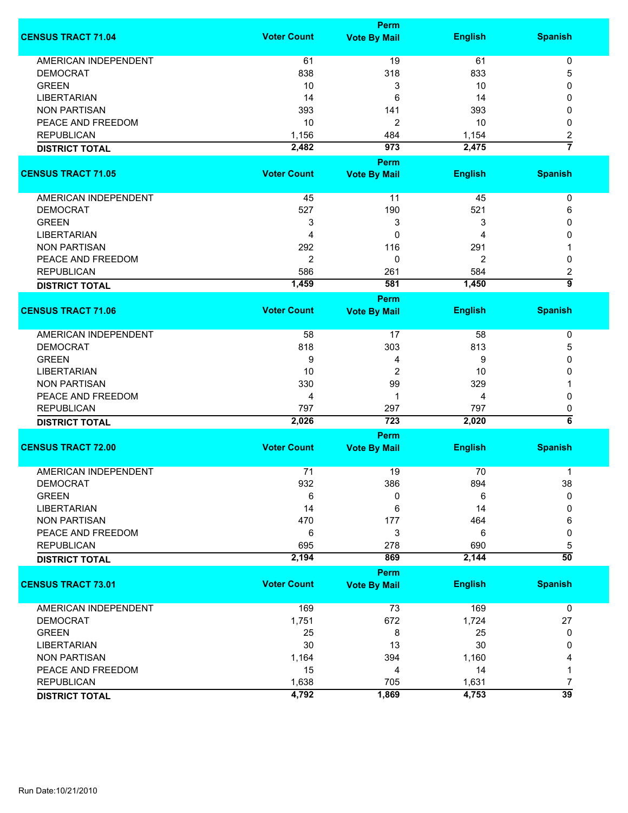|                                                |                    | <b>Perm</b>                        |                |                         |
|------------------------------------------------|--------------------|------------------------------------|----------------|-------------------------|
| <b>CENSUS TRACT 71.04</b>                      | <b>Voter Count</b> | <b>Vote By Mail</b>                | <b>English</b> | <b>Spanish</b>          |
| <b>AMERICAN INDEPENDENT</b>                    | 61                 | 19                                 | 61             | 0                       |
| <b>DEMOCRAT</b>                                | 838                | 318                                | 833            | 5                       |
| <b>GREEN</b>                                   | 10                 | 3                                  | 10             | 0                       |
| <b>LIBERTARIAN</b>                             |                    |                                    |                |                         |
|                                                | 14                 | 6                                  | 14             | 0                       |
| <b>NON PARTISAN</b>                            | 393                | 141                                | 393            | 0                       |
| PEACE AND FREEDOM                              | 10                 | $\overline{c}$                     | 10             | 0                       |
| <b>REPUBLICAN</b>                              | 1,156              | 484                                | 1,154          | $\overline{\mathbf{c}}$ |
| <b>DISTRICT TOTAL</b>                          | 2,482              | 973                                | 2,475          | $\overline{7}$          |
|                                                |                    | <b>Perm</b>                        |                |                         |
| <b>CENSUS TRACT 71.05</b>                      | <b>Voter Count</b> | <b>Vote By Mail</b>                | <b>English</b> | <b>Spanish</b>          |
| AMERICAN INDEPENDENT                           | 45                 | 11                                 | 45             | 0                       |
| <b>DEMOCRAT</b>                                | 527                | 190                                | 521            | 6                       |
| <b>GREEN</b>                                   | 3                  | 3                                  | 3              | 0                       |
| <b>LIBERTARIAN</b>                             | 4                  | 0                                  | 4              | 0                       |
| <b>NON PARTISAN</b>                            | 292                | 116                                | 291            | 1                       |
|                                                | $\overline{2}$     | 0                                  |                | 0                       |
| PEACE AND FREEDOM                              |                    |                                    | 2              |                         |
| <b>REPUBLICAN</b>                              | 586                | 261                                | 584            | 2                       |
| <b>DISTRICT TOTAL</b>                          | 1,459              | 581                                | 1,450          | 5                       |
| <b>CENSUS TRACT 71.06</b>                      | <b>Voter Count</b> | <b>Perm</b><br><b>Vote By Mail</b> | <b>English</b> | <b>Spanish</b>          |
|                                                |                    |                                    |                |                         |
| <b>AMERICAN INDEPENDENT</b>                    | 58                 | 17                                 | 58             | 0                       |
| <b>DEMOCRAT</b>                                | 818                | 303                                | 813            | 5                       |
| <b>GREEN</b>                                   | 9                  | 4                                  | 9              | 0                       |
| <b>LIBERTARIAN</b>                             | 10                 | $\overline{2}$                     | 10             | 0                       |
| <b>NON PARTISAN</b>                            | 330                | 99                                 | 329            |                         |
| PEACE AND FREEDOM                              | 4                  | 1                                  | 4              | 0                       |
| <b>REPUBLICAN</b>                              | 797                | 297                                | 797            | 0                       |
| <b>DISTRICT TOTAL</b>                          | 2,026              | 723                                | 2,020          | $\overline{\bf{6}}$     |
|                                                |                    | Perm                               |                |                         |
| <b>CENSUS TRACT 72.00</b>                      | <b>Voter Count</b> | <b>Vote By Mail</b>                | <b>English</b> | <b>Spanish</b>          |
|                                                |                    |                                    |                |                         |
| <b>AMERICAN INDEPENDENT</b><br><b>DEMOCRAT</b> | 71                 | 19                                 | 70             | 1                       |
|                                                | 932                | 386                                | 894            | 38                      |
| <b>GREEN</b>                                   | 6                  | 0                                  | 6              | 0                       |
| <b>LIBERTARIAN</b>                             | 14                 | 6                                  | 14             | 0                       |
| <b>NON PARTISAN</b>                            | 470                | 177                                | 464            | 6                       |
| PEACE AND FREEDOM                              | 6                  | 3                                  | 6              | 0                       |
| <b>REPUBLICAN</b>                              | 695                | 278                                | 690            | 5                       |
| <b>DISTRICT TOTAL</b>                          | 2,194              | 869                                | 2,144          | $\overline{50}$         |
|                                                |                    | Perm                               |                |                         |
| <b>CENSUS TRACT 73.01</b>                      | <b>Voter Count</b> | <b>Vote By Mail</b>                | <b>English</b> | <b>Spanish</b>          |
| AMERICAN INDEPENDENT                           | 169                | 73                                 | 169            | 0                       |
| <b>DEMOCRAT</b>                                | 1,751              | 672                                | 1,724          | 27                      |
| <b>GREEN</b>                                   | 25                 | 8                                  | 25             | 0                       |
| <b>LIBERTARIAN</b>                             | 30                 | 13                                 | 30             | 0                       |
| <b>NON PARTISAN</b>                            | 1,164              | 394                                | 1,160          | 4                       |
| PEACE AND FREEDOM                              | 15                 |                                    | 14             |                         |
|                                                |                    | 4                                  |                | 1                       |
| <b>REPUBLICAN</b>                              | 1,638              | 705                                | 1,631          | 7                       |
| <b>DISTRICT TOTAL</b>                          | 4,792              | 1,869                              | 4,753          | $\overline{39}$         |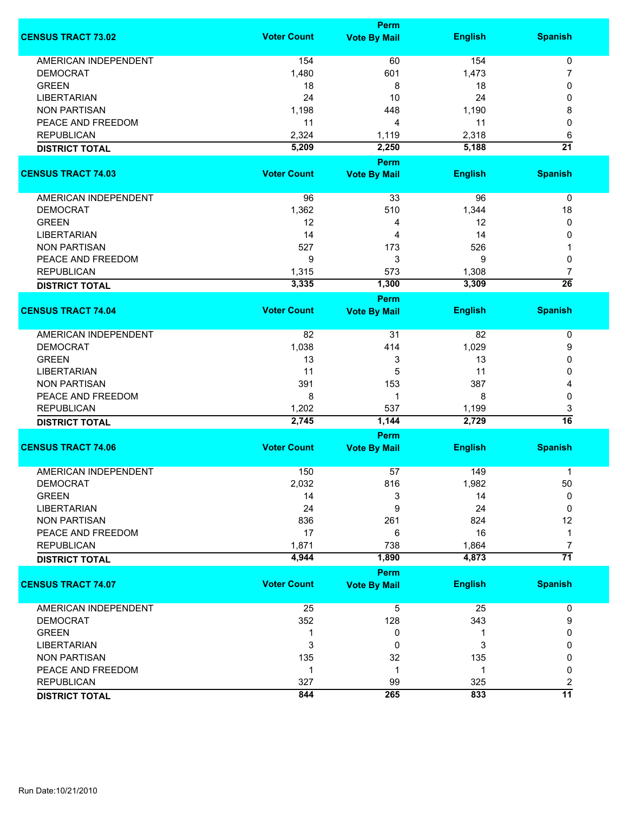|                             |                    | <b>Perm</b>                        |                |                 |  |
|-----------------------------|--------------------|------------------------------------|----------------|-----------------|--|
| <b>CENSUS TRACT 73.02</b>   | <b>Voter Count</b> | <b>Vote By Mail</b>                | <b>English</b> | <b>Spanish</b>  |  |
| <b>AMERICAN INDEPENDENT</b> | 154                | 60                                 | 154            | 0               |  |
| <b>DEMOCRAT</b>             | 1,480              | 601                                | 1,473          | 7               |  |
| <b>GREEN</b>                | 18                 | 8                                  | 18             | 0               |  |
| <b>LIBERTARIAN</b>          | 24                 | 10                                 | 24             | 0               |  |
| <b>NON PARTISAN</b>         | 1,198              | 448                                | 1,190          | 8               |  |
|                             |                    |                                    |                |                 |  |
| PEACE AND FREEDOM           | 11                 | 4                                  | 11             | 0               |  |
| <b>REPUBLICAN</b>           | 2,324              | 1,119                              | 2,318          | 6               |  |
| <b>DISTRICT TOTAL</b>       | 5,209              | 2,250                              | 5,188          | $\overline{21}$ |  |
| <b>CENSUS TRACT 74.03</b>   | <b>Voter Count</b> | <b>Perm</b><br><b>Vote By Mail</b> | <b>English</b> | <b>Spanish</b>  |  |
|                             |                    |                                    |                |                 |  |
| AMERICAN INDEPENDENT        | 96                 | 33                                 | 96             | 0               |  |
| <b>DEMOCRAT</b>             | 1,362              | 510                                | 1,344          | 18              |  |
| <b>GREEN</b>                | 12                 | 4                                  | 12             | 0               |  |
| <b>LIBERTARIAN</b>          | 14                 | 4                                  | 14             | 0               |  |
| <b>NON PARTISAN</b>         | 527                | 173                                | 526            |                 |  |
| PEACE AND FREEDOM           | 9                  | 3                                  | 9              | 0               |  |
| <b>REPUBLICAN</b>           | 1,315              | 573                                | 1,308          | 7               |  |
|                             | 3,335              | 1,300                              | 3,309          | $\overline{26}$ |  |
| <b>DISTRICT TOTAL</b>       |                    | <b>Perm</b>                        |                |                 |  |
| <b>CENSUS TRACT 74.04</b>   | <b>Voter Count</b> | <b>Vote By Mail</b>                | <b>English</b> | <b>Spanish</b>  |  |
|                             |                    |                                    |                |                 |  |
| <b>AMERICAN INDEPENDENT</b> | 82                 | 31                                 | 82             | 0               |  |
| <b>DEMOCRAT</b>             | 1,038              | 414                                | 1,029          | 9               |  |
| <b>GREEN</b>                | 13                 | 3                                  | 13             | 0               |  |
| <b>LIBERTARIAN</b>          | 11                 | 5                                  | 11             | 0               |  |
| <b>NON PARTISAN</b>         | 391                | 153                                | 387            | 4               |  |
| PEACE AND FREEDOM           | 8                  | 1                                  | 8              | 0               |  |
| <b>REPUBLICAN</b>           | 1,202              | 537                                | 1,199          | 3               |  |
| <b>DISTRICT TOTAL</b>       | 2,745              | 1,144                              | 2,729          | $\overline{16}$ |  |
|                             | Perm               |                                    |                |                 |  |
| <b>CENSUS TRACT 74.06</b>   | <b>Voter Count</b> | <b>Vote By Mail</b>                | <b>English</b> | <b>Spanish</b>  |  |
| <b>AMERICAN INDEPENDENT</b> | 150                | 57                                 | 149            | 1               |  |
| <b>DEMOCRAT</b>             | 2,032              | 816                                | 1,982          | 50              |  |
| <b>GREEN</b>                | 14                 | 3                                  | 14             | 0               |  |
| <b>LIBERTARIAN</b>          | 24                 | 9                                  | 24             | $\mathbf{0}$    |  |
| <b>NON PARTISAN</b>         | 836                | 261                                | 824            | 12              |  |
| PEACE AND FREEDOM           | 17                 | 6                                  | 16             | 1               |  |
| <b>REPUBLICAN</b>           | 1,871              | 738                                | 1,864          | 7               |  |
| <b>DISTRICT TOTAL</b>       | 4,944              | 1,890                              | 4,873          | $\overline{71}$ |  |
|                             |                    |                                    |                |                 |  |
| <b>CENSUS TRACT 74.07</b>   | <b>Voter Count</b> | <b>Perm</b>                        |                |                 |  |
|                             |                    | <b>Vote By Mail</b>                | <b>English</b> | <b>Spanish</b>  |  |
| AMERICAN INDEPENDENT        | 25                 | 5                                  | 25             | 0               |  |
| <b>DEMOCRAT</b>             | 352                | 128                                | 343            | 9               |  |
| <b>GREEN</b>                | 1                  | 0                                  |                | 0               |  |
| <b>LIBERTARIAN</b>          | 3                  | 0                                  | 3              | 0               |  |
| <b>NON PARTISAN</b>         | 135                | 32                                 | 135            | 0               |  |
| PEACE AND FREEDOM           | -1                 | 1                                  | 1              | 0               |  |
| <b>REPUBLICAN</b>           | 327                | 99                                 | 325            | 2               |  |
| <b>DISTRICT TOTAL</b>       | 844                | 265                                | 833            | $\overline{11}$ |  |
|                             |                    |                                    |                |                 |  |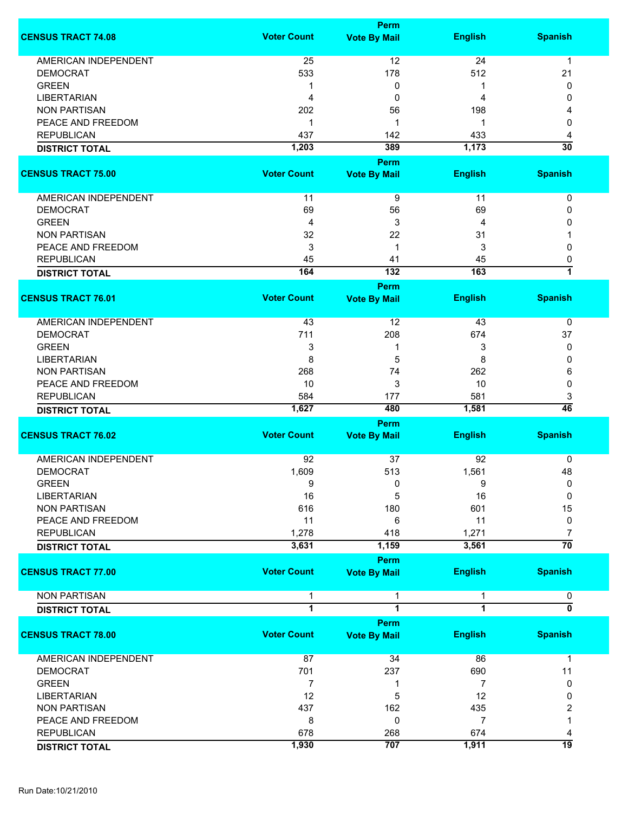|                             |                              | <b>Perm</b>                  |                |                 |
|-----------------------------|------------------------------|------------------------------|----------------|-----------------|
| <b>CENSUS TRACT 74.08</b>   | <b>Voter Count</b>           | <b>Vote By Mail</b>          | <b>English</b> | <b>Spanish</b>  |
| <b>AMERICAN INDEPENDENT</b> |                              | 12                           | 24             | $\mathbf 1$     |
|                             | 25                           |                              |                |                 |
| <b>DEMOCRAT</b>             | 533                          | 178                          | 512            | 21              |
| <b>GREEN</b>                | -1                           | 0                            | 1              | 0               |
| <b>LIBERTARIAN</b>          | 4                            | 0                            | 4              | 0               |
| <b>NON PARTISAN</b>         | 202                          | 56                           | 198            | 4               |
| PEACE AND FREEDOM           | -1                           | 1                            | -1             | 0               |
| <b>REPUBLICAN</b>           | 437                          | 142                          | 433            | 4               |
| <b>DISTRICT TOTAL</b>       | 1,203                        | 389                          | 1,173          | $\overline{30}$ |
|                             |                              | <b>Perm</b>                  |                |                 |
| <b>CENSUS TRACT 75.00</b>   | <b>Voter Count</b>           | <b>Vote By Mail</b>          | <b>English</b> | <b>Spanish</b>  |
| AMERICAN INDEPENDENT        | 11                           | 9                            | 11             | 0               |
| <b>DEMOCRAT</b>             | 69                           | 56                           | 69             | 0               |
| <b>GREEN</b>                | 4                            | 3                            | 4              | 0               |
| <b>NON PARTISAN</b>         | 32                           | 22                           | 31             |                 |
| PEACE AND FREEDOM           | 3                            | 1                            | 3              | 0               |
| <b>REPUBLICAN</b>           |                              |                              |                |                 |
|                             | 45<br>164                    | 41<br>$\overline{132}$       | 45<br>163      | 0<br>7          |
| <b>DISTRICT TOTAL</b>       |                              |                              |                |                 |
| <b>CENSUS TRACT 76.01</b>   | <b>Voter Count</b>           | Perm<br><b>Vote By Mail</b>  | <b>English</b> | <b>Spanish</b>  |
|                             |                              |                              |                |                 |
| AMERICAN INDEPENDENT        | 43                           | 12                           | 43             | 0               |
| <b>DEMOCRAT</b>             | 711                          | 208                          | 674            | 37              |
| <b>GREEN</b>                | 3                            | 1                            | 3              | 0               |
| <b>LIBERTARIAN</b>          | 8                            | 5                            | 8              | 0               |
| <b>NON PARTISAN</b>         | 268                          | 74                           | 262            | 6               |
| PEACE AND FREEDOM           | 10                           | 3                            | 10             | 0               |
| <b>REPUBLICAN</b>           | 584                          | 177                          | 581            | 3               |
| <b>DISTRICT TOTAL</b>       | 1,627                        | 480                          | 1,581          | $\overline{46}$ |
|                             |                              | Perm                         |                |                 |
| <b>CENSUS TRACT 76.02</b>   | <b>Voter Count</b>           | <b>Vote By Mail</b>          | <b>English</b> | <b>Spanish</b>  |
|                             |                              |                              |                |                 |
| <b>AMERICAN INDEPENDENT</b> | 92                           | 37                           | 92             | 0               |
| <b>DEMOCRAT</b>             | 1,609                        | 513                          | 1,561          | 48              |
| GREEN                       | 9                            | 0                            | 9              | 0               |
| <b>LIBERTARIAN</b>          | 16                           | 5                            | 16             | 0               |
| <b>NON PARTISAN</b>         | 616                          | 180                          | 601            | 15              |
| PEACE AND FREEDOM           | 11                           | 6                            | 11             | 0               |
| <b>REPUBLICAN</b>           | 1,278                        | 418                          | 1,271          | 7               |
| <b>DISTRICT TOTAL</b>       | 3,631                        | 1,159                        | 3,561          | $\overline{70}$ |
|                             |                              | Perm                         |                |                 |
| <b>CENSUS TRACT 77.00</b>   | <b>Voter Count</b>           | <b>Vote By Mail</b>          | <b>English</b> | <b>Spanish</b>  |
| <b>NON PARTISAN</b>         |                              |                              | $\mathbf 1$    |                 |
| <b>DISTRICT TOTAL</b>       | 1<br>$\overline{\mathbf{1}}$ | 1<br>$\overline{\mathbf{1}}$ | $\overline{1}$ | 0<br>0          |
|                             |                              |                              |                |                 |
| <b>CENSUS TRACT 78.00</b>   | <b>Voter Count</b>           | Perm<br><b>Vote By Mail</b>  | <b>English</b> | <b>Spanish</b>  |
|                             |                              |                              |                |                 |
| <b>AMERICAN INDEPENDENT</b> | 87                           | 34                           | 86             | $\mathbf{1}$    |
| <b>DEMOCRAT</b>             | 701                          | 237                          | 690            | 11              |
| <b>GREEN</b>                | 7                            | 1                            | 7              | 0               |
| <b>LIBERTARIAN</b>          | 12                           | 5                            | 12             | 0               |
| <b>NON PARTISAN</b>         | 437                          | 162                          | 435            | 2               |
| PEACE AND FREEDOM           | 8                            | 0                            | 7              | 1               |
| <b>REPUBLICAN</b>           | 678                          | 268                          | 674            | 4               |
| <b>DISTRICT TOTAL</b>       | 1,930                        | 707                          | 1,911          | $\overline{19}$ |
|                             |                              |                              |                |                 |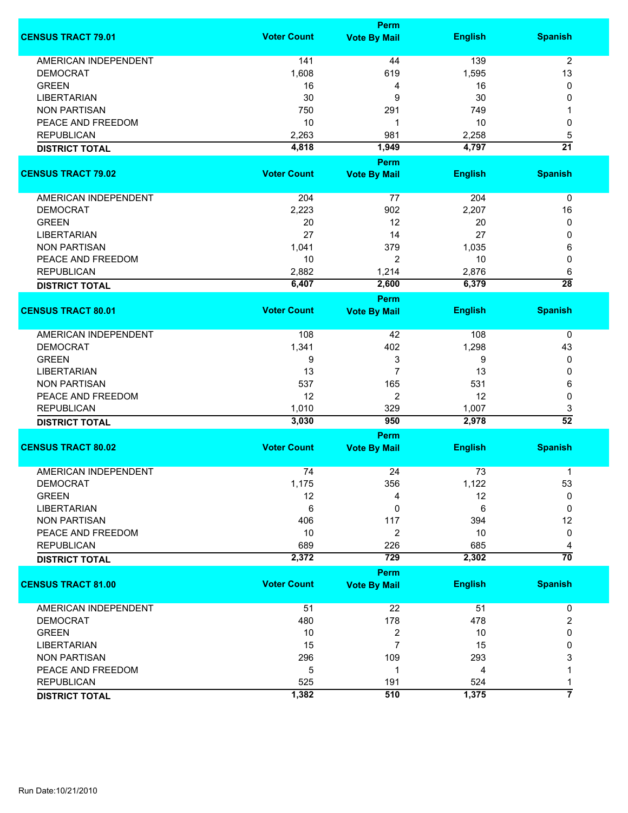|                             |                    | <b>Perm</b>                        |                |                 |
|-----------------------------|--------------------|------------------------------------|----------------|-----------------|
| <b>CENSUS TRACT 79.01</b>   | <b>Voter Count</b> | <b>Vote By Mail</b>                | <b>English</b> | <b>Spanish</b>  |
| <b>AMERICAN INDEPENDENT</b> | 141                | 44                                 | 139            | $\overline{2}$  |
| <b>DEMOCRAT</b>             | 1,608              | 619                                | 1,595          | 13              |
| <b>GREEN</b>                | 16                 | 4                                  | 16             | 0               |
| <b>LIBERTARIAN</b>          | 30                 | 9                                  | 30             | 0               |
| <b>NON PARTISAN</b>         |                    |                                    |                | 1               |
|                             | 750                | 291                                | 749            |                 |
| PEACE AND FREEDOM           | 10                 | 1                                  | 10             | 0               |
| <b>REPUBLICAN</b>           | 2,263              | 981                                | 2,258          | 5               |
| <b>DISTRICT TOTAL</b>       | 4,818              | 1,949                              | 4,797          | $\overline{21}$ |
| <b>CENSUS TRACT 79.02</b>   | <b>Voter Count</b> | <b>Perm</b><br><b>Vote By Mail</b> | <b>English</b> | <b>Spanish</b>  |
| AMERICAN INDEPENDENT        | 204                | 77                                 | 204            | 0               |
|                             |                    |                                    |                |                 |
| <b>DEMOCRAT</b>             | 2,223              | 902                                | 2,207          | 16              |
| <b>GREEN</b>                | 20                 | 12                                 | 20             | 0               |
| <b>LIBERTARIAN</b>          | 27                 | 14                                 | 27             | 0               |
| <b>NON PARTISAN</b>         | 1,041              | 379                                | 1,035          | 6               |
| PEACE AND FREEDOM           | 10                 | 2                                  | 10             | 0               |
| <b>REPUBLICAN</b>           | 2,882              | 1,214                              | 2,876          | 6               |
| <b>DISTRICT TOTAL</b>       | 6,407              | 2,600                              | 6,379          | $\overline{28}$ |
|                             |                    | <b>Perm</b>                        |                |                 |
| <b>CENSUS TRACT 80.01</b>   | <b>Voter Count</b> | <b>Vote By Mail</b>                | <b>English</b> | <b>Spanish</b>  |
| AMERICAN INDEPENDENT        | 108                | 42                                 | 108            | 0               |
| <b>DEMOCRAT</b>             | 1,341              | 402                                | 1,298          | 43              |
| <b>GREEN</b>                | 9                  | 3                                  | 9              | 0               |
| <b>LIBERTARIAN</b>          | 13                 | $\overline{7}$                     | 13             | 0               |
| <b>NON PARTISAN</b>         | 537                | 165                                | 531            |                 |
|                             |                    |                                    |                | 6               |
| PEACE AND FREEDOM           | 12                 | 2                                  | 12             | 0               |
| <b>REPUBLICAN</b>           | 1,010              | 329                                | 1,007          | 3               |
| <b>DISTRICT TOTAL</b>       | 3,030              | 950                                | 2,978          | $\overline{52}$ |
|                             |                    | Perm                               |                |                 |
| <b>CENSUS TRACT 80.02</b>   | <b>Voter Count</b> | <b>Vote By Mail</b>                | <b>English</b> | <b>Spanish</b>  |
| <b>AMERICAN INDEPENDENT</b> | 74                 | 24                                 | 73             | 1               |
| DEMOCRAT                    | 1,175              | 356                                | 1,122          | 53              |
| <b>GREEN</b>                | 12                 | 4                                  | 12             | 0               |
| <b>LIBERTARIAN</b>          | 6                  | 0                                  | 6              | 0               |
| <b>NON PARTISAN</b>         | 406                | 117                                | 394            | 12              |
| PEACE AND FREEDOM           | 10                 | $\overline{2}$                     | 10             | 0               |
| <b>REPUBLICAN</b>           | 689                | 226                                | 685            | 4               |
| <b>DISTRICT TOTAL</b>       | 2,372              | 729                                | 2,302          | $\overline{70}$ |
|                             |                    | <b>Perm</b>                        |                |                 |
| <b>CENSUS TRACT 81.00</b>   | <b>Voter Count</b> | <b>Vote By Mail</b>                | <b>English</b> | <b>Spanish</b>  |
| <b>AMERICAN INDEPENDENT</b> | 51                 | 22                                 | 51             | 0               |
| <b>DEMOCRAT</b>             | 480                | 178                                | 478            | 2               |
|                             |                    |                                    |                |                 |
| <b>GREEN</b>                | 10                 | 2                                  | 10             | 0               |
| <b>LIBERTARIAN</b>          | 15                 | 7                                  | 15             | 0               |
| <b>NON PARTISAN</b>         | 296                | 109                                | 293            | 3               |
| PEACE AND FREEDOM           | 5                  | 1                                  | 4              |                 |
| <b>REPUBLICAN</b>           | 525                | 191                                | 524            | 1               |
| <b>DISTRICT TOTAL</b>       | 1,382              | 510                                | 1,375          | 7               |
|                             |                    |                                    |                |                 |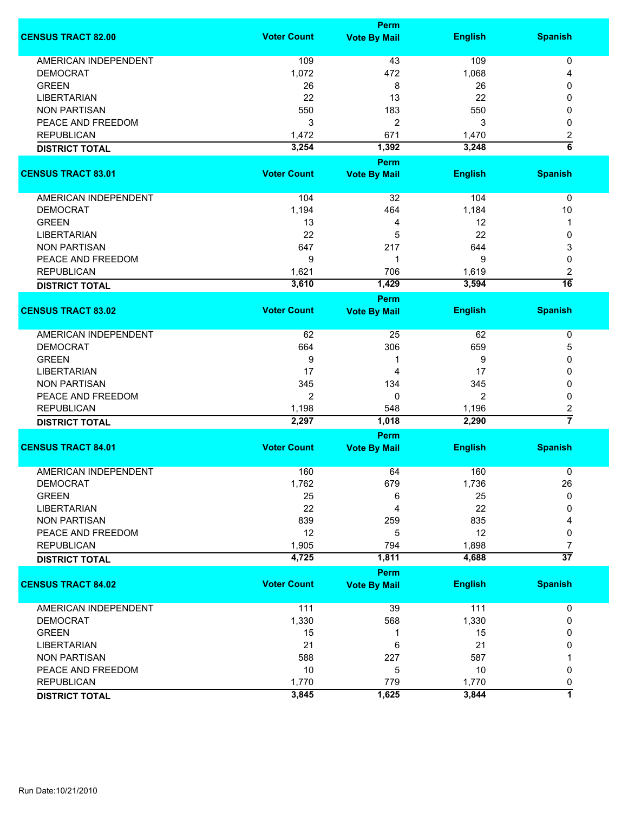|                             | <b>Perm</b>        |                             |                |                     |  |
|-----------------------------|--------------------|-----------------------------|----------------|---------------------|--|
| <b>CENSUS TRACT 82.00</b>   | <b>Voter Count</b> | <b>Vote By Mail</b>         | <b>English</b> | <b>Spanish</b>      |  |
| <b>AMERICAN INDEPENDENT</b> | 109                | 43                          | 109            | 0                   |  |
| <b>DEMOCRAT</b>             | 1,072              | 472                         | 1,068          | 4                   |  |
| <b>GREEN</b>                | 26                 | 8                           | 26             | 0                   |  |
| <b>LIBERTARIAN</b>          | 22                 |                             | 22             |                     |  |
|                             |                    | 13                          |                | 0                   |  |
| <b>NON PARTISAN</b>         | 550                | 183                         | 550            | 0                   |  |
| PEACE AND FREEDOM           | 3                  | 2                           | 3              | 0                   |  |
| <b>REPUBLICAN</b>           | 1,472              | 671                         | 1,470          | 2                   |  |
| <b>DISTRICT TOTAL</b>       | 3,254              | 1,392                       | 3,248          | $\overline{6}$      |  |
|                             |                    | <b>Perm</b>                 |                |                     |  |
| <b>CENSUS TRACT 83.01</b>   | <b>Voter Count</b> | <b>Vote By Mail</b>         | <b>English</b> | <b>Spanish</b>      |  |
| AMERICAN INDEPENDENT        | 104                | 32                          | 104            | 0                   |  |
| <b>DEMOCRAT</b>             | 1,194              | 464                         | 1,184          | 10                  |  |
| <b>GREEN</b>                | 13                 | 4                           | 12             | 1                   |  |
| <b>LIBERTARIAN</b>          | 22                 | 5                           | 22             | 0                   |  |
| <b>NON PARTISAN</b>         | 647                | 217                         | 644            | 3                   |  |
|                             |                    | 1                           |                |                     |  |
| PEACE AND FREEDOM           | 9                  |                             | 9              | 0                   |  |
| <b>REPUBLICAN</b>           | 1,621              | 706                         | 1,619          | 2                   |  |
| <b>DISTRICT TOTAL</b>       | 3,610              | 1,429                       | 3,594          | $\overline{16}$     |  |
| <b>CENSUS TRACT 83.02</b>   | <b>Voter Count</b> | <b>Perm</b>                 |                |                     |  |
|                             |                    | <b>Vote By Mail</b>         | <b>English</b> | <b>Spanish</b>      |  |
| <b>AMERICAN INDEPENDENT</b> | 62                 | 25                          | 62             | 0                   |  |
| <b>DEMOCRAT</b>             | 664                | 306                         | 659            | 5                   |  |
| <b>GREEN</b>                | 9                  | 1                           | 9              | 0                   |  |
| <b>LIBERTARIAN</b>          | 17                 | 4                           | 17             | 0                   |  |
| <b>NON PARTISAN</b>         | 345                | 134                         | 345            | 0                   |  |
|                             | $\overline{2}$     | 0                           | $\overline{2}$ |                     |  |
| PEACE AND FREEDOM           |                    |                             |                | 0                   |  |
| <b>REPUBLICAN</b>           | 1,198              | 548                         | 1,196          | 2<br>$\overline{7}$ |  |
| <b>DISTRICT TOTAL</b>       | 2,297              | 1,018                       | 2,290          |                     |  |
| <b>CENSUS TRACT 84.01</b>   | <b>Voter Count</b> | Perm<br><b>Vote By Mail</b> | <b>English</b> | <b>Spanish</b>      |  |
|                             |                    |                             |                |                     |  |
| <b>AMERICAN INDEPENDENT</b> | 160                | 64                          | 160            | 0                   |  |
| <b>DEMOCRAT</b>             | 1,762              | 679                         | 1,736          | 26                  |  |
| <b>GREEN</b>                | 25                 | 6                           | 25             | $\mathbf{0}$        |  |
| <b>LIBERTARIAN</b>          | 22                 | 4                           | 22             | 0                   |  |
| <b>NON PARTISAN</b>         | 839                | 259                         | 835            | 4                   |  |
| PEACE AND FREEDOM           | 12                 | 5                           | 12             | 0                   |  |
| <b>REPUBLICAN</b>           | 1,905              | 794                         | 1,898          | 7                   |  |
| <b>DISTRICT TOTAL</b>       | 4,725              | 1,811                       | 4,688          | $\overline{37}$     |  |
|                             |                    | Perm                        |                |                     |  |
| <b>CENSUS TRACT 84.02</b>   | <b>Voter Count</b> | <b>Vote By Mail</b>         | <b>English</b> | <b>Spanish</b>      |  |
| AMERICAN INDEPENDENT        | 111                | 39                          | 111            | 0                   |  |
| <b>DEMOCRAT</b>             | 1,330              | 568                         | 1,330          | 0                   |  |
| <b>GREEN</b>                | 15                 | 1                           | 15             | 0                   |  |
| <b>LIBERTARIAN</b>          | 21                 | 6                           | 21             | 0                   |  |
| <b>NON PARTISAN</b>         | 588                | 227                         | 587            |                     |  |
| PEACE AND FREEDOM           | 10                 | 5                           | 10             | 0                   |  |
| <b>REPUBLICAN</b>           | 1,770              | 779                         | 1,770          |                     |  |
|                             |                    |                             |                | 0<br>7              |  |
| <b>DISTRICT TOTAL</b>       | 3,845              | 1,625                       | 3,844          |                     |  |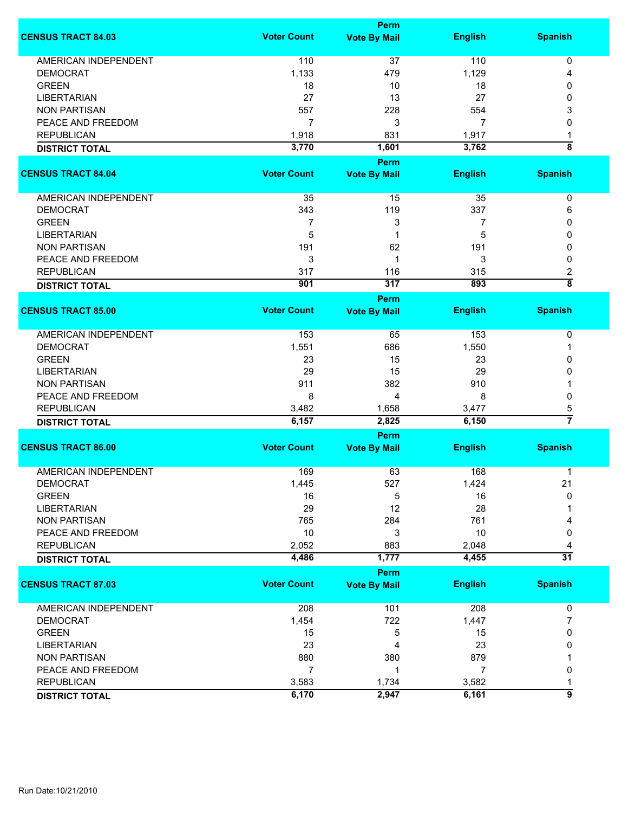|                             |                    | <b>Perm</b>         |                |                    |
|-----------------------------|--------------------|---------------------|----------------|--------------------|
| <b>CENSUS TRACT 84.03</b>   | <b>Voter Count</b> | <b>Vote By Mail</b> | <b>English</b> | <b>Spanish</b>     |
| <b>AMERICAN INDEPENDENT</b> | 110                | 37                  | 110            | 0                  |
| <b>DEMOCRAT</b>             | 1,133              | 479                 | 1,129          | 4                  |
| <b>GREEN</b>                | 18                 | 10                  | 18             | 0                  |
| <b>LIBERTARIAN</b>          | 27                 | 13                  | 27             | 0                  |
| <b>NON PARTISAN</b>         | 557                | 228                 | 554            | 3                  |
| PEACE AND FREEDOM           | $\overline{7}$     | 3                   | 7              | 0                  |
| <b>REPUBLICAN</b>           |                    |                     |                |                    |
|                             | 1,918              | 831                 | 1,917          | 1<br>ह             |
| <b>DISTRICT TOTAL</b>       | 3,770              | 1,601               | 3,762          |                    |
|                             |                    | <b>Perm</b>         |                |                    |
| <b>CENSUS TRACT 84.04</b>   | <b>Voter Count</b> | <b>Vote By Mail</b> | <b>English</b> | <b>Spanish</b>     |
| AMERICAN INDEPENDENT        | 35                 | 15                  | 35             | $\pmb{0}$          |
| <b>DEMOCRAT</b>             | 343                | 119                 | 337            | 6                  |
| <b>GREEN</b>                | 7                  | 3                   | 7              | 0                  |
| <b>LIBERTARIAN</b>          | 5                  | 1                   | 5              | 0                  |
| <b>NON PARTISAN</b>         | 191                | 62                  | 191            | 0                  |
| PEACE AND FREEDOM           | 3                  | 1                   | 3              | 0                  |
|                             |                    |                     |                |                    |
| <b>REPUBLICAN</b>           | 317                | 116                 | 315            | 2                  |
| <b>DISTRICT TOTAL</b>       | 901                | 317                 | 893            | $\overline{\bf 8}$ |
| <b>CENSUS TRACT 85.00</b>   | <b>Voter Count</b> | Perm                |                |                    |
|                             |                    | <b>Vote By Mail</b> | <b>English</b> | <b>Spanish</b>     |
| <b>AMERICAN INDEPENDENT</b> | 153                | 65                  | 153            | 0                  |
| <b>DEMOCRAT</b>             | 1,551              | 686                 | 1,550          | 1                  |
| <b>GREEN</b>                | 23                 | 15                  | 23             | 0                  |
| <b>LIBERTARIAN</b>          | 29                 | 15                  | 29             | 0                  |
| <b>NON PARTISAN</b>         | 911                | 382                 | 910            |                    |
| PEACE AND FREEDOM           | 8                  | 4                   | 8              | 0                  |
| <b>REPUBLICAN</b>           | 3,482              | 1,658               | 3,477          | 5                  |
| <b>DISTRICT TOTAL</b>       | 6,157              | 2,825               | 6,150          | $\overline{7}$     |
|                             |                    | <b>Perm</b>         |                |                    |
| <b>CENSUS TRACT 86.00</b>   | <b>Voter Count</b> | <b>Vote By Mail</b> | <b>English</b> | <b>Spanish</b>     |
|                             |                    |                     |                |                    |
| <b>AMERICAN INDEPENDENT</b> | 169                | 63                  | 168            | 1                  |
| <b>DEMOCRAT</b>             | 1,445              | 527                 | 1,424          | 21                 |
| <b>GREEN</b>                | 16                 | 5                   | 16             | 0                  |
| <b>LIBERTARIAN</b>          | 29                 | 12                  | 28             |                    |
| <b>NON PARTISAN</b>         | 765                | 284                 | 761            |                    |
| PEACE AND FREEDOM           | 10                 | 3                   | 10             | 0                  |
| <b>REPUBLICAN</b>           | 2,052              | 883                 | 2,048          | 4                  |
| <b>DISTRICT TOTAL</b>       | 4,486              | 1,777               | 4,455          | $\overline{31}$    |
|                             |                    | <b>Perm</b>         |                |                    |
| <b>CENSUS TRACT 87.03</b>   | <b>Voter Count</b> | <b>Vote By Mail</b> | <b>English</b> | <b>Spanish</b>     |
| <b>AMERICAN INDEPENDENT</b> | 208                | 101                 | 208            | 0                  |
| <b>DEMOCRAT</b>             | 1,454              | 722                 | 1,447          | 7                  |
| <b>GREEN</b>                | 15                 | 5                   | 15             | 0                  |
| <b>LIBERTARIAN</b>          | 23                 | 4                   | 23             | 0                  |
| <b>NON PARTISAN</b>         | 880                | 380                 | 879            |                    |
| PEACE AND FREEDOM           | $\overline{7}$     | 1                   | 7              |                    |
|                             |                    |                     |                | 0                  |
| <b>REPUBLICAN</b>           | 3,583              | 1,734               | 3,582          |                    |
| <b>DISTRICT TOTAL</b>       | 6,170              | 2,947               | 6,161          | 9                  |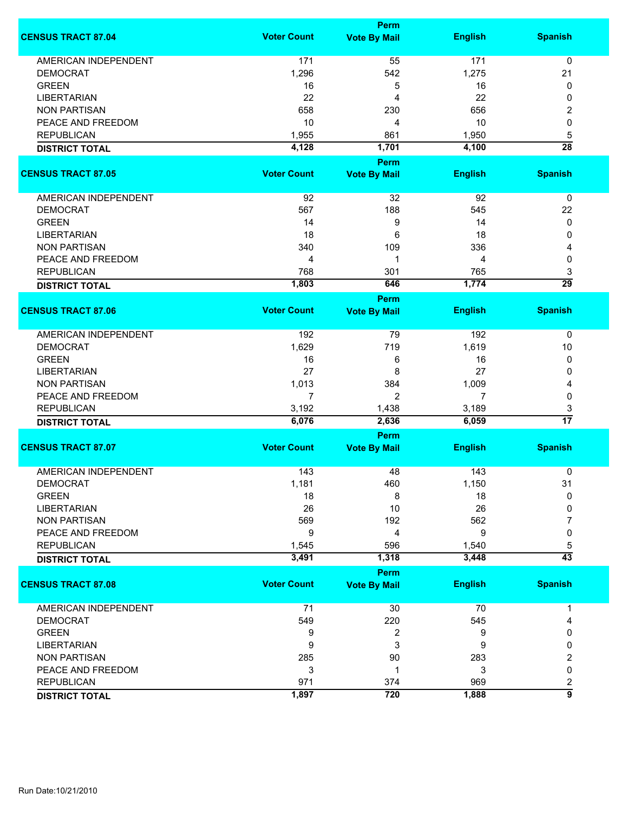|                             |                    | <b>Perm</b>         |                |                      |
|-----------------------------|--------------------|---------------------|----------------|----------------------|
| <b>CENSUS TRACT 87.04</b>   | <b>Voter Count</b> | <b>Vote By Mail</b> | <b>English</b> | <b>Spanish</b>       |
| <b>AMERICAN INDEPENDENT</b> | 171                | 55                  | 171            | 0                    |
| <b>DEMOCRAT</b>             | 1,296              | 542                 | 1,275          | 21                   |
| <b>GREEN</b>                | 16                 | 5                   | 16             | 0                    |
| <b>LIBERTARIAN</b>          | 22                 | 4                   | 22             | 0                    |
| <b>NON PARTISAN</b>         | 658                | 230                 | 656            | 2                    |
| PEACE AND FREEDOM           | 10                 |                     | 10             | 0                    |
|                             |                    | 4                   |                |                      |
| <b>REPUBLICAN</b>           | 1,955              | 861                 | 1,950          | 5                    |
| <b>DISTRICT TOTAL</b>       | 4,128              | 1,701               | 4,100          | $\overline{28}$      |
| <b>CENSUS TRACT 87.05</b>   | <b>Voter Count</b> | <b>Perm</b>         |                | <b>Spanish</b>       |
|                             |                    | <b>Vote By Mail</b> | <b>English</b> |                      |
| AMERICAN INDEPENDENT        | 92                 | 32                  | 92             | 0                    |
| <b>DEMOCRAT</b>             | 567                | 188                 | 545            | 22                   |
| <b>GREEN</b>                | 14                 | 9                   | 14             | 0                    |
| <b>LIBERTARIAN</b>          | 18                 | 6                   | 18             | 0                    |
| <b>NON PARTISAN</b>         | 340                | 109                 | 336            | 4                    |
| PEACE AND FREEDOM           | 4                  | 1                   | 4              | 0                    |
| <b>REPUBLICAN</b>           | 768                | 301                 | 765            | 3                    |
|                             | 1,803              | 646                 | 1,774          | $\overline{29}$      |
| <b>DISTRICT TOTAL</b>       |                    | <b>Perm</b>         |                |                      |
| <b>CENSUS TRACT 87.06</b>   | <b>Voter Count</b> | <b>Vote By Mail</b> | <b>English</b> | <b>Spanish</b>       |
| <b>AMERICAN INDEPENDENT</b> | 192                | 79                  | 192            | 0                    |
| <b>DEMOCRAT</b>             | 1,629              | 719                 | 1,619          | 10                   |
| <b>GREEN</b>                | 16                 | 6                   | 16             | 0                    |
| <b>LIBERTARIAN</b>          | 27                 | 8                   | 27             | 0                    |
| <b>NON PARTISAN</b>         | 1,013              | 384                 | 1,009          | 4                    |
| PEACE AND FREEDOM           | 7                  | $\overline{2}$      | 7              | 0                    |
| <b>REPUBLICAN</b>           |                    |                     |                |                      |
|                             | 3,192<br>6,076     | 1,438<br>2,636      | 3,189<br>6,059 | 3<br>$\overline{17}$ |
| <b>DISTRICT TOTAL</b>       |                    | <b>Perm</b>         |                |                      |
| <b>CENSUS TRACT 87.07</b>   | <b>Voter Count</b> | <b>Vote By Mail</b> | <b>English</b> | <b>Spanish</b>       |
|                             |                    |                     |                |                      |
| <b>AMERICAN INDEPENDENT</b> | 143                | 48                  | 143            | 0                    |
| <b>DEMOCRAT</b>             | 1,181              | 460                 | 1,150          | 31                   |
| <b>GREEN</b>                | 18                 | 8                   | 18             | $\mathbf{0}$         |
| <b>LIBERTARIAN</b>          | 26                 | 10                  | 26             | 0                    |
| <b>NON PARTISAN</b>         | 569                | 192                 | 562            | 7                    |
| PEACE AND FREEDOM           | 9                  | 4                   | 9              | 0                    |
| <b>REPUBLICAN</b>           | 1,545              | 596                 | 1,540          | 5                    |
| <b>DISTRICT TOTAL</b>       | 3,491              | 1,318               | 3,448          | $\overline{43}$      |
|                             |                    | Perm                |                |                      |
| <b>CENSUS TRACT 87.08</b>   | <b>Voter Count</b> | <b>Vote By Mail</b> | <b>English</b> | <b>Spanish</b>       |
| <b>AMERICAN INDEPENDENT</b> | 71                 | 30                  | 70             | 1                    |
| <b>DEMOCRAT</b>             | 549                | 220                 | 545            | 4                    |
| <b>GREEN</b>                | 9                  | 2                   | 9              | 0                    |
| <b>LIBERTARIAN</b>          | 9                  | 3                   | 9              | 0                    |
| <b>NON PARTISAN</b>         | 285                | 90                  | 283            | 2                    |
| PEACE AND FREEDOM           | 3                  | 1                   | 3              | 0                    |
| <b>REPUBLICAN</b>           | 971                | 374                 | 969            | 2                    |
| <b>DISTRICT TOTAL</b>       | 1,897              | 720                 | 1,888          | $\overline{9}$       |
|                             |                    |                     |                |                      |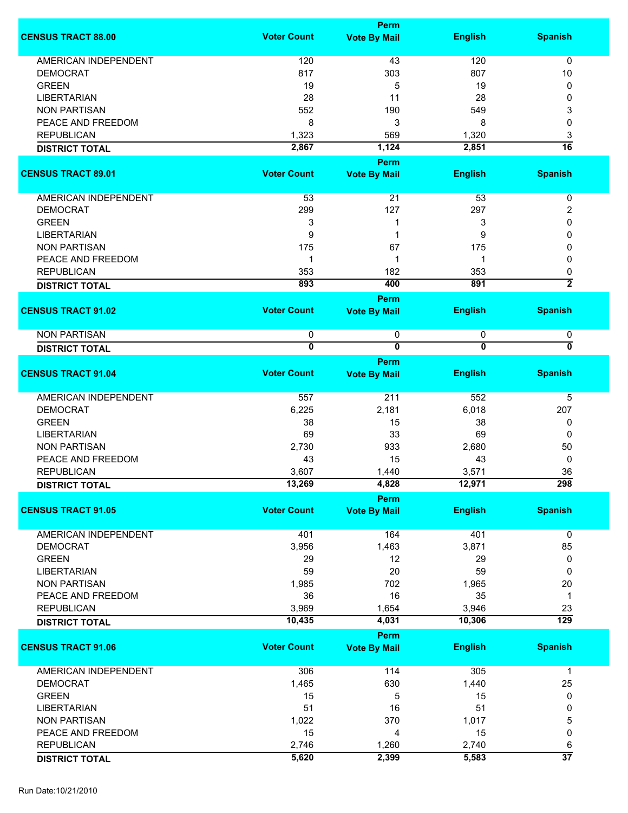|                             |                              | <b>Perm</b>                  |                     |                     |
|-----------------------------|------------------------------|------------------------------|---------------------|---------------------|
| <b>CENSUS TRACT 88.00</b>   | <b>Voter Count</b>           | <b>Vote By Mail</b>          | <b>English</b>      | <b>Spanish</b>      |
| <b>AMERICAN INDEPENDENT</b> | 120                          | 43                           | 120                 | 0                   |
| <b>DEMOCRAT</b>             | 817                          | 303                          | 807                 | 10                  |
| <b>GREEN</b>                | 19                           | 5                            | 19                  | 0                   |
|                             |                              | 11                           |                     | 0                   |
| <b>LIBERTARIAN</b>          | 28                           |                              | 28                  |                     |
| <b>NON PARTISAN</b>         | 552                          | 190                          | 549                 | 3                   |
| PEACE AND FREEDOM           | 8                            | 3                            | 8                   | 0                   |
| <b>REPUBLICAN</b>           | 1,323                        | 569                          | 1,320               | 3                   |
| <b>DISTRICT TOTAL</b>       | 2,867                        | 1,124                        | 2,851               | $\overline{16}$     |
|                             | <b>Voter Count</b>           | Perm                         |                     |                     |
| <b>CENSUS TRACT 89.01</b>   |                              | <b>Vote By Mail</b>          | <b>English</b>      | <b>Spanish</b>      |
| AMERICAN INDEPENDENT        | 53                           | $\overline{21}$              | 53                  | 0                   |
| <b>DEMOCRAT</b>             | 299                          | 127                          | 297                 | 2                   |
| <b>GREEN</b>                | 3                            | 1                            | 3                   | 0                   |
| <b>LIBERTARIAN</b>          | 9                            | 1                            | 9                   | 0                   |
| <b>NON PARTISAN</b>         | 175                          | 67                           | 175                 | 0                   |
| PEACE AND FREEDOM           | 1                            | -1                           | 1                   | 0                   |
|                             |                              |                              |                     |                     |
| <b>REPUBLICAN</b>           | 353<br>893                   | 182<br>400                   | 353<br>891          | 0<br>$\overline{2}$ |
| <b>DISTRICT TOTAL</b>       |                              | Perm                         |                     |                     |
| <b>CENSUS TRACT 91.02</b>   | <b>Voter Count</b>           | <b>Vote By Mail</b>          | <b>English</b>      | <b>Spanish</b>      |
| <b>NON PARTISAN</b>         |                              |                              |                     |                     |
| <b>DISTRICT TOTAL</b>       | 0<br>$\overline{\mathbf{0}}$ | 0<br>$\overline{\mathbf{0}}$ | 0<br>$\overline{0}$ | 0<br>0              |
|                             |                              | Perm                         |                     |                     |
| <b>CENSUS TRACT 91.04</b>   | <b>Voter Count</b>           | <b>Vote By Mail</b>          | <b>English</b>      | <b>Spanish</b>      |
| <b>AMERICAN INDEPENDENT</b> | 557                          | 211                          | 552                 | 5                   |
| <b>DEMOCRAT</b>             | 6,225                        | 2,181                        | 6,018               | 207                 |
| <b>GREEN</b>                | 38                           | 15                           | 38                  | 0                   |
|                             |                              |                              |                     |                     |
| <b>LIBERTARIAN</b>          | 69                           | 33                           | 69                  | 0                   |
| <b>NON PARTISAN</b>         | 2,730                        | 933                          | 2,680               | 50                  |
| PEACE AND FREEDOM           | 43                           | 15                           | 43                  | 0                   |
| <b>REPUBLICAN</b>           | 3,607                        | 1,440                        | 3,571               | 36                  |
| <b>DISTRICT TOTAL</b>       | 13,269                       | 4,828                        | 12,971              | $\overline{298}$    |
| <b>CENSUS TRACT 91.05</b>   | <b>Voter Count</b>           | <b>Perm</b>                  | <b>English</b>      | <b>Spanish</b>      |
|                             |                              | <b>Vote By Mail</b>          |                     |                     |
| <b>AMERICAN INDEPENDENT</b> | 401                          | 164                          | 401                 | 0                   |
| <b>DEMOCRAT</b>             | 3,956                        | 1,463                        | 3,871               | 85                  |
| <b>GREEN</b>                | 29                           | 12                           | 29                  | 0                   |
| <b>LIBERTARIAN</b>          | 59                           | 20                           | 59                  | 0                   |
| <b>NON PARTISAN</b>         | 1,985                        | 702                          | 1,965               | 20                  |
| PEACE AND FREEDOM           | 36                           | 16                           | 35                  | $\mathbf{1}$        |
| <b>REPUBLICAN</b>           | 3,969                        | 1,654                        | 3,946               | 23                  |
| <b>DISTRICT TOTAL</b>       | 10,435                       | 4,031                        | 10,306              | $\overline{129}$    |
|                             |                              | <b>Perm</b>                  |                     |                     |
| <b>CENSUS TRACT 91.06</b>   | <b>Voter Count</b>           | <b>Vote By Mail</b>          | <b>English</b>      | <b>Spanish</b>      |
| AMERICAN INDEPENDENT        | 306                          | 114                          | 305                 | $\mathbf{1}$        |
| <b>DEMOCRAT</b>             | 1,465                        | 630                          | 1,440               | 25                  |
| <b>GREEN</b>                | 15                           | 5                            | 15                  | 0                   |
|                             |                              |                              |                     |                     |
| <b>LIBERTARIAN</b>          | 51                           | 16                           | 51                  | 0                   |
| <b>NON PARTISAN</b>         | 1,022                        | 370                          | 1,017               | 5                   |
| PEACE AND FREEDOM           | 15                           | 4                            | 15                  | 0                   |
| <b>REPUBLICAN</b>           | 2,746                        | 1,260                        | 2,740               | 6                   |
| <b>DISTRICT TOTAL</b>       | 5,620                        | 2,399                        | 5,583               | $\overline{37}$     |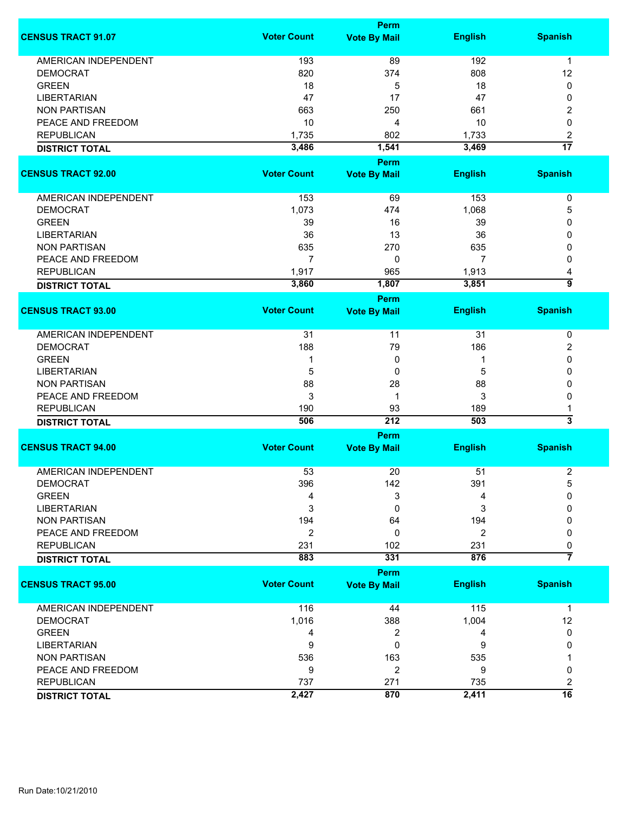|                                                |                    | <b>Perm</b>                        |                |                         |
|------------------------------------------------|--------------------|------------------------------------|----------------|-------------------------|
| <b>CENSUS TRACT 91.07</b>                      | <b>Voter Count</b> | <b>Vote By Mail</b>                | <b>English</b> | <b>Spanish</b>          |
| <b>AMERICAN INDEPENDENT</b>                    | 193                | 89                                 | 192            | $\mathbf 1$             |
| <b>DEMOCRAT</b>                                | 820                | 374                                | 808            | 12                      |
| <b>GREEN</b>                                   | 18                 | 5                                  | 18             | 0                       |
| <b>LIBERTARIAN</b>                             | 47                 | 17                                 | 47             | 0                       |
| <b>NON PARTISAN</b>                            | 663                | 250                                | 661            | 2                       |
| PEACE AND FREEDOM                              |                    |                                    |                |                         |
|                                                | 10                 | 4                                  | 10             | 0                       |
| <b>REPUBLICAN</b>                              | 1,735              | 802                                | 1,733          | $\overline{\mathbf{c}}$ |
| <b>DISTRICT TOTAL</b>                          | 3,486              | 1,541                              | 3,469          | $\overline{17}$         |
| <b>CENSUS TRACT 92.00</b>                      | <b>Voter Count</b> | <b>Perm</b><br><b>Vote By Mail</b> | <b>English</b> | <b>Spanish</b>          |
| AMERICAN INDEPENDENT                           | 153                | 69                                 | 153            | 0                       |
| <b>DEMOCRAT</b>                                | 1,073              | 474                                | 1,068          | 5                       |
| <b>GREEN</b>                                   | 39                 | 16                                 | 39             | 0                       |
| <b>LIBERTARIAN</b>                             | 36                 | 13                                 | 36             | 0                       |
|                                                |                    |                                    |                |                         |
| <b>NON PARTISAN</b>                            | 635                | 270                                | 635            | 0                       |
| PEACE AND FREEDOM                              | 7                  | 0                                  | 7              | 0                       |
| <b>REPUBLICAN</b>                              | 1,917              | 965                                | 1,913          | 4                       |
| <b>DISTRICT TOTAL</b>                          | 3,860              | 1,807                              | 3,851          | 5                       |
| <b>CENSUS TRACT 93.00</b>                      | <b>Voter Count</b> | <b>Perm</b>                        |                | <b>Spanish</b>          |
|                                                |                    | <b>Vote By Mail</b>                | <b>English</b> |                         |
| AMERICAN INDEPENDENT                           | 31                 | 11                                 | 31             | 0                       |
| <b>DEMOCRAT</b>                                | 188                | 79                                 | 186            | 2                       |
| <b>GREEN</b>                                   | 1                  | 0                                  | 1              | 0                       |
| <b>LIBERTARIAN</b>                             | 5                  | 0                                  | 5              | 0                       |
| <b>NON PARTISAN</b>                            | 88                 | 28                                 | 88             | 0                       |
| PEACE AND FREEDOM                              | 3                  | 1                                  | 3              | 0                       |
| <b>REPUBLICAN</b>                              | 190                | 93                                 | 189            | 1                       |
|                                                | 506                | 212                                | 503            | $\overline{\mathbf{3}}$ |
| <b>DISTRICT TOTAL</b>                          |                    |                                    |                |                         |
| <b>CENSUS TRACT 94.00</b>                      | <b>Voter Count</b> | Perm<br><b>Vote By Mail</b>        | <b>English</b> | <b>Spanish</b>          |
|                                                |                    |                                    |                |                         |
| <b>AMERICAN INDEPENDENT</b><br><b>DEMOCRAT</b> | 53                 | 20                                 | 51             | $\overline{2}$          |
| <b>GREEN</b>                                   | 396                | 142                                | 391            | 5<br>0                  |
|                                                | 4                  | 3                                  | 4              |                         |
| <b>LIBERTARIAN</b>                             | 3                  | 0                                  | 3              | 0                       |
| <b>NON PARTISAN</b>                            | 194                | 64                                 | 194            | 0                       |
| PEACE AND FREEDOM                              | $\overline{2}$     | 0                                  | 2              | 0                       |
| <b>REPUBLICAN</b>                              | 231                | 102                                | 231            | 0                       |
| <b>DISTRICT TOTAL</b>                          | 883                | 331                                | 876            | 7                       |
|                                                |                    | Perm                               |                |                         |
| <b>CENSUS TRACT 95.00</b>                      | <b>Voter Count</b> | <b>Vote By Mail</b>                | <b>English</b> | <b>Spanish</b>          |
| <b>AMERICAN INDEPENDENT</b>                    | 116                | 44                                 | 115            | 1                       |
| <b>DEMOCRAT</b>                                | 1,016              | 388                                | 1,004          | 12                      |
| <b>GREEN</b>                                   | 4                  | 2                                  | 4              | 0                       |
| <b>LIBERTARIAN</b>                             | 9                  | 0                                  | 9              | 0                       |
| <b>NON PARTISAN</b>                            | 536                | 163                                | 535            |                         |
| PEACE AND FREEDOM                              | 9                  | 2                                  | 9              | 0                       |
| <b>REPUBLICAN</b>                              | 737                | 271                                | 735            | 2                       |
| <b>DISTRICT TOTAL</b>                          | 2,427              | 870                                | 2,411          | 16                      |
|                                                |                    |                                    |                |                         |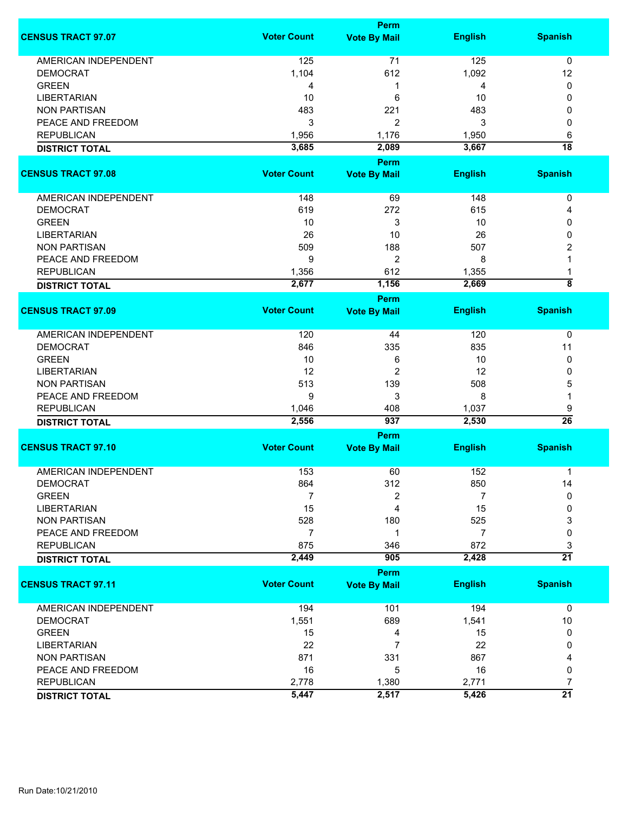|                             |                    | <b>Perm</b>                        |                |                         |  |
|-----------------------------|--------------------|------------------------------------|----------------|-------------------------|--|
| <b>CENSUS TRACT 97.07</b>   | <b>Voter Count</b> | <b>Vote By Mail</b>                | <b>English</b> | <b>Spanish</b>          |  |
| <b>AMERICAN INDEPENDENT</b> | 125                | 71                                 | 125            | $\mathbf 0$             |  |
| <b>DEMOCRAT</b>             | 1,104              | 612                                | 1,092          | 12                      |  |
| <b>GREEN</b>                | 4                  | 1                                  | 4              | 0                       |  |
| <b>LIBERTARIAN</b>          | 10                 | 6                                  | 10             | 0                       |  |
| <b>NON PARTISAN</b>         | 483                | 221                                | 483            | 0                       |  |
| PEACE AND FREEDOM           | 3                  | 2                                  | 3              | 0                       |  |
|                             |                    |                                    |                |                         |  |
| <b>REPUBLICAN</b>           | 1,956              | 1,176                              | 1,950          | 6                       |  |
| <b>DISTRICT TOTAL</b>       | 3,685              | 2,089<br><b>Perm</b>               | 3,667          | $\overline{18}$         |  |
| <b>CENSUS TRACT 97.08</b>   | <b>Voter Count</b> | <b>Vote By Mail</b>                | <b>English</b> | <b>Spanish</b>          |  |
| AMERICAN INDEPENDENT        | 148                | 69                                 | 148            | 0                       |  |
| <b>DEMOCRAT</b>             | 619                | 272                                | 615            | 4                       |  |
| <b>GREEN</b>                | 10                 | 3                                  | 10             | 0                       |  |
| <b>LIBERTARIAN</b>          | 26                 | 10                                 | 26             | 0                       |  |
|                             |                    |                                    |                |                         |  |
| <b>NON PARTISAN</b>         | 509                | 188                                | 507            | 2                       |  |
| PEACE AND FREEDOM           | 9                  | $\overline{c}$                     | 8              |                         |  |
| <b>REPUBLICAN</b>           | 1,356              | 612                                | 1,355          | 1                       |  |
| <b>DISTRICT TOTAL</b>       | 2,677              | 1,156                              | 2,669          | $\overline{\mathbf{8}}$ |  |
| <b>CENSUS TRACT 97.09</b>   | <b>Voter Count</b> | <b>Perm</b><br><b>Vote By Mail</b> | <b>English</b> | <b>Spanish</b>          |  |
|                             |                    |                                    |                |                         |  |
| AMERICAN INDEPENDENT        | 120                | 44                                 | 120            | 0                       |  |
| <b>DEMOCRAT</b>             | 846                | 335                                | 835            | 11                      |  |
| <b>GREEN</b>                | 10                 | 6                                  | 10             | 0                       |  |
| <b>LIBERTARIAN</b>          | 12                 | $\overline{2}$                     | 12             | 0                       |  |
| <b>NON PARTISAN</b>         | 513                | 139                                | 508            | 5                       |  |
| PEACE AND FREEDOM           | 9                  | 3                                  | 8              | 1                       |  |
| <b>REPUBLICAN</b>           | 1,046              | 408                                | 1,037          | 9                       |  |
| <b>DISTRICT TOTAL</b>       | 2,556              | 937                                | 2,530          | $\overline{26}$         |  |
|                             | Perm               |                                    |                |                         |  |
| <b>CENSUS TRACT 97.10</b>   | <b>Voter Count</b> | <b>Vote By Mail</b>                | <b>English</b> | <b>Spanish</b>          |  |
| <b>AMERICAN INDEPENDENT</b> | 153                | 60                                 | 152            | 1                       |  |
| DEMOCRAT                    | 864                | 312                                | 850            | 14                      |  |
| <b>GREEN</b>                | 7                  | 2                                  | 7              | 0                       |  |
| <b>LIBERTARIAN</b>          | 15                 | 4                                  | 15             | 0                       |  |
| <b>NON PARTISAN</b>         | 528                | 180                                | 525            | 3                       |  |
| PEACE AND FREEDOM           | 7                  | 1                                  | 7              | 0                       |  |
| <b>REPUBLICAN</b>           | 875                | 346                                | 872            | 3                       |  |
| <b>DISTRICT TOTAL</b>       | 2,449              | 905                                | 2,428          | $\overline{21}$         |  |
|                             |                    | <b>Perm</b>                        |                |                         |  |
| <b>CENSUS TRACT 97.11</b>   | <b>Voter Count</b> | <b>Vote By Mail</b>                | <b>English</b> | <b>Spanish</b>          |  |
| <b>AMERICAN INDEPENDENT</b> | 194                | 101                                | 194            | $\mathbf 0$             |  |
| <b>DEMOCRAT</b>             | 1,551              | 689                                | 1,541          | 10                      |  |
| <b>GREEN</b>                | 15                 | 4                                  | 15             | 0                       |  |
| <b>LIBERTARIAN</b>          | 22                 | 7                                  | 22             | 0                       |  |
| <b>NON PARTISAN</b>         | 871                | 331                                | 867            | 4                       |  |
| PEACE AND FREEDOM           | 16                 | 5                                  | 16             | 0                       |  |
| <b>REPUBLICAN</b>           | 2,778              | 1,380                              | 2,771          | 7                       |  |
| <b>DISTRICT TOTAL</b>       | 5,447              | 2,517                              | 5,426          | $\overline{21}$         |  |
|                             |                    |                                    |                |                         |  |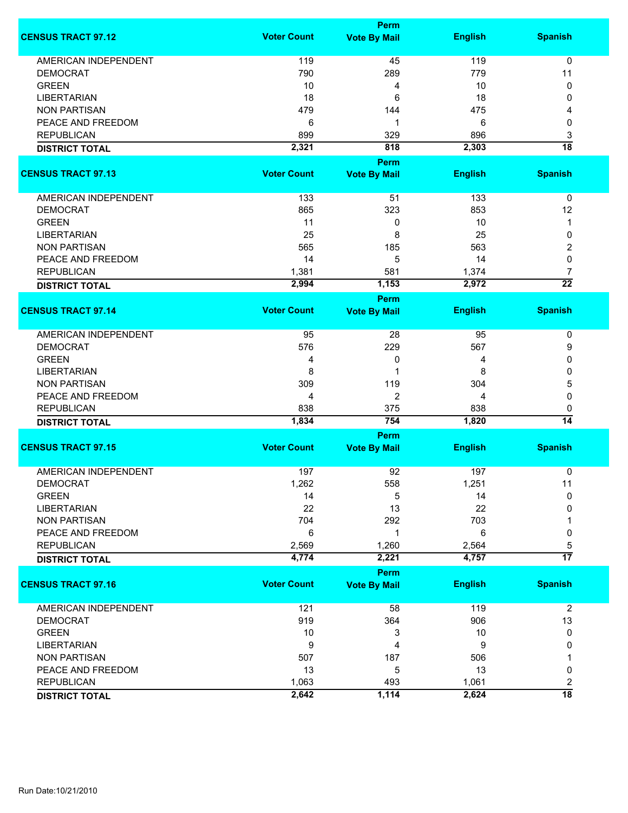|                             |                    | Perm                |                |                      |
|-----------------------------|--------------------|---------------------|----------------|----------------------|
| <b>CENSUS TRACT 97.12</b>   | <b>Voter Count</b> | <b>Vote By Mail</b> | <b>English</b> | <b>Spanish</b>       |
| <b>AMERICAN INDEPENDENT</b> | 119                | 45                  | 119            | $\mathbf 0$          |
| <b>DEMOCRAT</b>             | 790                | 289                 | 779            | 11                   |
| <b>GREEN</b>                | 10                 | 4                   | 10             | 0                    |
|                             |                    |                     |                |                      |
| <b>LIBERTARIAN</b>          | 18                 | 6                   | 18             | $\mathbf{0}$         |
| <b>NON PARTISAN</b>         | 479                | 144                 | 475            | 4                    |
| PEACE AND FREEDOM           | 6                  | 1                   | 6              | 0                    |
| <b>REPUBLICAN</b>           | 899                | 329                 | 896            | 3                    |
| <b>DISTRICT TOTAL</b>       | 2,321              | 818                 | 2,303          | $\overline{18}$      |
|                             |                    | Perm                |                |                      |
| <b>CENSUS TRACT 97.13</b>   | <b>Voter Count</b> | <b>Vote By Mail</b> | <b>English</b> | <b>Spanish</b>       |
| AMERICAN INDEPENDENT        | 133                | 51                  | 133            | 0                    |
| <b>DEMOCRAT</b>             | 865                | 323                 | 853            | 12                   |
| <b>GREEN</b>                | 11                 | 0                   | 10             | $\mathbf 1$          |
| <b>LIBERTARIAN</b>          | 25                 | 8                   | 25             | 0                    |
|                             |                    |                     |                |                      |
| <b>NON PARTISAN</b>         | 565                | 185                 | 563            | 2                    |
| PEACE AND FREEDOM           | 14                 | 5                   | 14             | 0                    |
| <b>REPUBLICAN</b>           | 1,381              | 581                 | 1,374          | $\overline{7}$       |
| <b>DISTRICT TOTAL</b>       | 2,994              | 1,153               | 2,972          | $\overline{22}$      |
|                             |                    | Perm                |                |                      |
| <b>CENSUS TRACT 97.14</b>   | <b>Voter Count</b> | <b>Vote By Mail</b> | <b>English</b> | <b>Spanish</b>       |
| <b>AMERICAN INDEPENDENT</b> | 95                 | 28                  | 95             | 0                    |
| <b>DEMOCRAT</b>             | 576                | 229                 | 567            | 9                    |
| <b>GREEN</b>                | 4                  | 0                   | 4              | 0                    |
| <b>LIBERTARIAN</b>          | 8                  | 1                   | 8              | 0                    |
|                             |                    |                     |                |                      |
| <b>NON PARTISAN</b>         | 309                | 119                 | 304            | 5                    |
| PEACE AND FREEDOM           | 4                  | 2                   | 4              | 0                    |
| <b>REPUBLICAN</b>           | 838                | 375                 | 838            | 0                    |
| <b>DISTRICT TOTAL</b>       | 1,834              | 754                 | 1,820          | $\overline{14}$      |
|                             |                    | Perm                |                |                      |
| <b>CENSUS TRACT 97.15</b>   | <b>Voter Count</b> | <b>Vote By Mail</b> | <b>English</b> | <b>Spanish</b>       |
| AMERICAN INDEPENDENT        | 197                | 92                  | 197            | 0                    |
| <b>DEMOCRAT</b>             | 1,262              | 558                 | 1,251          | 11                   |
| <b>GREEN</b>                | 14                 | 5                   | 14             | $\mathbf{0}$         |
| <b>LIBERTARIAN</b>          | 22                 | 13                  | 22             | $\Omega$             |
| <b>NON PARTISAN</b>         | 704                | 292                 | 703            |                      |
| PEACE AND FREEDOM           |                    | 1                   | 6              |                      |
|                             | 6                  |                     |                | 0                    |
| <b>REPUBLICAN</b>           | 2,569<br>4,774     | 1,260<br>2,221      | 2,564<br>4,757 | 5<br>$\overline{17}$ |
| <b>DISTRICT TOTAL</b>       |                    |                     |                |                      |
| <b>CENSUS TRACT 97.16</b>   | <b>Voter Count</b> | Perm                | <b>English</b> | <b>Spanish</b>       |
|                             |                    | <b>Vote By Mail</b> |                |                      |
| AMERICAN INDEPENDENT        | 121                | 58                  | 119            | $\overline{2}$       |
| <b>DEMOCRAT</b>             | 919                | 364                 | 906            | 13                   |
| <b>GREEN</b>                | 10                 | 3                   | 10             | 0                    |
| <b>LIBERTARIAN</b>          | 9                  | 4                   | 9              | 0                    |
| <b>NON PARTISAN</b>         | 507                | 187                 | 506            |                      |
| PEACE AND FREEDOM           | 13                 | 5                   | 13             | 0                    |
|                             |                    |                     |                |                      |
| <b>REPUBLICAN</b>           | 1,063              | 493                 | 1,061          | 2                    |
| <b>DISTRICT TOTAL</b>       | 2,642              | 1,114               | 2,624          | $\overline{18}$      |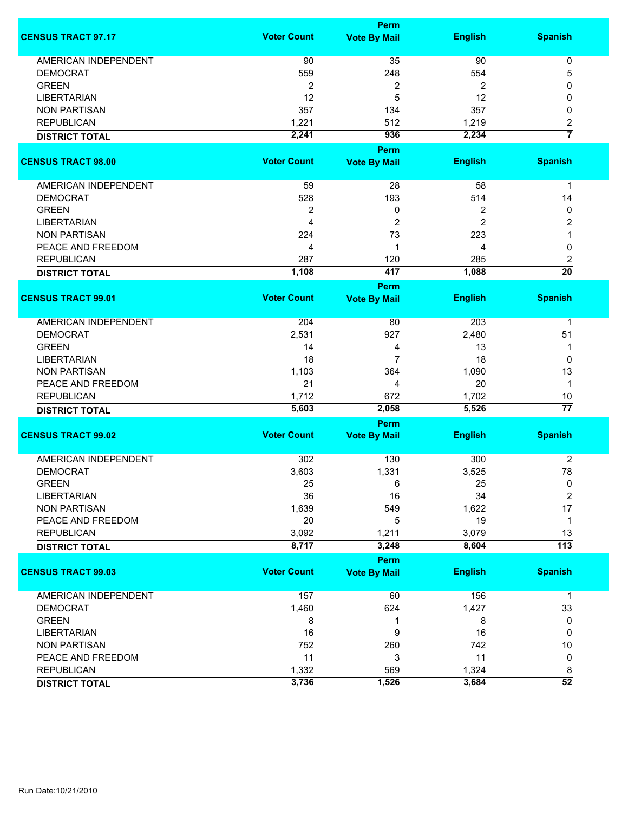|                             |                    | Perm                |                |                         |
|-----------------------------|--------------------|---------------------|----------------|-------------------------|
| <b>CENSUS TRACT 97.17</b>   | <b>Voter Count</b> | <b>Vote By Mail</b> | <b>English</b> | <b>Spanish</b>          |
| <b>AMERICAN INDEPENDENT</b> | 90                 | 35                  | 90             | 0                       |
| <b>DEMOCRAT</b>             | 559                | 248                 | 554            | 5                       |
| <b>GREEN</b>                | $\overline{2}$     | 2                   | $\overline{2}$ | 0                       |
| <b>LIBERTARIAN</b>          | 12                 | 5                   | 12             | 0                       |
| <b>NON PARTISAN</b>         | 357                | 134                 | 357            | 0                       |
| <b>REPUBLICAN</b>           | 1,221              | 512                 | 1,219          | 2                       |
|                             | 2,241              | 936                 | 2,234          | 7                       |
| <b>DISTRICT TOTAL</b>       |                    |                     |                |                         |
|                             |                    | <b>Perm</b>         |                |                         |
| <b>CENSUS TRACT 98.00</b>   | <b>Voter Count</b> | <b>Vote By Mail</b> | <b>English</b> | <b>Spanish</b>          |
| AMERICAN INDEPENDENT        | 59                 |                     | 58             |                         |
|                             |                    | 28                  |                | 1                       |
| <b>DEMOCRAT</b>             | 528                | 193                 | 514            | 14                      |
| <b>GREEN</b>                | 2                  | 0                   | 2              | 0                       |
| <b>LIBERTARIAN</b>          | $\overline{4}$     | $\overline{2}$      | $\overline{2}$ | 2                       |
| <b>NON PARTISAN</b>         | 224                | 73                  | 223            | 1                       |
| PEACE AND FREEDOM           | 4                  | 1                   | 4              | 0                       |
| <b>REPUBLICAN</b>           | 287                | 120                 | 285            | 2                       |
| <b>DISTRICT TOTAL</b>       | 1,108              | 417                 | 1,088          | $\overline{20}$         |
|                             |                    | <b>Perm</b>         |                |                         |
| <b>CENSUS TRACT 99.01</b>   | <b>Voter Count</b> | <b>Vote By Mail</b> | <b>English</b> | <b>Spanish</b>          |
| <b>AMERICAN INDEPENDENT</b> | 204                | 80                  | 203            | $\mathbf 1$             |
| <b>DEMOCRAT</b>             | 2,531              | 927                 | 2,480          | 51                      |
| <b>GREEN</b>                | 14                 | 4                   | 13             | 1                       |
| <b>LIBERTARIAN</b>          | 18                 | 7                   | 18             | 0                       |
| <b>NON PARTISAN</b>         | 1,103              | 364                 | 1,090          | 13                      |
| PEACE AND FREEDOM           | 21                 | 4                   | 20             | $\mathbf 1$             |
| <b>REPUBLICAN</b>           | 1,712              | 672                 | 1,702          | 10                      |
|                             | 5,603              | 2,058               | 5,526          | $\overline{77}$         |
| <b>DISTRICT TOTAL</b>       |                    |                     |                |                         |
| <b>CENSUS TRACT 99.02</b>   |                    | Perm                |                |                         |
|                             | <b>Voter Count</b> | <b>Vote By Mail</b> | <b>English</b> | <b>Spanish</b>          |
| <b>AMERICAN INDEPENDENT</b> | 302                | 130                 | 300            | 2                       |
| <b>DEMOCRAT</b>             | 3,603              | 1,331               | 3,525          | 78                      |
| <b>GREEN</b>                | 25                 | 6                   | 25             | 0                       |
| <b>LIBERTARIAN</b>          | 36                 | 16                  | 34             | $\overline{\mathbf{c}}$ |
| <b>NON PARTISAN</b>         | 1,639              | 549                 | 1,622          | 17                      |
| PEACE AND FREEDOM           | 20                 | 5                   | 19             | 1                       |
| <b>REPUBLICAN</b>           | 3,092              | 1,211               | 3,079          | 13                      |
|                             | 8,717              | 3,248               | 8,604          | $\overline{113}$        |
| <b>DISTRICT TOTAL</b>       |                    |                     |                |                         |
|                             |                    | Perm                |                |                         |
| <b>CENSUS TRACT 99.03</b>   | <b>Voter Count</b> | <b>Vote By Mail</b> | <b>English</b> | <b>Spanish</b>          |
| AMERICAN INDEPENDENT        | 157                | 60                  | 156            | $\mathbf{1}$            |
| <b>DEMOCRAT</b>             | 1,460              | 624                 | 1,427          | 33                      |
| <b>GREEN</b>                | 8                  | 1                   | 8              | 0                       |
| <b>LIBERTARIAN</b>          | 16                 | 9                   | 16             | 0                       |
| <b>NON PARTISAN</b>         | 752                | 260                 | 742            | 10                      |
| PEACE AND FREEDOM           | 11                 | 3                   | 11             | 0                       |
| <b>REPUBLICAN</b>           | 1,332              | 569                 | 1,324          | 8                       |
| <b>DISTRICT TOTAL</b>       | 3,736              | 1,526               | 3,684          | $\overline{52}$         |
|                             |                    |                     |                |                         |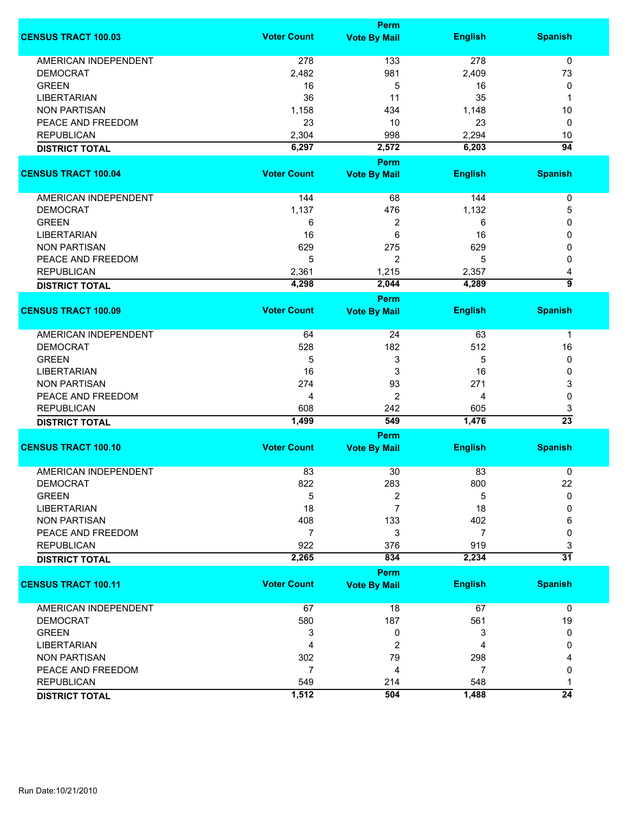|                             |                    | <b>Perm</b>                        |                |                 |
|-----------------------------|--------------------|------------------------------------|----------------|-----------------|
| <b>CENSUS TRACT 100.03</b>  | <b>Voter Count</b> | <b>Vote By Mail</b>                | <b>English</b> | <b>Spanish</b>  |
| <b>AMERICAN INDEPENDENT</b> | 278                | 133                                | 278            | 0               |
| <b>DEMOCRAT</b>             | 2,482              | 981                                | 2,409          | 73              |
| <b>GREEN</b>                | 16                 | 5                                  | 16             | 0               |
| <b>LIBERTARIAN</b>          | 36                 | 11                                 | 35             | 1               |
| <b>NON PARTISAN</b>         |                    |                                    |                |                 |
|                             | 1,158              | 434                                | 1,148          | 10              |
| PEACE AND FREEDOM           | 23                 | 10                                 | 23             | 0               |
| <b>REPUBLICAN</b>           | 2,304              | 998                                | 2,294          | 10              |
| <b>DISTRICT TOTAL</b>       | 6,297              | 2,572                              | 6,203          | $\overline{94}$ |
| <b>CENSUS TRACT 100.04</b>  | <b>Voter Count</b> | <b>Perm</b><br><b>Vote By Mail</b> | <b>English</b> | <b>Spanish</b>  |
|                             |                    |                                    |                |                 |
| AMERICAN INDEPENDENT        | 144                | 68                                 | 144            | 0               |
| <b>DEMOCRAT</b>             | 1,137              | 476                                | 1,132          | 5               |
| <b>GREEN</b>                | 6                  | 2                                  | 6              | 0               |
| <b>LIBERTARIAN</b>          | 16                 | 6                                  | 16             | 0               |
| <b>NON PARTISAN</b>         | 629                | 275                                | 629            | 0               |
| PEACE AND FREEDOM           | 5                  | 2                                  | 5              | 0               |
| <b>REPUBLICAN</b>           | 2,361              | 1,215                              | 2,357          | 4               |
|                             | 4,298              | 2,044                              | 4,289          | 5               |
| <b>DISTRICT TOTAL</b>       |                    | <b>Perm</b>                        |                |                 |
| <b>CENSUS TRACT 100.09</b>  | <b>Voter Count</b> | <b>Vote By Mail</b>                | <b>English</b> | <b>Spanish</b>  |
| <b>AMERICAN INDEPENDENT</b> | 64                 | 24                                 | 63             | $\mathbf 1$     |
| <b>DEMOCRAT</b>             | 528                | 182                                | 512            | 16              |
|                             |                    |                                    |                |                 |
| <b>GREEN</b>                | 5                  | 3                                  | 5              | 0               |
| <b>LIBERTARIAN</b>          | 16                 | 3                                  | 16             | 0               |
| <b>NON PARTISAN</b>         | 274                | 93                                 | 271            | 3               |
| PEACE AND FREEDOM           | 4                  | 2                                  | 4              | 0               |
| <b>REPUBLICAN</b>           | 608                | 242                                | 605            | 3               |
| <b>DISTRICT TOTAL</b>       | 1,499              | 549                                | 1,476          | $\overline{23}$ |
|                             |                    | <b>Perm</b>                        |                |                 |
| <b>CENSUS TRACT 100.10</b>  | <b>Voter Count</b> | <b>Vote By Mail</b>                | <b>English</b> | <b>Spanish</b>  |
| <b>AMERICAN INDEPENDENT</b> | 83                 | 30                                 | 83             | 0               |
| <b>DEMOCRAT</b>             | 822                | 283                                | 800            | 22              |
| <b>GREEN</b>                | 5                  | 2                                  | 5              | $\mathbf{0}$    |
| <b>LIBERTARIAN</b>          | 18                 | 7                                  | 18             | 0               |
| <b>NON PARTISAN</b>         | 408                | 133                                | 402            | 6               |
| PEACE AND FREEDOM           | $\overline{7}$     | 3                                  | $\overline{7}$ | 0               |
| <b>REPUBLICAN</b>           | 922                | 376                                | 919            | 3               |
| <b>DISTRICT TOTAL</b>       | 2,265              | 834                                | 2,234          | $\overline{31}$ |
|                             |                    | <b>Perm</b>                        |                |                 |
| <b>CENSUS TRACT 100.11</b>  | <b>Voter Count</b> | <b>Vote By Mail</b>                | <b>English</b> | <b>Spanish</b>  |
| <b>AMERICAN INDEPENDENT</b> | 67                 | 18                                 | 67             | $\mathbf 0$     |
| <b>DEMOCRAT</b>             | 580                | 187                                | 561            | 19              |
| <b>GREEN</b>                | 3                  | 0                                  | 3              | 0               |
| <b>LIBERTARIAN</b>          | 4                  | 2                                  | 4              | 0               |
| <b>NON PARTISAN</b>         | 302                | 79                                 | 298            |                 |
| PEACE AND FREEDOM           | $\overline{7}$     | 4                                  | 7              | 0               |
| <b>REPUBLICAN</b>           | 549                | 214                                | 548            | 1               |
|                             | 1,512              | 504                                | 1,488          | $\overline{24}$ |
| <b>DISTRICT TOTAL</b>       |                    |                                    |                |                 |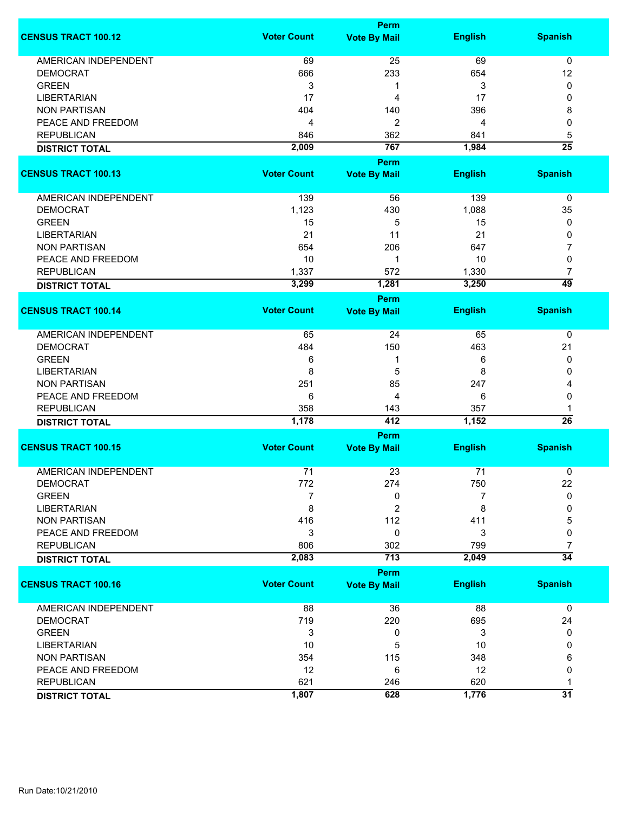|                             |                    | Perm                        |                |                 |
|-----------------------------|--------------------|-----------------------------|----------------|-----------------|
| <b>CENSUS TRACT 100.12</b>  | <b>Voter Count</b> | <b>Vote By Mail</b>         | <b>English</b> | <b>Spanish</b>  |
| <b>AMERICAN INDEPENDENT</b> | 69                 | 25                          | 69             | $\mathbf 0$     |
| <b>DEMOCRAT</b>             | 666                | 233                         | 654            | 12              |
| <b>GREEN</b>                | 3                  | 1                           | 3              | 0               |
| <b>LIBERTARIAN</b>          | 17                 | 4                           | 17             | 0               |
| <b>NON PARTISAN</b>         | 404                | 140                         | 396            | 8               |
| PEACE AND FREEDOM           | 4                  | 2                           | 4              | 0               |
|                             |                    |                             |                |                 |
| <b>REPUBLICAN</b>           | 846                | 362                         | 841            | 5               |
| <b>DISTRICT TOTAL</b>       | 2,009              | 767                         | 1,984          | $\overline{25}$ |
| <b>CENSUS TRACT 100.13</b>  | <b>Voter Count</b> | <b>Perm</b>                 | <b>English</b> | <b>Spanish</b>  |
|                             |                    | <b>Vote By Mail</b>         |                |                 |
| AMERICAN INDEPENDENT        | 139                | 56                          | 139            | 0               |
| <b>DEMOCRAT</b>             | 1,123              | 430                         | 1,088          | 35              |
| <b>GREEN</b>                | 15                 | 5                           | 15             | 0               |
| <b>LIBERTARIAN</b>          | 21                 | 11                          | 21             | 0               |
| <b>NON PARTISAN</b>         | 654                | 206                         | 647            | 7               |
| PEACE AND FREEDOM           | 10                 | 1                           | 10             | 0               |
| <b>REPUBLICAN</b>           | 1,337              | 572                         | 1,330          | 7               |
| <b>DISTRICT TOTAL</b>       | 3,299              | 1,281                       | 3,250          | 49              |
|                             |                    | <b>Perm</b>                 |                |                 |
| <b>CENSUS TRACT 100.14</b>  | <b>Voter Count</b> | <b>Vote By Mail</b>         | <b>English</b> | <b>Spanish</b>  |
| <b>AMERICAN INDEPENDENT</b> | 65                 | 24                          | 65             | 0               |
| <b>DEMOCRAT</b>             | 484                | 150                         | 463            | 21              |
| <b>GREEN</b>                | 6                  | 1                           | 6              | 0               |
| <b>LIBERTARIAN</b>          | 8                  | 5                           | 8              | 0               |
| <b>NON PARTISAN</b>         | 251                | 85                          | 247            | 4               |
| PEACE AND FREEDOM           | 6                  | 4                           | 6              | 0               |
| <b>REPUBLICAN</b>           | 358                | 143                         | 357            |                 |
|                             | 1,178              | 412                         | 1,152          | $\overline{26}$ |
| <b>DISTRICT TOTAL</b>       |                    |                             |                |                 |
| <b>CENSUS TRACT 100.15</b>  | <b>Voter Count</b> | Perm<br><b>Vote By Mail</b> | <b>English</b> | <b>Spanish</b>  |
| <b>AMERICAN INDEPENDENT</b> | 71                 | 23                          | 71             | 0               |
| <b>DEMOCRAT</b>             | 772                | 274                         | 750            | 22              |
| <b>GREEN</b>                | 7                  | 0                           | 7              | 0               |
| <b>LIBERTARIAN</b>          | 8                  | 2                           | 8              | 0               |
| <b>NON PARTISAN</b>         | 416                | 112                         | 411            | 5               |
| PEACE AND FREEDOM           | 3                  | 0                           | 3              | 0               |
| <b>REPUBLICAN</b>           | 806                | 302                         | 799            | 7               |
| <b>DISTRICT TOTAL</b>       | 2,083              | 713                         | 2,049          | $\overline{34}$ |
|                             |                    | Perm                        |                |                 |
| <b>CENSUS TRACT 100.16</b>  | <b>Voter Count</b> | <b>Vote By Mail</b>         | <b>English</b> | <b>Spanish</b>  |
| AMERICAN INDEPENDENT        | 88                 | 36                          | 88             | 0               |
| <b>DEMOCRAT</b>             | 719                | 220                         | 695            | 24              |
| <b>GREEN</b>                | 3                  | 0                           | 3              | 0               |
| <b>LIBERTARIAN</b>          | 10                 | 5                           | 10             | 0               |
| <b>NON PARTISAN</b>         | 354                | 115                         | 348            | 6               |
| PEACE AND FREEDOM           | 12                 | 6                           | 12             | 0               |
| <b>REPUBLICAN</b>           | 621                | 246                         | 620            | 1               |
| <b>DISTRICT TOTAL</b>       | 1,807              | 628                         | 1,776          | $\overline{31}$ |
|                             |                    |                             |                |                 |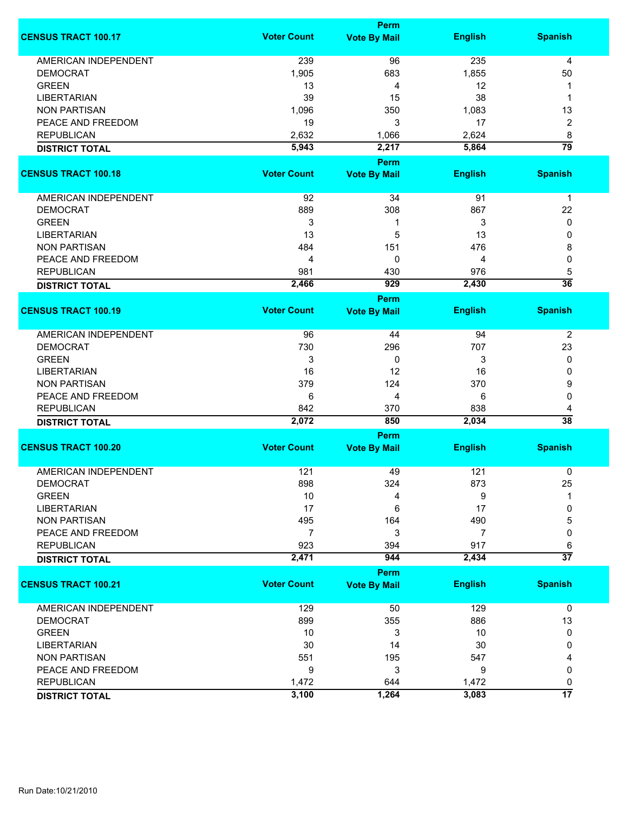|                             |                    | <b>Perm</b>          |                |                      |
|-----------------------------|--------------------|----------------------|----------------|----------------------|
| <b>CENSUS TRACT 100.17</b>  | <b>Voter Count</b> | <b>Vote By Mail</b>  | <b>English</b> | <b>Spanish</b>       |
| <b>AMERICAN INDEPENDENT</b> | 239                | 96                   | 235            | 4                    |
| <b>DEMOCRAT</b>             | 1,905              | 683                  | 1,855          | 50                   |
| <b>GREEN</b>                | 13                 | 4                    | 12             | 1                    |
| <b>LIBERTARIAN</b>          | 39                 | 15                   | 38             | 1                    |
| <b>NON PARTISAN</b>         | 1,096              | 350                  | 1,083          | 13                   |
| PEACE AND FREEDOM           | 19                 | 3                    | 17             |                      |
|                             |                    |                      |                | 2                    |
| <b>REPUBLICAN</b>           | 2,632              | 1,066                | 2,624          | 8                    |
| <b>DISTRICT TOTAL</b>       | 5,943              | 2,217<br><b>Perm</b> | 5,864          | 79                   |
| <b>CENSUS TRACT 100.18</b>  | <b>Voter Count</b> | <b>Vote By Mail</b>  | <b>English</b> | <b>Spanish</b>       |
|                             |                    |                      |                |                      |
| AMERICAN INDEPENDENT        | 92                 | 34                   | 91             | $\mathbf 1$          |
| <b>DEMOCRAT</b>             | 889                | 308                  | 867            | 22                   |
| <b>GREEN</b>                | 3                  | 1                    | 3              | 0                    |
| <b>LIBERTARIAN</b>          | 13                 | 5                    | 13             | 0                    |
| <b>NON PARTISAN</b>         | 484                | 151                  | 476            | 8                    |
| PEACE AND FREEDOM           | 4                  | 0                    | 4              | 0                    |
| <b>REPUBLICAN</b>           | 981                | 430                  | 976            | 5                    |
| <b>DISTRICT TOTAL</b>       | 2,466              | 929                  | 2,430          | $\overline{36}$      |
|                             |                    | Perm                 |                |                      |
| <b>CENSUS TRACT 100.19</b>  | <b>Voter Count</b> | <b>Vote By Mail</b>  | <b>English</b> | <b>Spanish</b>       |
| <b>AMERICAN INDEPENDENT</b> | 96                 | 44                   | 94             | $\overline{2}$       |
| <b>DEMOCRAT</b>             | 730                | 296                  | 707            | 23                   |
| <b>GREEN</b>                | 3                  | 0                    | 3              | 0                    |
| <b>LIBERTARIAN</b>          | 16                 | 12                   | 16             | 0                    |
| <b>NON PARTISAN</b>         | 379                | 124                  | 370            | 9                    |
| PEACE AND FREEDOM           | 6                  | 4                    | 6              | 0                    |
|                             | 842                |                      |                |                      |
| <b>REPUBLICAN</b>           | 2,072              | 370<br>850           | 838<br>2,034   | 4<br>$\overline{38}$ |
| <b>DISTRICT TOTAL</b>       |                    | <b>Perm</b>          |                |                      |
| <b>CENSUS TRACT 100.20</b>  | <b>Voter Count</b> | <b>Vote By Mail</b>  | <b>English</b> | <b>Spanish</b>       |
|                             |                    |                      |                |                      |
| <b>AMERICAN INDEPENDENT</b> | 121                | 49                   | 121            | 0                    |
| <b>DEMOCRAT</b>             | 898                | 324                  | 873            | 25                   |
| <b>GREEN</b>                | 10                 | 4                    | 9              | 1                    |
| <b>LIBERTARIAN</b>          | 17                 | 6                    | 17             | 0                    |
| <b>NON PARTISAN</b>         | 495                | 164                  | 490            | 5                    |
| PEACE AND FREEDOM           | $\overline{7}$     | 3                    | $\overline{7}$ | 0                    |
| <b>REPUBLICAN</b>           | 923                | 394                  | 917            | 6                    |
| <b>DISTRICT TOTAL</b>       | 2,471              | 944                  | 2,434          | $\overline{37}$      |
|                             |                    | <b>Perm</b>          |                |                      |
| <b>CENSUS TRACT 100.21</b>  | <b>Voter Count</b> | <b>Vote By Mail</b>  | <b>English</b> | <b>Spanish</b>       |
| AMERICAN INDEPENDENT        | 129                | 50                   | 129            | $\mathbf 0$          |
| <b>DEMOCRAT</b>             | 899                | 355                  | 886            | 13                   |
| <b>GREEN</b>                | 10                 | 3                    | 10             | 0                    |
| <b>LIBERTARIAN</b>          | 30                 | 14                   | 30             | 0                    |
| <b>NON PARTISAN</b>         | 551                | 195                  | 547            | 4                    |
| PEACE AND FREEDOM           | 9                  | 3                    | 9              | 0                    |
| <b>REPUBLICAN</b>           | 1,472              | 644                  | 1,472          | 0                    |
| <b>DISTRICT TOTAL</b>       | 3,100              | 1,264                | 3,083          | $\overline{17}$      |
|                             |                    |                      |                |                      |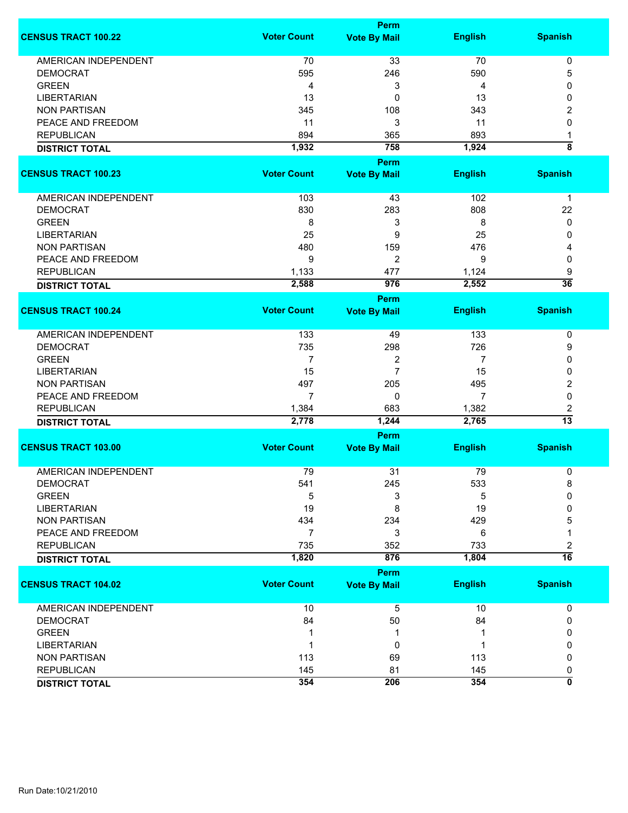| <b>Voter Count</b><br><b>English</b><br><b>Spanish</b><br><b>Vote By Mail</b><br><b>AMERICAN INDEPENDENT</b><br>33<br>70<br>70<br>$\pmb{0}$<br>5<br><b>DEMOCRAT</b><br>595<br>246<br>590<br><b>GREEN</b><br>3<br>4<br>0<br>4<br><b>LIBERTARIAN</b><br>13<br>0<br>13<br>0<br><b>NON PARTISAN</b><br>345<br>108<br>343<br>2<br>11<br>3<br>PEACE AND FREEDOM<br>11<br>0<br>894<br>893<br><b>REPUBLICAN</b><br>365<br>1<br>$\overline{\bf 8}$<br>1,932<br>758<br>1,924<br><b>DISTRICT TOTAL</b><br>Perm<br><b>Voter Count</b><br><b>English</b><br><b>Spanish</b><br><b>Vote By Mail</b><br>AMERICAN INDEPENDENT<br>103<br>102<br>43<br>1<br>830<br><b>DEMOCRAT</b><br>283<br>808<br>22<br>3<br><b>GREEN</b><br>8<br>8<br>0<br>9<br><b>LIBERTARIAN</b><br>25<br>25<br>0<br>476<br><b>NON PARTISAN</b><br>480<br>159<br>4<br>2<br>PEACE AND FREEDOM<br>9<br>9<br>0<br>477<br>9<br><b>REPUBLICAN</b><br>1,133<br>1,124<br>$\overline{36}$<br>2,588<br>976<br>2,552<br><b>DISTRICT TOTAL</b><br><b>Perm</b><br><b>Voter Count</b><br><b>English</b><br><b>Spanish</b><br><b>Vote By Mail</b><br><b>AMERICAN INDEPENDENT</b><br>133<br>133<br>49<br>0<br>726<br><b>DEMOCRAT</b><br>735<br>298<br>9<br><b>GREEN</b><br>$\overline{7}$<br>2<br>7<br>0<br>7<br><b>LIBERTARIAN</b><br>15<br>15<br>0<br>2<br><b>NON PARTISAN</b><br>497<br>205<br>495<br>PEACE AND FREEDOM<br>$\mathbf 0$<br>7<br>0<br>7<br>2<br><b>REPUBLICAN</b><br>1,384<br>683<br>1,382<br>$\overline{13}$<br>2,778<br>2,765<br>1,244<br><b>DISTRICT TOTAL</b><br><b>Perm</b><br><b>Voter Count</b><br><b>English</b><br><b>Spanish</b><br><b>Vote By Mail</b><br><b>AMERICAN INDEPENDENT</b><br>79<br>31<br>79<br>0<br><b>DEMOCRAT</b><br>541<br>245<br>533<br>8<br><b>GREEN</b><br>5<br>3<br>5<br>0<br><b>LIBERTARIAN</b><br>19<br>8<br>19<br>0<br><b>NON PARTISAN</b><br>434<br>234<br>429<br>5<br>PEACE AND FREEDOM<br>$\overline{7}$<br>3<br>6<br>1<br><b>REPUBLICAN</b><br>735<br>733<br>352<br>2<br>$\overline{16}$<br>1,820<br>876<br>1,804<br><b>DISTRICT TOTAL</b><br><b>Perm</b><br><b>Voter Count</b><br><b>Spanish</b><br><b>CENSUS TRACT 104.02</b><br><b>English</b><br><b>Vote By Mail</b><br><b>AMERICAN INDEPENDENT</b><br>10<br>5<br>10<br>0<br><b>DEMOCRAT</b><br>84<br>50<br>84<br>0<br><b>GREEN</b><br>0<br>1<br><b>LIBERTARIAN</b><br>0<br>0<br>1<br>1<br><b>NON PARTISAN</b><br>113<br>69<br>113<br>0<br><b>REPUBLICAN</b><br>145<br>81<br>145<br>0<br>354<br>$\overline{\mathbf{0}}$<br>354<br>206<br><b>DISTRICT TOTAL</b> |                            | <b>Perm</b> |  |
|-------------------------------------------------------------------------------------------------------------------------------------------------------------------------------------------------------------------------------------------------------------------------------------------------------------------------------------------------------------------------------------------------------------------------------------------------------------------------------------------------------------------------------------------------------------------------------------------------------------------------------------------------------------------------------------------------------------------------------------------------------------------------------------------------------------------------------------------------------------------------------------------------------------------------------------------------------------------------------------------------------------------------------------------------------------------------------------------------------------------------------------------------------------------------------------------------------------------------------------------------------------------------------------------------------------------------------------------------------------------------------------------------------------------------------------------------------------------------------------------------------------------------------------------------------------------------------------------------------------------------------------------------------------------------------------------------------------------------------------------------------------------------------------------------------------------------------------------------------------------------------------------------------------------------------------------------------------------------------------------------------------------------------------------------------------------------------------------------------------------------------------------------------------------------------------------------------------------------------------------------------------------------------------------------------------------------------------------------------------------------------------------------------------------------------------------------------------------------------------------------------------|----------------------------|-------------|--|
|                                                                                                                                                                                                                                                                                                                                                                                                                                                                                                                                                                                                                                                                                                                                                                                                                                                                                                                                                                                                                                                                                                                                                                                                                                                                                                                                                                                                                                                                                                                                                                                                                                                                                                                                                                                                                                                                                                                                                                                                                                                                                                                                                                                                                                                                                                                                                                                                                                                                                                             | <b>CENSUS TRACT 100.22</b> |             |  |
|                                                                                                                                                                                                                                                                                                                                                                                                                                                                                                                                                                                                                                                                                                                                                                                                                                                                                                                                                                                                                                                                                                                                                                                                                                                                                                                                                                                                                                                                                                                                                                                                                                                                                                                                                                                                                                                                                                                                                                                                                                                                                                                                                                                                                                                                                                                                                                                                                                                                                                             |                            |             |  |
|                                                                                                                                                                                                                                                                                                                                                                                                                                                                                                                                                                                                                                                                                                                                                                                                                                                                                                                                                                                                                                                                                                                                                                                                                                                                                                                                                                                                                                                                                                                                                                                                                                                                                                                                                                                                                                                                                                                                                                                                                                                                                                                                                                                                                                                                                                                                                                                                                                                                                                             |                            |             |  |
|                                                                                                                                                                                                                                                                                                                                                                                                                                                                                                                                                                                                                                                                                                                                                                                                                                                                                                                                                                                                                                                                                                                                                                                                                                                                                                                                                                                                                                                                                                                                                                                                                                                                                                                                                                                                                                                                                                                                                                                                                                                                                                                                                                                                                                                                                                                                                                                                                                                                                                             |                            |             |  |
|                                                                                                                                                                                                                                                                                                                                                                                                                                                                                                                                                                                                                                                                                                                                                                                                                                                                                                                                                                                                                                                                                                                                                                                                                                                                                                                                                                                                                                                                                                                                                                                                                                                                                                                                                                                                                                                                                                                                                                                                                                                                                                                                                                                                                                                                                                                                                                                                                                                                                                             |                            |             |  |
|                                                                                                                                                                                                                                                                                                                                                                                                                                                                                                                                                                                                                                                                                                                                                                                                                                                                                                                                                                                                                                                                                                                                                                                                                                                                                                                                                                                                                                                                                                                                                                                                                                                                                                                                                                                                                                                                                                                                                                                                                                                                                                                                                                                                                                                                                                                                                                                                                                                                                                             |                            |             |  |
|                                                                                                                                                                                                                                                                                                                                                                                                                                                                                                                                                                                                                                                                                                                                                                                                                                                                                                                                                                                                                                                                                                                                                                                                                                                                                                                                                                                                                                                                                                                                                                                                                                                                                                                                                                                                                                                                                                                                                                                                                                                                                                                                                                                                                                                                                                                                                                                                                                                                                                             |                            |             |  |
|                                                                                                                                                                                                                                                                                                                                                                                                                                                                                                                                                                                                                                                                                                                                                                                                                                                                                                                                                                                                                                                                                                                                                                                                                                                                                                                                                                                                                                                                                                                                                                                                                                                                                                                                                                                                                                                                                                                                                                                                                                                                                                                                                                                                                                                                                                                                                                                                                                                                                                             |                            |             |  |
|                                                                                                                                                                                                                                                                                                                                                                                                                                                                                                                                                                                                                                                                                                                                                                                                                                                                                                                                                                                                                                                                                                                                                                                                                                                                                                                                                                                                                                                                                                                                                                                                                                                                                                                                                                                                                                                                                                                                                                                                                                                                                                                                                                                                                                                                                                                                                                                                                                                                                                             |                            |             |  |
|                                                                                                                                                                                                                                                                                                                                                                                                                                                                                                                                                                                                                                                                                                                                                                                                                                                                                                                                                                                                                                                                                                                                                                                                                                                                                                                                                                                                                                                                                                                                                                                                                                                                                                                                                                                                                                                                                                                                                                                                                                                                                                                                                                                                                                                                                                                                                                                                                                                                                                             |                            |             |  |
|                                                                                                                                                                                                                                                                                                                                                                                                                                                                                                                                                                                                                                                                                                                                                                                                                                                                                                                                                                                                                                                                                                                                                                                                                                                                                                                                                                                                                                                                                                                                                                                                                                                                                                                                                                                                                                                                                                                                                                                                                                                                                                                                                                                                                                                                                                                                                                                                                                                                                                             |                            |             |  |
|                                                                                                                                                                                                                                                                                                                                                                                                                                                                                                                                                                                                                                                                                                                                                                                                                                                                                                                                                                                                                                                                                                                                                                                                                                                                                                                                                                                                                                                                                                                                                                                                                                                                                                                                                                                                                                                                                                                                                                                                                                                                                                                                                                                                                                                                                                                                                                                                                                                                                                             | <b>CENSUS TRACT 100.23</b> |             |  |
|                                                                                                                                                                                                                                                                                                                                                                                                                                                                                                                                                                                                                                                                                                                                                                                                                                                                                                                                                                                                                                                                                                                                                                                                                                                                                                                                                                                                                                                                                                                                                                                                                                                                                                                                                                                                                                                                                                                                                                                                                                                                                                                                                                                                                                                                                                                                                                                                                                                                                                             |                            |             |  |
|                                                                                                                                                                                                                                                                                                                                                                                                                                                                                                                                                                                                                                                                                                                                                                                                                                                                                                                                                                                                                                                                                                                                                                                                                                                                                                                                                                                                                                                                                                                                                                                                                                                                                                                                                                                                                                                                                                                                                                                                                                                                                                                                                                                                                                                                                                                                                                                                                                                                                                             |                            |             |  |
|                                                                                                                                                                                                                                                                                                                                                                                                                                                                                                                                                                                                                                                                                                                                                                                                                                                                                                                                                                                                                                                                                                                                                                                                                                                                                                                                                                                                                                                                                                                                                                                                                                                                                                                                                                                                                                                                                                                                                                                                                                                                                                                                                                                                                                                                                                                                                                                                                                                                                                             |                            |             |  |
|                                                                                                                                                                                                                                                                                                                                                                                                                                                                                                                                                                                                                                                                                                                                                                                                                                                                                                                                                                                                                                                                                                                                                                                                                                                                                                                                                                                                                                                                                                                                                                                                                                                                                                                                                                                                                                                                                                                                                                                                                                                                                                                                                                                                                                                                                                                                                                                                                                                                                                             |                            |             |  |
|                                                                                                                                                                                                                                                                                                                                                                                                                                                                                                                                                                                                                                                                                                                                                                                                                                                                                                                                                                                                                                                                                                                                                                                                                                                                                                                                                                                                                                                                                                                                                                                                                                                                                                                                                                                                                                                                                                                                                                                                                                                                                                                                                                                                                                                                                                                                                                                                                                                                                                             |                            |             |  |
|                                                                                                                                                                                                                                                                                                                                                                                                                                                                                                                                                                                                                                                                                                                                                                                                                                                                                                                                                                                                                                                                                                                                                                                                                                                                                                                                                                                                                                                                                                                                                                                                                                                                                                                                                                                                                                                                                                                                                                                                                                                                                                                                                                                                                                                                                                                                                                                                                                                                                                             |                            |             |  |
|                                                                                                                                                                                                                                                                                                                                                                                                                                                                                                                                                                                                                                                                                                                                                                                                                                                                                                                                                                                                                                                                                                                                                                                                                                                                                                                                                                                                                                                                                                                                                                                                                                                                                                                                                                                                                                                                                                                                                                                                                                                                                                                                                                                                                                                                                                                                                                                                                                                                                                             |                            |             |  |
|                                                                                                                                                                                                                                                                                                                                                                                                                                                                                                                                                                                                                                                                                                                                                                                                                                                                                                                                                                                                                                                                                                                                                                                                                                                                                                                                                                                                                                                                                                                                                                                                                                                                                                                                                                                                                                                                                                                                                                                                                                                                                                                                                                                                                                                                                                                                                                                                                                                                                                             |                            |             |  |
|                                                                                                                                                                                                                                                                                                                                                                                                                                                                                                                                                                                                                                                                                                                                                                                                                                                                                                                                                                                                                                                                                                                                                                                                                                                                                                                                                                                                                                                                                                                                                                                                                                                                                                                                                                                                                                                                                                                                                                                                                                                                                                                                                                                                                                                                                                                                                                                                                                                                                                             |                            |             |  |
|                                                                                                                                                                                                                                                                                                                                                                                                                                                                                                                                                                                                                                                                                                                                                                                                                                                                                                                                                                                                                                                                                                                                                                                                                                                                                                                                                                                                                                                                                                                                                                                                                                                                                                                                                                                                                                                                                                                                                                                                                                                                                                                                                                                                                                                                                                                                                                                                                                                                                                             |                            |             |  |
|                                                                                                                                                                                                                                                                                                                                                                                                                                                                                                                                                                                                                                                                                                                                                                                                                                                                                                                                                                                                                                                                                                                                                                                                                                                                                                                                                                                                                                                                                                                                                                                                                                                                                                                                                                                                                                                                                                                                                                                                                                                                                                                                                                                                                                                                                                                                                                                                                                                                                                             |                            |             |  |
|                                                                                                                                                                                                                                                                                                                                                                                                                                                                                                                                                                                                                                                                                                                                                                                                                                                                                                                                                                                                                                                                                                                                                                                                                                                                                                                                                                                                                                                                                                                                                                                                                                                                                                                                                                                                                                                                                                                                                                                                                                                                                                                                                                                                                                                                                                                                                                                                                                                                                                             | <b>CENSUS TRACT 100.24</b> |             |  |
|                                                                                                                                                                                                                                                                                                                                                                                                                                                                                                                                                                                                                                                                                                                                                                                                                                                                                                                                                                                                                                                                                                                                                                                                                                                                                                                                                                                                                                                                                                                                                                                                                                                                                                                                                                                                                                                                                                                                                                                                                                                                                                                                                                                                                                                                                                                                                                                                                                                                                                             |                            |             |  |
|                                                                                                                                                                                                                                                                                                                                                                                                                                                                                                                                                                                                                                                                                                                                                                                                                                                                                                                                                                                                                                                                                                                                                                                                                                                                                                                                                                                                                                                                                                                                                                                                                                                                                                                                                                                                                                                                                                                                                                                                                                                                                                                                                                                                                                                                                                                                                                                                                                                                                                             |                            |             |  |
|                                                                                                                                                                                                                                                                                                                                                                                                                                                                                                                                                                                                                                                                                                                                                                                                                                                                                                                                                                                                                                                                                                                                                                                                                                                                                                                                                                                                                                                                                                                                                                                                                                                                                                                                                                                                                                                                                                                                                                                                                                                                                                                                                                                                                                                                                                                                                                                                                                                                                                             |                            |             |  |
|                                                                                                                                                                                                                                                                                                                                                                                                                                                                                                                                                                                                                                                                                                                                                                                                                                                                                                                                                                                                                                                                                                                                                                                                                                                                                                                                                                                                                                                                                                                                                                                                                                                                                                                                                                                                                                                                                                                                                                                                                                                                                                                                                                                                                                                                                                                                                                                                                                                                                                             |                            |             |  |
|                                                                                                                                                                                                                                                                                                                                                                                                                                                                                                                                                                                                                                                                                                                                                                                                                                                                                                                                                                                                                                                                                                                                                                                                                                                                                                                                                                                                                                                                                                                                                                                                                                                                                                                                                                                                                                                                                                                                                                                                                                                                                                                                                                                                                                                                                                                                                                                                                                                                                                             |                            |             |  |
|                                                                                                                                                                                                                                                                                                                                                                                                                                                                                                                                                                                                                                                                                                                                                                                                                                                                                                                                                                                                                                                                                                                                                                                                                                                                                                                                                                                                                                                                                                                                                                                                                                                                                                                                                                                                                                                                                                                                                                                                                                                                                                                                                                                                                                                                                                                                                                                                                                                                                                             |                            |             |  |
|                                                                                                                                                                                                                                                                                                                                                                                                                                                                                                                                                                                                                                                                                                                                                                                                                                                                                                                                                                                                                                                                                                                                                                                                                                                                                                                                                                                                                                                                                                                                                                                                                                                                                                                                                                                                                                                                                                                                                                                                                                                                                                                                                                                                                                                                                                                                                                                                                                                                                                             |                            |             |  |
|                                                                                                                                                                                                                                                                                                                                                                                                                                                                                                                                                                                                                                                                                                                                                                                                                                                                                                                                                                                                                                                                                                                                                                                                                                                                                                                                                                                                                                                                                                                                                                                                                                                                                                                                                                                                                                                                                                                                                                                                                                                                                                                                                                                                                                                                                                                                                                                                                                                                                                             |                            |             |  |
|                                                                                                                                                                                                                                                                                                                                                                                                                                                                                                                                                                                                                                                                                                                                                                                                                                                                                                                                                                                                                                                                                                                                                                                                                                                                                                                                                                                                                                                                                                                                                                                                                                                                                                                                                                                                                                                                                                                                                                                                                                                                                                                                                                                                                                                                                                                                                                                                                                                                                                             |                            |             |  |
|                                                                                                                                                                                                                                                                                                                                                                                                                                                                                                                                                                                                                                                                                                                                                                                                                                                                                                                                                                                                                                                                                                                                                                                                                                                                                                                                                                                                                                                                                                                                                                                                                                                                                                                                                                                                                                                                                                                                                                                                                                                                                                                                                                                                                                                                                                                                                                                                                                                                                                             |                            |             |  |
|                                                                                                                                                                                                                                                                                                                                                                                                                                                                                                                                                                                                                                                                                                                                                                                                                                                                                                                                                                                                                                                                                                                                                                                                                                                                                                                                                                                                                                                                                                                                                                                                                                                                                                                                                                                                                                                                                                                                                                                                                                                                                                                                                                                                                                                                                                                                                                                                                                                                                                             | <b>CENSUS TRACT 103.00</b> |             |  |
|                                                                                                                                                                                                                                                                                                                                                                                                                                                                                                                                                                                                                                                                                                                                                                                                                                                                                                                                                                                                                                                                                                                                                                                                                                                                                                                                                                                                                                                                                                                                                                                                                                                                                                                                                                                                                                                                                                                                                                                                                                                                                                                                                                                                                                                                                                                                                                                                                                                                                                             |                            |             |  |
|                                                                                                                                                                                                                                                                                                                                                                                                                                                                                                                                                                                                                                                                                                                                                                                                                                                                                                                                                                                                                                                                                                                                                                                                                                                                                                                                                                                                                                                                                                                                                                                                                                                                                                                                                                                                                                                                                                                                                                                                                                                                                                                                                                                                                                                                                                                                                                                                                                                                                                             |                            |             |  |
|                                                                                                                                                                                                                                                                                                                                                                                                                                                                                                                                                                                                                                                                                                                                                                                                                                                                                                                                                                                                                                                                                                                                                                                                                                                                                                                                                                                                                                                                                                                                                                                                                                                                                                                                                                                                                                                                                                                                                                                                                                                                                                                                                                                                                                                                                                                                                                                                                                                                                                             |                            |             |  |
|                                                                                                                                                                                                                                                                                                                                                                                                                                                                                                                                                                                                                                                                                                                                                                                                                                                                                                                                                                                                                                                                                                                                                                                                                                                                                                                                                                                                                                                                                                                                                                                                                                                                                                                                                                                                                                                                                                                                                                                                                                                                                                                                                                                                                                                                                                                                                                                                                                                                                                             |                            |             |  |
|                                                                                                                                                                                                                                                                                                                                                                                                                                                                                                                                                                                                                                                                                                                                                                                                                                                                                                                                                                                                                                                                                                                                                                                                                                                                                                                                                                                                                                                                                                                                                                                                                                                                                                                                                                                                                                                                                                                                                                                                                                                                                                                                                                                                                                                                                                                                                                                                                                                                                                             |                            |             |  |
|                                                                                                                                                                                                                                                                                                                                                                                                                                                                                                                                                                                                                                                                                                                                                                                                                                                                                                                                                                                                                                                                                                                                                                                                                                                                                                                                                                                                                                                                                                                                                                                                                                                                                                                                                                                                                                                                                                                                                                                                                                                                                                                                                                                                                                                                                                                                                                                                                                                                                                             |                            |             |  |
|                                                                                                                                                                                                                                                                                                                                                                                                                                                                                                                                                                                                                                                                                                                                                                                                                                                                                                                                                                                                                                                                                                                                                                                                                                                                                                                                                                                                                                                                                                                                                                                                                                                                                                                                                                                                                                                                                                                                                                                                                                                                                                                                                                                                                                                                                                                                                                                                                                                                                                             |                            |             |  |
|                                                                                                                                                                                                                                                                                                                                                                                                                                                                                                                                                                                                                                                                                                                                                                                                                                                                                                                                                                                                                                                                                                                                                                                                                                                                                                                                                                                                                                                                                                                                                                                                                                                                                                                                                                                                                                                                                                                                                                                                                                                                                                                                                                                                                                                                                                                                                                                                                                                                                                             |                            |             |  |
|                                                                                                                                                                                                                                                                                                                                                                                                                                                                                                                                                                                                                                                                                                                                                                                                                                                                                                                                                                                                                                                                                                                                                                                                                                                                                                                                                                                                                                                                                                                                                                                                                                                                                                                                                                                                                                                                                                                                                                                                                                                                                                                                                                                                                                                                                                                                                                                                                                                                                                             |                            |             |  |
|                                                                                                                                                                                                                                                                                                                                                                                                                                                                                                                                                                                                                                                                                                                                                                                                                                                                                                                                                                                                                                                                                                                                                                                                                                                                                                                                                                                                                                                                                                                                                                                                                                                                                                                                                                                                                                                                                                                                                                                                                                                                                                                                                                                                                                                                                                                                                                                                                                                                                                             |                            |             |  |
|                                                                                                                                                                                                                                                                                                                                                                                                                                                                                                                                                                                                                                                                                                                                                                                                                                                                                                                                                                                                                                                                                                                                                                                                                                                                                                                                                                                                                                                                                                                                                                                                                                                                                                                                                                                                                                                                                                                                                                                                                                                                                                                                                                                                                                                                                                                                                                                                                                                                                                             |                            |             |  |
|                                                                                                                                                                                                                                                                                                                                                                                                                                                                                                                                                                                                                                                                                                                                                                                                                                                                                                                                                                                                                                                                                                                                                                                                                                                                                                                                                                                                                                                                                                                                                                                                                                                                                                                                                                                                                                                                                                                                                                                                                                                                                                                                                                                                                                                                                                                                                                                                                                                                                                             |                            |             |  |
|                                                                                                                                                                                                                                                                                                                                                                                                                                                                                                                                                                                                                                                                                                                                                                                                                                                                                                                                                                                                                                                                                                                                                                                                                                                                                                                                                                                                                                                                                                                                                                                                                                                                                                                                                                                                                                                                                                                                                                                                                                                                                                                                                                                                                                                                                                                                                                                                                                                                                                             |                            |             |  |
|                                                                                                                                                                                                                                                                                                                                                                                                                                                                                                                                                                                                                                                                                                                                                                                                                                                                                                                                                                                                                                                                                                                                                                                                                                                                                                                                                                                                                                                                                                                                                                                                                                                                                                                                                                                                                                                                                                                                                                                                                                                                                                                                                                                                                                                                                                                                                                                                                                                                                                             |                            |             |  |
|                                                                                                                                                                                                                                                                                                                                                                                                                                                                                                                                                                                                                                                                                                                                                                                                                                                                                                                                                                                                                                                                                                                                                                                                                                                                                                                                                                                                                                                                                                                                                                                                                                                                                                                                                                                                                                                                                                                                                                                                                                                                                                                                                                                                                                                                                                                                                                                                                                                                                                             |                            |             |  |
|                                                                                                                                                                                                                                                                                                                                                                                                                                                                                                                                                                                                                                                                                                                                                                                                                                                                                                                                                                                                                                                                                                                                                                                                                                                                                                                                                                                                                                                                                                                                                                                                                                                                                                                                                                                                                                                                                                                                                                                                                                                                                                                                                                                                                                                                                                                                                                                                                                                                                                             |                            |             |  |
|                                                                                                                                                                                                                                                                                                                                                                                                                                                                                                                                                                                                                                                                                                                                                                                                                                                                                                                                                                                                                                                                                                                                                                                                                                                                                                                                                                                                                                                                                                                                                                                                                                                                                                                                                                                                                                                                                                                                                                                                                                                                                                                                                                                                                                                                                                                                                                                                                                                                                                             |                            |             |  |
|                                                                                                                                                                                                                                                                                                                                                                                                                                                                                                                                                                                                                                                                                                                                                                                                                                                                                                                                                                                                                                                                                                                                                                                                                                                                                                                                                                                                                                                                                                                                                                                                                                                                                                                                                                                                                                                                                                                                                                                                                                                                                                                                                                                                                                                                                                                                                                                                                                                                                                             |                            |             |  |
|                                                                                                                                                                                                                                                                                                                                                                                                                                                                                                                                                                                                                                                                                                                                                                                                                                                                                                                                                                                                                                                                                                                                                                                                                                                                                                                                                                                                                                                                                                                                                                                                                                                                                                                                                                                                                                                                                                                                                                                                                                                                                                                                                                                                                                                                                                                                                                                                                                                                                                             |                            |             |  |
|                                                                                                                                                                                                                                                                                                                                                                                                                                                                                                                                                                                                                                                                                                                                                                                                                                                                                                                                                                                                                                                                                                                                                                                                                                                                                                                                                                                                                                                                                                                                                                                                                                                                                                                                                                                                                                                                                                                                                                                                                                                                                                                                                                                                                                                                                                                                                                                                                                                                                                             |                            |             |  |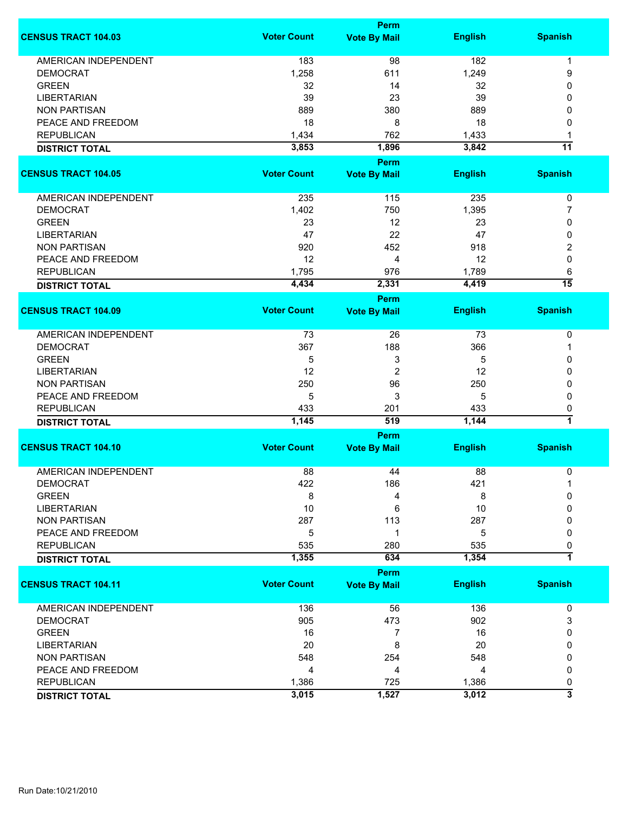|                             |                    | Perm                        |                |                 |
|-----------------------------|--------------------|-----------------------------|----------------|-----------------|
| <b>CENSUS TRACT 104.03</b>  | <b>Voter Count</b> | <b>Vote By Mail</b>         | <b>English</b> | <b>Spanish</b>  |
| <b>AMERICAN INDEPENDENT</b> | 183                | 98                          | 182            | $\mathbf 1$     |
| <b>DEMOCRAT</b>             | 1,258              | 611                         | 1,249          | 9               |
| <b>GREEN</b>                | 32                 | 14                          | 32             | 0               |
| <b>LIBERTARIAN</b>          | 39                 | 23                          | 39             | 0               |
| <b>NON PARTISAN</b>         | 889                | 380                         | 889            | 0               |
| PEACE AND FREEDOM           |                    |                             |                |                 |
|                             | 18                 | 8                           | 18             | 0               |
| <b>REPUBLICAN</b>           | 1,434              | 762                         | 1,433          | 1               |
| <b>DISTRICT TOTAL</b>       | 3,853              | 1,896                       | 3,842          | $\overline{11}$ |
| <b>CENSUS TRACT 104.05</b>  | <b>Voter Count</b> | Perm<br><b>Vote By Mail</b> | <b>English</b> | <b>Spanish</b>  |
|                             |                    |                             |                |                 |
| <b>AMERICAN INDEPENDENT</b> | 235                | 115                         | 235            | $\pmb{0}$       |
| <b>DEMOCRAT</b>             | 1,402              | 750                         | 1,395          | 7               |
| <b>GREEN</b>                | 23                 | 12                          | 23             | 0               |
| <b>LIBERTARIAN</b>          | 47                 | 22                          | 47             | 0               |
| <b>NON PARTISAN</b>         | 920                | 452                         | 918            | 2               |
| PEACE AND FREEDOM           | 12                 | 4                           | 12             | 0               |
| <b>REPUBLICAN</b>           | 1,795              | 976                         | 1,789          | 6               |
|                             | 4,434              | 2,331                       | 4,419          | $\overline{15}$ |
| <b>DISTRICT TOTAL</b>       |                    | Perm                        |                |                 |
| <b>CENSUS TRACT 104.09</b>  | <b>Voter Count</b> | <b>Vote By Mail</b>         | <b>English</b> | <b>Spanish</b>  |
| AMERICAN INDEPENDENT        | 73                 | 26                          | 73             | $\pmb{0}$       |
| <b>DEMOCRAT</b>             | 367                | 188                         | 366            | 1               |
| <b>GREEN</b>                | 5                  | 3                           | 5              | 0               |
| <b>LIBERTARIAN</b>          | 12                 | $\overline{2}$              | 12             | 0               |
| <b>NON PARTISAN</b>         | 250                | 96                          |                | 0               |
|                             |                    |                             | 250            |                 |
| PEACE AND FREEDOM           | 5                  | 3                           | 5              | 0               |
| <b>REPUBLICAN</b>           | 433                | 201                         | 433            | 0               |
| <b>DISTRICT TOTAL</b>       | 1,145              | 519                         | 1,144          | 7               |
| <b>CENSUS TRACT 104.10</b>  | <b>Voter Count</b> | Perm<br><b>Vote By Mail</b> | <b>English</b> | <b>Spanish</b>  |
|                             |                    |                             |                |                 |
| <b>AMERICAN INDEPENDENT</b> | 88                 | 44                          | 88             | 0               |
| DEMOCRAT                    | 422                | 186                         | 421            |                 |
| <b>GREEN</b>                | 8                  | 4                           | 8              | 0               |
| <b>LIBERTARIAN</b>          | 10                 | 6                           | 10             | 0               |
| <b>NON PARTISAN</b>         | 287                | 113                         | 287            | 0               |
| PEACE AND FREEDOM           | 5                  | 1                           | 5              | 0               |
| <b>REPUBLICAN</b>           | 535                | 280                         | 535            | 0               |
| <b>DISTRICT TOTAL</b>       | 1,355              | 634                         | 1,354          | $\overline{1}$  |
|                             |                    | Perm                        |                |                 |
| <b>CENSUS TRACT 104.11</b>  | <b>Voter Count</b> | <b>Vote By Mail</b>         | <b>English</b> | <b>Spanish</b>  |
| <b>AMERICAN INDEPENDENT</b> | 136                | 56                          | 136            | 0               |
| <b>DEMOCRAT</b>             | 905                | 473                         | 902            | 3               |
| <b>GREEN</b>                | 16                 | 7                           | 16             | 0               |
| <b>LIBERTARIAN</b>          | 20                 | 8                           | 20             | 0               |
| <b>NON PARTISAN</b>         | 548                | 254                         | 548            | 0               |
| PEACE AND FREEDOM           | 4                  | 4                           | 4              | 0               |
| <b>REPUBLICAN</b>           | 1,386              | 725                         | 1,386          | 0               |
|                             | 3,015              | 1,527                       | 3,012          | 3               |
| <b>DISTRICT TOTAL</b>       |                    |                             |                |                 |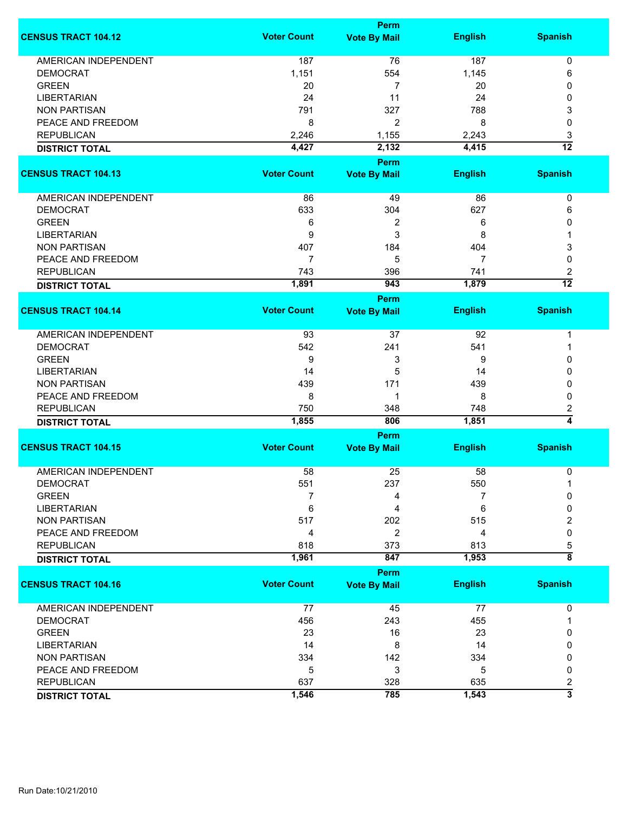|                             |                    | <b>Perm</b>                        |                |                              |
|-----------------------------|--------------------|------------------------------------|----------------|------------------------------|
| <b>CENSUS TRACT 104.12</b>  | <b>Voter Count</b> | <b>Vote By Mail</b>                | <b>English</b> | <b>Spanish</b>               |
| <b>AMERICAN INDEPENDENT</b> | 187                | 76                                 | 187            | 0                            |
| <b>DEMOCRAT</b>             | 1,151              | 554                                | 1,145          | 6                            |
| <b>GREEN</b>                | 20                 | 7                                  | 20             | 0                            |
| <b>LIBERTARIAN</b>          | 24                 | 11                                 | 24             |                              |
|                             |                    |                                    |                | 0                            |
| <b>NON PARTISAN</b>         | 791                | 327                                | 788            | 3                            |
| PEACE AND FREEDOM           | 8                  | 2                                  | 8              | 0                            |
| <b>REPUBLICAN</b>           | 2,246              | 1,155                              | 2,243          | 3                            |
| <b>DISTRICT TOTAL</b>       | 4,427              | 2,132                              | 4,415          | $\overline{12}$              |
|                             |                    | <b>Perm</b>                        |                |                              |
| <b>CENSUS TRACT 104.13</b>  | <b>Voter Count</b> | <b>Vote By Mail</b>                | <b>English</b> | <b>Spanish</b>               |
| AMERICAN INDEPENDENT        | 86                 | 49                                 | 86             | 0                            |
| <b>DEMOCRAT</b>             | 633                | 304                                | 627            | 6                            |
| <b>GREEN</b>                | 6                  | 2                                  | 6              | 0                            |
| <b>LIBERTARIAN</b>          | 9                  | 3                                  | 8              |                              |
| <b>NON PARTISAN</b>         | 407                | 184                                | 404            |                              |
|                             |                    |                                    |                | 3                            |
| PEACE AND FREEDOM           | 7                  | 5                                  | 7              | 0                            |
| <b>REPUBLICAN</b>           | 743                | 396                                | 741            | 2                            |
| <b>DISTRICT TOTAL</b>       | 1,891              | 943                                | 1,879          | $\overline{12}$              |
| <b>CENSUS TRACT 104.14</b>  | <b>Voter Count</b> | Perm<br><b>Vote By Mail</b>        | <b>English</b> | <b>Spanish</b>               |
|                             |                    |                                    |                |                              |
| <b>AMERICAN INDEPENDENT</b> | 93                 | 37                                 | 92             | 1                            |
| <b>DEMOCRAT</b>             | 542                | 241                                | 541            | 1                            |
| <b>GREEN</b>                | 9                  | 3                                  | 9              | 0                            |
| <b>LIBERTARIAN</b>          | 14                 | 5                                  | 14             | 0                            |
| <b>NON PARTISAN</b>         | 439                | 171                                | 439            | 0                            |
| PEACE AND FREEDOM           | 8                  | 1                                  | 8              | 0                            |
|                             |                    |                                    |                |                              |
| <b>REPUBLICAN</b>           | 750                | 348                                | 748            | 2<br>$\overline{4}$          |
| <b>DISTRICT TOTAL</b>       | 1,855              | 806                                | 1,851          |                              |
| <b>CENSUS TRACT 104.15</b>  | <b>Voter Count</b> | <b>Perm</b><br><b>Vote By Mail</b> | <b>English</b> | <b>Spanish</b>               |
|                             |                    |                                    |                |                              |
| <b>AMERICAN INDEPENDENT</b> | 58                 | 25                                 | 58             | 0                            |
| <b>DEMOCRAT</b>             | 551                | 237                                | 550            |                              |
| <b>GREEN</b>                | 7                  | 4                                  | 7              | 0                            |
| <b>LIBERTARIAN</b>          | 6                  | 4                                  | 6              | 0                            |
| <b>NON PARTISAN</b>         | 517                | 202                                | 515            | 2                            |
| PEACE AND FREEDOM           | 4                  | $\overline{2}$                     | 4              | 0                            |
| <b>REPUBLICAN</b>           | 818                | 373                                | 813            | 5                            |
| <b>DISTRICT TOTAL</b>       | 1,961              | 847                                | 1,953          | $\overline{\bf 8}$           |
|                             |                    | Perm                               |                |                              |
| <b>CENSUS TRACT 104.16</b>  | <b>Voter Count</b> | <b>Vote By Mail</b>                | <b>English</b> | <b>Spanish</b>               |
| <b>AMERICAN INDEPENDENT</b> | 77                 | 45                                 | 77             | 0                            |
| <b>DEMOCRAT</b>             | 456                | 243                                | 455            | 1                            |
| <b>GREEN</b>                | 23                 | 16                                 | 23             | 0                            |
| <b>LIBERTARIAN</b>          | 14                 | 8                                  | 14             | 0                            |
| <b>NON PARTISAN</b>         | 334                | 142                                | 334            | 0                            |
| PEACE AND FREEDOM           | 5                  | 3                                  | 5              | 0                            |
| <b>REPUBLICAN</b>           | 637                | 328                                | 635            |                              |
|                             |                    |                                    |                | 2<br>$\overline{\mathbf{3}}$ |
| <b>DISTRICT TOTAL</b>       | 1,546              | 785                                | 1,543          |                              |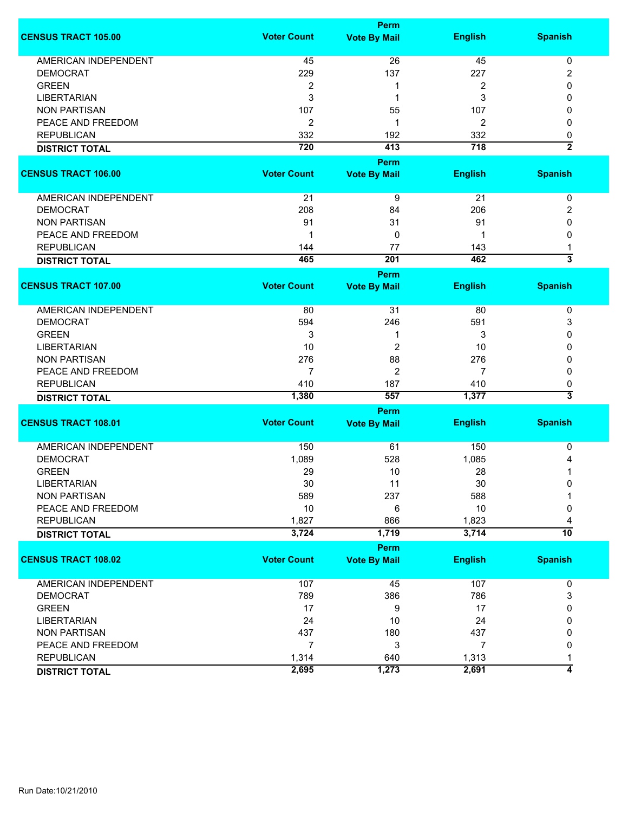|                             |                    | <b>Perm</b>         |                  |                         |
|-----------------------------|--------------------|---------------------|------------------|-------------------------|
| <b>CENSUS TRACT 105.00</b>  | <b>Voter Count</b> | <b>Vote By Mail</b> | <b>English</b>   | <b>Spanish</b>          |
| <b>AMERICAN INDEPENDENT</b> | 45                 | 26                  | 45               | 0                       |
| <b>DEMOCRAT</b>             | 229                | 137                 | 227              | 2                       |
| <b>GREEN</b>                | 2                  | 1                   | 2                | 0                       |
| <b>LIBERTARIAN</b>          | 3                  | 1                   | 3                | 0                       |
|                             |                    |                     |                  |                         |
| <b>NON PARTISAN</b>         | 107                | 55                  | 107              | 0                       |
| PEACE AND FREEDOM           | $\overline{2}$     | 1                   | 2                | 0                       |
| <b>REPUBLICAN</b>           | 332                | 192                 | 332              | 0                       |
| <b>DISTRICT TOTAL</b>       | 720                | 413                 | $\overline{718}$ | $\overline{2}$          |
|                             |                    | Perm                |                  |                         |
| <b>CENSUS TRACT 106.00</b>  | <b>Voter Count</b> | <b>Vote By Mail</b> | <b>English</b>   | <b>Spanish</b>          |
| AMERICAN INDEPENDENT        | 21                 | 9                   | 21               | 0                       |
| <b>DEMOCRAT</b>             | 208                | 84                  | 206              | 2                       |
| <b>NON PARTISAN</b>         | 91                 | 31                  | 91               | 0                       |
| PEACE AND FREEDOM           | 1                  | 0                   |                  | 0                       |
| <b>REPUBLICAN</b>           | 144                | 77                  | 143              |                         |
|                             | 465                | 201                 | 462              | 3                       |
| <b>DISTRICT TOTAL</b>       |                    |                     |                  |                         |
|                             |                    | Perm                |                  |                         |
| <b>CENSUS TRACT 107.00</b>  | <b>Voter Count</b> | <b>Vote By Mail</b> | <b>English</b>   | <b>Spanish</b>          |
| AMERICAN INDEPENDENT        | 80                 | 31                  | 80               | 0                       |
| <b>DEMOCRAT</b>             | 594                | 246                 | 591              | 3                       |
| <b>GREEN</b>                | 3                  | 1                   | 3                | 0                       |
| <b>LIBERTARIAN</b>          | 10                 | 2                   | 10               | 0                       |
| <b>NON PARTISAN</b>         | 276                | 88                  | 276              | 0                       |
| PEACE AND FREEDOM           | 7                  | $\overline{2}$      | 7                | 0                       |
| <b>REPUBLICAN</b>           | 410                | 187                 | 410              | 0                       |
| <b>DISTRICT TOTAL</b>       | 1,380              | 557                 | 1,377            | $\overline{\mathbf{3}}$ |
|                             |                    |                     |                  |                         |
|                             |                    | Perm                |                  |                         |
| <b>CENSUS TRACT 108.01</b>  | <b>Voter Count</b> | <b>Vote By Mail</b> | <b>English</b>   | <b>Spanish</b>          |
| <b>AMERICAN INDEPENDENT</b> | 150                | 61                  | 150              | 0                       |
| <b>DEMOCRAT</b>             | 1,089              | 528                 | 1,085            | 4                       |
| <b>GREEN</b>                | 29                 | 10                  | 28               | 1                       |
| LIBERTARIAN                 | 30                 | 11                  | 30               | 0                       |
| <b>NON PARTISAN</b>         | 589                | 237                 | 588              |                         |
| PEACE AND FREEDOM           | 10                 | 6                   | 10               | 0                       |
| <b>REPUBLICAN</b>           | 1,827              | 866                 | 1,823            | 4                       |
| <b>DISTRICT TOTAL</b>       | 3,724              | 1,719               | 3,714            | 10                      |
|                             |                    |                     |                  |                         |
|                             |                    | <b>Perm</b>         |                  |                         |
| <b>CENSUS TRACT 108.02</b>  | <b>Voter Count</b> | <b>Vote By Mail</b> | <b>English</b>   | <b>Spanish</b>          |
| AMERICAN INDEPENDENT        | 107                | 45                  | 107              | 0                       |
| <b>DEMOCRAT</b>             | 789                | 386                 | 786              | 3                       |
| <b>GREEN</b>                | 17                 | 9                   | 17               | 0                       |
| <b>LIBERTARIAN</b>          | 24                 | 10                  | 24               | 0                       |
| <b>NON PARTISAN</b>         | 437                | 180                 | 437              | 0                       |
| PEACE AND FREEDOM           | $\overline{7}$     | 3                   | 7                | 0                       |
| <b>REPUBLICAN</b>           | 1,314              | 640                 | 1,313            | 1                       |
| <b>DISTRICT TOTAL</b>       | 2,695              | 1,273               | 2,691            | 4                       |
|                             |                    |                     |                  |                         |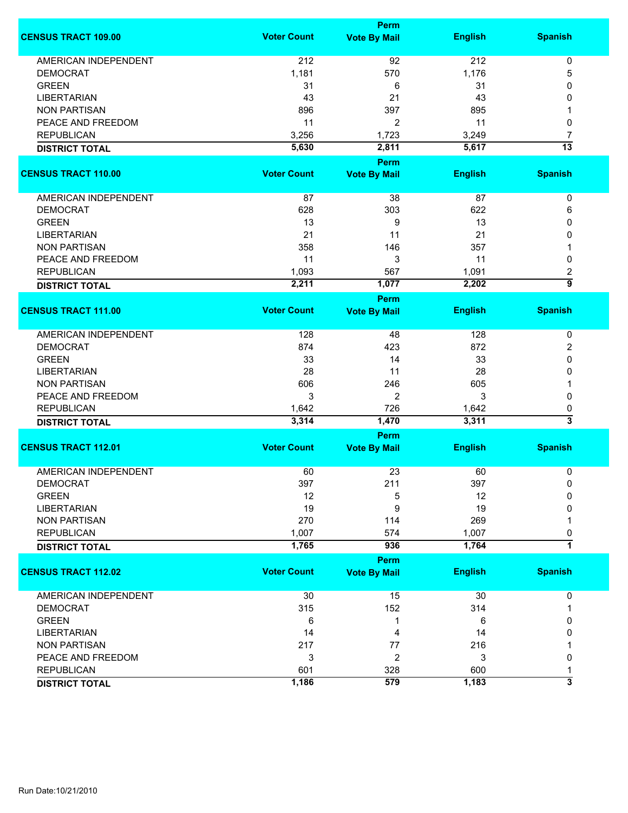|                             |                    | <b>Perm</b>         |                |                           |
|-----------------------------|--------------------|---------------------|----------------|---------------------------|
| <b>CENSUS TRACT 109.00</b>  | <b>Voter Count</b> | <b>Vote By Mail</b> | <b>English</b> | <b>Spanish</b>            |
| <b>AMERICAN INDEPENDENT</b> | 212                | 92                  | 212            | 0                         |
| <b>DEMOCRAT</b>             | 1,181              | 570                 | 1,176          | 5                         |
| <b>GREEN</b>                | 31                 | 6                   | 31             | 0                         |
| <b>LIBERTARIAN</b>          | 43                 | 21                  | 43             | 0                         |
| <b>NON PARTISAN</b>         | 896                | 397                 | 895            | 1                         |
| PEACE AND FREEDOM           | 11                 | 2                   | 11             | 0                         |
| <b>REPUBLICAN</b>           | 3,256              | 1,723               | 3,249          | 7                         |
|                             | 5,630              | 2,811               | 5,617          | $\overline{13}$           |
| <b>DISTRICT TOTAL</b>       |                    |                     |                |                           |
|                             |                    | <b>Perm</b>         |                |                           |
| <b>CENSUS TRACT 110.00</b>  | <b>Voter Count</b> | <b>Vote By Mail</b> | <b>English</b> | <b>Spanish</b>            |
| AMERICAN INDEPENDENT        | 87                 | 38                  | 87             | 0                         |
| <b>DEMOCRAT</b>             | 628                | 303                 | 622            | 6                         |
| <b>GREEN</b>                | 13                 | 9                   | 13             | 0                         |
| <b>LIBERTARIAN</b>          | 21                 | 11                  | 21             | 0                         |
| <b>NON PARTISAN</b>         | 358                | 146                 | 357            | 1                         |
| PEACE AND FREEDOM           | 11                 | 3                   | 11             | 0                         |
| <b>REPUBLICAN</b>           | 1,093              | 567                 | 1,091          | 2                         |
| <b>DISTRICT TOTAL</b>       | 2,211              | 1,077               | 2,202          | 5                         |
|                             |                    | <b>Perm</b>         |                |                           |
| <b>CENSUS TRACT 111.00</b>  | <b>Voter Count</b> | <b>Vote By Mail</b> | <b>English</b> | <b>Spanish</b>            |
|                             |                    |                     |                |                           |
| <b>AMERICAN INDEPENDENT</b> | 128                | 48                  | 128            | 0                         |
| <b>DEMOCRAT</b>             | 874                | 423                 | 872            | 2                         |
| <b>GREEN</b>                | 33                 | 14                  | 33             | 0                         |
| <b>LIBERTARIAN</b>          | 28                 | 11                  | 28             | 0                         |
| <b>NON PARTISAN</b>         | 606                | 246                 | 605            | 1                         |
| PEACE AND FREEDOM           | 3                  | $\overline{2}$      | 3              | 0                         |
| <b>REPUBLICAN</b>           | 1,642              | 726                 | 1,642          | 0                         |
| <b>DISTRICT TOTAL</b>       | 3,314              | 1,470               | 3,311          | $\overline{\overline{3}}$ |
|                             |                    | Perm                |                |                           |
| <b>CENSUS TRACT 112.01</b>  | <b>Voter Count</b> | <b>Vote By Mail</b> | <b>English</b> | <b>Spanish</b>            |
|                             |                    |                     |                |                           |
| <b>AMERICAN INDEPENDENT</b> | 60                 | 23                  | 60             | 0                         |
| <b>DEMOCRAT</b>             | 397                | 211                 | 397            | 0                         |
| <b>GREEN</b>                | 12                 | 5                   | 12             | 0                         |
| <b>LIBERTARIAN</b>          | 19                 | 9                   | 19             | 0                         |
| <b>NON PARTISAN</b>         | 270                | 114                 | 269            |                           |
| <b>REPUBLICAN</b>           | 1,007              | 574                 | 1,007          | 0                         |
| <b>DISTRICT TOTAL</b>       | 1,765              | 936                 | 1,764          | 7                         |
|                             |                    | Perm                |                |                           |
| <b>CENSUS TRACT 112.02</b>  | <b>Voter Count</b> | <b>Vote By Mail</b> | <b>English</b> | <b>Spanish</b>            |
| <b>AMERICAN INDEPENDENT</b> | 30                 | 15                  | 30             | 0                         |
| <b>DEMOCRAT</b>             | 315                | 152                 | 314            | 1                         |
| <b>GREEN</b>                | 6                  | 1                   | 6              | 0                         |
| <b>LIBERTARIAN</b>          |                    |                     |                |                           |
|                             | 14                 | 4                   | 14             | 0                         |
| <b>NON PARTISAN</b>         | 217                | 77                  | 216            |                           |
| PEACE AND FREEDOM           | 3                  | 2                   | 3              | 0                         |
| <b>REPUBLICAN</b>           | 601                | 328                 | 600            | 1                         |
| <b>DISTRICT TOTAL</b>       | 1,186              | 579                 | 1,183          | 3                         |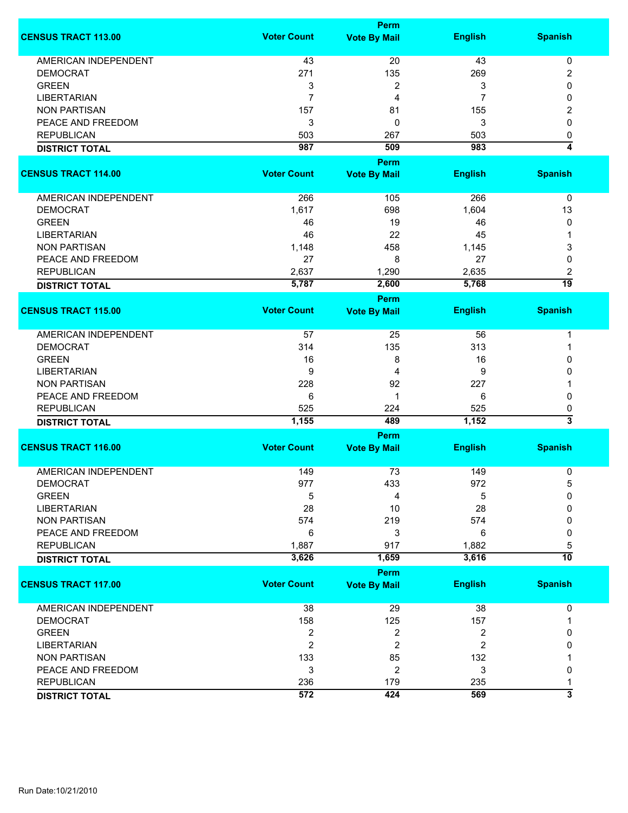|                             |                    | <b>Perm</b>         |                |                 |
|-----------------------------|--------------------|---------------------|----------------|-----------------|
| <b>CENSUS TRACT 113.00</b>  | <b>Voter Count</b> | <b>Vote By Mail</b> | <b>English</b> | <b>Spanish</b>  |
| <b>AMERICAN INDEPENDENT</b> | 43                 | 20                  | 43             | $\pmb{0}$       |
| <b>DEMOCRAT</b>             | 271                | 135                 | 269            | 2               |
| <b>GREEN</b>                | 3                  | 2                   | 3              | 0               |
| <b>LIBERTARIAN</b>          | $\overline{7}$     | 4                   | 7              | 0               |
|                             |                    |                     |                |                 |
| <b>NON PARTISAN</b>         | 157                | 81                  | 155            | 2               |
| PEACE AND FREEDOM           | 3                  | 0                   | 3              | 0               |
| <b>REPUBLICAN</b>           | 503                | 267                 | 503            | 0               |
| <b>DISTRICT TOTAL</b>       | 987                | 509                 | 983            | 4               |
|                             |                    | Perm                |                |                 |
| <b>CENSUS TRACT 114.00</b>  | <b>Voter Count</b> | <b>Vote By Mail</b> | <b>English</b> | <b>Spanish</b>  |
| AMERICAN INDEPENDENT        | 266                | 105                 | 266            | 0               |
| <b>DEMOCRAT</b>             | 1,617              | 698                 | 1,604          | 13              |
| <b>GREEN</b>                | 46                 | 19                  | 46             | 0               |
| <b>LIBERTARIAN</b>          | 46                 | 22                  | 45             | 1               |
| <b>NON PARTISAN</b>         | 1,148              | 458                 | 1,145          | 3               |
| PEACE AND FREEDOM           | 27                 | 8                   | 27             | 0               |
|                             |                    |                     |                |                 |
| <b>REPUBLICAN</b>           | 2,637              | 1,290               | 2,635          | 2<br>19         |
| <b>DISTRICT TOTAL</b>       | 5,787              | 2,600               | 5,768          |                 |
|                             |                    | Perm                |                |                 |
| <b>CENSUS TRACT 115.00</b>  | <b>Voter Count</b> | <b>Vote By Mail</b> | <b>English</b> | <b>Spanish</b>  |
| <b>AMERICAN INDEPENDENT</b> | 57                 | 25                  | 56             | 1               |
| <b>DEMOCRAT</b>             | 314                | 135                 | 313            | 1               |
| <b>GREEN</b>                | 16                 | 8                   | 16             | 0               |
| <b>LIBERTARIAN</b>          | 9                  | 4                   | 9              | 0               |
| <b>NON PARTISAN</b>         | 228                | 92                  | 227            | 1               |
| PEACE AND FREEDOM           | 6                  | 1                   | 6              | 0               |
| <b>REPUBLICAN</b>           | 525                | 224                 | 525            | 0               |
| <b>DISTRICT TOTAL</b>       | 1,155              | 489                 | 1,152          | 3               |
|                             |                    | Perm                |                |                 |
| <b>CENSUS TRACT 116.00</b>  | <b>Voter Count</b> | <b>Vote By Mail</b> | <b>English</b> | <b>Spanish</b>  |
|                             |                    |                     |                |                 |
| <b>AMERICAN INDEPENDENT</b> | 149                | 73                  | 149            | 0               |
| <b>DEMOCRAT</b>             | 977                | 433                 | 972            | 5               |
| <b>GREEN</b>                | 5                  | 4                   | 5              | 0               |
| <b>LIBERTARIAN</b>          | 28                 | 10                  | 28             | 0               |
| <b>NON PARTISAN</b>         | 574                | 219                 | 574            | 0               |
| PEACE AND FREEDOM           | 6                  | 3                   | 6              | 0               |
| <b>REPUBLICAN</b>           | 1,887              | 917                 | 1,882          | 5               |
| <b>DISTRICT TOTAL</b>       | 3,626              | 1,659               | 3,616          | $\overline{10}$ |
|                             |                    | <b>Perm</b>         |                |                 |
| <b>CENSUS TRACT 117.00</b>  | <b>Voter Count</b> | <b>Vote By Mail</b> | <b>English</b> | <b>Spanish</b>  |
| <b>AMERICAN INDEPENDENT</b> | 38                 | 29                  | 38             | 0               |
| <b>DEMOCRAT</b>             | 158                | 125                 | 157            |                 |
| <b>GREEN</b>                | $\overline{c}$     | 2                   | 2              | 0               |
| <b>LIBERTARIAN</b>          | $\overline{2}$     | $\overline{c}$      | 2              | 0               |
| <b>NON PARTISAN</b>         | 133                | 85                  | 132            |                 |
| PEACE AND FREEDOM           | 3                  | 2                   | 3              | 0               |
| <b>REPUBLICAN</b>           | 236                | 179                 | 235            | 1               |
| <b>DISTRICT TOTAL</b>       | 572                | 424                 | 569            | 3               |
|                             |                    |                     |                |                 |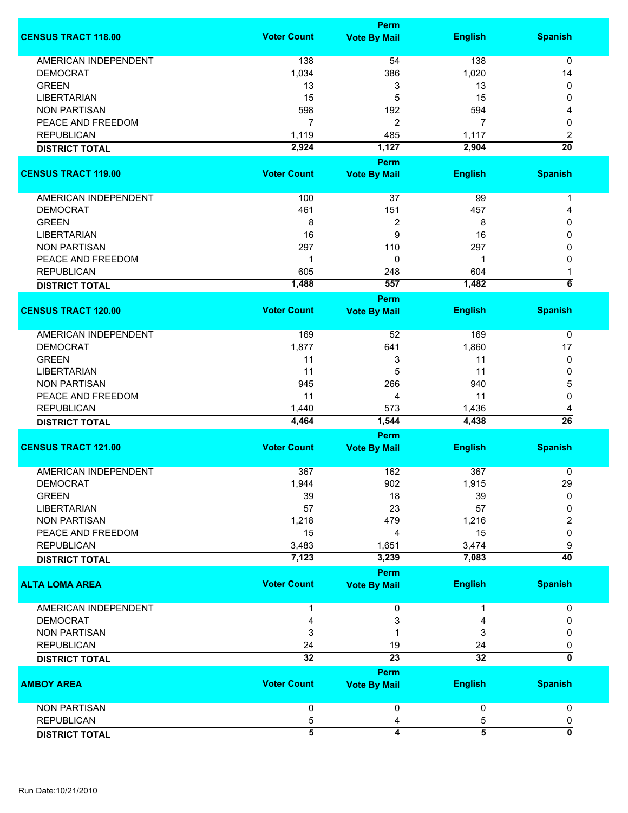|                             |                    | Perm                    |                |                         |
|-----------------------------|--------------------|-------------------------|----------------|-------------------------|
| <b>CENSUS TRACT 118.00</b>  | <b>Voter Count</b> | <b>Vote By Mail</b>     | <b>English</b> | <b>Spanish</b>          |
| <b>AMERICAN INDEPENDENT</b> | 138                | 54                      | 138            | $\mathbf 0$             |
| <b>DEMOCRAT</b>             | 1,034              | 386                     | 1,020          | 14                      |
|                             |                    |                         |                |                         |
| <b>GREEN</b>                | 13                 | 3                       | 13             | 0                       |
| <b>LIBERTARIAN</b>          | 15                 | 5                       | 15             | 0                       |
| <b>NON PARTISAN</b>         | 598                | 192                     | 594            | 4                       |
| PEACE AND FREEDOM           | $\overline{7}$     | $\overline{c}$          | 7              | 0                       |
| <b>REPUBLICAN</b>           | 1,119              | 485                     | 1,117          | 2                       |
| <b>DISTRICT TOTAL</b>       | 2,924              | 1,127                   | 2,904          | $\overline{20}$         |
|                             |                    |                         |                |                         |
|                             |                    | Perm                    |                |                         |
| <b>CENSUS TRACT 119.00</b>  | <b>Voter Count</b> | <b>Vote By Mail</b>     | <b>English</b> | <b>Spanish</b>          |
| <b>AMERICAN INDEPENDENT</b> | 100                | 37                      | 99             | 1                       |
| <b>DEMOCRAT</b>             | 461                | 151                     | 457            | 4                       |
|                             |                    |                         |                |                         |
| <b>GREEN</b>                | 8                  | $\overline{\mathbf{c}}$ | 8              | 0                       |
| <b>LIBERTARIAN</b>          | 16                 | 9                       | 16             | $\mathbf{0}$            |
| <b>NON PARTISAN</b>         | 297                | 110                     | 297            | 0                       |
| PEACE AND FREEDOM           | 1                  | 0                       | 1              | $\mathbf{0}$            |
| <b>REPUBLICAN</b>           | 605                | 248                     | 604            | 1                       |
| <b>DISTRICT TOTAL</b>       | 1,488              | 557                     | 1,482          | $\overline{\bf{6}}$     |
|                             |                    | Perm                    |                |                         |
| <b>CENSUS TRACT 120.00</b>  | <b>Voter Count</b> | <b>Vote By Mail</b>     | <b>English</b> | <b>Spanish</b>          |
|                             |                    |                         |                |                         |
| <b>AMERICAN INDEPENDENT</b> | 169                | 52                      | 169            | 0                       |
| <b>DEMOCRAT</b>             | 1,877              | 641                     | 1,860          | 17                      |
| <b>GREEN</b>                | 11                 | 3                       | 11             | 0                       |
| <b>LIBERTARIAN</b>          | 11                 | 5                       | 11             | 0                       |
| <b>NON PARTISAN</b>         | 945                | 266                     | 940            | 5                       |
| PEACE AND FREEDOM           | 11                 |                         | 11             |                         |
|                             |                    | 4                       |                | 0                       |
| <b>REPUBLICAN</b>           | 1,440              | 573                     | 1,436          | 4                       |
| <b>DISTRICT TOTAL</b>       | 4,464              | 1,544                   | 4,438          | $\overline{26}$         |
|                             |                    | Perm                    |                |                         |
| <b>CENSUS TRACT 121.00</b>  | <b>Voter Count</b> | <b>Vote By Mail</b>     | <b>English</b> | <b>Spanish</b>          |
| <b>AMERICAN INDEPENDENT</b> | 367                | 162                     | 367            | 0                       |
| DEMOCRAT                    | 1,944              | 902                     | 1,915          | 29                      |
| <b>GREEN</b>                | 39                 | 18                      | 39             | 0                       |
| <b>LIBERTARIAN</b>          | 57                 | 23                      | 57             |                         |
|                             |                    |                         |                | 0                       |
| <b>NON PARTISAN</b>         | 1,218              | 479                     | 1,216          | 2                       |
| PEACE AND FREEDOM           | 15                 | 4                       | 15             | 0                       |
| <b>REPUBLICAN</b>           | 3,483              | 1,651                   | 3,474          | 9                       |
| <b>DISTRICT TOTAL</b>       | 7,123              | 3,239                   | 7,083          | $\overline{40}$         |
|                             |                    | Perm                    |                |                         |
| <b>ALTA LOMA AREA</b>       | <b>Voter Count</b> | <b>Vote By Mail</b>     | <b>English</b> | <b>Spanish</b>          |
| <b>AMERICAN INDEPENDENT</b> |                    | 0                       |                | 0                       |
| <b>DEMOCRAT</b>             | 4                  | 3                       | 4              | 0                       |
| <b>NON PARTISAN</b>         | 3                  |                         | 3              | 0                       |
| <b>REPUBLICAN</b>           | 24                 | 19                      | 24             | 0                       |
| <b>DISTRICT TOTAL</b>       | $\overline{32}$    | $\overline{23}$         | 32             | 0                       |
|                             |                    | Perm                    |                |                         |
| <b>AMBOY AREA</b>           | <b>Voter Count</b> | <b>Vote By Mail</b>     | <b>English</b> | <b>Spanish</b>          |
| <b>NON PARTISAN</b>         | 0                  | 0                       | 0              | 0                       |
|                             |                    |                         |                |                         |
| <b>REPUBLICAN</b>           | 5                  | 4                       | 5              | 0                       |
| <b>DISTRICT TOTAL</b>       | 5                  | $\overline{\mathbf{4}}$ | $\overline{5}$ | $\overline{\mathbf{0}}$ |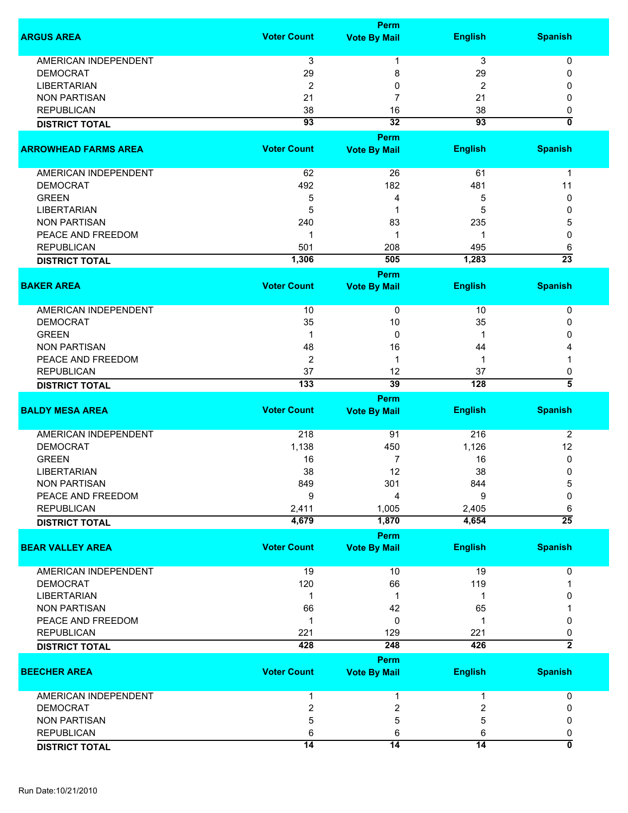|                             |                    | <b>Perm</b>                        |                 |                           |
|-----------------------------|--------------------|------------------------------------|-----------------|---------------------------|
| <b>ARGUS AREA</b>           | <b>Voter Count</b> | <b>Vote By Mail</b>                | <b>English</b>  | <b>Spanish</b>            |
| <b>AMERICAN INDEPENDENT</b> | 3                  | 1                                  | 3               | 0                         |
| <b>DEMOCRAT</b>             | 29                 | 8                                  | 29              | 0                         |
| <b>LIBERTARIAN</b>          | $\overline{2}$     | 0                                  | 2               | 0                         |
| <b>NON PARTISAN</b>         |                    |                                    |                 |                           |
|                             | 21                 | 7                                  | 21              | 0                         |
| <b>REPUBLICAN</b>           | 38                 | 16                                 | 38              | 0                         |
| <b>DISTRICT TOTAL</b>       | $\overline{93}$    | 32                                 | $\overline{93}$ | $\overline{\mathfrak{o}}$ |
| <b>ARROWHEAD FARMS AREA</b> | <b>Voter Count</b> | Perm<br><b>Vote By Mail</b>        | <b>English</b>  | <b>Spanish</b>            |
|                             |                    |                                    |                 |                           |
| <b>AMERICAN INDEPENDENT</b> | 62                 | 26                                 | 61              | $\mathbf 1$               |
| <b>DEMOCRAT</b>             | 492                | 182                                | 481             | 11                        |
| <b>GREEN</b>                | 5                  | 4                                  | 5               | 0                         |
| <b>LIBERTARIAN</b>          | 5                  | 1                                  | 5               | 0                         |
| <b>NON PARTISAN</b>         | 240                | 83                                 | 235             | 5                         |
| PEACE AND FREEDOM           | 1                  | 1                                  | 1               | 0                         |
|                             |                    |                                    |                 |                           |
| <b>REPUBLICAN</b>           | 501                | 208                                | 495             | 6                         |
| <b>DISTRICT TOTAL</b>       | 1,306              | 505                                | 1,283           | $\overline{23}$           |
|                             |                    | <b>Perm</b>                        |                 |                           |
| <b>BAKER AREA</b>           | <b>Voter Count</b> | <b>Vote By Mail</b>                | <b>English</b>  | <b>Spanish</b>            |
| <b>AMERICAN INDEPENDENT</b> | 10                 | $\pmb{0}$                          | 10              | 0                         |
| <b>DEMOCRAT</b>             | 35                 | 10                                 | 35              | 0                         |
| <b>GREEN</b>                | 1                  | $\mathbf 0$                        |                 | ŋ                         |
| <b>NON PARTISAN</b>         | 48                 | 16                                 | 44              |                           |
|                             |                    |                                    |                 |                           |
| PEACE AND FREEDOM           | $\overline{2}$     | 1                                  | 1               |                           |
| <b>REPUBLICAN</b>           | 37                 | 12                                 | 37              | 0                         |
| <b>DISTRICT TOTAL</b>       | 133                | 39                                 | 128             | $\overline{\bf 5}$        |
|                             |                    | <b>Perm</b>                        |                 |                           |
| <b>BALDY MESA AREA</b>      | <b>Voter Count</b> | <b>Vote By Mail</b>                | <b>English</b>  | <b>Spanish</b>            |
| AMERICAN INDEPENDENT        | 218                | 91                                 | 216             | 2                         |
| <b>DEMOCRAT</b>             | 1,138              | 450                                | 1,126           | 12                        |
| <b>GREEN</b>                | 16                 | 7                                  | 16              | 0                         |
| LIBERTARIAN                 | 38                 | 12                                 | 38              | 0                         |
| <b>NON PARTISAN</b>         | 849                | 301                                | 844             | 5                         |
| PEACE AND FREEDOM           | 9                  | 4                                  | 9               | 0                         |
|                             |                    |                                    |                 |                           |
| <b>REPUBLICAN</b>           | 2,411              | 1,005                              | 2,405           | 6                         |
| <b>DISTRICT TOTAL</b>       | 4,679              | 1,870                              | 4,654           | $\overline{25}$           |
| <b>BEAR VALLEY AREA</b>     | <b>Voter Count</b> | <b>Perm</b><br><b>Vote By Mail</b> | <b>English</b>  | <b>Spanish</b>            |
|                             |                    |                                    |                 |                           |
| <b>AMERICAN INDEPENDENT</b> | 19                 | 10                                 | 19              | 0                         |
| <b>DEMOCRAT</b>             | 120                | 66                                 | 119             |                           |
| <b>LIBERTARIAN</b>          | 1                  | 1                                  |                 |                           |
| <b>NON PARTISAN</b>         | 66                 | 42                                 | 65              |                           |
| PEACE AND FREEDOM           | 1                  | 0                                  |                 | 0                         |
|                             |                    |                                    |                 |                           |
| <b>REPUBLICAN</b>           | 221                | 129                                | 221             | 0                         |
| <b>DISTRICT TOTAL</b>       | 428                | 248<br><b>Perm</b>                 | 426             | $\overline{2}$            |
| <b>BEECHER AREA</b>         | <b>Voter Count</b> | <b>Vote By Mail</b>                | <b>English</b>  | <b>Spanish</b>            |
| AMERICAN INDEPENDENT        | 1                  | 1                                  |                 | 0                         |
| <b>DEMOCRAT</b>             | 2                  | 2                                  | 2               | 0                         |
| <b>NON PARTISAN</b>         | 5                  | 5                                  | 5               | 0                         |
|                             |                    |                                    |                 |                           |
| <b>REPUBLICAN</b>           | 6                  | 6                                  | 6               | 0                         |
| <b>DISTRICT TOTAL</b>       | $\overline{14}$    | $\overline{14}$                    | $\overline{14}$ | $\overline{0}$            |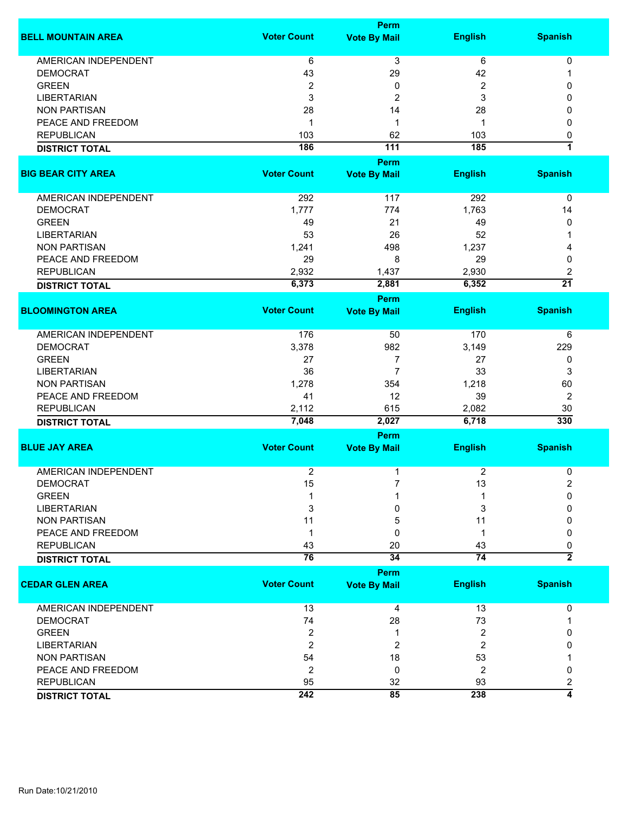|                             |                    | <b>Perm</b>             |                 |                 |
|-----------------------------|--------------------|-------------------------|-----------------|-----------------|
| <b>BELL MOUNTAIN AREA</b>   | <b>Voter Count</b> | <b>Vote By Mail</b>     | <b>English</b>  | <b>Spanish</b>  |
| <b>AMERICAN INDEPENDENT</b> | 6                  | 3                       | 6               | 0               |
| <b>DEMOCRAT</b>             | 43                 | 29                      | 42              | 1               |
| <b>GREEN</b>                | 2                  | 0                       | 2               | 0               |
| <b>LIBERTARIAN</b>          |                    |                         |                 |                 |
|                             | 3                  | $\overline{\mathbf{c}}$ | 3               | 0               |
| <b>NON PARTISAN</b>         | 28                 | 14                      | 28              | 0               |
| PEACE AND FREEDOM           | 1                  | 1                       | 1               | 0               |
| <b>REPUBLICAN</b>           | 103                | 62                      | 103             | 0               |
| <b>DISTRICT TOTAL</b>       | 186                | $\overline{111}$        | 185             | 7               |
|                             |                    | Perm                    |                 |                 |
| <b>BIG BEAR CITY AREA</b>   | <b>Voter Count</b> | <b>Vote By Mail</b>     | <b>English</b>  | <b>Spanish</b>  |
| AMERICAN INDEPENDENT        | 292                | 117                     | 292             | 0               |
| <b>DEMOCRAT</b>             | 1,777              | 774                     | 1,763           | 14              |
| <b>GREEN</b>                | 49                 | 21                      | 49              | 0               |
| <b>LIBERTARIAN</b>          | 53                 | 26                      | 52              | 1               |
|                             |                    | 498                     |                 |                 |
| <b>NON PARTISAN</b>         | 1,241              |                         | 1,237           | 4               |
| PEACE AND FREEDOM           | 29                 | 8                       | 29              | 0               |
| <b>REPUBLICAN</b>           | 2,932              | 1,437                   | 2,930           | 2               |
| <b>DISTRICT TOTAL</b>       | 6,373              | 2,881                   | 6,352           | $\overline{21}$ |
|                             |                    | Perm                    |                 |                 |
| <b>BLOOMINGTON AREA</b>     | <b>Voter Count</b> | <b>Vote By Mail</b>     | <b>English</b>  | <b>Spanish</b>  |
| <b>AMERICAN INDEPENDENT</b> | 176                | 50                      | 170             | 6               |
| <b>DEMOCRAT</b>             | 3,378              | 982                     | 3,149           | 229             |
| <b>GREEN</b>                | 27                 | $\overline{7}$          | 27              | 0               |
| <b>LIBERTARIAN</b>          | 36                 | $\overline{7}$          | 33              | 3               |
| <b>NON PARTISAN</b>         | 1,278              | 354                     | 1,218           | 60              |
|                             |                    |                         |                 |                 |
| PEACE AND FREEDOM           | 41                 | 12                      | 39              | 2               |
| <b>REPUBLICAN</b>           | 2,112              | 615                     | 2,082           | 30              |
| <b>DISTRICT TOTAL</b>       | 7,048              | 2,027                   | 6,718           | 330             |
| <b>BLUE JAY AREA</b>        | <b>Voter Count</b> | Perm                    | <b>English</b>  | <b>Spanish</b>  |
|                             |                    | <b>Vote By Mail</b>     |                 |                 |
| <b>AMERICAN INDEPENDENT</b> | $\overline{2}$     | 1                       | 2               | 0               |
| <b>DEMOCRAT</b>             | 15                 |                         | 13              | 2               |
| <b>GREEN</b>                |                    |                         |                 | $\Omega$        |
| <b>LIBERTARIAN</b>          | 3                  | 0                       | 3               | 0               |
| <b>NON PARTISAN</b>         | 11                 | 5                       | 11              | 0               |
| PEACE AND FREEDOM           | 1                  | 0                       | 1               | 0               |
| <b>REPUBLICAN</b>           | 43                 | 20                      | 43              | 0               |
| <b>DISTRICT TOTAL</b>       | $\overline{76}$    | $\overline{34}$         | $\overline{74}$ | $\overline{2}$  |
|                             |                    | Perm                    |                 |                 |
| <b>CEDAR GLEN AREA</b>      | <b>Voter Count</b> | <b>Vote By Mail</b>     | <b>English</b>  | <b>Spanish</b>  |
| AMERICAN INDEPENDENT        | 13                 | 4                       | 13              | 0               |
| <b>DEMOCRAT</b>             | 74                 | 28                      | 73              |                 |
| <b>GREEN</b>                | 2                  | 1                       | 2               | 0               |
| <b>LIBERTARIAN</b>          | 2                  | 2                       | 2               | 0               |
| <b>NON PARTISAN</b>         | 54                 | 18                      | 53              |                 |
| PEACE AND FREEDOM           | $\overline{2}$     | 0                       | 2               | 0               |
| <b>REPUBLICAN</b>           | 95                 | 32                      | 93              | 2               |
|                             | 242                | 85                      | 238             | 4               |
| <b>DISTRICT TOTAL</b>       |                    |                         |                 |                 |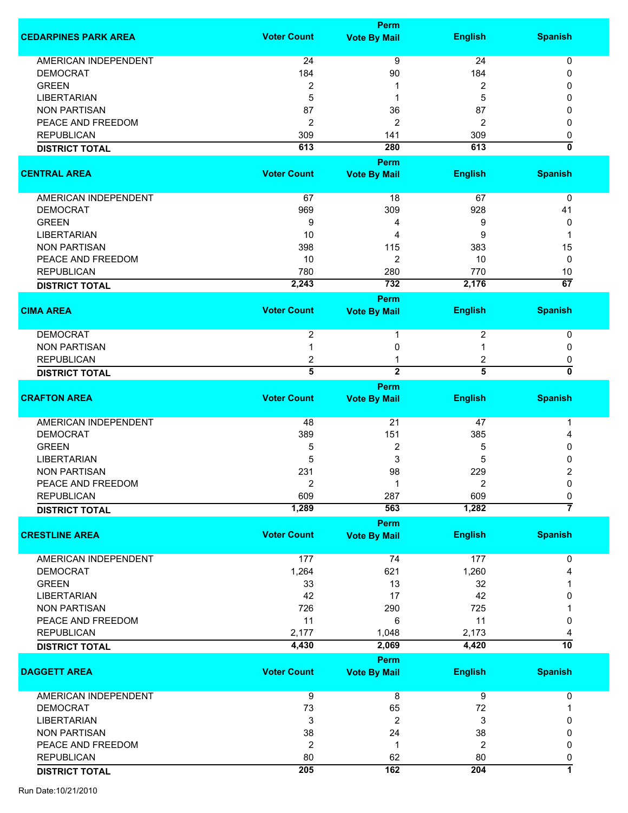|                             |                     | <b>Perm</b>         |                     |                         |
|-----------------------------|---------------------|---------------------|---------------------|-------------------------|
| <b>CEDARPINES PARK AREA</b> | <b>Voter Count</b>  | <b>Vote By Mail</b> | <b>English</b>      | <b>Spanish</b>          |
| <b>AMERICAN INDEPENDENT</b> | 24                  | 9                   | 24                  | 0                       |
| <b>DEMOCRAT</b>             | 184                 | 90                  | 184                 | 0                       |
| <b>GREEN</b>                | $\overline{2}$      |                     | 2                   | 0                       |
| <b>LIBERTARIAN</b>          | 5                   | 1                   | 5                   | 0                       |
| <b>NON PARTISAN</b>         | 87                  | 36                  | 87                  | 0                       |
| PEACE AND FREEDOM           | $\overline{2}$      | $\overline{2}$      | $\overline{2}$      | 0                       |
| <b>REPUBLICAN</b>           | 309                 | 141                 | 309                 |                         |
| <b>DISTRICT TOTAL</b>       | 613                 | 280                 | 613                 | 0<br>ō                  |
|                             |                     | <b>Perm</b>         |                     |                         |
| <b>CENTRAL AREA</b>         | <b>Voter Count</b>  | <b>Vote By Mail</b> | <b>English</b>      | <b>Spanish</b>          |
| AMERICAN INDEPENDENT        | 67                  | 18                  | 67                  | 0                       |
| <b>DEMOCRAT</b>             | 969                 | 309                 | 928                 | 41                      |
| <b>GREEN</b>                | 9                   | 4                   | 9                   | 0                       |
| <b>LIBERTARIAN</b>          | 10                  | 4                   | 9                   | 1                       |
| <b>NON PARTISAN</b>         | 398                 | 115                 | 383                 | 15                      |
| PEACE AND FREEDOM           | 10                  | 2                   | 10                  | 0                       |
| <b>REPUBLICAN</b>           | 780                 | 280                 | 770                 | 10                      |
| <b>DISTRICT TOTAL</b>       | 2,243               | 732                 | 2,176               | 67                      |
|                             |                     | <b>Perm</b>         |                     |                         |
| <b>CIMA AREA</b>            | <b>Voter Count</b>  | <b>Vote By Mail</b> | <b>English</b>      | <b>Spanish</b>          |
| <b>DEMOCRAT</b>             | $\overline{2}$      | 1                   | 2                   | 0                       |
| <b>NON PARTISAN</b>         |                     | 0                   |                     | 0                       |
| <b>REPUBLICAN</b>           |                     |                     |                     |                         |
|                             | 2<br>$\overline{5}$ | $\overline{2}$      | 2<br>$\overline{5}$ | 0<br>0                  |
| <b>DISTRICT TOTAL</b>       |                     |                     |                     |                         |
|                             |                     | Perm                |                     |                         |
| <b>CRAFTON AREA</b>         | <b>Voter Count</b>  | <b>Vote By Mail</b> | <b>English</b>      | <b>Spanish</b>          |
| AMERICAN INDEPENDENT        | 48                  | 21                  | 47                  | 1                       |
| <b>DEMOCRAT</b>             | 389                 | 151                 | 385                 | 4                       |
| <b>GREEN</b>                | 5                   | 2                   | 5                   | 0                       |
| <b>LIBERTARIAN</b>          | 5                   | 3                   | 5                   | 0                       |
| <b>NON PARTISAN</b>         | 231                 | 98                  | 229                 | 2                       |
| PEACE AND FREEDOM           | 2                   | 1                   | 2                   | 0                       |
| <b>REPUBLICAN</b>           | 609                 | 287                 | 609                 | 0                       |
| <b>DISTRICT TOTAL</b>       | 1,289               | 563                 | 1,282               | 7                       |
|                             |                     | <b>Perm</b>         |                     |                         |
| <b>CRESTLINE AREA</b>       | <b>Voter Count</b>  | <b>Vote By Mail</b> | <b>English</b>      | <b>Spanish</b>          |
| <b>AMERICAN INDEPENDENT</b> | 177                 | 74                  | 177                 | 0                       |
| <b>DEMOCRAT</b>             | 1,264               | 621                 | 1,260               | 4                       |
| <b>GREEN</b>                | 33                  | 13                  | 32                  |                         |
|                             |                     |                     | 42                  |                         |
| <b>LIBERTARIAN</b>          | 42                  | 17                  |                     | 0                       |
| <b>NON PARTISAN</b>         | 726                 | 290                 | 725                 |                         |
| PEACE AND FREEDOM           | 11                  | 6                   | 11                  | 0                       |
| <b>REPUBLICAN</b>           | 2,177               | 1,048               | 2,173               |                         |
| <b>DISTRICT TOTAL</b>       | 4,430               | 2,069               | 4,420               | 10                      |
|                             |                     | Perm                |                     |                         |
| <b>DAGGETT AREA</b>         | <b>Voter Count</b>  | <b>Vote By Mail</b> | <b>English</b>      | <b>Spanish</b>          |
| AMERICAN INDEPENDENT        | 9                   | 8                   | 9                   | 0                       |
| <b>DEMOCRAT</b>             | 73                  | 65                  | 72                  | 1                       |
| <b>LIBERTARIAN</b>          | 3                   | 2                   | 3                   | 0                       |
| <b>NON PARTISAN</b>         | 38                  | 24                  | 38                  | 0                       |
| PEACE AND FREEDOM           | $\overline{2}$      | 1                   | $\overline{2}$      | 0                       |
| <b>REPUBLICAN</b>           | 80                  | 62                  | 80                  | 0                       |
| <b>DISTRICT TOTAL</b>       | 205                 | 162                 | 204                 | $\overline{\mathbf{1}}$ |
|                             |                     |                     |                     |                         |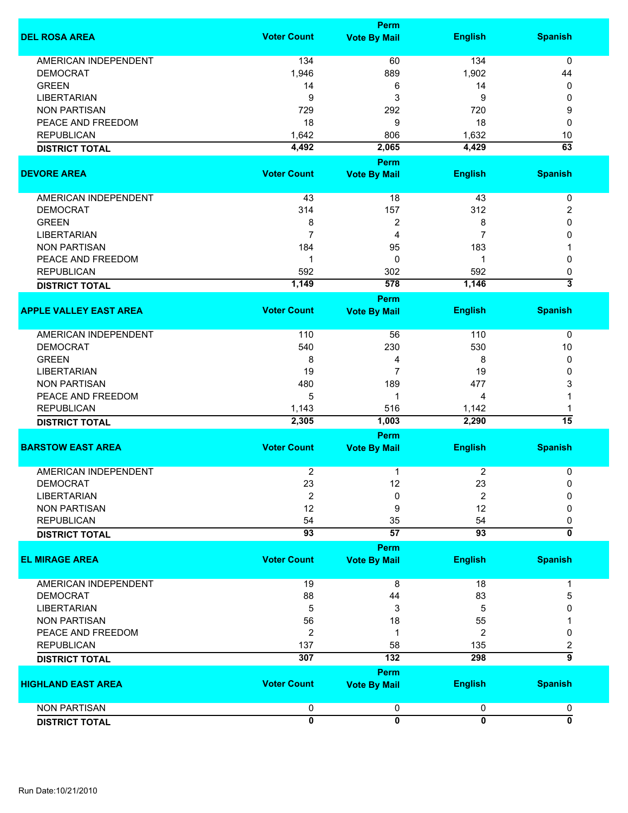|                               | Perm                |                         |                     |                         |  |
|-------------------------------|---------------------|-------------------------|---------------------|-------------------------|--|
| <b>DEL ROSA AREA</b>          | <b>Voter Count</b>  | <b>Vote By Mail</b>     | <b>English</b>      | <b>Spanish</b>          |  |
| <b>AMERICAN INDEPENDENT</b>   | 134                 | 60                      | 134                 | $\mathbf 0$             |  |
| <b>DEMOCRAT</b>               | 1,946               | 889                     | 1,902               | 44                      |  |
|                               |                     |                         |                     |                         |  |
| <b>GREEN</b>                  | 14                  | 6                       | 14                  | 0                       |  |
| <b>LIBERTARIAN</b>            | 9                   | 3                       | 9                   | 0                       |  |
| <b>NON PARTISAN</b>           | 729                 | 292                     | 720                 | 9                       |  |
| PEACE AND FREEDOM             | 18                  | 9                       | 18                  | 0                       |  |
| <b>REPUBLICAN</b>             | 1,642               | 806                     | 1,632               | 10                      |  |
| <b>DISTRICT TOTAL</b>         | 4,492               | 2,065                   | 4,429               | $\overline{63}$         |  |
|                               |                     | Perm                    |                     |                         |  |
| <b>DEVORE AREA</b>            | <b>Voter Count</b>  | <b>Vote By Mail</b>     | <b>English</b>      | <b>Spanish</b>          |  |
|                               |                     |                         |                     |                         |  |
| <b>AMERICAN INDEPENDENT</b>   | 43                  | 18                      | 43                  | 0                       |  |
| <b>DEMOCRAT</b>               | 314                 | 157                     | 312                 | 2                       |  |
| <b>GREEN</b>                  | 8                   | $\overline{\mathbf{c}}$ | 8                   | 0                       |  |
| <b>LIBERTARIAN</b>            | $\overline{7}$      | 4                       | 7                   | $\mathbf{0}$            |  |
| <b>NON PARTISAN</b>           | 184                 | 95                      | 183                 | 1                       |  |
| PEACE AND FREEDOM             | 1                   | 0                       | 1                   | $\mathbf{0}$            |  |
| <b>REPUBLICAN</b>             | 592                 | 302                     | 592                 | 0                       |  |
| <b>DISTRICT TOTAL</b>         | 1,149               | 578                     | 1,146               | 3                       |  |
|                               |                     | Perm                    |                     |                         |  |
| <b>APPLE VALLEY EAST AREA</b> | <b>Voter Count</b>  | <b>Vote By Mail</b>     | <b>English</b>      | <b>Spanish</b>          |  |
|                               |                     |                         |                     |                         |  |
| <b>AMERICAN INDEPENDENT</b>   | 110                 | 56                      | 110                 | 0                       |  |
| <b>DEMOCRAT</b>               | 540                 | 230                     | 530                 | 10                      |  |
| <b>GREEN</b>                  | 8                   | 4                       | 8                   | 0                       |  |
| <b>LIBERTARIAN</b>            | 19                  | $\overline{7}$          | 19                  | 0                       |  |
| <b>NON PARTISAN</b>           | 480                 | 189                     | 477                 | 3                       |  |
| PEACE AND FREEDOM             | 5                   | 1                       | 4                   |                         |  |
|                               |                     |                         |                     |                         |  |
| <b>REPUBLICAN</b>             | 1,143               | 516                     | 1,142               |                         |  |
| <b>DISTRICT TOTAL</b>         | 2,305               | 1,003                   | 2,290               | $\overline{15}$         |  |
|                               |                     | Perm                    |                     |                         |  |
| <b>BARSTOW EAST AREA</b>      | <b>Voter Count</b>  | <b>Vote By Mail</b>     | <b>English</b>      | <b>Spanish</b>          |  |
| <b>AMERICAN INDEPENDENT</b>   | 2                   | 1                       | 2                   | 0                       |  |
| <b>DEMOCRAT</b>               | 23                  | 12                      | 23                  | 0                       |  |
| <b>LIBERTARIAN</b>            | $\boldsymbol{2}$    | 0                       | 2                   | 0                       |  |
|                               |                     |                         |                     |                         |  |
| <b>NON PARTISAN</b>           | 12                  | 9                       | 12                  | 0                       |  |
| <b>REPUBLICAN</b>             | 54                  | 35                      | 54                  | 0                       |  |
| <b>DISTRICT TOTAL</b>         | $\overline{93}$     | $\overline{57}$         | 93                  | $\overline{\mathbf{0}}$ |  |
|                               |                     | Perm                    |                     |                         |  |
| <b>EL MIRAGE AREA</b>         | <b>Voter Count</b>  | <b>Vote By Mail</b>     | <b>English</b>      | <b>Spanish</b>          |  |
| <b>AMERICAN INDEPENDENT</b>   | 19                  | 8                       | 18                  | 1                       |  |
| <b>DEMOCRAT</b>               | 88                  | 44                      | 83                  | 5                       |  |
| <b>LIBERTARIAN</b>            | 5                   | 3                       | 5                   | O                       |  |
|                               |                     |                         |                     |                         |  |
| <b>NON PARTISAN</b>           | 56                  | 18                      | 55                  |                         |  |
| PEACE AND FREEDOM             | 2                   | 1                       | 2                   | 0                       |  |
| <b>REPUBLICAN</b>             | 137                 | 58                      | 135                 | 2                       |  |
| <b>DISTRICT TOTAL</b>         | 307                 | $\overline{132}$        | 298                 | $\overline{\mathsf{g}}$ |  |
|                               |                     | Perm                    |                     |                         |  |
| <b>HIGHLAND EAST AREA</b>     | <b>Voter Count</b>  | <b>Vote By Mail</b>     | <b>English</b>      | <b>Spanish</b>          |  |
| <b>NON PARTISAN</b>           |                     |                         |                     |                         |  |
|                               | 0<br>$\overline{0}$ | 0<br>$\overline{0}$     | 0<br>$\overline{0}$ | 0<br>$\overline{0}$     |  |
| <b>DISTRICT TOTAL</b>         |                     |                         |                     |                         |  |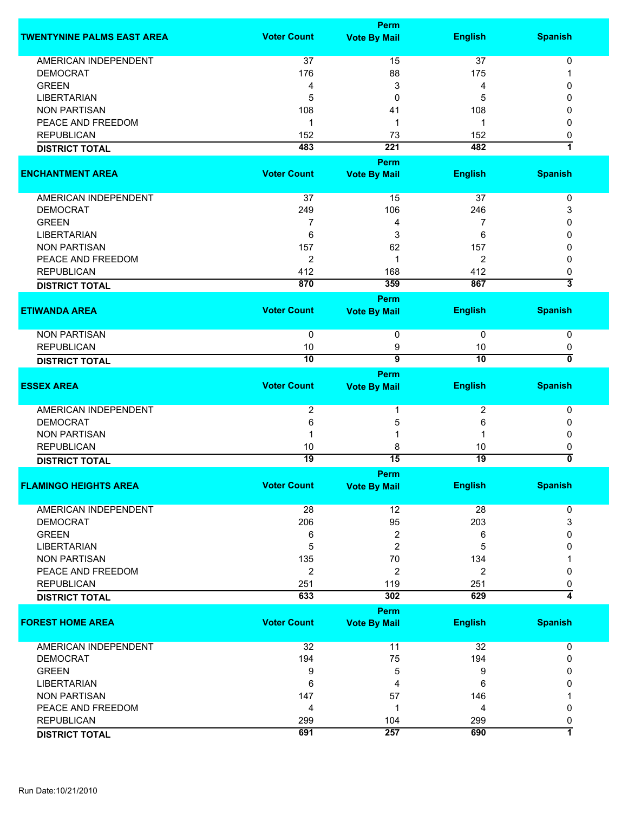|                                   |                    | Perm                    |                 |                         |
|-----------------------------------|--------------------|-------------------------|-----------------|-------------------------|
| <b>TWENTYNINE PALMS EAST AREA</b> | <b>Voter Count</b> | <b>Vote By Mail</b>     | <b>English</b>  | <b>Spanish</b>          |
| <b>AMERICAN INDEPENDENT</b>       | 37                 | 15                      | 37              | $\mathbf 0$             |
| <b>DEMOCRAT</b>                   | 176                | 88                      | 175             |                         |
|                                   |                    |                         |                 |                         |
| <b>GREEN</b>                      | 4                  | 3                       | 4               | 0                       |
| <b>LIBERTARIAN</b>                | 5                  | 0                       | 5               | 0                       |
| <b>NON PARTISAN</b>               | 108                | 41                      | 108             | 0                       |
| PEACE AND FREEDOM                 | 1                  | 1                       | 1               | 0                       |
| <b>REPUBLICAN</b>                 | 152                | 73                      | 152             | 0                       |
| <b>DISTRICT TOTAL</b>             | 483                | $\overline{221}$        | 482             | $\overline{\mathbf{1}}$ |
|                                   |                    | <b>Perm</b>             |                 |                         |
| <b>ENCHANTMENT AREA</b>           | <b>Voter Count</b> | <b>Vote By Mail</b>     | <b>English</b>  | <b>Spanish</b>          |
| AMERICAN INDEPENDENT              | 37                 | 15                      | 37              | 0                       |
| <b>DEMOCRAT</b>                   | 249                | 106                     |                 |                         |
|                                   |                    |                         | 246             | 3                       |
| <b>GREEN</b>                      | 7                  | 4                       | 7               | 0                       |
| <b>LIBERTARIAN</b>                | 6                  | 3                       | 6               | 0                       |
| <b>NON PARTISAN</b>               | 157                | 62                      | 157             | 0                       |
| PEACE AND FREEDOM                 | $\overline{2}$     | 1                       | 2               | 0                       |
| <b>REPUBLICAN</b>                 | 412                | 168                     | 412             | 0                       |
| <b>DISTRICT TOTAL</b>             | 870                | 359                     | 867             | 3                       |
|                                   |                    | <b>Perm</b>             |                 |                         |
| <b>ETIWANDA AREA</b>              | <b>Voter Count</b> | <b>Vote By Mail</b>     | <b>English</b>  | <b>Spanish</b>          |
|                                   |                    |                         |                 |                         |
| <b>NON PARTISAN</b>               | 0                  | 0                       | $\pmb{0}$       | $\pmb{0}$               |
| <b>REPUBLICAN</b>                 | 10                 | 9                       | 10              | 0                       |
| <b>DISTRICT TOTAL</b>             | 10                 | $\overline{\mathbf{g}}$ | $\overline{10}$ | 0                       |
|                                   |                    | Perm                    |                 |                         |
| <b>ESSEX AREA</b>                 | <b>Voter Count</b> |                         |                 | <b>Spanish</b>          |
|                                   |                    | <b>Vote By Mail</b>     | <b>English</b>  |                         |
|                                   |                    | 1                       |                 |                         |
| AMERICAN INDEPENDENT              | $\overline{2}$     |                         | 2               | 0                       |
| <b>DEMOCRAT</b>                   | 6                  | 5                       | 6               | 0                       |
| <b>NON PARTISAN</b>               |                    | 1                       |                 | 0                       |
| <b>REPUBLICAN</b>                 | 10                 | 8                       | 10              | 0                       |
| <b>DISTRICT TOTAL</b>             | $\overline{19}$    | 15                      | 19              | 0                       |
|                                   |                    | Perm                    |                 |                         |
| <b>FLAMINGO HEIGHTS AREA</b>      | <b>Voter Count</b> | <b>Vote By Mail</b>     | <b>English</b>  | <b>Spanish</b>          |
|                                   |                    |                         |                 |                         |
| AMERICAN INDEPENDENT              | 28                 | 12                      | 28              | 0                       |
| <b>DEMOCRAT</b>                   | 206                | 95                      | 203             | 3                       |
| <b>GREEN</b>                      | 6                  | 2                       | 6               | 0                       |
| <b>LIBERTARIAN</b>                | 5                  | 2                       | 5               | 0                       |
| <b>NON PARTISAN</b>               | 135                | 70                      | 134             |                         |
| PEACE AND FREEDOM                 | $\overline{2}$     | 2                       | 2               | 0                       |
|                                   |                    |                         |                 |                         |
| <b>REPUBLICAN</b>                 | 251                | 119<br>302              | 251             | 0<br>4                  |
| <b>DISTRICT TOTAL</b>             | 633                |                         | 629             |                         |
|                                   |                    | Perm                    |                 |                         |
| <b>FOREST HOME AREA</b>           | <b>Voter Count</b> | <b>Vote By Mail</b>     | <b>English</b>  | <b>Spanish</b>          |
|                                   |                    |                         |                 |                         |
| <b>AMERICAN INDEPENDENT</b>       | 32                 | 11                      | 32              | 0                       |
| <b>DEMOCRAT</b>                   | 194                | 75                      | 194             | $\mathbf{0}$            |
| <b>GREEN</b>                      | 9                  | 5                       | 9               | 0                       |
| <b>LIBERTARIAN</b>                | 6                  | 4                       | 6               | 0                       |
| <b>NON PARTISAN</b>               | 147                | 57                      | 146             |                         |
| PEACE AND FREEDOM                 | 4                  | 1                       | 4               | 0                       |
| <b>REPUBLICAN</b>                 | 299                | 104                     | 299             | 0                       |
|                                   | 691                | 257                     | 690             | 7                       |
| <b>DISTRICT TOTAL</b>             |                    |                         |                 |                         |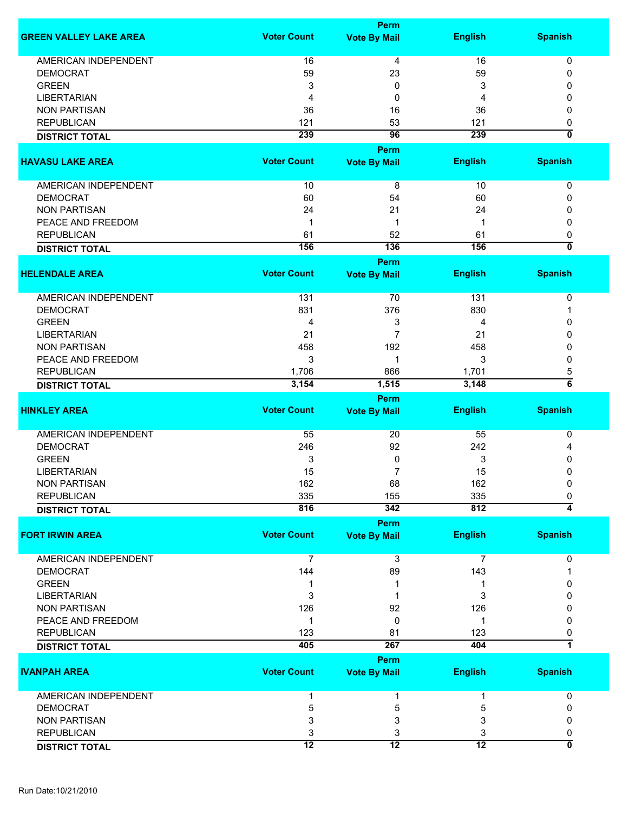|                               |                    | <b>Perm</b>         |                 |                                |
|-------------------------------|--------------------|---------------------|-----------------|--------------------------------|
| <b>GREEN VALLEY LAKE AREA</b> | <b>Voter Count</b> | <b>Vote By Mail</b> | <b>English</b>  | <b>Spanish</b>                 |
| <b>AMERICAN INDEPENDENT</b>   | 16                 | 4                   | 16              | 0                              |
| <b>DEMOCRAT</b>               | 59                 | 23                  | 59              | 0                              |
| <b>GREEN</b>                  | 3                  | 0                   | 3               | 0                              |
| <b>LIBERTARIAN</b>            | 4                  | 0                   | 4               | 0                              |
|                               |                    |                     |                 |                                |
| <b>NON PARTISAN</b>           | 36                 | 16                  | 36              | 0                              |
| <b>REPUBLICAN</b>             | 121                | 53                  | 121             | 0                              |
| <b>DISTRICT TOTAL</b>         | 239                | 96                  | 239             | $\overline{0}$                 |
|                               |                    | Perm                |                 |                                |
| <b>HAVASU LAKE AREA</b>       | <b>Voter Count</b> | <b>Vote By Mail</b> | <b>English</b>  | <b>Spanish</b>                 |
| AMERICAN INDEPENDENT          | 10                 | 8                   | 10              | $\pmb{0}$                      |
| <b>DEMOCRAT</b>               | 60                 | 54                  | 60              | 0                              |
| <b>NON PARTISAN</b>           | 24                 | 21                  | 24              | 0                              |
| PEACE AND FREEDOM             | $\mathbf 1$        | 1                   | 1               | 0                              |
| <b>REPUBLICAN</b>             | 61                 | 52                  | 61              |                                |
|                               | 156                | $\overline{136}$    | 156             | 0<br>$\overline{\mathfrak{o}}$ |
| <b>DISTRICT TOTAL</b>         |                    | <b>Perm</b>         |                 |                                |
| <b>HELENDALE AREA</b>         | <b>Voter Count</b> | <b>Vote By Mail</b> | <b>English</b>  | <b>Spanish</b>                 |
| AMERICAN INDEPENDENT          | 131                | 70                  | 131             | 0                              |
| <b>DEMOCRAT</b>               | 831                | 376                 | 830             | 1                              |
| <b>GREEN</b>                  | 4                  | 3                   | 4               | 0                              |
| <b>LIBERTARIAN</b>            | 21                 | 7                   | 21              | 0                              |
| <b>NON PARTISAN</b>           |                    | 192                 |                 |                                |
|                               | 458                |                     | 458             | 0                              |
| PEACE AND FREEDOM             | 3                  | 1                   | 3               | 0                              |
| <b>REPUBLICAN</b>             | 1,706              | 866                 | 1,701           | 5                              |
| <b>DISTRICT TOTAL</b>         | 3,154              | 1,515               | 3,148           | $\overline{\mathbf{6}}$        |
|                               |                    | <b>Perm</b>         |                 |                                |
| <b>HINKLEY AREA</b>           | <b>Voter Count</b> | <b>Vote By Mail</b> | <b>English</b>  | <b>Spanish</b>                 |
| <b>AMERICAN INDEPENDENT</b>   | 55                 | 20                  | 55              | 0                              |
| <b>DEMOCRAT</b>               | 246                | 92                  | 242             | 4                              |
| <b>GREEN</b>                  | 3                  | 0                   | 3               | 0                              |
| LIBERTARIAN                   | 15                 | 7                   | 15              | 0                              |
| NON PARTISAN                  | 162                | 68                  | 162             | 0                              |
| <b>REPUBLICAN</b>             | 335                | 155                 | 335             | 0                              |
| <b>DISTRICT TOTAL</b>         | 816                | 342                 | 812             | 4                              |
|                               |                    | <b>Perm</b>         |                 |                                |
| <b>FORT IRWIN AREA</b>        | <b>Voter Count</b> | <b>Vote By Mail</b> | <b>English</b>  | <b>Spanish</b>                 |
| <b>AMERICAN INDEPENDENT</b>   | $\overline{7}$     | 3                   | 7               | 0                              |
| <b>DEMOCRAT</b>               | 144                | 89                  | 143             |                                |
| <b>GREEN</b>                  | 1                  |                     |                 | 0                              |
| <b>LIBERTARIAN</b>            | 3                  |                     | 3               | 0                              |
| <b>NON PARTISAN</b>           | 126                | 92                  | 126             | 0                              |
| PEACE AND FREEDOM             | 1                  | 0                   | 1               | 0                              |
| <b>REPUBLICAN</b>             | 123                | 81                  | 123             | 0                              |
| <b>DISTRICT TOTAL</b>         | 405                | 267                 | 404             | 7                              |
|                               |                    | <b>Perm</b>         |                 |                                |
| <b>IVANPAH AREA</b>           | <b>Voter Count</b> | <b>Vote By Mail</b> | <b>English</b>  | <b>Spanish</b>                 |
| <b>AMERICAN INDEPENDENT</b>   |                    | 1                   | 1               | 0                              |
| <b>DEMOCRAT</b>               | 5                  | 5                   | 5               | 0                              |
| <b>NON PARTISAN</b>           | 3                  | 3                   | 3               | 0                              |
| <b>REPUBLICAN</b>             | 3                  | 3                   | 3               | 0                              |
| <b>DISTRICT TOTAL</b>         | $\overline{12}$    | $\overline{12}$     | $\overline{12}$ | $\overline{\mathbf{0}}$        |
|                               |                    |                     |                 |                                |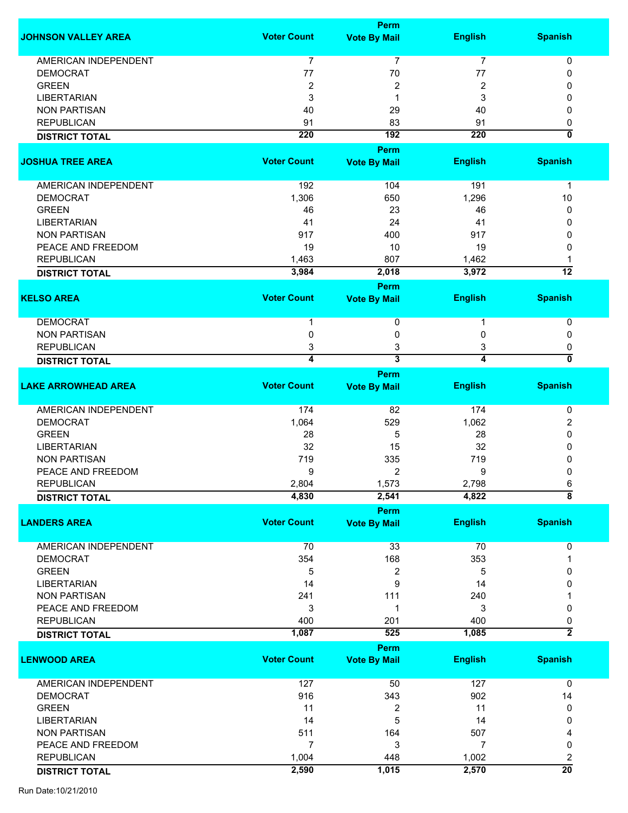|                             |                    | Perm                    |                  |                                    |
|-----------------------------|--------------------|-------------------------|------------------|------------------------------------|
| <b>JOHNSON VALLEY AREA</b>  | <b>Voter Count</b> | <b>Vote By Mail</b>     | <b>English</b>   | <b>Spanish</b>                     |
|                             |                    |                         |                  |                                    |
| <b>AMERICAN INDEPENDENT</b> | 7                  | $\overline{7}$          | $\overline{7}$   | 0                                  |
| <b>DEMOCRAT</b>             | 77                 | 70                      | 77               | 0                                  |
| <b>GREEN</b>                | $\boldsymbol{2}$   | 2                       | 2                | 0                                  |
| <b>LIBERTARIAN</b>          | 3                  | 1                       | 3                | 0                                  |
| <b>NON PARTISAN</b>         | 40                 | 29                      | 40               | 0                                  |
| <b>REPUBLICAN</b>           | 91                 | 83                      | 91               | 0                                  |
| <b>DISTRICT TOTAL</b>       | $\overline{220}$   | 192                     | $\overline{220}$ | ō                                  |
|                             |                    | <b>Perm</b>             |                  |                                    |
|                             |                    |                         |                  |                                    |
| <b>JOSHUA TREE AREA</b>     | <b>Voter Count</b> | <b>Vote By Mail</b>     | <b>English</b>   | <b>Spanish</b>                     |
| AMERICAN INDEPENDENT        | 192                | 104                     | 191              | $\mathbf{1}$                       |
| <b>DEMOCRAT</b>             | 1,306              | 650                     | 1,296            | 10                                 |
| <b>GREEN</b>                | 46                 | 23                      | 46               | 0                                  |
| <b>LIBERTARIAN</b>          | 41                 | 24                      |                  |                                    |
|                             |                    |                         | 41               | 0                                  |
| <b>NON PARTISAN</b>         | 917                | 400                     | 917              | 0                                  |
| PEACE AND FREEDOM           | 19                 | 10                      | 19               | 0                                  |
| <b>REPUBLICAN</b>           | 1,463              | 807                     | 1,462            | 1                                  |
| <b>DISTRICT TOTAL</b>       | 3,984              | 2,018                   | 3,972            | $\overline{12}$                    |
|                             |                    | Perm                    |                  |                                    |
| <b>KELSO AREA</b>           | <b>Voter Count</b> | <b>Vote By Mail</b>     | <b>English</b>   | <b>Spanish</b>                     |
| <b>DEMOCRAT</b>             | 1                  | 0                       | 1                | $\pmb{0}$                          |
| <b>NON PARTISAN</b>         | 0                  | 0                       | 0                | 0                                  |
| <b>REPUBLICAN</b>           | 3                  | 3                       | 3                | 0                                  |
|                             |                    |                         |                  |                                    |
| <b>DISTRICT TOTAL</b>       | 4                  | $\overline{\mathbf{3}}$ | $\overline{4}$   | ō                                  |
|                             |                    | Perm                    |                  |                                    |
| <b>LAKE ARROWHEAD AREA</b>  | <b>Voter Count</b> | <b>Vote By Mail</b>     | <b>English</b>   | <b>Spanish</b>                     |
| AMERICAN INDEPENDENT        | 174                | 82                      | 174              | 0                                  |
| <b>DEMOCRAT</b>             | 1,064              | 529                     | 1,062            | 2                                  |
| <b>GREEN</b>                | 28                 | 5                       | 28               | 0                                  |
|                             |                    |                         |                  |                                    |
| <b>LIBERTARIAN</b>          | 32                 | 15                      | 32               | 0                                  |
| <b>NON PARTISAN</b>         | 719                | 335                     | 719              | 0                                  |
| PEACE AND FREEDOM           | 9                  | 2                       | 9                | 0                                  |
| <b>REPUBLICAN</b>           | 2,804              | 1,573                   | 2,798            | 6                                  |
| <b>DISTRICT TOTAL</b>       | 4,830              | 2,541                   | 4,822            | $\overline{\overline{\mathbf{8}}}$ |
|                             |                    | <b>Perm</b>             |                  |                                    |
| <b>LANDERS AREA</b>         | <b>Voter Count</b> | <b>Vote By Mail</b>     | <b>English</b>   | <b>Spanish</b>                     |
| <b>AMERICAN INDEPENDENT</b> | 70                 | 33                      | 70               | 0                                  |
| <b>DEMOCRAT</b>             | 354                | 168                     | 353              |                                    |
| <b>GREEN</b>                | 5                  | 2                       | 5                | 0                                  |
| <b>LIBERTARIAN</b>          | 14                 | 9                       | 14               | 0                                  |
| <b>NON PARTISAN</b>         | 241                | 111                     |                  |                                    |
|                             |                    |                         | 240              |                                    |
| PEACE AND FREEDOM           | 3                  | 1                       | 3                | 0                                  |
| <b>REPUBLICAN</b>           | 400                | 201                     | 400              | 0                                  |
| <b>DISTRICT TOTAL</b>       | 1,087              | 525                     | 1,085            | $\overline{2}$                     |
|                             |                    | Perm                    |                  |                                    |
| <b>LENWOOD AREA</b>         | <b>Voter Count</b> | <b>Vote By Mail</b>     | <b>English</b>   | <b>Spanish</b>                     |
| AMERICAN INDEPENDENT        | 127                | 50                      | 127              | $\mathbf 0$                        |
| <b>DEMOCRAT</b>             | 916                | 343                     | 902              | 14                                 |
| <b>GREEN</b>                | 11                 | 2                       | 11               | 0                                  |
|                             |                    | 5                       |                  |                                    |
| <b>LIBERTARIAN</b>          | 14                 |                         | 14               | 0                                  |
| <b>NON PARTISAN</b>         | 511                | 164                     | 507              | 4                                  |
| PEACE AND FREEDOM           | $\overline{7}$     | 3                       | $\overline{7}$   | 0                                  |
| <b>REPUBLICAN</b>           | 1,004              | 448                     | 1,002            | 2                                  |
| <b>DISTRICT TOTAL</b>       | 2,590              | 1,015                   | 2,570            | $\overline{20}$                    |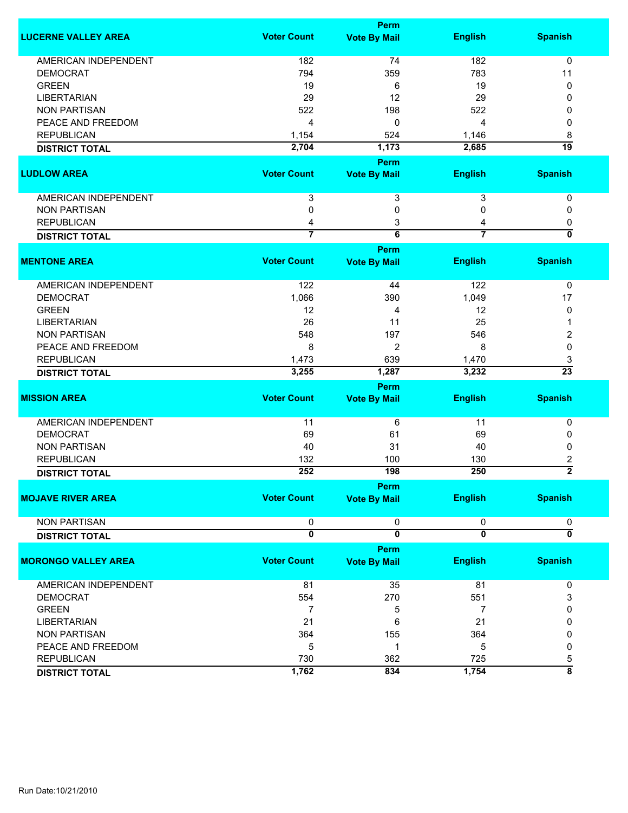|                             |                         | <b>Perm</b>             |                         |                           |
|-----------------------------|-------------------------|-------------------------|-------------------------|---------------------------|
| <b>LUCERNE VALLEY AREA</b>  | <b>Voter Count</b>      | <b>Vote By Mail</b>     | <b>English</b>          | <b>Spanish</b>            |
| <b>AMERICAN INDEPENDENT</b> | 182                     | 74                      | 182                     | $\mathbf 0$               |
| <b>DEMOCRAT</b>             | 794                     | 359                     | 783                     | 11                        |
| <b>GREEN</b>                | 19                      | 6                       | 19                      | 0                         |
| <b>LIBERTARIAN</b>          | 29                      | 12                      | 29                      | 0                         |
| <b>NON PARTISAN</b>         | 522                     |                         |                         |                           |
|                             |                         | 198                     | 522                     | 0                         |
| PEACE AND FREEDOM           | 4                       | 0                       | 4                       | 0                         |
| <b>REPUBLICAN</b>           | 1,154                   | 524                     | 1,146                   | 8<br>$\overline{19}$      |
| <b>DISTRICT TOTAL</b>       | 2,704                   | 1,173                   | 2,685                   |                           |
|                             |                         | Perm                    |                         |                           |
| <b>LUDLOW AREA</b>          | <b>Voter Count</b>      | <b>Vote By Mail</b>     | <b>English</b>          | <b>Spanish</b>            |
| AMERICAN INDEPENDENT        | 3                       | 3                       | 3                       | 0                         |
| <b>NON PARTISAN</b>         | 0                       | 0                       | 0                       | 0                         |
| <b>REPUBLICAN</b>           | 4                       | 3                       | 4                       | 0                         |
| <b>DISTRICT TOTAL</b>       | $\overline{7}$          | $\overline{6}$          | $\overline{7}$          | $\overline{\mathfrak{o}}$ |
|                             |                         | <b>Perm</b>             |                         |                           |
| <b>MENTONE AREA</b>         | <b>Voter Count</b>      | <b>Vote By Mail</b>     | <b>English</b>          | <b>Spanish</b>            |
| <b>AMERICAN INDEPENDENT</b> | 122                     | 44                      | 122                     | 0                         |
| <b>DEMOCRAT</b>             | 1,066                   | 390                     | 1,049                   | 17                        |
| <b>GREEN</b>                | 12                      | 4                       | 12                      | 0                         |
| <b>LIBERTARIAN</b>          | 26                      | 11                      | 25                      | 1                         |
| <b>NON PARTISAN</b>         | 548                     | 197                     | 546                     | 2                         |
| PEACE AND FREEDOM           | 8                       | $\overline{2}$          | 8                       | 0                         |
| <b>REPUBLICAN</b>           | 1,473                   | 639                     | 1,470                   | 3                         |
| <b>DISTRICT TOTAL</b>       | 3,255                   | 1,287                   | 3,232                   | $\overline{23}$           |
|                             |                         | <b>Perm</b>             |                         |                           |
| <b>MISSION AREA</b>         | <b>Voter Count</b>      | <b>Vote By Mail</b>     | <b>English</b>          | <b>Spanish</b>            |
|                             |                         |                         |                         |                           |
| <b>AMERICAN INDEPENDENT</b> | 11                      | 6                       | 11                      | 0                         |
| <b>DEMOCRAT</b>             | 69                      | 61                      | 69                      | 0                         |
| <b>NON PARTISAN</b>         | 40                      | 31                      | 40                      | 0                         |
| <b>REPUBLICAN</b>           | 132                     | 100                     | 130                     | 2                         |
| <b>DISTRICT TOTAL</b>       | 252                     | 198                     | 250                     | $\overline{2}$            |
|                             |                         | <b>Perm</b>             |                         |                           |
| <b>MOJAVE RIVER AREA</b>    | <b>Voter Count</b>      | <b>Vote By Mail</b>     | <b>English</b>          | <b>Spanish</b>            |
| <b>NON PARTISAN</b>         | 0                       | 0                       | 0                       | 0                         |
| <b>DISTRICT TOTAL</b>       | $\overline{\mathbf{0}}$ | $\overline{\mathbf{0}}$ | $\overline{\mathbf{0}}$ | $\overline{\mathfrak{o}}$ |
|                             |                         | Perm                    |                         |                           |
| <b>MORONGO VALLEY AREA</b>  | <b>Voter Count</b>      | <b>Vote By Mail</b>     | <b>English</b>          | <b>Spanish</b>            |
| AMERICAN INDEPENDENT        | 81                      | 35                      | 81                      | 0                         |
| <b>DEMOCRAT</b>             | 554                     | 270                     | 551                     | 3                         |
| <b>GREEN</b>                | 7                       | 5                       | 7                       | 0                         |
| <b>LIBERTARIAN</b>          | 21                      | 6                       | 21                      | 0                         |
|                             |                         |                         |                         |                           |
| <b>NON PARTISAN</b>         | 364                     | 155                     | 364                     | 0                         |
| PEACE AND FREEDOM           | 5                       | 1                       | 5                       | 0                         |
| <b>REPUBLICAN</b>           | 730                     | 362                     | 725                     | 5                         |
| <b>DISTRICT TOTAL</b>       | 1,762                   | 834                     | 1,754                   | $\overline{\bf 8}$        |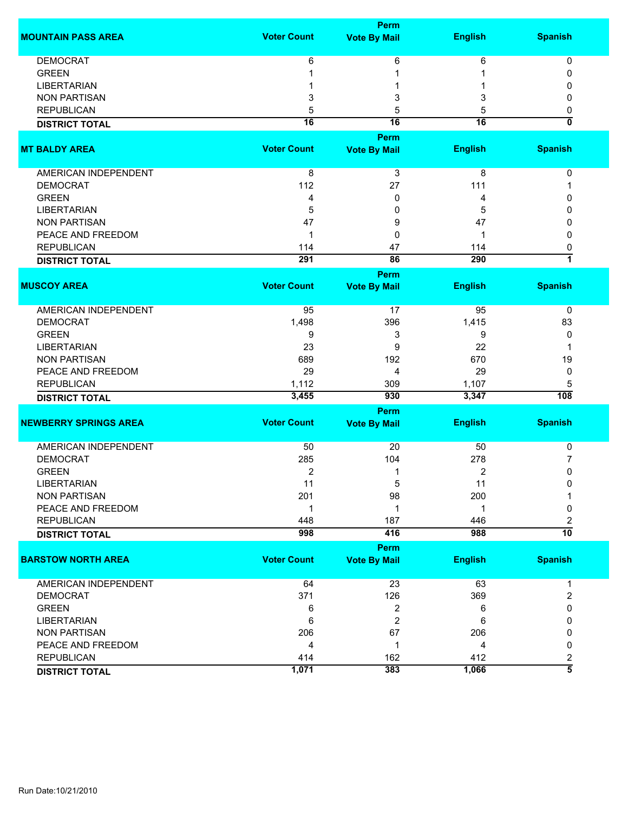|                              | <b>Perm</b>        |                     |                |                         |  |
|------------------------------|--------------------|---------------------|----------------|-------------------------|--|
| <b>MOUNTAIN PASS AREA</b>    | <b>Voter Count</b> | <b>Vote By Mail</b> | <b>English</b> | <b>Spanish</b>          |  |
| <b>DEMOCRAT</b>              | 6                  | 6                   | 6              | 0                       |  |
| <b>GREEN</b>                 |                    | 1                   |                | 0                       |  |
| <b>LIBERTARIAN</b>           |                    |                     |                | O                       |  |
| <b>NON PARTISAN</b>          | 3                  | 3                   | 3              | 0                       |  |
| <b>REPUBLICAN</b>            | 5                  | 5                   | 5              | 0                       |  |
|                              | $\overline{16}$    | 16                  | 16             | $\overline{\mathbf{0}}$ |  |
| <b>DISTRICT TOTAL</b>        |                    |                     |                |                         |  |
|                              |                    | <b>Perm</b>         |                |                         |  |
| <b>MT BALDY AREA</b>         | <b>Voter Count</b> | <b>Vote By Mail</b> | <b>English</b> | <b>Spanish</b>          |  |
| <b>AMERICAN INDEPENDENT</b>  | 8                  | 3                   | 8              | 0                       |  |
| <b>DEMOCRAT</b>              | 112                | 27                  | 111            |                         |  |
| <b>GREEN</b>                 | 4                  | 0                   | 4              | n                       |  |
| <b>LIBERTARIAN</b>           | 5                  | 0                   | 5              | n                       |  |
| <b>NON PARTISAN</b>          | 47                 | 9                   | 47             | ŋ                       |  |
| PEACE AND FREEDOM            | 1                  | 0                   | 1              | 0                       |  |
| <b>REPUBLICAN</b>            | 114                | 47                  | 114            | 0                       |  |
| <b>DISTRICT TOTAL</b>        | 291                | 86                  | 290            | 1                       |  |
|                              |                    |                     |                |                         |  |
|                              |                    | Perm                |                |                         |  |
| <b>MUSCOY AREA</b>           | <b>Voter Count</b> | <b>Vote By Mail</b> | <b>English</b> | <b>Spanish</b>          |  |
| <b>AMERICAN INDEPENDENT</b>  | 95                 | 17                  | 95             | 0                       |  |
| <b>DEMOCRAT</b>              | 1,498              | 396                 | 1,415          | 83                      |  |
| <b>GREEN</b>                 | 9                  | 3                   | 9              | 0                       |  |
| <b>LIBERTARIAN</b>           | 23                 | 9                   | 22             |                         |  |
| <b>NON PARTISAN</b>          | 689                | 192                 | 670            | 19                      |  |
| PEACE AND FREEDOM            | 29                 | 4                   | 29             | 0                       |  |
| <b>REPUBLICAN</b>            | 1,112              | 309                 | 1,107          | 5                       |  |
| <b>DISTRICT TOTAL</b>        | 3,455              | 930                 | 3,347          | $\overline{108}$        |  |
|                              |                    | <b>Perm</b>         |                |                         |  |
| <b>NEWBERRY SPRINGS AREA</b> | <b>Voter Count</b> | <b>Vote By Mail</b> | <b>English</b> | <b>Spanish</b>          |  |
|                              |                    |                     |                |                         |  |
| AMERICAN INDEPENDENT         | 50                 | 20                  | 50             | 0                       |  |
| <b>DEMOCRAT</b>              | 285                | 104                 | 278            | 7                       |  |
| <b>GREEN</b>                 | 2                  | 1                   | 2              | 0                       |  |
| <b>LIBERTARIAN</b>           | 11                 | 5                   | 11             | 0                       |  |
| <b>NON PARTISAN</b>          | 201                | 98                  | 200            |                         |  |
| PEACE AND FREEDOM            | 1                  | 1                   | 1              | 0                       |  |
| <b>REPUBLICAN</b>            | 448                | 187                 | 446            | 2                       |  |
| <b>DISTRICT TOTAL</b>        | 998                | 416                 | 988            | $\overline{10}$         |  |
|                              |                    | Perm                |                |                         |  |
| <b>BARSTOW NORTH AREA</b>    | <b>Voter Count</b> | <b>Vote By Mail</b> | <b>English</b> | <b>Spanish</b>          |  |
|                              |                    |                     |                |                         |  |
| <b>AMERICAN INDEPENDENT</b>  | 64                 | 23                  | 63             | 1                       |  |
| <b>DEMOCRAT</b>              | 371                | 126                 | 369            | 2                       |  |
| <b>GREEN</b>                 | 6                  | 2                   | 6              | 0                       |  |
| <b>LIBERTARIAN</b>           | 6                  | 2                   | 6              | 0                       |  |
| <b>NON PARTISAN</b>          | 206                | 67                  | 206            | 0                       |  |
| PEACE AND FREEDOM            | 4                  | 1                   | 4              | 0                       |  |
| <b>REPUBLICAN</b>            | 414                | 162                 | 412            | 2                       |  |
| <b>DISTRICT TOTAL</b>        | 1,071              | 383                 | 1,066          | $\overline{5}$          |  |
|                              |                    |                     |                |                         |  |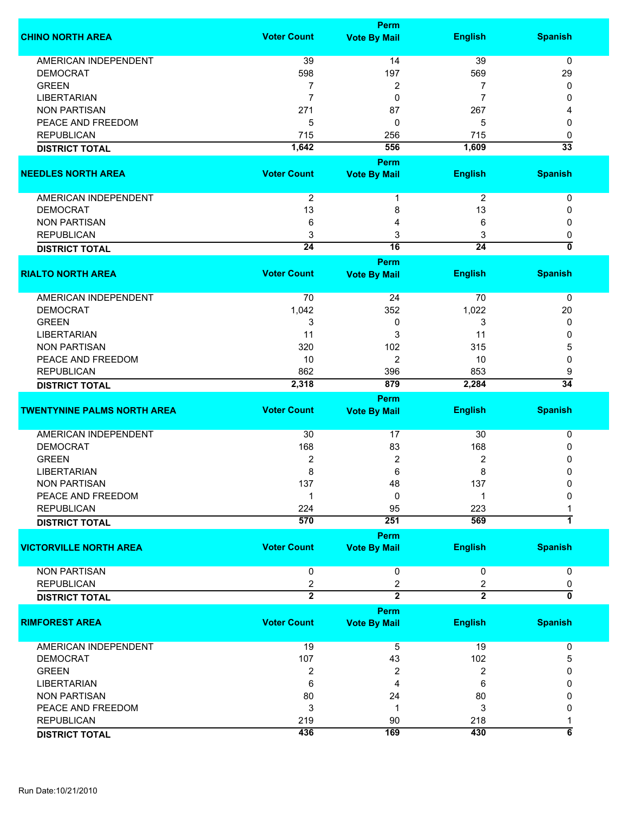|                                    |                     | <b>Perm</b>         |                     |                    |
|------------------------------------|---------------------|---------------------|---------------------|--------------------|
| <b>CHINO NORTH AREA</b>            | <b>Voter Count</b>  | <b>Vote By Mail</b> | <b>English</b>      | <b>Spanish</b>     |
|                                    |                     |                     |                     |                    |
| <b>AMERICAN INDEPENDENT</b>        | 39                  | 14                  | 39                  | $\mathbf 0$        |
| <b>DEMOCRAT</b>                    | 598                 | 197                 | 569                 | 29                 |
| <b>GREEN</b>                       | 7                   | 2                   | 7                   | 0                  |
| <b>LIBERTARIAN</b>                 | 7                   | 0                   | 7                   | 0                  |
| <b>NON PARTISAN</b>                | 271                 | 87                  | 267                 |                    |
| PEACE AND FREEDOM                  | 5                   | 0                   | 5                   | 0                  |
| <b>REPUBLICAN</b>                  | 715                 | 256                 | 715                 | 0                  |
| <b>DISTRICT TOTAL</b>              | 1,642               | 556                 | 1,609               | $\overline{33}$    |
|                                    |                     | <b>Perm</b>         |                     |                    |
|                                    | <b>Voter Count</b>  |                     |                     |                    |
| <b>NEEDLES NORTH AREA</b>          |                     | <b>Vote By Mail</b> | <b>English</b>      | <b>Spanish</b>     |
| AMERICAN INDEPENDENT               | $\overline{2}$      | 1                   | $\overline{2}$      | 0                  |
| <b>DEMOCRAT</b>                    | 13                  | 8                   | 13                  | 0                  |
|                                    |                     |                     |                     |                    |
| <b>NON PARTISAN</b>                | 6                   | 4                   | 6                   | 0                  |
| <b>REPUBLICAN</b>                  | 3                   | 3                   | 3                   | 0                  |
| <b>DISTRICT TOTAL</b>              | $\overline{24}$     | 16                  | $\overline{24}$     | ō                  |
|                                    |                     | <b>Perm</b>         |                     |                    |
| <b>RIALTO NORTH AREA</b>           | <b>Voter Count</b>  | <b>Vote By Mail</b> | <b>English</b>      | <b>Spanish</b>     |
|                                    |                     |                     |                     |                    |
| <b>AMERICAN INDEPENDENT</b>        | 70                  | 24                  | 70                  | $\pmb{0}$          |
| <b>DEMOCRAT</b>                    | 1,042               | 352                 | 1,022               | 20                 |
| <b>GREEN</b>                       | 3                   | 0                   | 3                   | 0                  |
| <b>LIBERTARIAN</b>                 | 11                  | 3                   | 11                  | 0                  |
| <b>NON PARTISAN</b>                | 320                 | 102                 | 315                 | 5                  |
| PEACE AND FREEDOM                  | 10                  | 2                   | 10                  | 0                  |
| <b>REPUBLICAN</b>                  | 862                 | 396                 | 853                 | 9                  |
| <b>DISTRICT TOTAL</b>              | 2,318               | 879                 | 2,284               | $\overline{34}$    |
|                                    |                     | Perm                |                     |                    |
| <b>TWENTYNINE PALMS NORTH AREA</b> | <b>Voter Count</b>  | <b>Vote By Mail</b> | <b>English</b>      | <b>Spanish</b>     |
|                                    |                     |                     |                     |                    |
| AMERICAN INDEPENDENT               | 30                  | 17                  | 30                  | 0                  |
| <b>DEMOCRAT</b>                    | 168                 | 83                  | 168                 | 0                  |
| <b>GREEN</b>                       | $\overline{2}$      | 2                   | 2                   | 0                  |
| LIBERTARIAN                        | 8                   | 6                   | 8                   | 0                  |
| <b>NON PARTISAN</b>                | 137                 | 48                  | 137                 | 0                  |
| PEACE AND FREEDOM                  |                     | 0                   | 1                   | 0                  |
| <b>REPUBLICAN</b>                  | 224                 | 95                  | 223                 |                    |
|                                    | 570                 | 251                 | 569                 | 1                  |
| <b>DISTRICT TOTAL</b>              |                     |                     |                     |                    |
|                                    |                     | <b>Perm</b>         |                     |                    |
| <b>VICTORVILLE NORTH AREA</b>      | <b>Voter Count</b>  | <b>Vote By Mail</b> | <b>English</b>      | <b>Spanish</b>     |
| <b>NON PARTISAN</b>                | 0                   | 0                   | 0                   | 0                  |
|                                    |                     |                     |                     |                    |
| <b>REPUBLICAN</b>                  | 2<br>$\overline{2}$ | 2<br>$\overline{2}$ | 2<br>$\overline{2}$ | 0<br>70            |
| <b>DISTRICT TOTAL</b>              |                     |                     |                     |                    |
|                                    |                     | Perm                |                     |                    |
| <b>RIMFOREST AREA</b>              | <b>Voter Count</b>  | <b>Vote By Mail</b> | <b>English</b>      | <b>Spanish</b>     |
|                                    |                     |                     |                     |                    |
| AMERICAN INDEPENDENT               | 19                  | 5                   | 19                  | 0                  |
| <b>DEMOCRAT</b>                    | 107                 | 43                  | 102                 | 5                  |
| <b>GREEN</b>                       | 2                   | 2                   | 2                   | 0                  |
| <b>LIBERTARIAN</b>                 | 6                   | 4                   | 6                   | 0                  |
| <b>NON PARTISAN</b>                | 80                  | 24                  | 80                  | 0                  |
| PEACE AND FREEDOM                  | 3                   | 1                   | 3                   | 0                  |
| <b>REPUBLICAN</b>                  | 219                 | 90                  | 218                 | 1                  |
| <b>DISTRICT TOTAL</b>              | 436                 | 169                 | 430                 | $\overline{\bf 6}$ |
|                                    |                     |                     |                     |                    |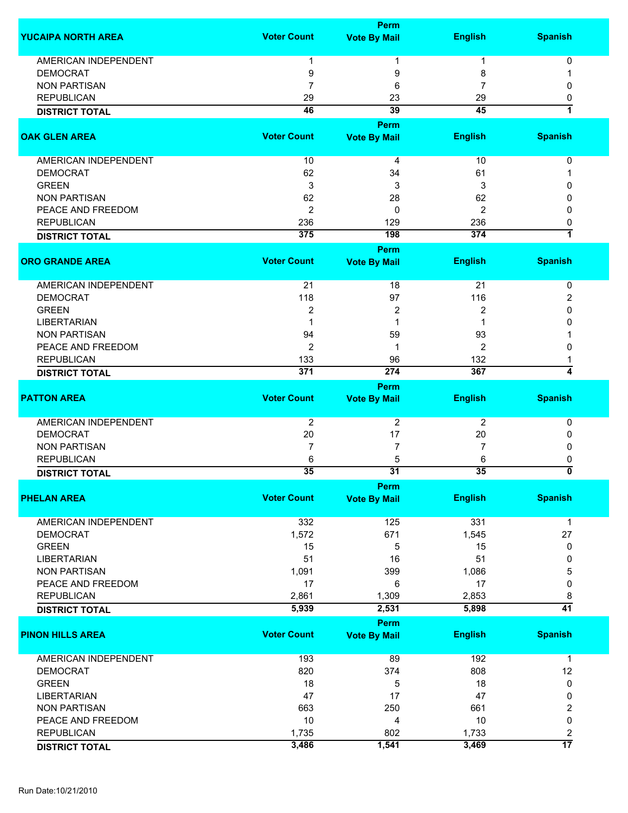|                             |                    | <b>Perm</b>                 |                  |                         |
|-----------------------------|--------------------|-----------------------------|------------------|-------------------------|
| <b>YUCAIPA NORTH AREA</b>   | <b>Voter Count</b> | <b>Vote By Mail</b>         | <b>English</b>   | <b>Spanish</b>          |
| AMERICAN INDEPENDENT        | 1                  | 1                           | 1                | 0                       |
| <b>DEMOCRAT</b>             | 9                  | 9                           | 8                |                         |
| <b>NON PARTISAN</b>         | 7                  | 6                           | 7                | 0                       |
| <b>REPUBLICAN</b>           |                    |                             |                  |                         |
|                             | 29                 | 23                          | 29               | 0                       |
| <b>DISTRICT TOTAL</b>       | 46                 | 39                          | 45               | 1                       |
| <b>OAK GLEN AREA</b>        | <b>Voter Count</b> | Perm<br><b>Vote By Mail</b> | <b>English</b>   | <b>Spanish</b>          |
|                             |                    |                             |                  |                         |
| AMERICAN INDEPENDENT        | 10                 | 4                           | 10               | 0                       |
| <b>DEMOCRAT</b>             | 62                 | 34                          | 61               |                         |
| <b>GREEN</b>                | 3                  | 3                           | 3                | 0                       |
| <b>NON PARTISAN</b>         | 62                 | 28                          | 62               | 0                       |
| PEACE AND FREEDOM           | $\overline{2}$     | 0                           | 2                | 0                       |
| <b>REPUBLICAN</b>           | 236                | 129                         | 236              | 0                       |
| <b>DISTRICT TOTAL</b>       | 375                | 198                         | $\overline{374}$ | 1                       |
|                             |                    | <b>Perm</b>                 |                  |                         |
| <b>ORO GRANDE AREA</b>      | <b>Voter Count</b> | <b>Vote By Mail</b>         | <b>English</b>   | <b>Spanish</b>          |
| <b>AMERICAN INDEPENDENT</b> | 21                 | 18                          | 21               | 0                       |
| <b>DEMOCRAT</b>             | 118                | 97                          | 116              | 2                       |
| <b>GREEN</b>                | 2                  | 2                           | 2                | 0                       |
| <b>LIBERTARIAN</b>          | 1                  | 1                           |                  | 0                       |
| <b>NON PARTISAN</b>         | 94                 | 59                          | 93               |                         |
| PEACE AND FREEDOM           | 2                  | 1                           | 2                | 0                       |
| <b>REPUBLICAN</b>           | 133                | 96                          | 132              |                         |
| <b>DISTRICT TOTAL</b>       | 371                | 274                         | 367              | 4                       |
|                             |                    | <b>Perm</b>                 |                  |                         |
| <b>PATTON AREA</b>          | <b>Voter Count</b> | <b>Vote By Mail</b>         | <b>English</b>   | <b>Spanish</b>          |
|                             |                    |                             |                  |                         |
| <b>AMERICAN INDEPENDENT</b> | 2                  | $\overline{2}$              | 2                | 0                       |
| <b>DEMOCRAT</b>             | 20                 | 17                          | 20               | 0                       |
| <b>NON PARTISAN</b>         | 7                  | $\overline{7}$              | 7                | 0                       |
| <b>REPUBLICAN</b>           | 6                  | 5                           | 6                | 0                       |
| <b>DISTRICT TOTAL</b>       | 35                 | 31                          | 35               | 0                       |
|                             |                    | <b>Perm</b>                 |                  |                         |
| <b>PHELAN AREA</b>          | <b>Voter Count</b> | <b>Vote By Mail</b>         | <b>English</b>   | <b>Spanish</b>          |
| <b>AMERICAN INDEPENDENT</b> | 332                | 125                         | 331              | 1                       |
| <b>DEMOCRAT</b>             | 1,572              | 671                         | 1,545            | 27                      |
| <b>GREEN</b>                | 15                 | 5                           | 15               | 0                       |
| <b>LIBERTARIAN</b>          | 51                 | 16                          | 51               | 0                       |
| <b>NON PARTISAN</b>         | 1,091              | 399                         | 1,086            | 5                       |
| PEACE AND FREEDOM           | 17                 | 6                           | 17               | $\mathbf 0$             |
|                             |                    |                             |                  |                         |
| <b>REPUBLICAN</b>           | 2,861              | 1,309                       | 2,853            | 8<br>41                 |
| <b>DISTRICT TOTAL</b>       | 5,939              | 2,531                       | 5,898            |                         |
|                             |                    | <b>Perm</b>                 |                  |                         |
| <b>PINON HILLS AREA</b>     | <b>Voter Count</b> | <b>Vote By Mail</b>         | <b>English</b>   | <b>Spanish</b>          |
| <b>AMERICAN INDEPENDENT</b> | 193                | 89                          | 192              | $\mathbf{1}$            |
| <b>DEMOCRAT</b>             | 820                | 374                         | 808              | 12                      |
| <b>GREEN</b>                | 18                 | 5                           | 18               | 0                       |
| <b>LIBERTARIAN</b>          | 47                 | 17                          | 47               | 0                       |
| <b>NON PARTISAN</b>         | 663                | 250                         | 661              | 2                       |
| PEACE AND FREEDOM           | 10                 | 4                           | 10               | 0                       |
| <b>REPUBLICAN</b>           | 1,735              | 802                         | 1,733            | $\overline{\mathbf{c}}$ |
| <b>DISTRICT TOTAL</b>       | 3,486              | 1,541                       | 3,469            | $\overline{17}$         |
|                             |                    |                             |                  |                         |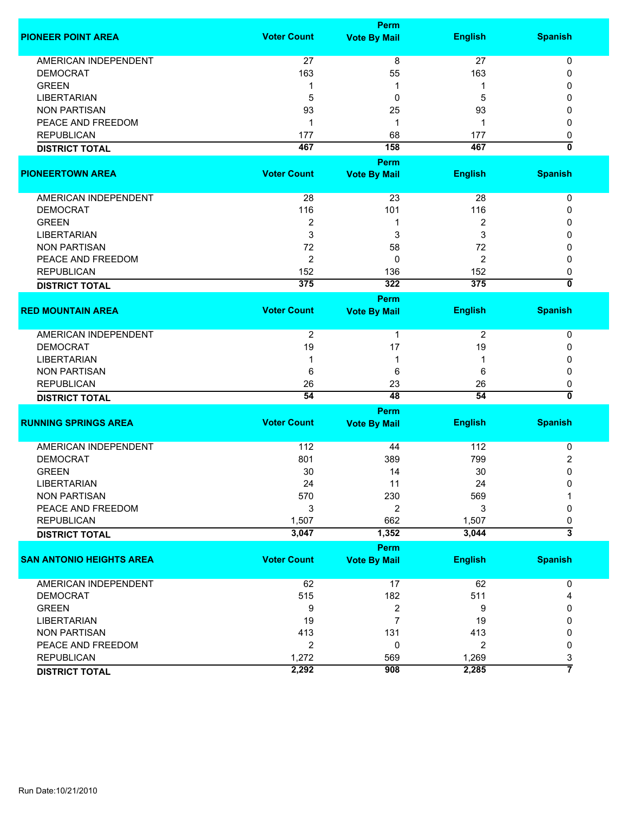|                                 |                    | <b>Perm</b>             |                |                           |
|---------------------------------|--------------------|-------------------------|----------------|---------------------------|
| <b>PIONEER POINT AREA</b>       | <b>Voter Count</b> | <b>Vote By Mail</b>     | <b>English</b> | <b>Spanish</b>            |
| <b>AMERICAN INDEPENDENT</b>     | 27                 | $\overline{8}$          | 27             | 0                         |
| <b>DEMOCRAT</b>                 | 163                | 55                      | 163            | 0                         |
| <b>GREEN</b>                    | 1                  | 1                       | 1              | 0                         |
| <b>LIBERTARIAN</b>              | 5                  | 0                       | 5              | 0                         |
| <b>NON PARTISAN</b>             | 93                 | 25                      | 93             | 0                         |
| PEACE AND FREEDOM               | $\mathbf{1}$       | 1                       | 1              | 0                         |
| <b>REPUBLICAN</b>               | 177                | 68                      | 177            | 0                         |
|                                 |                    |                         |                | $\overline{\mathbf{0}}$   |
| <b>DISTRICT TOTAL</b>           | 467                | 158                     | 467            |                           |
|                                 |                    | Perm                    |                |                           |
| <b>PIONEERTOWN AREA</b>         | <b>Voter Count</b> | <b>Vote By Mail</b>     | <b>English</b> | <b>Spanish</b>            |
| AMERICAN INDEPENDENT            | 28                 | 23                      | 28             | 0                         |
| <b>DEMOCRAT</b>                 | 116                | 101                     | 116            | 0                         |
| <b>GREEN</b>                    | $\overline{2}$     | 1                       | 2              | 0                         |
| <b>LIBERTARIAN</b>              | 3                  | 3                       | 3              | 0                         |
| <b>NON PARTISAN</b>             | 72                 | 58                      | 72             | 0                         |
| PEACE AND FREEDOM               | $\overline{2}$     | 0                       | 2              | 0                         |
| <b>REPUBLICAN</b>               | 152                | 136                     | 152            | 0                         |
|                                 | 375                | 322                     | 375            | $\overline{\mathfrak{o}}$ |
| <b>DISTRICT TOTAL</b>           |                    |                         |                |                           |
|                                 |                    | Perm                    |                |                           |
| <b>RED MOUNTAIN AREA</b>        | <b>Voter Count</b> | <b>Vote By Mail</b>     | <b>English</b> | <b>Spanish</b>            |
| <b>AMERICAN INDEPENDENT</b>     | $\overline{2}$     | 1                       | 2              | 0                         |
| <b>DEMOCRAT</b>                 | 19                 | 17                      | 19             | 0                         |
| <b>LIBERTARIAN</b>              | 1                  | 1                       | 1              | 0                         |
| <b>NON PARTISAN</b>             | 6                  | 6                       | 6              | 0                         |
| <b>REPUBLICAN</b>               | 26                 | 23                      | 26             | 0                         |
| <b>DISTRICT TOTAL</b>           | 54                 | 48                      | 54             | 0                         |
|                                 |                    | <b>Perm</b>             |                |                           |
| <b>RUNNING SPRINGS AREA</b>     | <b>Voter Count</b> | <b>Vote By Mail</b>     | <b>English</b> | <b>Spanish</b>            |
|                                 |                    |                         |                |                           |
| <b>AMERICAN INDEPENDENT</b>     | 112                | 44                      | 112            | 0                         |
| <b>DEMOCRAT</b>                 | 801                | 389                     | 799            | 2                         |
| <b>GREEN</b>                    | 30                 | 14                      | 30             | $\mathbf 0$               |
| <b>LIBERTARIAN</b>              | 24                 | 11                      | 24             | 0                         |
| <b>NON PARTISAN</b>             | 570                | 230                     | 569            |                           |
| PEACE AND FREEDOM               | 3                  | 2                       | 3              | 0                         |
| <b>REPUBLICAN</b>               | 1,507              | 662                     | 1,507          | 0                         |
| <b>DISTRICT TOTAL</b>           | 3,047              | 1,352                   | 3,044          | $\overline{\mathbf{3}}$   |
|                                 |                    |                         |                |                           |
|                                 | <b>Voter Count</b> | <b>Perm</b>             |                | <b>Spanish</b>            |
| <b>SAN ANTONIO HEIGHTS AREA</b> |                    | <b>Vote By Mail</b>     | <b>English</b> |                           |
| <b>AMERICAN INDEPENDENT</b>     | 62                 | 17                      | 62             | 0                         |
| <b>DEMOCRAT</b>                 | 515                | 182                     | 511            | 4                         |
| <b>GREEN</b>                    | 9                  | $\overline{\mathbf{c}}$ | 9              | 0                         |
| <b>LIBERTARIAN</b>              | 19                 | $\overline{7}$          | 19             | 0                         |
| <b>NON PARTISAN</b>             | 413                | 131                     | 413            | 0                         |
| PEACE AND FREEDOM               | $\overline{2}$     | 0                       | $\overline{2}$ | 0                         |
| <b>REPUBLICAN</b>               | 1,272              | 569                     | 1,269          | 3                         |
| <b>DISTRICT TOTAL</b>           | 2,292              | 908                     | 2,285          | 7                         |
|                                 |                    |                         |                |                           |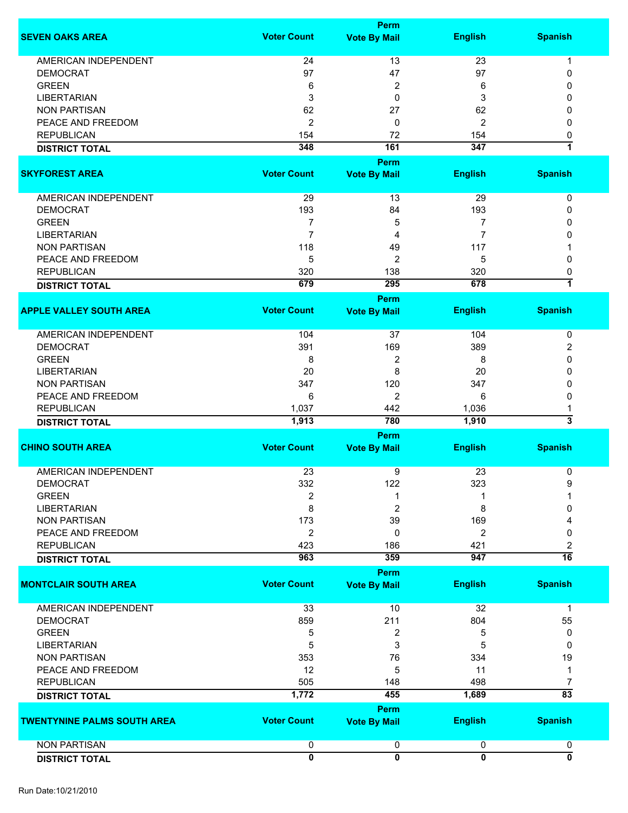|                                    |                    | Perm                    |                |                         |
|------------------------------------|--------------------|-------------------------|----------------|-------------------------|
| <b>SEVEN OAKS AREA</b>             | <b>Voter Count</b> | <b>Vote By Mail</b>     | <b>English</b> | <b>Spanish</b>          |
| <b>AMERICAN INDEPENDENT</b>        | 24                 | 13                      | 23             |                         |
| <b>DEMOCRAT</b>                    | 97                 |                         | 97             | 1                       |
|                                    |                    | 47                      |                | 0                       |
| <b>GREEN</b>                       | 6                  | $\overline{c}$          | 6              | 0                       |
| <b>LIBERTARIAN</b>                 | 3                  | 0                       | 3              | 0                       |
| <b>NON PARTISAN</b>                | 62                 | 27                      | 62             | 0                       |
| PEACE AND FREEDOM                  | $\overline{2}$     | 0                       | 2              | 0                       |
| <b>REPUBLICAN</b>                  | 154                | 72                      | 154            | 0                       |
| <b>DISTRICT TOTAL</b>              | 348                | 161                     | 347            | $\overline{1}$          |
|                                    |                    | <b>Perm</b>             |                |                         |
| <b>SKYFOREST AREA</b>              | <b>Voter Count</b> | <b>Vote By Mail</b>     | <b>English</b> | <b>Spanish</b>          |
| AMERICAN INDEPENDENT               | 29                 | 13                      | 29             | 0                       |
| <b>DEMOCRAT</b>                    | 193                | 84                      | 193            | 0                       |
| <b>GREEN</b>                       | $\overline{7}$     |                         | $\overline{7}$ | 0                       |
|                                    |                    | 5                       |                |                         |
| <b>LIBERTARIAN</b>                 | $\overline{7}$     | 4                       | $\overline{7}$ | 0                       |
| <b>NON PARTISAN</b>                | 118                | 49                      | 117            |                         |
| PEACE AND FREEDOM                  | 5                  | 2                       | 5              | 0                       |
| <b>REPUBLICAN</b>                  | 320                | 138                     | 320            | 0                       |
| <b>DISTRICT TOTAL</b>              | 679                | 295                     | 678            | $\overline{\mathbf{1}}$ |
|                                    |                    | <b>Perm</b>             |                |                         |
| <b>APPLE VALLEY SOUTH AREA</b>     | <b>Voter Count</b> | <b>Vote By Mail</b>     | <b>English</b> | <b>Spanish</b>          |
| AMERICAN INDEPENDENT               | 104                | 37                      | 104            | 0                       |
| <b>DEMOCRAT</b>                    | 391                | 169                     | 389            | 2                       |
| <b>GREEN</b>                       | 8                  | $\overline{c}$          | 8              | 0                       |
| <b>LIBERTARIAN</b>                 | 20                 | 8                       | 20             | 0                       |
|                                    |                    |                         |                |                         |
| <b>NON PARTISAN</b>                | 347                | 120                     | 347            | 0                       |
| PEACE AND FREEDOM                  | 6                  | $\overline{2}$          | 6              | 0                       |
| <b>REPUBLICAN</b>                  | 1,037              | 442                     | 1,036          | 1                       |
| <b>DISTRICT TOTAL</b>              | 1,913              | 780                     | 1,910          | 3                       |
|                                    |                    | <b>Perm</b>             |                |                         |
| <b>CHINO SOUTH AREA</b>            | <b>Voter Count</b> | <b>Vote By Mail</b>     | <b>English</b> | <b>Spanish</b>          |
| <b>AMERICAN INDEPENDENT</b>        | 23                 | 9                       | 23             | 0                       |
| <b>DEMOCRAT</b>                    | 332                | 122                     | 323            | 9                       |
| <b>GREEN</b>                       | 2                  |                         |                |                         |
| <b>LIBERTARIAN</b>                 | 8                  | 2                       | 8              | 0                       |
|                                    |                    |                         |                |                         |
| <b>NON PARTISAN</b>                | 173                | 39                      | 169            |                         |
| PEACE AND FREEDOM                  | $\overline{2}$     | 0                       | 2              | 0                       |
| <b>REPUBLICAN</b>                  | 423                | 186                     | 421            | 2                       |
| <b>DISTRICT TOTAL</b>              | 963                | 359                     | 947            | $\overline{16}$         |
| <b>MONTCLAIR SOUTH AREA</b>        | <b>Voter Count</b> | Perm                    |                | <b>Spanish</b>          |
|                                    |                    | <b>Vote By Mail</b>     | <b>English</b> |                         |
| AMERICAN INDEPENDENT               | 33                 | 10                      | 32             | 1                       |
| <b>DEMOCRAT</b>                    | 859                | 211                     | 804            | 55                      |
| <b>GREEN</b>                       | 5                  | 2                       | 5              | 0                       |
| <b>LIBERTARIAN</b>                 | 5                  | 3                       | 5              | 0                       |
| <b>NON PARTISAN</b>                | 353                | 76                      | 334            | 19                      |
| PEACE AND FREEDOM                  | 12                 | 5                       | 11             | 1                       |
|                                    |                    |                         |                |                         |
| <b>REPUBLICAN</b>                  | 505                | 148                     | 498            | 7                       |
| <b>DISTRICT TOTAL</b>              | 1,772              | 455                     | 1,689          | $\overline{83}$         |
|                                    |                    | Perm                    |                |                         |
| <b>TWENTYNINE PALMS SOUTH AREA</b> | <b>Voter Count</b> | <b>Vote By Mail</b>     | <b>English</b> | <b>Spanish</b>          |
| <b>NON PARTISAN</b>                | $\overline{0}$     | 0                       | 0              | 0                       |
| <b>DISTRICT TOTAL</b>              | 0                  | $\overline{\mathbf{0}}$ | $\mathbf{0}$   | $\overline{\mathbf{0}}$ |
|                                    |                    |                         |                |                         |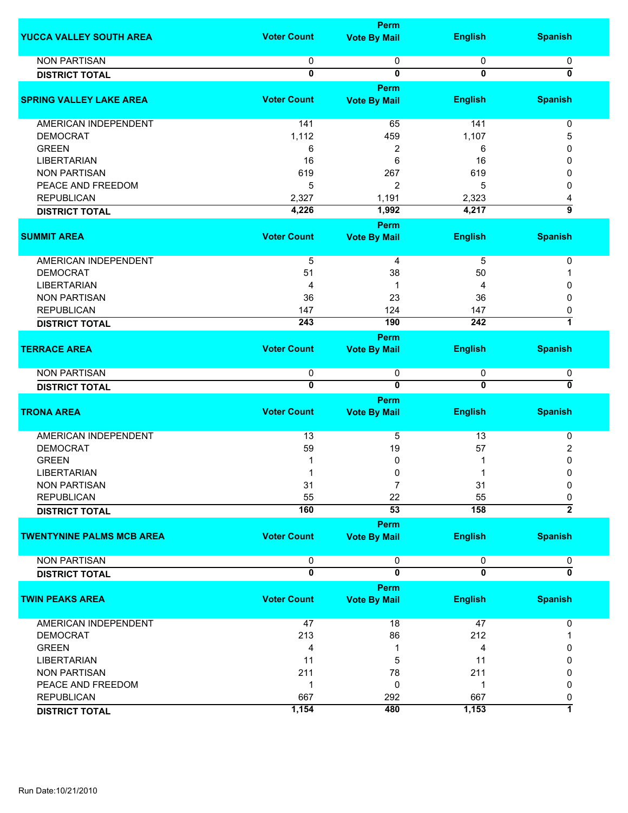|                                  |                    | Perm                        |                |                           |
|----------------------------------|--------------------|-----------------------------|----------------|---------------------------|
| YUCCA VALLEY SOUTH AREA          | <b>Voter Count</b> | <b>Vote By Mail</b>         | <b>English</b> | <b>Spanish</b>            |
| <b>NON PARTISAN</b>              | 0                  | 0                           | 0              | 0                         |
| <b>DISTRICT TOTAL</b>            | 0                  | 0                           | $\mathbf 0$    | 0                         |
|                                  |                    | Perm                        |                |                           |
| <b>SPRING VALLEY LAKE AREA</b>   | <b>Voter Count</b> | <b>Vote By Mail</b>         | <b>English</b> | <b>Spanish</b>            |
|                                  |                    |                             |                |                           |
| AMERICAN INDEPENDENT             | 141                | 65                          | 141            | 0                         |
| <b>DEMOCRAT</b>                  | 1,112              | 459                         | 1,107          | 5                         |
| <b>GREEN</b>                     | 6                  | 2                           | 6              | 0                         |
| <b>LIBERTARIAN</b>               | 16                 | 6                           | 16             | 0                         |
| <b>NON PARTISAN</b>              | 619                | 267                         | 619            | 0                         |
| PEACE AND FREEDOM                | 5                  | $\overline{2}$              | 5              | $\Omega$                  |
| <b>REPUBLICAN</b>                | 2,327              | 1,191                       | 2,323          | 4                         |
| <b>DISTRICT TOTAL</b>            | 4,226              | 1,992                       | 4,217          | $\overline{9}$            |
|                                  |                    | Perm                        |                |                           |
| <b>SUMMIT AREA</b>               | <b>Voter Count</b> | <b>Vote By Mail</b>         | <b>English</b> | <b>Spanish</b>            |
|                                  |                    |                             |                |                           |
| AMERICAN INDEPENDENT             | $\overline{5}$     | 4                           | $\overline{5}$ | 0                         |
| <b>DEMOCRAT</b>                  | 51                 | 38                          | 50             | 1                         |
| <b>LIBERTARIAN</b>               | 4                  | 1                           | 4              | 0                         |
| <b>NON PARTISAN</b>              | 36                 | 23                          | 36             | $\mathbf{0}$              |
| <b>REPUBLICAN</b>                | 147                | 124                         | 147            | 0                         |
| <b>DISTRICT TOTAL</b>            | 243                | 190                         | 242            | 7                         |
|                                  |                    | Perm                        |                |                           |
| <b>TERRACE AREA</b>              | <b>Voter Count</b> | <b>Vote By Mail</b>         | <b>English</b> | <b>Spanish</b>            |
|                                  |                    |                             |                |                           |
| <b>NON PARTISAN</b>              | 0                  | 0                           | 0              | 0                         |
| <b>DISTRICT TOTAL</b>            | $\overline{0}$     | $\overline{\mathbf{0}}$     | $\overline{0}$ | $\overline{\mathfrak{o}}$ |
|                                  |                    | <b>Perm</b>                 |                |                           |
| <b>TRONA AREA</b>                | <b>Voter Count</b> | <b>Vote By Mail</b>         | <b>English</b> | <b>Spanish</b>            |
|                                  |                    |                             |                |                           |
| AMERICAN INDEPENDENT             | 13                 | 5                           | 13             | 0                         |
| <b>DEMOCRAT</b>                  | 59                 | 19                          | 57             | 2                         |
| <b>GREEN</b>                     |                    | 0                           |                | 0                         |
| <b>LIBERTARIAN</b>               |                    | 0                           |                | 0                         |
| NON PARTISAN                     | 31                 | 7                           | 31             | 0                         |
| <b>REPUBLICAN</b>                | 55                 | 22                          | 55             | 0                         |
| <b>DISTRICT TOTAL</b>            | 160                | 53                          | 158            | $\overline{2}$            |
|                                  |                    |                             |                |                           |
| <b>TWENTYNINE PALMS MCB AREA</b> | <b>Voter Count</b> | Perm<br><b>Vote By Mail</b> | <b>English</b> | <b>Spanish</b>            |
|                                  |                    |                             |                |                           |
| <b>NON PARTISAN</b>              | 0                  | 0                           | 0              | 0                         |
| <b>DISTRICT TOTAL</b>            | $\overline{0}$     | $\overline{\mathbf{0}}$     | $\overline{0}$ | $\overline{\mathfrak{o}}$ |
|                                  |                    | Perm                        |                |                           |
| <b>TWIN PEAKS AREA</b>           | <b>Voter Count</b> | <b>Vote By Mail</b>         | <b>English</b> | <b>Spanish</b>            |
|                                  |                    |                             |                |                           |
| AMERICAN INDEPENDENT             | 47                 | 18                          | 47             | 0                         |
| <b>DEMOCRAT</b>                  | 213                | 86                          | 212            |                           |
| <b>GREEN</b>                     | 4                  | 1                           | 4              | 0                         |
| <b>LIBERTARIAN</b>               | 11                 | 5                           | 11             | 0                         |
| <b>NON PARTISAN</b>              |                    |                             |                |                           |
|                                  | 211                | 78                          | 211            | 0                         |
| PEACE AND FREEDOM                | $\mathbf 1$        | 0                           | 1              | 0                         |
| <b>REPUBLICAN</b>                | 667                | 292                         | 667            | 0                         |
| <b>DISTRICT TOTAL</b>            | 1,154              | 480                         | 1,153          | 1                         |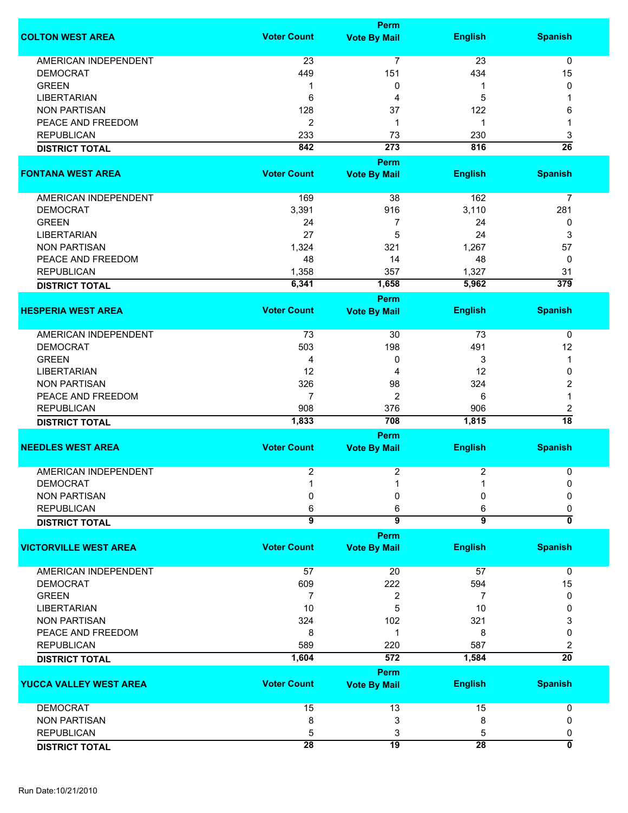|                              |                    | <b>Perm</b>         |                |                           |
|------------------------------|--------------------|---------------------|----------------|---------------------------|
| <b>COLTON WEST AREA</b>      | <b>Voter Count</b> | <b>Vote By Mail</b> | <b>English</b> | <b>Spanish</b>            |
| <b>AMERICAN INDEPENDENT</b>  | 23                 | 7                   | 23             | 0                         |
| <b>DEMOCRAT</b>              | 449                | 151                 | 434            | 15                        |
| <b>GREEN</b>                 | 1                  | 0                   | 1              | 0                         |
| <b>LIBERTARIAN</b>           | 6                  | 4                   | 5              |                           |
| <b>NON PARTISAN</b>          |                    |                     |                |                           |
|                              | 128                | 37                  | 122            | 6                         |
| PEACE AND FREEDOM            | $\overline{2}$     | 1                   | 1              |                           |
| <b>REPUBLICAN</b>            | 233                | 73                  | 230            | 3                         |
| <b>DISTRICT TOTAL</b>        | 842                | 273                 | 816            | $\overline{26}$           |
|                              |                    | <b>Perm</b>         |                |                           |
| <b>FONTANA WEST AREA</b>     | <b>Voter Count</b> | <b>Vote By Mail</b> | <b>English</b> | <b>Spanish</b>            |
| AMERICAN INDEPENDENT         | 169                | 38                  | 162            | 7                         |
| <b>DEMOCRAT</b>              | 3,391              | 916                 | 3,110          | 281                       |
| <b>GREEN</b>                 | 24                 | 7                   | 24             | 0                         |
| <b>LIBERTARIAN</b>           | 27                 | 5                   | 24             | 3                         |
|                              |                    |                     |                |                           |
| <b>NON PARTISAN</b>          | 1,324              | 321                 | 1,267          | 57                        |
| PEACE AND FREEDOM            | 48                 | 14                  | 48             | 0                         |
| <b>REPUBLICAN</b>            | 1,358              | 357                 | 1,327          | 31                        |
| <b>DISTRICT TOTAL</b>        | 6,341              | 1,658               | 5,962          | $\overline{379}$          |
|                              |                    | <b>Perm</b>         |                |                           |
| <b>HESPERIA WEST AREA</b>    | <b>Voter Count</b> | <b>Vote By Mail</b> | <b>English</b> | <b>Spanish</b>            |
| AMERICAN INDEPENDENT         | 73                 | 30                  | 73             | $\pmb{0}$                 |
| <b>DEMOCRAT</b>              | 503                | 198                 | 491            | 12                        |
| <b>GREEN</b>                 | 4                  | 0                   | 3              | 1                         |
|                              |                    |                     |                |                           |
| <b>LIBERTARIAN</b>           | 12                 | 4                   | 12             | 0                         |
| <b>NON PARTISAN</b>          | 326                | 98                  | 324            | 2                         |
| PEACE AND FREEDOM            | $\overline{7}$     | 2                   | 6              | 1                         |
| <b>REPUBLICAN</b>            | 908                | 376                 | 906            | 2                         |
| <b>DISTRICT TOTAL</b>        | 1,833              | 708                 | 1,815          | $\overline{18}$           |
|                              |                    | Perm                |                |                           |
| <b>NEEDLES WEST AREA</b>     | <b>Voter Count</b> | <b>Vote By Mail</b> | <b>English</b> | <b>Spanish</b>            |
| <b>AMERICAN INDEPENDENT</b>  | $\overline{c}$     | 2                   | 2              | 0                         |
| <b>DEMOCRAT</b>              |                    | $\overline{A}$      | $\overline{A}$ | 0                         |
| <b>NON PARTISAN</b>          | 0                  | 0                   | 0              | 0                         |
| <b>REPUBLICAN</b>            | 6                  | 6                   | 6              | 0                         |
| <b>DISTRICT TOTAL</b>        | $\overline{9}$     | $\overline{9}$      | $\overline{9}$ | $\overline{\mathfrak{o}}$ |
|                              |                    | Perm                |                |                           |
| <b>VICTORVILLE WEST AREA</b> | <b>Voter Count</b> | <b>Vote By Mail</b> | <b>English</b> | <b>Spanish</b>            |
|                              |                    |                     |                |                           |
| <b>AMERICAN INDEPENDENT</b>  | 57                 | 20                  | 57             | 0                         |
| <b>DEMOCRAT</b>              | 609                | 222                 | 594            | 15                        |
| <b>GREEN</b>                 | 7                  | 2                   | 7              | 0                         |
| <b>LIBERTARIAN</b>           | 10                 | 5                   | 10             | 0                         |
| <b>NON PARTISAN</b>          | 324                | 102                 | 321            | 3                         |
| PEACE AND FREEDOM            | 8                  | 1                   | 8              | 0                         |
| <b>REPUBLICAN</b>            | 589                | 220                 | 587            | 2                         |
| <b>DISTRICT TOTAL</b>        | 1,604              | 572                 | 1,584          | $\overline{20}$           |
|                              |                    | <b>Perm</b>         |                |                           |
| YUCCA VALLEY WEST AREA       | <b>Voter Count</b> | <b>Vote By Mail</b> | <b>English</b> | <b>Spanish</b>            |
|                              |                    |                     |                |                           |
| <b>DEMOCRAT</b>              | 15                 | 13                  | 15             | 0                         |
| <b>NON PARTISAN</b>          | 8                  | 3                   | 8              | 0                         |
| <b>REPUBLICAN</b>            | 5                  | 3                   | 5              | 0                         |
| <b>DISTRICT TOTAL</b>        | 28                 | $\overline{19}$     | 28             | 0                         |